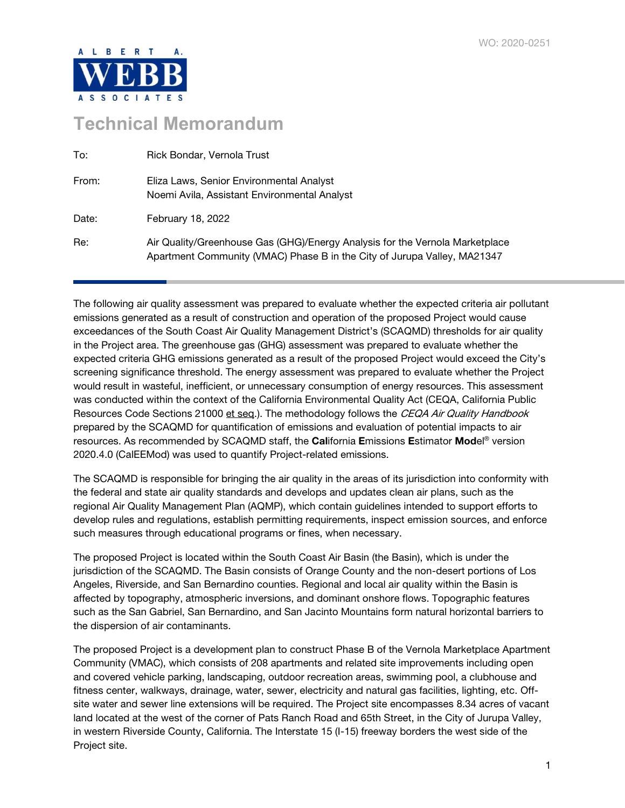

# **Technical Memorandum**

| To:   | Rick Bondar, Vernola Trust                                                                                                                               |
|-------|----------------------------------------------------------------------------------------------------------------------------------------------------------|
| From: | Eliza Laws, Senior Environmental Analyst<br>Noemi Avila, Assistant Environmental Analyst                                                                 |
| Date: | February 18, 2022                                                                                                                                        |
| Re:   | Air Quality/Greenhouse Gas (GHG)/Energy Analysis for the Vernola Marketplace<br>Apartment Community (VMAC) Phase B in the City of Jurupa Valley, MA21347 |

The following air quality assessment was prepared to evaluate whether the expected criteria air pollutant emissions generated as a result of construction and operation of the proposed Project would cause exceedances of the South Coast Air Quality Management District's (SCAQMD) thresholds for air quality in the Project area. The greenhouse gas (GHG) assessment was prepared to evaluate whether the expected criteria GHG emissions generated as a result of the proposed Project would exceed the City's screening significance threshold. The energy assessment was prepared to evaluate whether the Project would result in wasteful, inefficient, or unnecessary consumption of energy resources. This assessment was conducted within the context of the California Environmental Quality Act (CEQA, California Public Resources Code Sections 21000 et seq.). The methodology follows the CEQA Air Quality Handbook prepared by the SCAQMD for quantification of emissions and evaluation of potential impacts to air resources. As recommended by SCAQMD staff, the California Emissions Estimator Model® version 2020.4.0 (CalEEMod) was used to quantify Project-related emissions.

The SCAQMD is responsible for bringing the air quality in the areas of its jurisdiction into conformity with the federal and state air quality standards and develops and updates clean air plans, such as the regional Air Quality Management Plan (AQMP), which contain guidelines intended to support efforts to develop rules and regulations, establish permitting requirements, inspect emission sources, and enforce such measures through educational programs or fines, when necessary.

The proposed Project is located within the South Coast Air Basin (the Basin), which is under the jurisdiction of the SCAQMD. The Basin consists of Orange County and the non-desert portions of Los Angeles, Riverside, and San Bernardino counties. Regional and local air quality within the Basin is affected by topography, atmospheric inversions, and dominant onshore flows. Topographic features such as the San Gabriel, San Bernardino, and San Jacinto Mountains form natural horizontal barriers to the dispersion of air contaminants.

The proposed Project is a development plan to construct Phase B of the Vernola Marketplace Apartment Community (VMAC), which consists of 208 apartments and related site improvements including open and covered vehicle parking, landscaping, outdoor recreation areas, swimming pool, a clubhouse and fitness center, walkways, drainage, water, sewer, electricity and natural gas facilities, lighting, etc. Offsite water and sewer line extensions will be required. The Project site encompasses 8.34 acres of vacant land located at the west of the corner of Pats Ranch Road and 65th Street, in the City of Jurupa Valley, in western Riverside County, California. The Interstate 15 (I-15) freeway borders the west side of the Project site.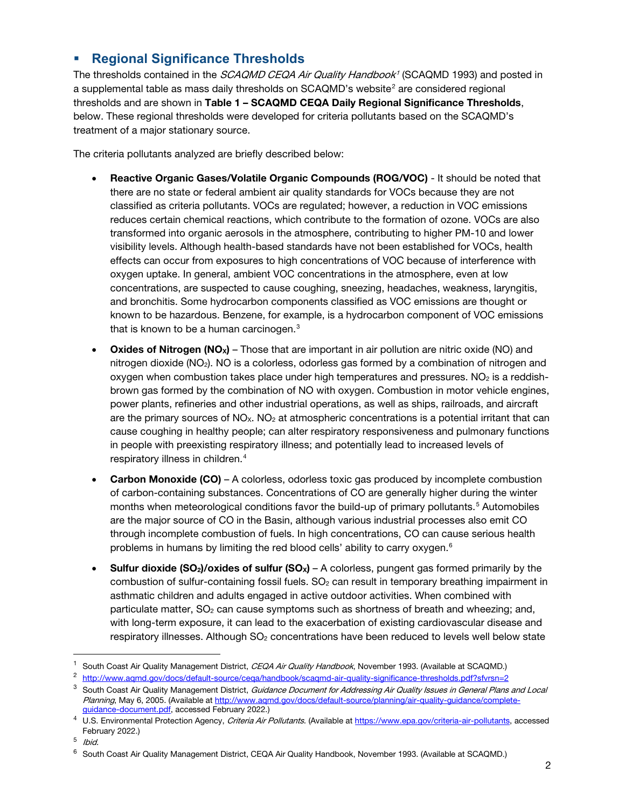## **Regional Significance Thresholds**

The thresholds contained in the *SCAQMD CEQA Air Quality Handbook<sup>[1](#page-1-0)</sup>* (SCAQMD 1993) and posted in a supplemental table as mass daily thresholds on  $SCACMD$ 's website<sup>[2](#page-1-1)</sup> are considered regional thresholds and are shown in Table 1 – SCAQMD CEQA Daily Regional Significance Thresholds, below. These regional thresholds were developed for criteria pollutants based on the SCAQMD's treatment of a major stationary source.

The criteria pollutants analyzed are briefly described below:

- Reactive Organic Gases/Volatile Organic Compounds (ROG/VOC) It should be noted that there are no state or federal ambient air quality standards for VOCs because they are not classified as criteria pollutants. VOCs are regulated; however, a reduction in VOC emissions reduces certain chemical reactions, which contribute to the formation of ozone. VOCs are also transformed into organic aerosols in the atmosphere, contributing to higher PM-10 and lower visibility levels. Although health-based standards have not been established for VOCs, health effects can occur from exposures to high concentrations of VOC because of interference with oxygen uptake. In general, ambient VOC concentrations in the atmosphere, even at low concentrations, are suspected to cause coughing, sneezing, headaches, weakness, laryngitis, and bronchitis. Some hydrocarbon components classified as VOC emissions are thought or known to be hazardous. Benzene, for example, is a hydrocarbon component of VOC emissions that is known to be a human carcinogen.<sup>[3](#page-1-2)</sup>
- **Oxides of Nitrogen (NO<sub>X</sub>)** Those that are important in air pollution are nitric oxide (NO) and nitrogen dioxide (NO2). NO is a colorless, odorless gas formed by a combination of nitrogen and oxygen when combustion takes place under high temperatures and pressures.  $NO<sub>2</sub>$  is a reddishbrown gas formed by the combination of NO with oxygen. Combustion in motor vehicle engines, power plants, refineries and other industrial operations, as well as ships, railroads, and aircraft are the primary sources of  $NO<sub>x</sub>$ .  $NO<sub>2</sub>$  at atmospheric concentrations is a potential irritant that can cause coughing in healthy people; can alter respiratory responsiveness and pulmonary functions in people with preexisting respiratory illness; and potentially lead to increased levels of respiratory illness in children.<sup>[4](#page-1-3)</sup>
- Carbon Monoxide (CO) A colorless, odorless toxic gas produced by incomplete combustion of carbon-containing substances. Concentrations of CO are generally higher during the winter months when meteorological conditions favor the build-up of primary pollutants.[5](#page-1-4) Automobiles are the major source of CO in the Basin, although various industrial processes also emit CO through incomplete combustion of fuels. In high concentrations, CO can cause serious health problems in humans by limiting the red blood cells' ability to carry oxygen.[6](#page-1-5)
- **Sulfur dioxide (SO<sub>2</sub>)/oxides of sulfur (SO<sub>x</sub>) A colorless, pungent gas formed primarily by the** combustion of sulfur-containing fossil fuels.  $SO<sub>2</sub>$  can result in temporary breathing impairment in asthmatic children and adults engaged in active outdoor activities. When combined with particulate matter,  $SO<sub>2</sub>$  can cause symptoms such as shortness of breath and wheezing; and, with long-term exposure, it can lead to the exacerbation of existing cardiovascular disease and respiratory illnesses. Although SO<sub>2</sub> concentrations have been reduced to levels well below state

<span id="page-1-4"></span>5 Ibid.

<span id="page-1-0"></span>South Coast Air Quality Management District, CEQA Air Quality Handbook, November 1993. (Available at SCAQMD.)

<span id="page-1-1"></span><sup>&</sup>lt;sup>2</sup> <http://www.aqmd.gov/docs/default-source/ceqa/handbook/scaqmd-air-quality-significance-thresholds.pdf?sfvrsn=2>

<span id="page-1-2"></span><sup>&</sup>lt;sup>3</sup> South Coast Air Quality Management District, Guidance Document for Addressing Air Quality Issues in General Plans and Local Planning, May 6, 2005. (Available a[t http://www.aqmd.gov/docs/default-source/planning/air-quality-guidance/complete](http://www.aqmd.gov/docs/default-source/planning/air-quality-guidance/complete-guidance-document.pdf)[guidance-document.pdf,](http://www.aqmd.gov/docs/default-source/planning/air-quality-guidance/complete-guidance-document.pdf) accessed February 2022.)

<span id="page-1-3"></span><sup>&</sup>lt;sup>4</sup> U.S. Environmental Protection Agency, Criteria Air Pollutants. (Available a[t https://www.epa.gov/criteria-air-pollutants,](https://www.epa.gov/criteria-air-pollutants) accessed February 2022.)

<span id="page-1-5"></span><sup>6</sup> South Coast Air Quality Management District, CEQA Air Quality Handbook, November 1993. (Available at SCAQMD.)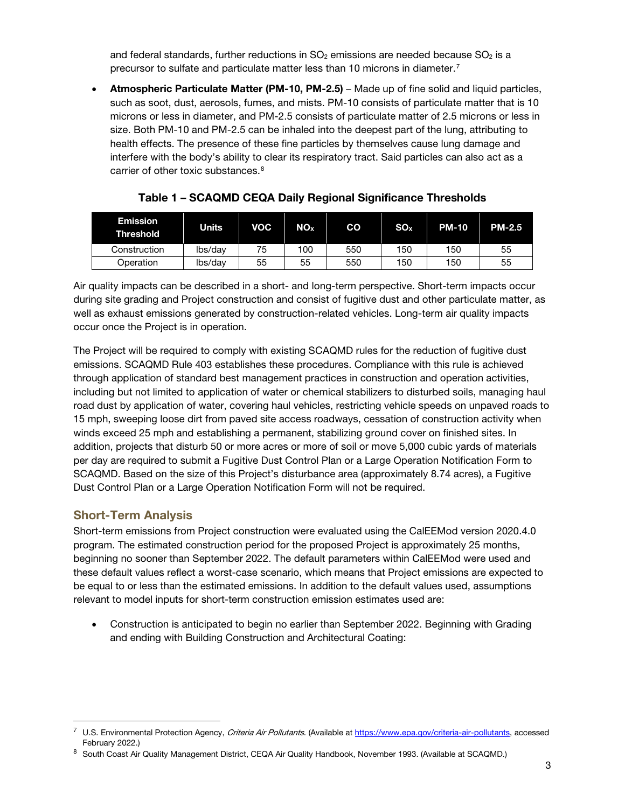and federal standards, further reductions in  $SO_2$  emissions are needed because  $SO_2$  is a precursor to sulfate and particulate matter less than 10 microns in diameter.<sup>[7](#page-2-0)</sup>

• Atmospheric Particulate Matter (PM-10, PM-2.5) – Made up of fine solid and liquid particles, such as soot, dust, aerosols, fumes, and mists. PM-10 consists of particulate matter that is 10 microns or less in diameter, and PM-2.5 consists of particulate matter of 2.5 microns or less in size. Both PM-10 and PM-2.5 can be inhaled into the deepest part of the lung, attributing to health effects. The presence of these fine particles by themselves cause lung damage and interfere with the body's ability to clear its respiratory tract. Said particles can also act as a carrier of other toxic substances.[8](#page-2-1)

| <b>Emission</b><br><b>Threshold</b> | Units   | <b>VOC</b> | <b>NO</b> <sub>x</sub> | CO  | <b>SO<sub>x</sub></b> | <b>PM-10</b> | <b>PM-2.5</b> |
|-------------------------------------|---------|------------|------------------------|-----|-----------------------|--------------|---------------|
| Construction                        | lbs/day | 75         | 100                    | 550 | 150                   | 150          | 55            |
| Operation                           | lbs/day | 55         | 55                     | 550 | 150                   | 150          | 55            |

Table 1 – SCAQMD CEQA Daily Regional Significance Thresholds

Air quality impacts can be described in a short- and long-term perspective. Short-term impacts occur during site grading and Project construction and consist of fugitive dust and other particulate matter, as well as exhaust emissions generated by construction-related vehicles. Long-term air quality impacts occur once the Project is in operation.

The Project will be required to comply with existing SCAQMD rules for the reduction of fugitive dust emissions. SCAQMD Rule 403 establishes these procedures. Compliance with this rule is achieved through application of standard best management practices in construction and operation activities, including but not limited to application of water or chemical stabilizers to disturbed soils, managing haul road dust by application of water, covering haul vehicles, restricting vehicle speeds on unpaved roads to 15 mph, sweeping loose dirt from paved site access roadways, cessation of construction activity when winds exceed 25 mph and establishing a permanent, stabilizing ground cover on finished sites. In addition, projects that disturb 50 or more acres or more of soil or move 5,000 cubic yards of materials per day are required to submit a Fugitive Dust Control Plan or a Large Operation Notification Form to SCAQMD. Based on the size of this Project's disturbance area (approximately 8.74 acres), a Fugitive Dust Control Plan or a Large Operation Notification Form will not be required.

## Short-Term Analysis

Short-term emissions from Project construction were evaluated using the CalEEMod version 2020.4.0 program. The estimated construction period for the proposed Project is approximately 25 months, beginning no sooner than September 2022. The default parameters within CalEEMod were used and these default values reflect a worst-case scenario, which means that Project emissions are expected to be equal to or less than the estimated emissions. In addition to the default values used, assumptions relevant to model inputs for short-term construction emission estimates used are:

• Construction is anticipated to begin no earlier than September 2022. Beginning with Grading and ending with Building Construction and Architectural Coating:

<span id="page-2-0"></span>U.S. Environmental Protection Agency, Criteria Air Pollutants. (Available a[t https://www.epa.gov/criteria-air-pollutants,](https://www.epa.gov/criteria-air-pollutants) accessed February 2022.)

<span id="page-2-1"></span><sup>8</sup> South Coast Air Quality Management District, CEQA Air Quality Handbook, November 1993. (Available at SCAQMD.)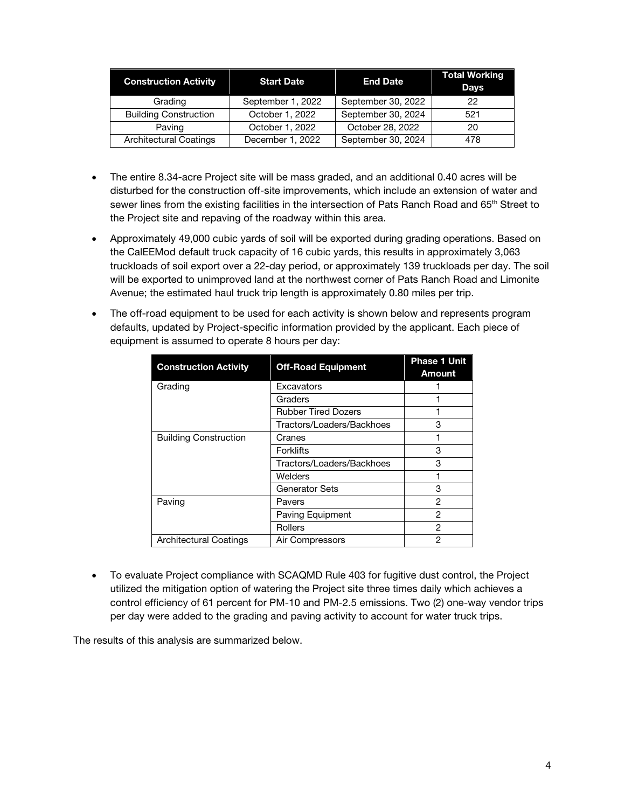| <b>Construction Activity</b>  | <b>Start Date</b> | <b>End Date</b>    | <b>Total Working</b><br><b>Days</b> |
|-------------------------------|-------------------|--------------------|-------------------------------------|
| Grading                       | September 1, 2022 | September 30, 2022 | 22                                  |
| <b>Building Construction</b>  | October 1, 2022   | September 30, 2024 | 521                                 |
| Paving                        | October 1, 2022   | October 28, 2022   | 20                                  |
| <b>Architectural Coatings</b> | December 1, 2022  | September 30, 2024 | 478                                 |

- The entire 8.34-acre Project site will be mass graded, and an additional 0.40 acres will be disturbed for the construction off-site improvements, which include an extension of water and sewer lines from the existing facilities in the intersection of Pats Ranch Road and 65<sup>th</sup> Street to the Project site and repaving of the roadway within this area.
- Approximately 49,000 cubic yards of soil will be exported during grading operations. Based on the CalEEMod default truck capacity of 16 cubic yards, this results in approximately 3,063 truckloads of soil export over a 22-day period, or approximately 139 truckloads per day. The soil will be exported to unimproved land at the northwest corner of Pats Ranch Road and Limonite Avenue; the estimated haul truck trip length is approximately 0.80 miles per trip.
- The off-road equipment to be used for each activity is shown below and represents program defaults, updated by Project-specific information provided by the applicant. Each piece of equipment is assumed to operate 8 hours per day:

| <b>Construction Activity</b> | <b>Off-Road Equipment</b>  | <b>Phase 1 Unit</b><br><b>Amount</b> |
|------------------------------|----------------------------|--------------------------------------|
| Grading                      | Excavators                 |                                      |
|                              | Graders                    |                                      |
|                              | <b>Rubber Tired Dozers</b> |                                      |
|                              | Tractors/Loaders/Backhoes  | 3                                    |
| <b>Building Construction</b> | Cranes                     |                                      |
|                              | <b>Forklifts</b>           | 3                                    |
|                              | Tractors/Loaders/Backhoes  | 3                                    |
|                              | Welders                    |                                      |
|                              | Generator Sets             | 3                                    |
| Paving                       | Pavers                     | 2                                    |
|                              | Paving Equipment           | 2                                    |
|                              | Rollers                    | 2                                    |
| Architectural Coatings       | Air Compressors            | 2                                    |

• To evaluate Project compliance with SCAQMD Rule 403 for fugitive dust control, the Project utilized the mitigation option of watering the Project site three times daily which achieves a control efficiency of 61 percent for PM-10 and PM-2.5 emissions. Two (2) one-way vendor trips per day were added to the grading and paving activity to account for water truck trips.

The results of this analysis are summarized below.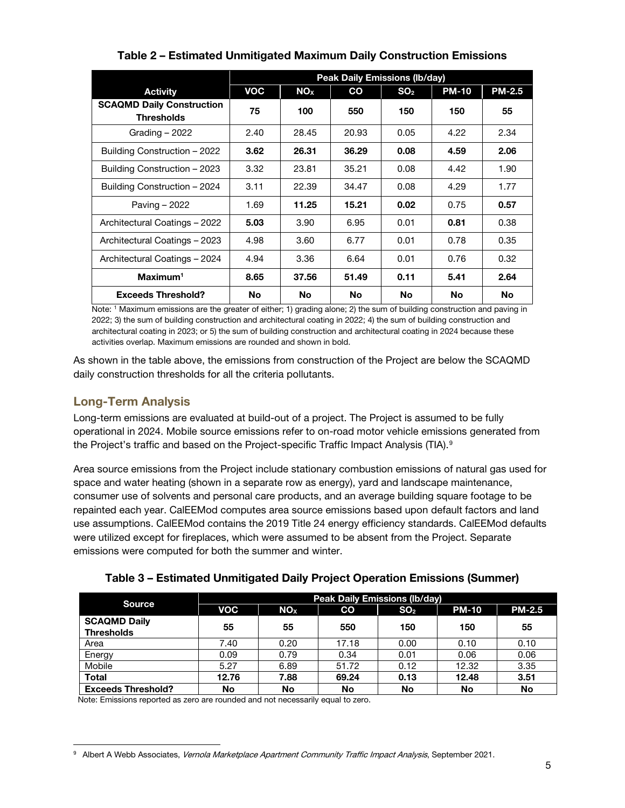|                                                       | <b>Peak Daily Emissions (lb/day)</b> |                 |               |                 |              |               |
|-------------------------------------------------------|--------------------------------------|-----------------|---------------|-----------------|--------------|---------------|
| <b>Activity</b>                                       | <b>VOC</b>                           | NO <sub>x</sub> | $\mathbf{co}$ | SO <sub>2</sub> | <b>PM-10</b> | <b>PM-2.5</b> |
| <b>SCAQMD Daily Construction</b><br><b>Thresholds</b> | 75                                   | 100             | 550           | 150             | 150          | 55            |
| Grading $-2022$                                       | 2.40                                 | 28.45           | 20.93         | 0.05            | 4.22         | 2.34          |
| Building Construction - 2022                          | 3.62                                 | 26.31           | 36.29         | 0.08            | 4.59         | 2.06          |
| Building Construction - 2023                          | 3.32                                 | 23.81           | 35.21         | 0.08            | 4.42         | 1.90          |
| Building Construction - 2024                          | 3.11                                 | 22.39           | 34.47         | 0.08            | 4.29         | 1.77          |
| Paving - 2022                                         | 1.69                                 | 11.25           | 15.21         | 0.02            | 0.75         | 0.57          |
| Architectural Coatings - 2022                         | 5.03                                 | 3.90            | 6.95          | 0.01            | 0.81         | 0.38          |
| Architectural Coatings - 2023                         | 4.98                                 | 3.60            | 6.77          | 0.01            | 0.78         | 0.35          |
| Architectural Coatings - 2024                         | 4.94                                 | 3.36            | 6.64          | 0.01            | 0.76         | 0.32          |
| $Maximum1$                                            | 8.65                                 | 37.56           | 51.49         | 0.11            | 5.41         | 2.64          |
| <b>Exceeds Threshold?</b>                             | No                                   | No              | No            | <b>No</b>       | <b>No</b>    | <b>No</b>     |

## Table 2 – Estimated Unmitigated Maximum Daily Construction Emissions

Note: 1 Maximum emissions are the greater of either; 1) grading alone; 2) the sum of building construction and paving in 2022; 3) the sum of building construction and architectural coating in 2022; 4) the sum of building construction and architectural coating in 2023; or 5) the sum of building construction and architectural coating in 2024 because these activities overlap. Maximum emissions are rounded and shown in bold.

As shown in the table above, the emissions from construction of the Project are below the SCAQMD daily construction thresholds for all the criteria pollutants.

## Long-Term Analysis

Long-term emissions are evaluated at build-out of a project. The Project is assumed to be fully operational in 2024. Mobile source emissions refer to on-road motor vehicle emissions generated from the Project's traffic and based on the Project-specific Traffic Impact Analysis (TIA). [9](#page-4-0)

Area source emissions from the Project include stationary combustion emissions of natural gas used for space and water heating (shown in a separate row as energy), yard and landscape maintenance, consumer use of solvents and personal care products, and an average building square footage to be repainted each year. CalEEMod computes area source emissions based upon default factors and land use assumptions. CalEEMod contains the 2019 Title 24 energy efficiency standards. CalEEMod defaults were utilized except for fireplaces, which were assumed to be absent from the Project. Separate emissions were computed for both the summer and winter.

| Table 3 – Estimated Unmitigated Daily Project Operation Emissions (Summer) |  |  |
|----------------------------------------------------------------------------|--|--|
|                                                                            |  |  |
|                                                                            |  |  |

| <b>Source</b>                            | <b>Peak Daily Emissions (lb/day)</b> |                        |       |                 |              |               |
|------------------------------------------|--------------------------------------|------------------------|-------|-----------------|--------------|---------------|
|                                          | <b>VOC</b>                           | <b>NO</b> <sub>x</sub> | CO    | SO <sub>2</sub> | <b>PM-10</b> | <b>PM-2.5</b> |
| <b>SCAQMD Daily</b><br><b>Thresholds</b> | 55                                   | 55                     | 550   | 150             | 150          | 55            |
| Area                                     | 7.40                                 | 0.20                   | 17.18 | 0.00            | 0.10         | 0.10          |
| Energy                                   | 0.09                                 | 0.79                   | 0.34  | 0.01            | 0.06         | 0.06          |
| Mobile                                   | 5.27                                 | 6.89                   | 51.72 | 0.12            | 12.32        | 3.35          |
| <b>Total</b>                             | 12.76                                | 7.88                   | 69.24 | 0.13            | 12.48        | 3.51          |
| <b>Exceeds Threshold?</b>                | No                                   | No                     | No    | No              | No           | No            |

Note: Emissions reported as zero are rounded and not necessarily equal to zero.

<span id="page-4-0"></span><sup>&</sup>lt;sup>9</sup> Albert A Webb Associates, Vernola Marketplace Apartment Community Traffic Impact Analysis, September 2021.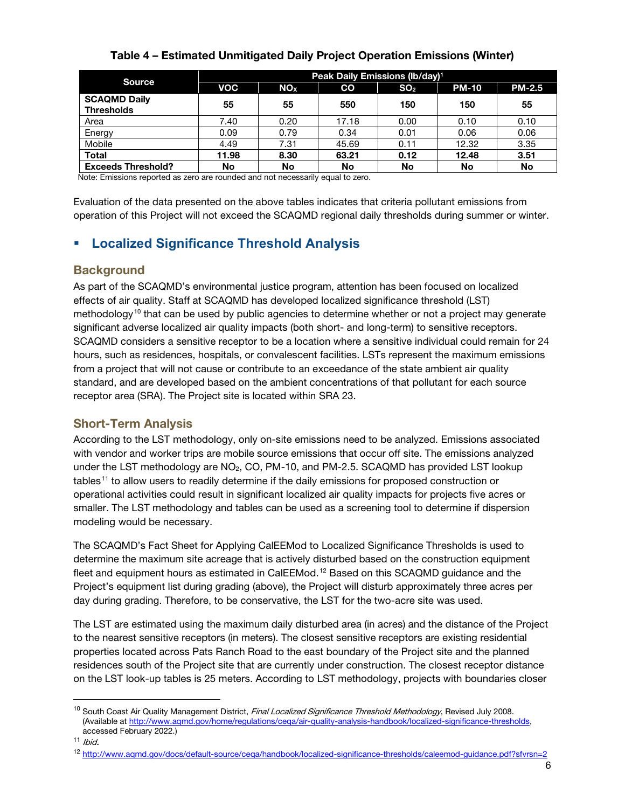|                                          | Peak Daily Emissions (lb/day) <sup>1</sup> |                        |       |                 |              |               |  |
|------------------------------------------|--------------------------------------------|------------------------|-------|-----------------|--------------|---------------|--|
| <b>Source</b>                            | <b>VOC</b>                                 | <b>NO</b> <sub>x</sub> | CO    | SO <sub>2</sub> | <b>PM-10</b> | <b>PM-2.5</b> |  |
| <b>SCAQMD Daily</b><br><b>Thresholds</b> | 55                                         | 55                     | 550   | 150             | 150          | 55            |  |
| Area                                     | 7.40                                       | 0.20                   | 17.18 | 0.00            | 0.10         | 0.10          |  |
| Energy                                   | 0.09                                       | 0.79                   | 0.34  | 0.01            | 0.06         | 0.06          |  |
| Mobile                                   | 4.49                                       | 7.31                   | 45.69 | 0.11            | 12.32        | 3.35          |  |
| <b>Total</b>                             | 11.98                                      | 8.30                   | 63.21 | 0.12            | 12.48        | 3.51          |  |
| <b>Exceeds Threshold?</b>                | No                                         | No                     | No    | No              | No           | No            |  |

## Table 4 – Estimated Unmitigated Daily Project Operation Emissions (Winter)

Note: Emissions reported as zero are rounded and not necessarily equal to zero.

Evaluation of the data presented on the above tables indicates that criteria pollutant emissions from operation of this Project will not exceed the SCAQMD regional daily thresholds during summer or winter.

## **Localized Significance Threshold Analysis**

#### **Background**

As part of the SCAQMD's environmental justice program, attention has been focused on localized effects of air quality. Staff at SCAQMD has developed localized significance threshold (LST) methodology<sup>[10](#page-5-0)</sup> that can be used by public agencies to determine whether or not a project may generate significant adverse localized air quality impacts (both short- and long-term) to sensitive receptors. SCAQMD considers a sensitive receptor to be a location where a sensitive individual could remain for 24 hours, such as residences, hospitals, or convalescent facilities. LSTs represent the maximum emissions from a project that will not cause or contribute to an exceedance of the state ambient air quality standard, and are developed based on the ambient concentrations of that pollutant for each source receptor area (SRA). The Project site is located within SRA 23.

### Short-Term Analysis

According to the LST methodology, only on-site emissions need to be analyzed. Emissions associated with vendor and worker trips are mobile source emissions that occur off site. The emissions analyzed under the LST methodology are  $NO<sub>2</sub>$ , CO, PM-10, and PM-2.5. SCAQMD has provided LST lookup tables[11](#page-5-1) to allow users to readily determine if the daily emissions for proposed construction or operational activities could result in significant localized air quality impacts for projects five acres or smaller. The LST methodology and tables can be used as a screening tool to determine if dispersion modeling would be necessary.

The SCAQMD's Fact Sheet for Applying CalEEMod to Localized Significance Thresholds is used to determine the maximum site acreage that is actively disturbed based on the construction equipment fleet and equipment hours as estimated in CalEEMod.<sup>[12](#page-5-2)</sup> Based on this SCAQMD guidance and the Project's equipment list during grading (above), the Project will disturb approximately three acres per day during grading. Therefore, to be conservative, the LST for the two-acre site was used.

The LST are estimated using the maximum daily disturbed area (in acres) and the distance of the Project to the nearest sensitive receptors (in meters). The closest sensitive receptors are existing residential properties located across Pats Ranch Road to the east boundary of the Project site and the planned residences south of the Project site that are currently under construction. The closest receptor distance on the LST look-up tables is 25 meters. According to LST methodology, projects with boundaries closer

<span id="page-5-0"></span><sup>&</sup>lt;sup>10</sup> South Coast Air Quality Management District, Final Localized Significance Threshold Methodology, Revised July 2008. (Available a[t http://www.aqmd.gov/home/regulations/ceqa/air-quality-analysis-handbook/localized-significance-thresholds,](http://www.aqmd.gov/home/regulations/ceqa/air-quality-analysis-handbook/localized-significance-thresholds) accessed February 2022.)

<span id="page-5-1"></span> $11$  Ibid.

<span id="page-5-2"></span><sup>12</sup> <http://www.aqmd.gov/docs/default-source/ceqa/handbook/localized-significance-thresholds/caleemod-guidance.pdf?sfvrsn=2>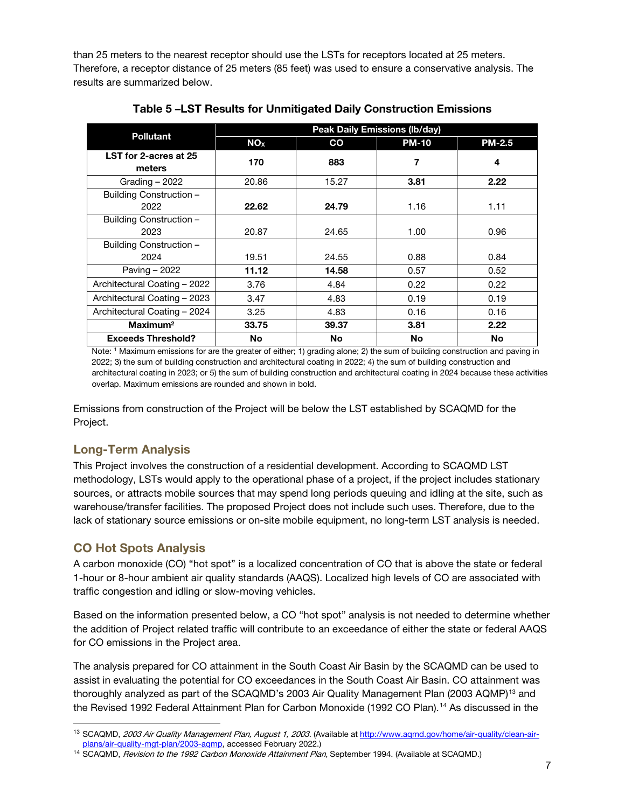than 25 meters to the nearest receptor should use the LSTs for receptors located at 25 meters. Therefore, a receptor distance of 25 meters (85 feet) was used to ensure a conservative analysis. The results are summarized below.

| <b>Pollutant</b>                | <b>Peak Daily Emissions (Ib/day)</b> |       |              |               |  |  |
|---------------------------------|--------------------------------------|-------|--------------|---------------|--|--|
|                                 | NO <sub>x</sub>                      | CO    | <b>PM-10</b> | <b>PM-2.5</b> |  |  |
| LST for 2-acres at 25<br>meters | 170                                  | 883   | 7            | 4             |  |  |
| Grading $-2022$                 | 20.86                                | 15.27 | 3.81         | 2.22          |  |  |
| Building Construction -<br>2022 | 22.62                                | 24.79 | 1.16         | 1.11          |  |  |
| Building Construction -<br>2023 | 20.87                                | 24.65 | 1.00         | 0.96          |  |  |
| Building Construction -         |                                      |       |              |               |  |  |
| 2024                            | 19.51                                | 24.55 | 0.88         | 0.84          |  |  |
| Paving - 2022                   | 11.12                                | 14.58 | 0.57         | 0.52          |  |  |
| Architectural Coating - 2022    | 3.76                                 | 4.84  | 0.22         | 0.22          |  |  |
| Architectural Coating - 2023    | 3.47                                 | 4.83  | 0.19         | 0.19          |  |  |
| Architectural Coating - 2024    | 3.25                                 | 4.83  | 0.16         | 0.16          |  |  |
| Maximum <sup>2</sup>            | 33.75                                | 39.37 | 3.81         | 2.22          |  |  |
| <b>Exceeds Threshold?</b>       | No                                   | No.   | No           | No            |  |  |

Table 5 –LST Results for Unmitigated Daily Construction Emissions

Note: 1 Maximum emissions for are the greater of either; 1) grading alone; 2) the sum of building construction and paving in 2022; 3) the sum of building construction and architectural coating in 2022; 4) the sum of building construction and architectural coating in 2023; or 5) the sum of building construction and architectural coating in 2024 because these activities overlap. Maximum emissions are rounded and shown in bold.

Emissions from construction of the Project will be below the LST established by SCAQMD for the Project.

## Long-Term Analysis

This Project involves the construction of a residential development. According to SCAQMD LST methodology, LSTs would apply to the operational phase of a project, if the project includes stationary sources, or attracts mobile sources that may spend long periods queuing and idling at the site, such as warehouse/transfer facilities. The proposed Project does not include such uses. Therefore, due to the lack of stationary source emissions or on-site mobile equipment, no long-term LST analysis is needed.

## CO Hot Spots Analysis

A carbon monoxide (CO) "hot spot" is a localized concentration of CO that is above the state or federal 1-hour or 8-hour ambient air quality standards (AAQS). Localized high levels of CO are associated with traffic congestion and idling or slow-moving vehicles.

Based on the information presented below, a CO "hot spot" analysis is not needed to determine whether the addition of Project related traffic will contribute to an exceedance of either the state or federal AAQS for CO emissions in the Project area.

The analysis prepared for CO attainment in the South Coast Air Basin by the SCAQMD can be used to assist in evaluating the potential for CO exceedances in the South Coast Air Basin. CO attainment was thoroughly analyzed as part of the SCAQMD's 2003 Air Quality Management Plan (2003 AQMP)<sup>[13](#page-6-0)</sup> and the Revised 1992 Federal Attainment Plan for Carbon Monoxide (1992 CO Plan).<sup>[14](#page-6-1)</sup> As discussed in the

<span id="page-6-0"></span><sup>&</sup>lt;sup>13</sup> SCAQMD, 2003 Air Quality Management Plan, August 1, 2003. (Available at http://www.agmd.gov/home/air-guality/clean-air[plans/air-quality-mgt-plan/2003-aqmp,](http://www.aqmd.gov/home/air-quality/clean-air-plans/air-quality-mgt-plan/2003-aqmp) accessed February 2022.)<br><sup>14</sup> SCAQMD, *Revision to the 1992 Carbon Monoxide Attainment Plan*, September 1994. (Available at SCAQMD.)

<span id="page-6-1"></span>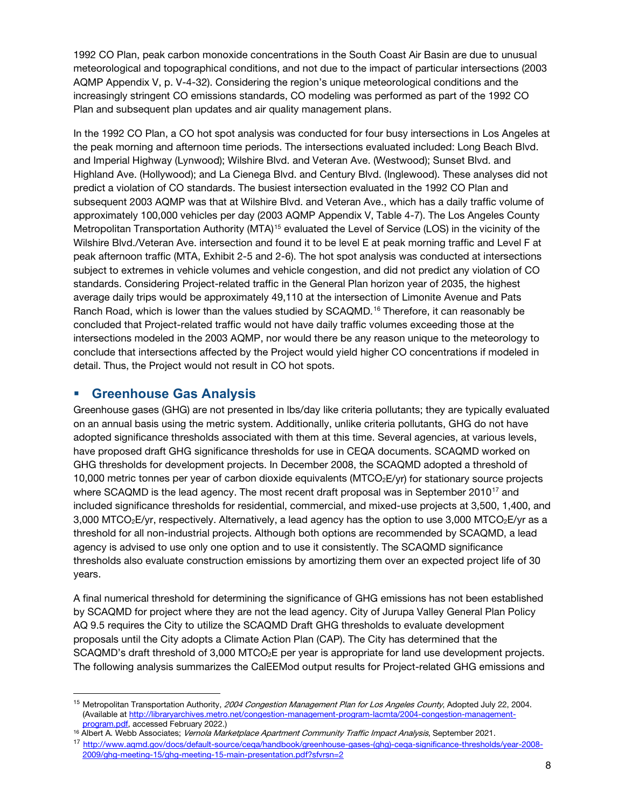1992 CO Plan, peak carbon monoxide concentrations in the South Coast Air Basin are due to unusual meteorological and topographical conditions, and not due to the impact of particular intersections (2003 AQMP Appendix V, p. V-4-32). Considering the region's unique meteorological conditions and the increasingly stringent CO emissions standards, CO modeling was performed as part of the 1992 CO Plan and subsequent plan updates and air quality management plans.

In the 1992 CO Plan, a CO hot spot analysis was conducted for four busy intersections in Los Angeles at the peak morning and afternoon time periods. The intersections evaluated included: Long Beach Blvd. and Imperial Highway (Lynwood); Wilshire Blvd. and Veteran Ave. (Westwood); Sunset Blvd. and Highland Ave. (Hollywood); and La Cienega Blvd. and Century Blvd. (Inglewood). These analyses did not predict a violation of CO standards. The busiest intersection evaluated in the 1992 CO Plan and subsequent 2003 AQMP was that at Wilshire Blvd. and Veteran Ave., which has a daily traffic volume of approximately 100,000 vehicles per day (2003 AQMP Appendix V, Table 4-7). The Los Angeles County Metropolitan Transportation Authority (MTA)<sup>[15](#page-7-0)</sup> evaluated the Level of Service (LOS) in the vicinity of the Wilshire Blvd./Veteran Ave. intersection and found it to be level E at peak morning traffic and Level F at peak afternoon traffic (MTA, Exhibit 2-5 and 2-6). The hot spot analysis was conducted at intersections subject to extremes in vehicle volumes and vehicle congestion, and did not predict any violation of CO standards. Considering Project-related traffic in the General Plan horizon year of 2035, the highest average daily trips would be approximately 49,110 at the intersection of Limonite Avenue and Pats Ranch Road, which is lower than the values studied by SCAQMD.<sup>[16](#page-7-1)</sup> Therefore, it can reasonably be concluded that Project-related traffic would not have daily traffic volumes exceeding those at the intersections modeled in the 2003 AQMP, nor would there be any reason unique to the meteorology to conclude that intersections affected by the Project would yield higher CO concentrations if modeled in detail. Thus, the Project would not result in CO hot spots.

### **Greenhouse Gas Analysis**

Greenhouse gases (GHG) are not presented in lbs/day like criteria pollutants; they are typically evaluated on an annual basis using the metric system. Additionally, unlike criteria pollutants, GHG do not have adopted significance thresholds associated with them at this time. Several agencies, at various levels, have proposed draft GHG significance thresholds for use in CEQA documents. SCAQMD worked on GHG thresholds for development projects. In December 2008, the SCAQMD adopted a threshold of 10,000 metric tonnes per year of carbon dioxide equivalents (MTCO2E/yr) for stationary source projects where SCAQMD is the lead agency. The most recent draft proposal was in September 2010<sup>[17](#page-7-2)</sup> and included significance thresholds for residential, commercial, and mixed-use projects at 3,500, 1,400, and 3,000 MTCO<sub>2</sub>E/yr, respectively. Alternatively, a lead agency has the option to use 3,000 MTCO<sub>2</sub>E/yr as a threshold for all non-industrial projects. Although both options are recommended by SCAQMD, a lead agency is advised to use only one option and to use it consistently. The SCAQMD significance thresholds also evaluate construction emissions by amortizing them over an expected project life of 30 years.

A final numerical threshold for determining the significance of GHG emissions has not been established by SCAQMD for project where they are not the lead agency. City of Jurupa Valley General Plan Policy AQ 9.5 requires the City to utilize the SCAQMD Draft GHG thresholds to evaluate development proposals until the City adopts a Climate Action Plan (CAP). The City has determined that the SCAQMD's draft threshold of 3,000 MTCO<sub>2</sub>E per year is appropriate for land use development projects. The following analysis summarizes the CalEEMod output results for Project-related GHG emissions and

<span id="page-7-0"></span><sup>&</sup>lt;sup>15</sup> Metropolitan Transportation Authority, 2004 Congestion Management Plan for Los Angeles County, Adopted July 22, 2004. (Available a[t http://libraryarchives.metro.net/congestion-management-program-lacmta/2004-congestion-management-](http://libraryarchives.metro.net/DPGTL/programs/congestion-management-program-lacmta/2004-congestion-management-program-for-los-angeles-county.pdf)

<span id="page-7-2"></span><span id="page-7-1"></span>

[program.pdf,](http://libraryarchives.metro.net/DPGTL/programs/congestion-management-program-lacmta/2004-congestion-management-program-for-los-angeles-county.pdf) accessed February 2022.)<br><sup>16</sup> Albert A. Webb Associates; *Vernola Marketplace Apartment Community Traffic Impact Analysis*, September 2021.<br><sup>17</sup> http://www.aqmd.gov/docs/default-source/cega/handbook/greenhouse [2009/ghg-meeting-15/ghg-meeting-15-main-presentation.pdf?sfvrsn=2](http://www.aqmd.gov/docs/default-source/ceqa/handbook/greenhouse-gases-(ghg)-ceqa-significance-thresholds/year-2008-2009/ghg-meeting-15/ghg-meeting-15-main-presentation.pdf?sfvrsn=2)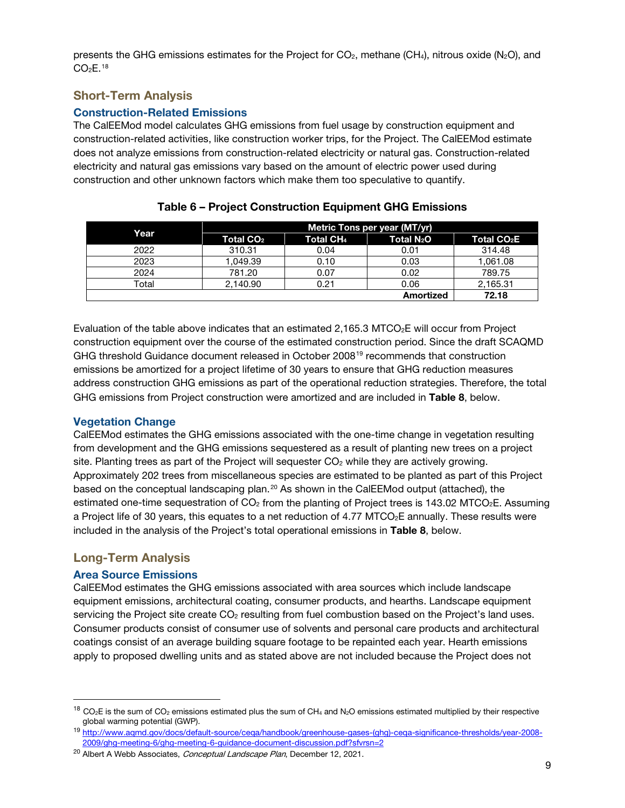presents the GHG emissions estimates for the Project for  $CO<sub>2</sub>$ , methane (CH<sub>4</sub>), nitrous oxide (N<sub>2</sub>O), and  $CO<sub>2</sub>E.<sup>18</sup>$  $CO<sub>2</sub>E.<sup>18</sup>$  $CO<sub>2</sub>E.<sup>18</sup>$ 

### Short-Term Analysis

#### Construction-Related Emissions

The CalEEMod model calculates GHG emissions from fuel usage by construction equipment and construction-related activities, like construction worker trips, for the Project. The CalEEMod estimate does not analyze emissions from construction-related electricity or natural gas. Construction-related electricity and natural gas emissions vary based on the amount of electric power used during construction and other unknown factors which make them too speculative to quantify.

|       | Metric Tons per year (MT/yr) |                       |                        |                         |  |  |
|-------|------------------------------|-----------------------|------------------------|-------------------------|--|--|
| Year  | Total CO <sub>2</sub>        | Total CH <sub>4</sub> | Total N <sub>2</sub> O | Total CO <sub>2</sub> E |  |  |
| 2022  | 310.31                       | 0.04                  | 0.01                   | 314.48                  |  |  |
| 2023  | 1.049.39                     | 0.10                  | 0.03                   | 1.061.08                |  |  |
| 2024  | 781.20                       | 0.07                  | 0.02                   | 789.75                  |  |  |
| Total | 2.140.90                     | 0.21                  | 0.06                   | 2,165.31                |  |  |
|       |                              |                       | Amortized              | 72.18                   |  |  |

Table 6 – Project Construction Equipment GHG Emissions

Evaluation of the table above indicates that an estimated  $2,165.3$  MTCO<sub>2</sub>E will occur from Project construction equipment over the course of the estimated construction period. Since the draft SCAQMD GHG threshold Guidance document released in October 2008[19](#page-8-1) recommends that construction emissions be amortized for a project lifetime of 30 years to ensure that GHG reduction measures address construction GHG emissions as part of the operational reduction strategies. Therefore, the total GHG emissions from Project construction were amortized and are included in Table 8, below.

#### Vegetation Change

CalEEMod estimates the GHG emissions associated with the one-time change in vegetation resulting from development and the GHG emissions sequestered as a result of planting new trees on a project site. Planting trees as part of the Project will sequester  $CO<sub>2</sub>$  while they are actively growing. Approximately 202 trees from miscellaneous species are estimated to be planted as part of this Project based on the conceptual landscaping plan.[20](#page-8-2) As shown in the CalEEMod output (attached), the estimated one-time sequestration of  $CO<sub>2</sub>$  from the planting of Project trees is 143.02 MTCO<sub>2</sub>E. Assuming a Project life of 30 years, this equates to a net reduction of 4.77  $MTCO<sub>2</sub>E$  annually. These results were included in the analysis of the Project's total operational emissions in Table 8, below.

### Long-Term Analysis

#### Area Source Emissions

CalEEMod estimates the GHG emissions associated with area sources which include landscape equipment emissions, architectural coating, consumer products, and hearths. Landscape equipment servicing the Project site create  $CO<sub>2</sub>$  resulting from fuel combustion based on the Project's land uses. Consumer products consist of consumer use of solvents and personal care products and architectural coatings consist of an average building square footage to be repainted each year. Hearth emissions apply to proposed dwelling units and as stated above are not included because the Project does not

<span id="page-8-0"></span><sup>&</sup>lt;sup>18</sup> CO<sub>2</sub>E is the sum of CO<sub>2</sub> emissions estimated plus the sum of CH<sub>4</sub> and N<sub>2</sub>O emissions estimated multiplied by their respective global warming potential (GWP).

<span id="page-8-1"></span><sup>19</sup> [http://www.aqmd.gov/docs/default-source/ceqa/handbook/greenhouse-gases-\(ghg\)-ceqa-significance-thresholds/year-2008-](http://www.aqmd.gov/docs/default-source/ceqa/handbook/greenhouse-gases-(ghg)-ceqa-significance-thresholds/year-2008-2009/ghg-meeting-6/ghg-meeting-6-guidance-document-discussion.pdf?sfvrsn=2) [2009/ghg-meeting-6/ghg-meeting-6-guidance-document-discussion.pdf?sfvrsn=2](http://www.aqmd.gov/docs/default-source/ceqa/handbook/greenhouse-gases-(ghg)-ceqa-significance-thresholds/year-2008-2009/ghg-meeting-6/ghg-meeting-6-guidance-document-discussion.pdf?sfvrsn=2)

<span id="page-8-2"></span><sup>&</sup>lt;sup>20</sup> Albert A Webb Associates, *Conceptual Landscape Plan*, December 12, 2021.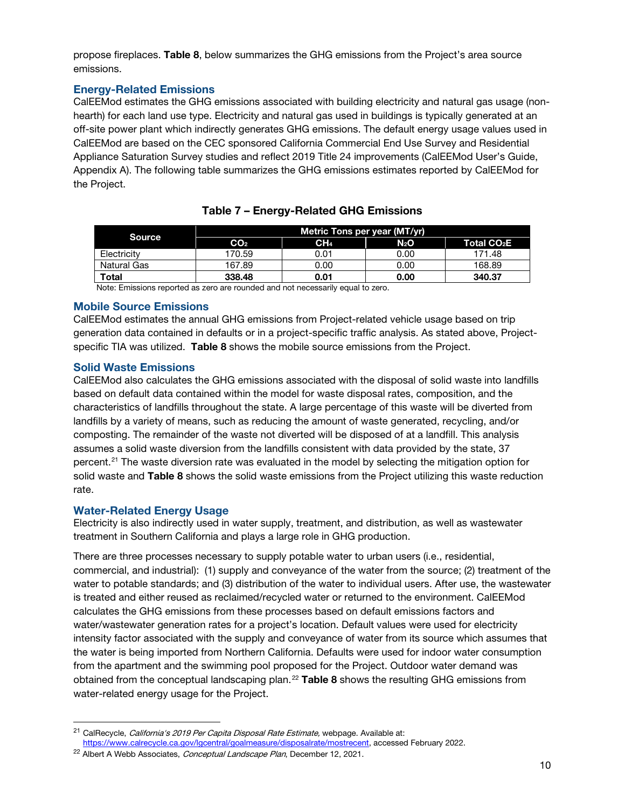propose fireplaces. Table 8, below summarizes the GHG emissions from the Project's area source emissions.

#### Energy-Related Emissions

CalEEMod estimates the GHG emissions associated with building electricity and natural gas usage (nonhearth) for each land use type. Electricity and natural gas used in buildings is typically generated at an off-site power plant which indirectly generates GHG emissions. The default energy usage values used in CalEEMod are based on the CEC sponsored California Commercial End Use Survey and Residential Appliance Saturation Survey studies and reflect 2019 Title 24 improvements (CalEEMod User's Guide, Appendix A). The following table summarizes the GHG emissions estimates reported by CalEEMod for the Project.

| <b>Source</b> | Metric Tons per year (MT/yr) |                 |                  |                         |  |  |
|---------------|------------------------------|-----------------|------------------|-------------------------|--|--|
|               | CO <sub>2</sub>              | CH <sub>4</sub> | N <sub>2</sub> O | Total CO <sub>2</sub> E |  |  |
| Electricity   | 170.59                       | 0.01            | 0.00             | 171.48                  |  |  |
| Natural Gas   | 167.89                       | 0.00            | 0.00             | 168.89                  |  |  |
| Total         | 338.48                       | 0.01            | 0.00             | 340.37                  |  |  |

#### Table 7 – Energy-Related GHG Emissions

Note: Emissions reported as zero are rounded and not necessarily equal to zero.

#### Mobile Source Emissions

CalEEMod estimates the annual GHG emissions from Project-related vehicle usage based on trip generation data contained in defaults or in a project-specific traffic analysis. As stated above, Projectspecific TIA was utilized. Table 8 shows the mobile source emissions from the Project.

#### Solid Waste Emissions

CalEEMod also calculates the GHG emissions associated with the disposal of solid waste into landfills based on default data contained within the model for waste disposal rates, composition, and the characteristics of landfills throughout the state. A large percentage of this waste will be diverted from landfills by a variety of means, such as reducing the amount of waste generated, recycling, and/or composting. The remainder of the waste not diverted will be disposed of at a landfill. This analysis assumes a solid waste diversion from the landfills consistent with data provided by the state, 37 percent.<sup>[21](#page-9-0)</sup> The waste diversion rate was evaluated in the model by selecting the mitigation option for solid waste and Table 8 shows the solid waste emissions from the Project utilizing this waste reduction rate.

### Water-Related Energy Usage

Electricity is also indirectly used in water supply, treatment, and distribution, as well as wastewater treatment in Southern California and plays a large role in GHG production.

There are three processes necessary to supply potable water to urban users (i.e., residential, commercial, and industrial): (1) supply and conveyance of the water from the source; (2) treatment of the water to potable standards; and (3) distribution of the water to individual users. After use, the wastewater is treated and either reused as reclaimed/recycled water or returned to the environment. CalEEMod calculates the GHG emissions from these processes based on default emissions factors and water/wastewater generation rates for a project's location. Default values were used for electricity intensity factor associated with the supply and conveyance of water from its source which assumes that the water is being imported from Northern California. Defaults were used for indoor water consumption from the apartment and the swimming pool proposed for the Project. Outdoor water demand was obtained from the conceptual landscaping plan.<sup>[22](#page-9-1)</sup> Table 8 shows the resulting GHG emissions from water-related energy usage for the Project.

<span id="page-9-0"></span><sup>&</sup>lt;sup>21</sup> CalRecycle, *California's 2019 Per Capita Disposal Rate Estimate*, webpage. Available at: [https://www.calrecycle.ca.gov/lgcentral/goalmeasure/disposalrate/mostrecent,](https://www.calrecycle.ca.gov/lgcentral/goalmeasure/disposalrate/mostrecent) accessed February 2022.

<span id="page-9-1"></span><sup>&</sup>lt;sup>22</sup> Albert A Webb Associates, *Conceptual Landscape Plan*, December 12, 2021.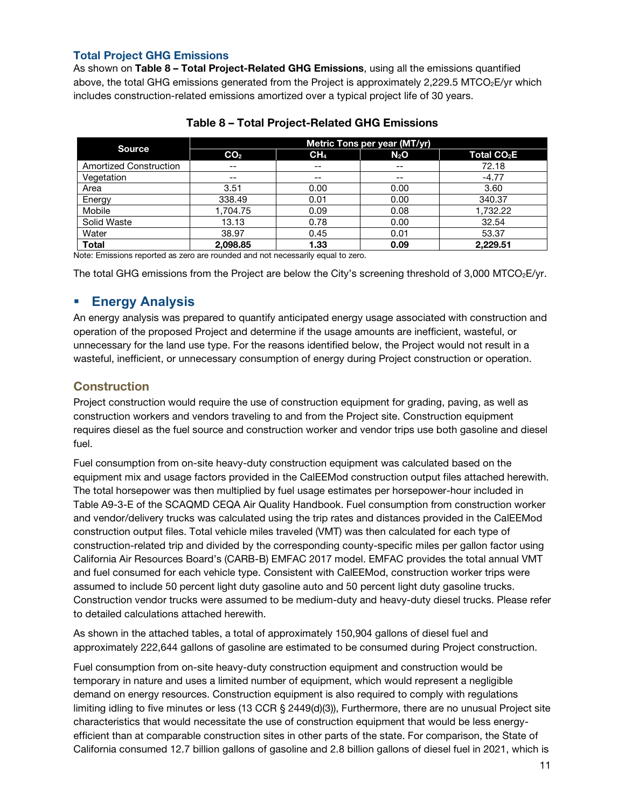### Total Project GHG Emissions

As shown on Table 8 - Total Project-Related GHG Emissions, using all the emissions quantified above, the total GHG emissions generated from the Project is approximately 2,229.5 MTCO<sub>2</sub>E/yr which includes construction-related emissions amortized over a typical project life of 30 years.

|                                                                                                                                                                                                                                                            | Metric Tons per year (MT/yr) |                 |        |                         |  |  |
|------------------------------------------------------------------------------------------------------------------------------------------------------------------------------------------------------------------------------------------------------------|------------------------------|-----------------|--------|-------------------------|--|--|
| <b>Source</b>                                                                                                                                                                                                                                              | CO <sub>2</sub>              | CH <sub>4</sub> | $N_2O$ | Total CO <sub>2</sub> E |  |  |
| <b>Amortized Construction</b>                                                                                                                                                                                                                              | $- -$                        | --              | --     | 72.18                   |  |  |
| Vegetation                                                                                                                                                                                                                                                 | $- -$                        | --              | $- -$  | $-4.77$                 |  |  |
| Area                                                                                                                                                                                                                                                       | 3.51                         | 0.00            | 0.00   | 3.60                    |  |  |
| Energy                                                                                                                                                                                                                                                     | 338.49                       | 0.01            | 0.00   | 340.37                  |  |  |
| Mobile                                                                                                                                                                                                                                                     | 1.704.75                     | 0.09            | 0.08   | 1,732.22                |  |  |
| Solid Waste                                                                                                                                                                                                                                                | 13.13                        | 0.78            | 0.00   | 32.54                   |  |  |
| Water                                                                                                                                                                                                                                                      | 38.97                        | 0.45            | 0.01   | 53.37                   |  |  |
| <b>Total</b><br><b>A</b> leader $\blacksquare$ . The first construction of the construction of the construction of the construction of the construction of the construction of the construction of the construction of the construction of the constructio | 2.098.85                     | 1.33            | 0.09   | 2,229.51                |  |  |

#### Table 8 – Total Project-Related GHG Emissions

Note: Emissions reported as zero are rounded and not necessarily equal to zero.

The total GHG emissions from the Project are below the City's screening threshold of 3,000 MTCO $_2$ E/yr.

## **Energy Analysis**

An energy analysis was prepared to quantify anticipated energy usage associated with construction and operation of the proposed Project and determine if the usage amounts are inefficient, wasteful, or unnecessary for the land use type. For the reasons identified below, the Project would not result in a wasteful, inefficient, or unnecessary consumption of energy during Project construction or operation.

### **Construction**

Project construction would require the use of construction equipment for grading, paving, as well as construction workers and vendors traveling to and from the Project site. Construction equipment requires diesel as the fuel source and construction worker and vendor trips use both gasoline and diesel fuel.

Fuel consumption from on-site heavy-duty construction equipment was calculated based on the equipment mix and usage factors provided in the CalEEMod construction output files attached herewith. The total horsepower was then multiplied by fuel usage estimates per horsepower-hour included in Table A9-3-E of the SCAQMD CEQA Air Quality Handbook. Fuel consumption from construction worker and vendor/delivery trucks was calculated using the trip rates and distances provided in the CalEEMod construction output files. Total vehicle miles traveled (VMT) was then calculated for each type of construction-related trip and divided by the corresponding county-specific miles per gallon factor using California Air Resources Board's (CARB-B) EMFAC 2017 model. EMFAC provides the total annual VMT and fuel consumed for each vehicle type. Consistent with CalEEMod, construction worker trips were assumed to include 50 percent light duty gasoline auto and 50 percent light duty gasoline trucks. Construction vendor trucks were assumed to be medium-duty and heavy-duty diesel trucks. Please refer to detailed calculations attached herewith.

As shown in the attached tables, a total of approximately 150,904 gallons of diesel fuel and approximately 222,644 gallons of gasoline are estimated to be consumed during Project construction.

Fuel consumption from on-site heavy-duty construction equipment and construction would be temporary in nature and uses a limited number of equipment, which would represent a negligible demand on energy resources. Construction equipment is also required to comply with regulations limiting idling to five minutes or less (13 CCR § 2449(d)(3)), Furthermore, there are no unusual Project site characteristics that would necessitate the use of construction equipment that would be less energyefficient than at comparable construction sites in other parts of the state. For comparison, the State of California consumed 12.7 billion gallons of gasoline and 2.8 billion gallons of diesel fuel in 2021, which is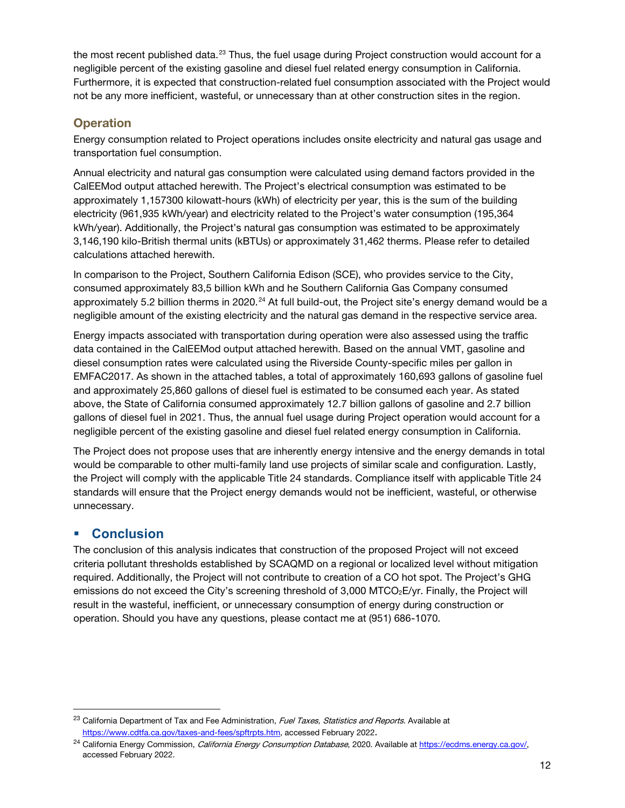the most recent published data.<sup>[23](#page-11-0)</sup> Thus, the fuel usage during Project construction would account for a negligible percent of the existing gasoline and diesel fuel related energy consumption in California. Furthermore, it is expected that construction-related fuel consumption associated with the Project would not be any more inefficient, wasteful, or unnecessary than at other construction sites in the region.

## **Operation**

Energy consumption related to Project operations includes onsite electricity and natural gas usage and transportation fuel consumption.

Annual electricity and natural gas consumption were calculated using demand factors provided in the CalEEMod output attached herewith. The Project's electrical consumption was estimated to be approximately 1,157300 kilowatt-hours (kWh) of electricity per year, this is the sum of the building electricity (961,935 kWh/year) and electricity related to the Project's water consumption (195,364 kWh/year). Additionally, the Project's natural gas consumption was estimated to be approximately 3,146,190 kilo-British thermal units (kBTUs) or approximately 31,462 therms. Please refer to detailed calculations attached herewith.

In comparison to the Project, Southern California Edison (SCE), who provides service to the City, consumed approximately 83,5 billion kWh and he Southern California Gas Company consumed approximately 5.2 billion therms in 2020.<sup>[24](#page-11-1)</sup> At full build-out, the Project site's energy demand would be a negligible amount of the existing electricity and the natural gas demand in the respective service area.

Energy impacts associated with transportation during operation were also assessed using the traffic data contained in the CalEEMod output attached herewith. Based on the annual VMT, gasoline and diesel consumption rates were calculated using the Riverside County-specific miles per gallon in EMFAC2017. As shown in the attached tables, a total of approximately 160,693 gallons of gasoline fuel and approximately 25,860 gallons of diesel fuel is estimated to be consumed each year. As stated above, the State of California consumed approximately 12.7 billion gallons of gasoline and 2.7 billion gallons of diesel fuel in 2021. Thus, the annual fuel usage during Project operation would account for a negligible percent of the existing gasoline and diesel fuel related energy consumption in California.

The Project does not propose uses that are inherently energy intensive and the energy demands in total would be comparable to other multi-family land use projects of similar scale and configuration. Lastly, the Project will comply with the applicable Title 24 standards. Compliance itself with applicable Title 24 standards will ensure that the Project energy demands would not be inefficient, wasteful, or otherwise unnecessary.

## **Conclusion**

The conclusion of this analysis indicates that construction of the proposed Project will not exceed criteria pollutant thresholds established by SCAQMD on a regional or localized level without mitigation required. Additionally, the Project will not contribute to creation of a CO hot spot. The Project's GHG emissions do not exceed the City's screening threshold of 3,000 MTCO<sub>2</sub>E/yr. Finally, the Project will result in the wasteful, inefficient, or unnecessary consumption of energy during construction or operation. Should you have any questions, please contact me at (951) 686-1070.

<span id="page-11-0"></span><sup>&</sup>lt;sup>23</sup> California Department of Tax and Fee Administration, Fuel Taxes, Statistics and Reports. Available at [https://www.cdtfa.ca.gov/taxes-and-fees/spftrpts.htm,](https://www.cdtfa.ca.gov/taxes-and-fees/spftrpts.htm) accessed February 2022.

<span id="page-11-1"></span><sup>&</sup>lt;sup>24</sup> California Energy Commission, *California Energy Consumption Database*, 2020. Available at [https://ecdms.energy.ca.gov/,](https://ecdms.energy.ca.gov/) accessed February 2022.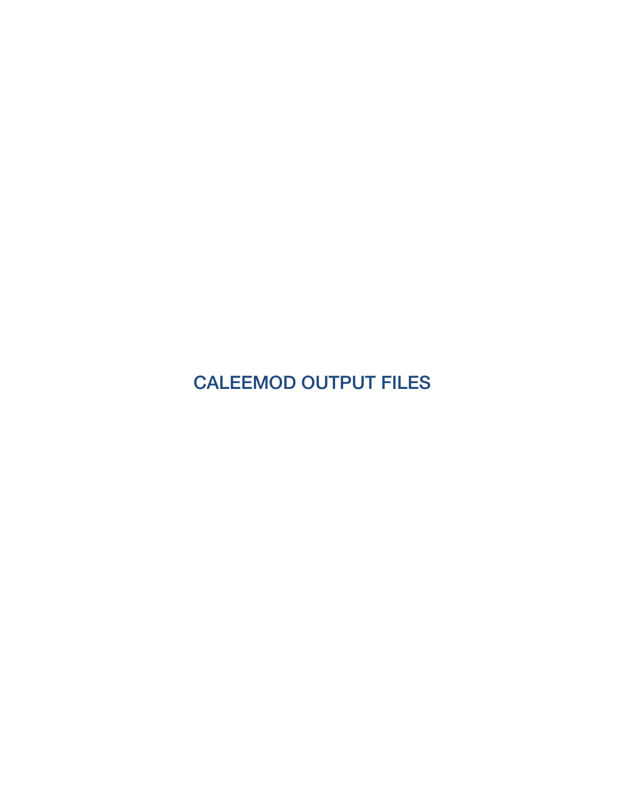CALEEMOD OUTPUT FILES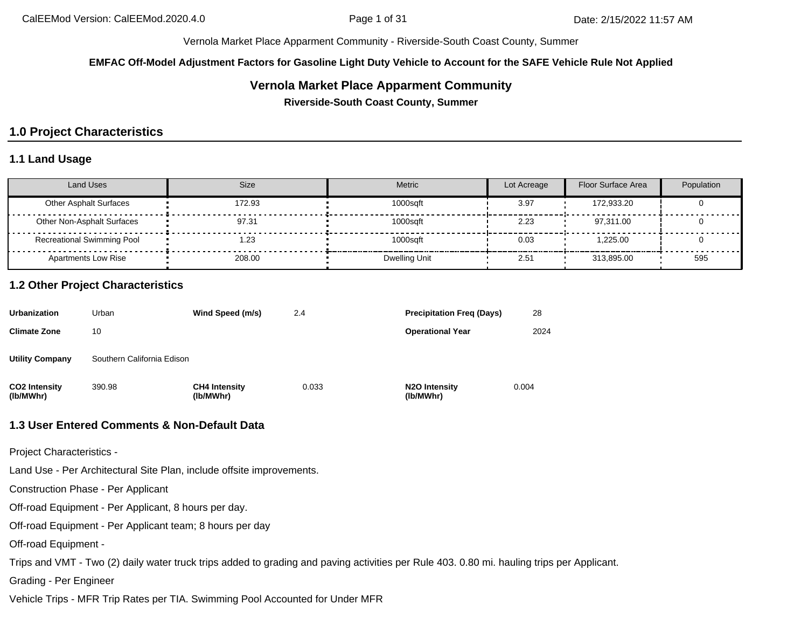**EMFAC Off-Model Adjustment Factors for Gasoline Light Duty Vehicle to Account for the SAFE Vehicle Rule Not Applied**

### **Vernola Market Place Apparment Community**

**Riverside-South Coast County, Summer**

## **1.0 Project Characteristics**

### **1.1 Land Usage**

| <b>Land Uses</b>                  | Size   | <b>Metric</b> | Lot Acreage | Floor Surface Area | Population |
|-----------------------------------|--------|---------------|-------------|--------------------|------------|
| <b>Other Asphalt Surfaces</b>     | 172.93 | 1000sqft      | 3.97        | 172.933.20         |            |
| Other Non-Asphalt Surfaces        | 97.31  | 1000sqft      | 2.23        | 97.311.00          |            |
| <b>Recreational Swimming Pool</b> | 23، ا  | 1000sqft      | 0.03        | 1.225.00           |            |
| Apartments Low Rise               | 208.00 | Dwelling Unit | 2.51        | 313.895.00         | 595        |

### **1.2 Other Project Characteristics**

| <b>Urbanization</b>               | Urban                      | Wind Speed (m/s)                  | 2.4   | <b>Precipitation Freg (Days)</b>        | 28    |
|-----------------------------------|----------------------------|-----------------------------------|-------|-----------------------------------------|-------|
| <b>Climate Zone</b>               | 10                         |                                   |       | <b>Operational Year</b>                 | 2024  |
| <b>Utility Company</b>            | Southern California Edison |                                   |       |                                         |       |
| <b>CO2 Intensity</b><br>(lb/MWhr) | 390.98                     | <b>CH4 Intensity</b><br>(lb/MWhr) | 0.033 | N <sub>2</sub> O Intensity<br>(lb/MWhr) | 0.004 |

#### **1.3 User Entered Comments & Non-Default Data**

Project Characteristics -

Land Use - Per Architectural Site Plan, include offsite improvements.

Construction Phase - Per Applicant

Off-road Equipment - Per Applicant, 8 hours per day.

Off-road Equipment - Per Applicant team; 8 hours per day

Off-road Equipment -

Trips and VMT - Two (2) daily water truck trips added to grading and paving activities per Rule 403. 0.80 mi. hauling trips per Applicant.

Grading - Per Engineer

Vehicle Trips - MFR Trip Rates per TIA. Swimming Pool Accounted for Under MFR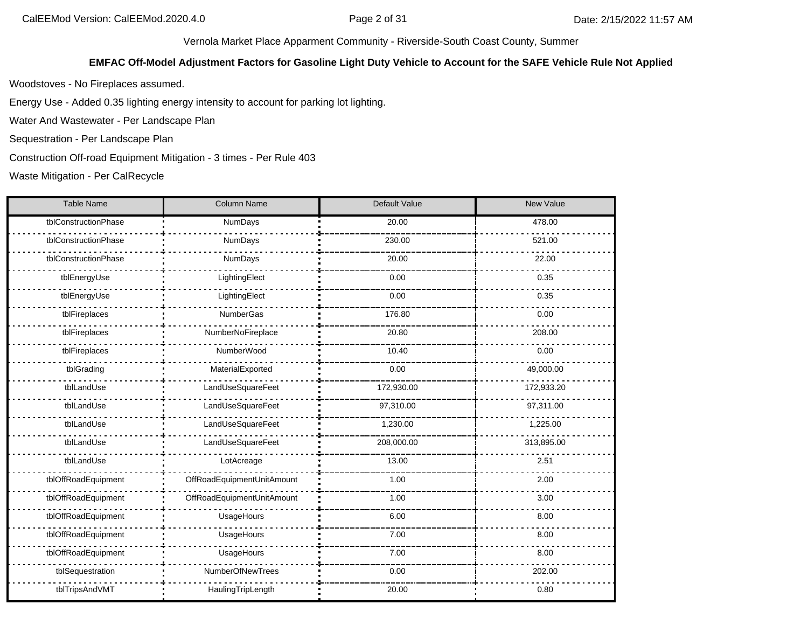#### **EMFAC Off-Model Adjustment Factors for Gasoline Light Duty Vehicle to Account for the SAFE Vehicle Rule Not Applied**

Woodstoves - No Fireplaces assumed.

Energy Use - Added 0.35 lighting energy intensity to account for parking lot lighting.

Water And Wastewater - Per Landscape Plan

Sequestration - Per Landscape Plan

Construction Off-road Equipment Mitigation - 3 times - Per Rule 403

Waste Mitigation - Per CalRecycle

| <b>Table Name</b>    | <b>Column Name</b>         | Default Value | New Value  |
|----------------------|----------------------------|---------------|------------|
| tblConstructionPhase | NumDays                    | 20.00         | 478.00     |
| tblConstructionPhase | NumDays                    | 230.00        | 521.00     |
| tblConstructionPhase | NumDays                    | 20.00         | 22.00      |
| tblEnergyUse         | LightingElect              | 0.00          | 0.35       |
| tblEnergyUse         | LightingElect              | 0.00          | 0.35       |
| tblFireplaces        | NumberGas                  | 176.80        | 0.00       |
| tblFireplaces        | NumberNoFireplace          | 20.80         | 208.00     |
| tblFireplaces        | NumberWood                 | 10.40         | 0.00       |
| tblGrading           | MaterialExported           | 0.00          | 49,000.00  |
| tblLandUse           | LandUseSquareFeet          | 172,930.00    | 172,933.20 |
| tblLandUse           | LandUseSquareFeet          | 97,310.00     | 97,311.00  |
| tblLandUse           | LandUseSquareFeet          | 1,230.00      | 1,225.00   |
| tblLandUse           | LandUseSquareFeet          | 208,000.00    | 313,895.00 |
| tblLandUse           | LotAcreage                 | 13.00         | 2.51       |
| tblOffRoadEquipment  | OffRoadEquipmentUnitAmount | 1.00          | 2.00       |
| tblOffRoadEquipment  | OffRoadEquipmentUnitAmount | 1.00          | 3.00       |
| tblOffRoadEquipment  | UsageHours                 | 6.00          | 8.00       |
| tblOffRoadEquipment  | UsageHours                 | 7.00          | 8.00       |
| tblOffRoadEquipment  | UsageHours                 | 7.00          | 8.00       |
| tblSequestration     | NumberOfNewTrees           | 0.00          | 202.00     |
| tblTripsAndVMT       | HaulingTripLength          | 20.00         | 0.80       |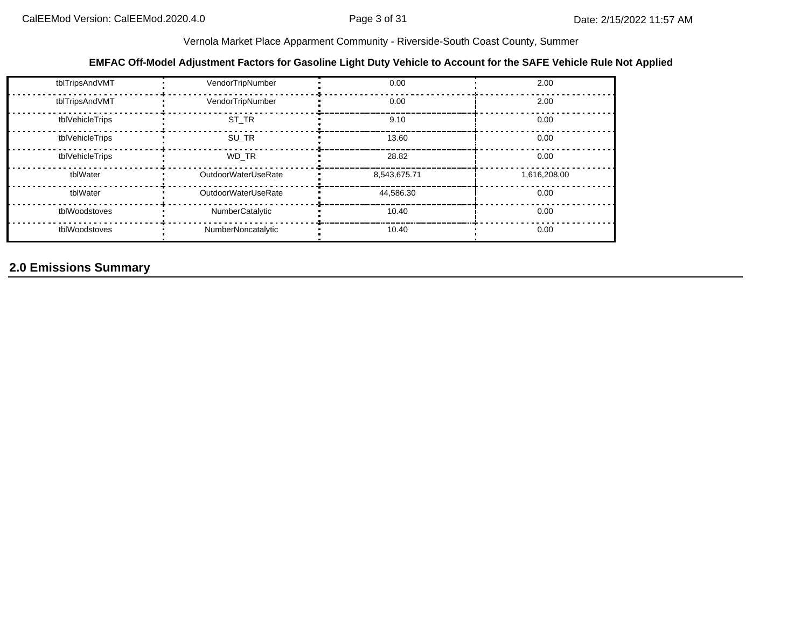### **EMFAC Off-Model Adjustment Factors for Gasoline Light Duty Vehicle to Account for the SAFE Vehicle Rule Not Applied**

| tblTripsAndVMT  | VendorTripNumber    | 0.00         | 2.00         |
|-----------------|---------------------|--------------|--------------|
| tblTripsAndVMT  | VendorTripNumber    | 0.00         | 2.00         |
| tblVehicleTrips | ST TR               | 9.10         | 0.00         |
| tblVehicleTrips | SU TR               | 13.60        | 0.00         |
| tblVehicleTrips | WD TR               | 28.82        | 0.00         |
| tblWater        | OutdoorWaterUseRate | 8,543,675.71 | 1,616,208.00 |
| tblWater        | OutdoorWaterUseRate | 44,586.30    | 0.00         |
| tblWoodstoves   | NumberCatalytic     | 10.40        | 0.00         |
| tblWoodstoves   | NumberNoncatalytic  | 10.40        | 0.00         |

## **2.0 Emissions Summary**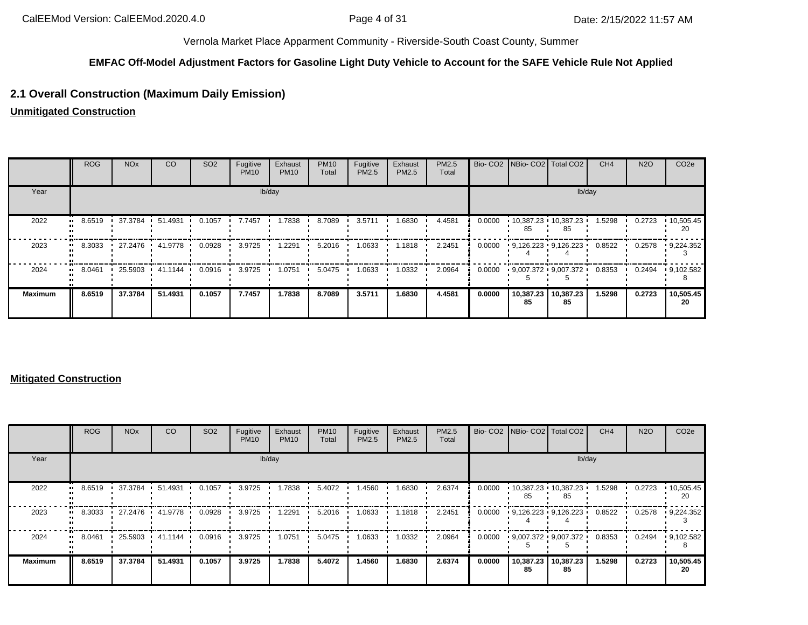#### **EMFAC Off-Model Adjustment Factors for Gasoline Light Duty Vehicle to Account for the SAFE Vehicle Rule Not Applied**

### **2.1 Overall Construction (Maximum Daily Emission)**

**Unmitigated Construction**

|                | <b>ROG</b> | <b>NO<sub>x</sub></b> | CO        | SO <sub>2</sub> | Fugitive<br><b>PM10</b> | Exhaust<br><b>PM10</b> | <b>PM10</b><br>Total | Fugitive<br><b>PM2.5</b> | Exhaust<br><b>PM2.5</b> | PM2.5<br>Total |        |                 | Bio- CO2   NBio- CO2   Total CO2 | CH <sub>4</sub> | <b>N2O</b> | CO <sub>2e</sub>        |
|----------------|------------|-----------------------|-----------|-----------------|-------------------------|------------------------|----------------------|--------------------------|-------------------------|----------------|--------|-----------------|----------------------------------|-----------------|------------|-------------------------|
| Year           |            |                       |           |                 |                         | lb/day                 |                      |                          |                         |                |        |                 | lb/day                           |                 |            |                         |
| 2022           | 8.6519     | 37.3784 ·             | 51.4931   | 0.1057          | 7.7457                  | 1.7838                 | 8.7089               | 3.5711                   | 1.6830                  | 4.4581         | 0.0000 | 85              | 10,387.23 10,387.23<br>85        | 1.5298          | 0.2723     | $\cdot$ 10,505.45<br>20 |
| 2023           | 8.3033     | 27.2476               | 41.9778 • | 0.0928          | 3.9725                  | 1.2291                 | 5.2016               | 1.0633                   | 1.1818                  | 2.2451         | 0.0000 |                 | $9,126.223$ $9,126.223$          | 0.8522          | 0.2578     | 9,224.352               |
| 2024           | 8.0461     | 25.5903 41.1144       |           | 0.0916          | 3.9725                  | 1.0751                 | 5.0475               | 1.0633                   | 1.0332                  | 2.0964         | 0.0000 |                 | $9,007.372$ 9,007.372            | 0.8353          | 0.2494     | $\cdot$ 9,102.582       |
| <b>Maximum</b> | 8.6519     | 37.3784               | 51.4931   | 0.1057          | 7.7457                  | 1.7838                 | 8.7089               | 3.5711                   | 1.6830                  | 4.4581         | 0.0000 | 10,387.23<br>85 | 10,387.23<br>85                  | 1.5298          | 0.2723     | 10,505.45<br>20         |

#### **Mitigated Construction**

|                      | <b>ROG</b> | <b>NO<sub>x</sub></b> | CO        | SO <sub>2</sub> | Fugitive<br><b>PM10</b> | Exhaust<br><b>PM10</b> | <b>PM10</b><br>Total | Fugitive<br>PM2.5 | Exhaust<br>PM2.5 | PM2.5<br>Total |        |                 | Bio- CO2   NBio- CO2   Total CO2 | CH <sub>4</sub> | <b>N2O</b> | CO <sub>2e</sub>  |
|----------------------|------------|-----------------------|-----------|-----------------|-------------------------|------------------------|----------------------|-------------------|------------------|----------------|--------|-----------------|----------------------------------|-----------------|------------|-------------------|
| Year                 |            |                       |           |                 |                         | lb/day                 |                      |                   |                  |                |        |                 | lb/day                           |                 |            |                   |
| 2022<br>$\mathbf{u}$ | 8.6519     | 37.3784   51.4931     |           | 0.1057          | 3.9725                  | 1.7838                 | 5.4072               | 1.4560            | 1.6830           | 2.6374         | 0.0000 | 85              | $10,387.23$ 10,387.23<br>85      | 1.5298          | 0.2723     | .10,505.45<br>20  |
| 2023                 | 8.3033     | 27.2476 '             | 41.9778 • | 0.0928          | 3.9725                  | 1.2291                 | 5.2016               | 1.0633            | 1.1818           | 2.2451         | 0.0000 |                 | $9,126.223 \cdot 9,126.223$      | 0.8522          | 0.2578     | 9,224.352         |
| 2024<br>$\mathbf{u}$ | 8.0461     | 25.5903 .             | 41.1144   | 0.0916          | 3.9725                  | 1.0751                 | 5.0475               | 1.0633            | 1.0332           | 2.0964         | 0.0000 |                 | $9,007.372$ $9,007.372$          | 0.8353          | 0.2494     | $\cdot$ 9,102.582 |
| <b>Maximum</b>       | 8.6519     | 37.3784               | 51.4931   | 0.1057          | 3.9725                  | 1.7838                 | 5.4072               | 1.4560            | 1.6830           | 2.6374         | 0.0000 | 10,387.23<br>85 | 10,387.23<br>85                  | 1.5298          | 0.2723     | 10,505.45<br>20   |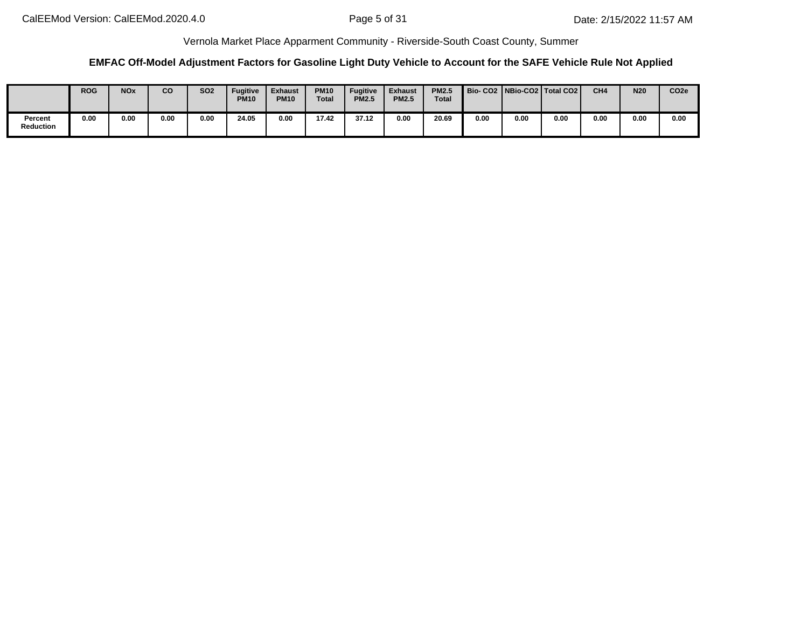### **EMFAC Off-Model Adjustment Factors for Gasoline Light Duty Vehicle to Account for the SAFE Vehicle Rule Not Applied**

|                             | <b>ROG</b> | <b>NOx</b> | co   | <b>SO2</b> | Fugitive<br><b>PM10</b> | <b>Exhaust</b><br><b>PM10</b> | <b>PM10</b><br><b>Total</b> | <b>Fugitive</b><br><b>PM2.5</b> | <b>Exhaust</b><br><b>PM2.5</b> | <b>PM2.5</b><br>Total |      |      | Bio-CO2   NBio-CO2   Total CO2 | CH <sub>4</sub> | <b>N20</b> | CO <sub>2e</sub> |
|-----------------------------|------------|------------|------|------------|-------------------------|-------------------------------|-----------------------------|---------------------------------|--------------------------------|-----------------------|------|------|--------------------------------|-----------------|------------|------------------|
| Percent<br><b>Reduction</b> | 0.00       | 0.00       | 0.00 | 0.00       | 24.05                   | 0.00                          | 17.42                       | 37.12                           | 0.00                           | 20.69                 | 0.00 | 0.00 | 0.00                           | 0.00            | 0.00       | 0.00             |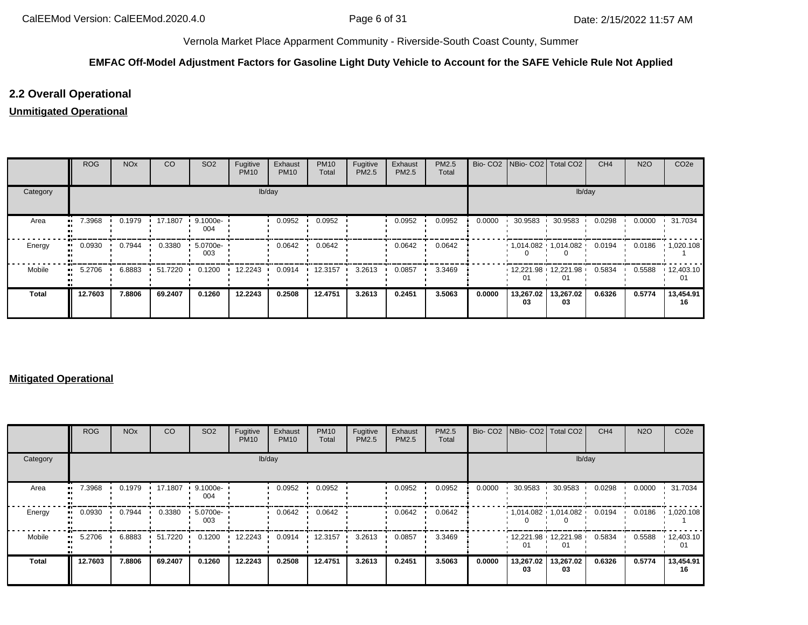### **EMFAC Off-Model Adjustment Factors for Gasoline Light Duty Vehicle to Account for the SAFE Vehicle Rule Not Applied**

### **2.2 Overall Operational**

### **Unmitigated Operational**

|          | <b>ROG</b>   | <b>NO<sub>x</sub></b> | CO      | SO <sub>2</sub>     | Fugitive<br><b>PM10</b> | Exhaust<br><b>PM10</b> | <b>PM10</b><br>Total | Fugitive<br>PM2.5 | Exhaust<br><b>PM2.5</b> | PM2.5<br>Total |        | Bio- CO2   NBio- CO2   Total CO2 |                 | CH <sub>4</sub> | <b>N2O</b> | CO <sub>2e</sub>        |
|----------|--------------|-----------------------|---------|---------------------|-------------------------|------------------------|----------------------|-------------------|-------------------------|----------------|--------|----------------------------------|-----------------|-----------------|------------|-------------------------|
| Category |              |                       |         |                     | lb/day                  |                        |                      |                   |                         |                |        |                                  | lb/day          |                 |            |                         |
| Area     | 7.3968<br>ш. | 0.1979                | 17.1807 | $9.1000e -$<br>004  |                         | 0.0952                 | 0.0952               |                   | 0.0952                  | 0.0952         | 0.0000 | 30.9583                          | 30.9583         | 0.0298          | 0.0000     | 31.7034                 |
| Energy   | 0.0930<br>   | 0.7944                | 0.3380  | $.5.0700e-.$<br>003 |                         | 0.0642                 | 0.0642               |                   | 0.0642                  | 0.0642         |        | $1,014.082$ $1,014.082$          |                 | 0.0194          | 0.0186     | $\cdot$ 1,020.108       |
| Mobile   | 5.2706<br>   | 6.8883                | 51.7220 | 0.1200              | 12.2243                 | 0.0914                 | 12.3157              | 3.2613            | 0.0857                  | 3.3469         |        | $12,221.98$ 12,221.98<br>01      |                 | 0.5834          | 0.5588     | $\cdot$ 12,403.10<br>01 |
| Total    | 12.7603      | 7.8806                | 69.2407 | 0.1260              | 12.2243                 | 0.2508                 | 12.4751              | 3.2613            | 0.2451                  | 3.5063         | 0.0000 | 13,267.02<br>03                  | 13,267.02<br>03 | 0.6326          | 0.5774     | 13,454.91<br>16         |

#### **Mitigated Operational**

|              | ROG     | <b>NO<sub>x</sub></b> | CO      | SO <sub>2</sub> | Fugitive<br><b>PM10</b> | Exhaust<br><b>PM10</b> | <b>PM10</b><br>Total | Fugitive<br>PM2.5 | Exhaust<br>PM2.5 | PM2.5<br>Total |        | Bio- CO2 NBio- CO2 Total CO2 |                               | CH <sub>4</sub> | <b>N2O</b> | CO <sub>2e</sub>        |
|--------------|---------|-----------------------|---------|-----------------|-------------------------|------------------------|----------------------|-------------------|------------------|----------------|--------|------------------------------|-------------------------------|-----------------|------------|-------------------------|
| Category     |         |                       |         |                 | lb/day                  |                        |                      |                   |                  |                |        |                              | lb/day                        |                 |            |                         |
| Area         | 7.3968  | 0.1979                | 17.1807 | 9.1000e-<br>004 |                         | 0.0952                 | 0.0952               |                   | 0.0952           | 0.0952         | 0.0000 | 30.9583                      | 30.9583                       | 0.0298          | 0.0000     | 31.7034                 |
| Energy       | 0.0930  | 0.7944                | 0.3380  | 5.0700e-<br>003 |                         | 0.0642                 | 0.0642               |                   | 0.0642           | 0.0642         |        |                              | $1,014.082$ $1,014.082$       | 0.0194          | 0.0186     | $\cdot$ 1,020.108       |
| Mobile       | 5.2706  | 6.8883                | 51.7220 | 0.1200          | 12.2243                 | 0.0914                 | 12.3157              | 3.2613            | 0.0857           | 3.3469         |        | 01                           | $12,221.98$ $12,221.98$<br>01 | 0.5834          | 0.5588     | $\cdot$ 12,403.10<br>01 |
| <b>Total</b> | 12.7603 | 7.8806                | 69.2407 | 0.1260          | 12.2243                 | 0.2508                 | 12.4751              | 3.2613            | 0.2451           | 3.5063         | 0.0000 | 13,267.02<br>03              | 13,267.02<br>03               | 0.6326          | 0.5774     | 13,454.91<br>16         |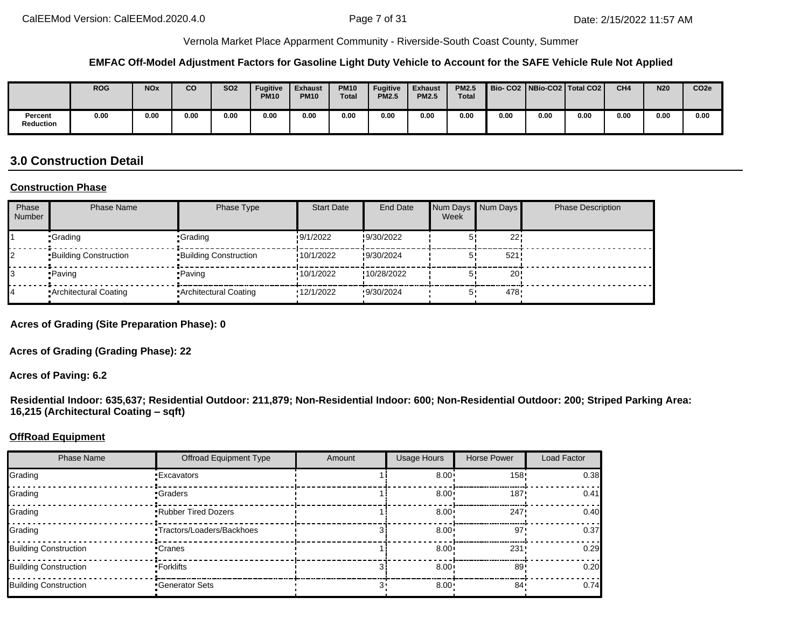#### **EMFAC Off-Model Adjustment Factors for Gasoline Light Duty Vehicle to Account for the SAFE Vehicle Rule Not Applied**

|                      | <b>ROG</b> | <b>NOx</b> | CO   | <b>SO2</b> | <b>Fugitive</b><br><b>PM10</b> | Exhaust<br><b>PM10</b> | <b>PM10</b><br><b>Total</b> | <b>Fugitive</b><br><b>PM2.5</b> | <b>Exhaust</b><br><b>PM2.5</b> | <b>PM2.5</b><br><b>Total</b> |      |      | Bio-CO2   NBio-CO2   Total CO2 | CH <sub>4</sub> | <b>N20</b> | CO <sub>2e</sub> |
|----------------------|------------|------------|------|------------|--------------------------------|------------------------|-----------------------------|---------------------------------|--------------------------------|------------------------------|------|------|--------------------------------|-----------------|------------|------------------|
| Percent<br>Reduction | 0.00       | 0.00       | 0.00 | 0.00       | 0.00                           | 0.00                   | 0.00                        | 0.00                            | 0.00                           | 0.00                         | 0.00 | 0.00 | 0.00                           | 0.00            | 0.00       | 0.00             |

## **3.0 Construction Detail**

#### **Construction Phase**

| Phase<br><b>Number</b> | <b>Phase Name</b>            | Phase Type                   | <b>Start Date</b> | <b>End Date</b> | Week | Num Days Num Days | <b>Phase Description</b> |
|------------------------|------------------------------|------------------------------|-------------------|-----------------|------|-------------------|--------------------------|
|                        | •Grading                     | •Grading                     | 9/1/2022          | !9/30/2022      |      | 22'               |                          |
|                        | <b>Building Construction</b> | <b>Building Construction</b> | 10/1/2022         | !9/30/2024      |      | 521               |                          |
|                        | •Paving                      | • Paving                     | 10/1/2022         | !10/28/2022     |      | 20 <sub>1</sub>   |                          |
|                        | Architectural Coating        | Architectural Coating        | 12/1/2022         | 9/30/2024       |      | 478.              |                          |

**Acres of Grading (Site Preparation Phase): 0**

**Acres of Grading (Grading Phase): 22**

**Acres of Paving: 6.2**

**Residential Indoor: 635,637; Residential Outdoor: 211,879; Non-Residential Indoor: 600; Non-Residential Outdoor: 200; Striped Parking Area: 16,215 (Architectural Coating – sqft)**

#### **OffRoad Equipment**

| <b>Phase Name</b>            | <b>Offroad Equipment Type</b>     | Amount | <b>Usage Hours</b> | Horse Power     | Load Factor |
|------------------------------|-----------------------------------|--------|--------------------|-----------------|-------------|
| Grading                      | <b>Excavators</b>                 |        | $8.00 \cdot$       | 158"            | 0.38        |
| Grading                      | •Graders                          |        | $8.00 \cdot$       | 187'            | 0.41        |
| Grading                      | <b>Rubber Tired Dozers</b>        |        | $8.00 \cdot$       | 247             | 0.40        |
| Grading                      | <b>-Tractors/Loaders/Backhoes</b> |        | $8.00 \cdot$       | 97'             | 0.37        |
| <b>Building Construction</b> | •Cranes                           |        | $8.00 \cdot$       | 231             | 0.29        |
| <b>Building Construction</b> | •Forklifts                        |        | $8.00 \cdot$       | 89 <sub>1</sub> | 0.20        |
| <b>Building Construction</b> | Generator Sets                    |        | $8.00 \cdot$       | 84 .            | 0.74        |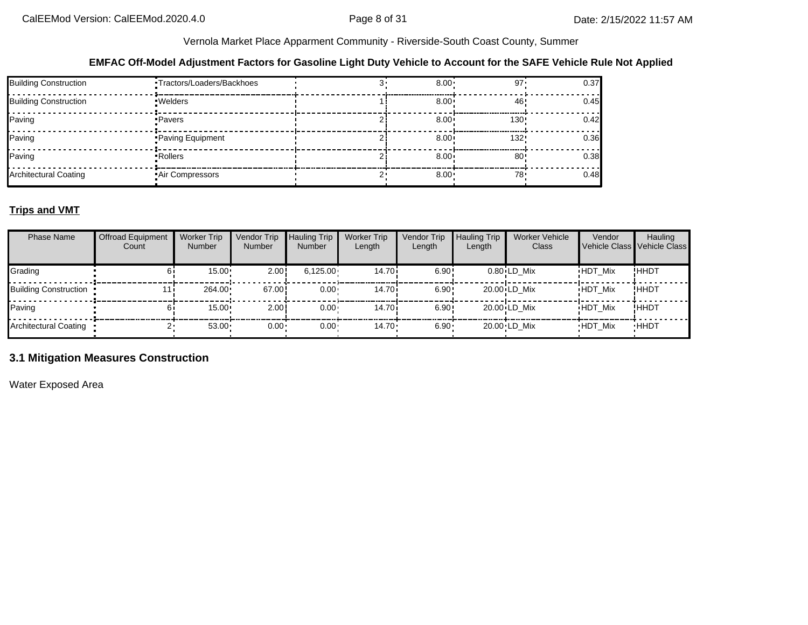#### **EMFAC Off-Model Adjustment Factors for Gasoline Light Duty Vehicle to Account for the SAFE Vehicle Rule Not Applied**

| <b>Building Construction</b> | ·Tractors/Loaders/Backhoes | $8.00 \cdot$      | 97'              | 0.37 |
|------------------------------|----------------------------|-------------------|------------------|------|
| <b>Building Construction</b> | •Welders                   | $8.00 \div$       | 46               | 0.45 |
| Paving                       | •Pavers                    | $8.00 \cdot$      | 130:             | 0.42 |
| Paving                       | Paving Equipment           | 8.00 <sub>1</sub> | 132 <sup>1</sup> | 0.36 |
| Paving                       | • Rollers                  | $8.00^{\circ}$    | 80 <sup>1</sup>  | 0.38 |
| Architectural Coating        | <b>Air Compressors</b>     | 8.00              | 78.              | 0.48 |

### **Trips and VMT**

| <b>Phase Name</b>            | <b>Offroad Equipment</b><br>Count | <b>Worker Trip</b><br><b>Number</b> | Vendor Trip<br>Number | <b>Hauling Trip</b><br><b>Number</b> | <b>Worker Trip</b><br>Length | Vendor Trip<br>Length | <b>Hauling Trip</b><br>Length | <b>Worker Vehicle</b><br>Class | Vendor<br>Vehicle Class Vehicle Class | Hauling     |
|------------------------------|-----------------------------------|-------------------------------------|-----------------------|--------------------------------------|------------------------------|-----------------------|-------------------------------|--------------------------------|---------------------------------------|-------------|
| Grading                      |                                   | 15.00                               | 2.00!                 | 6,125.00                             | 14.70i                       | 6.90!                 |                               | $0.80$ LD Mix                  | <b>HDT Mix</b>                        | !ННDТ       |
| <b>Building Construction</b> |                                   | 264.00                              | 67.00!                | $0.00 \cdot$                         | 14.70i                       | 6.90:                 |                               | 20.00 LD Mix                   | <b>HDT Mix</b>                        | !HHDT       |
| Paving                       |                                   | $15.00 \cdot$                       | 2.00                  | $0.00 \cdot$                         | 14.70i                       | 6.90:                 |                               | $20.00 \cdot LD$ Mix           | <b>HDT Mix</b>                        | !ННDТ       |
| <b>Architectural Coating</b> |                                   | 53.00                               | $0.00 \cdot$          | $0.00 \cdot$                         | $14.70 \cdot$                | $6.90 -$              |                               | 20.00 LD Mix                   | <b>HDT Mix</b>                        | <b>HHDT</b> |

### **3.1 Mitigation Measures Construction**

Water Exposed Area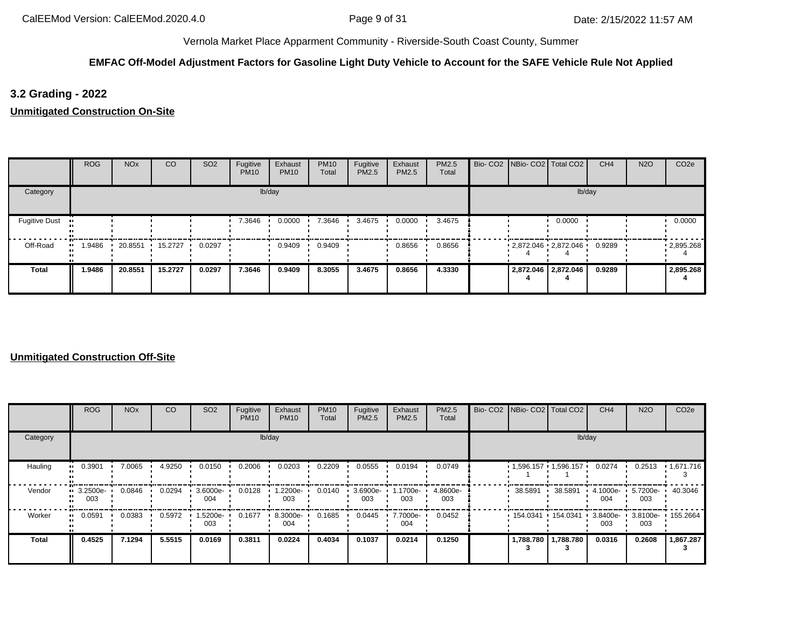### **EMFAC Off-Model Adjustment Factors for Gasoline Light Duty Vehicle to Account for the SAFE Vehicle Rule Not Applied**

### **3.2 Grading - 2022**

**Unmitigated Construction On-Site**

|                      | <b>ROG</b>    | <b>NO<sub>x</sub></b> | <sub>CO</sub> | SO <sub>2</sub> | Fugitive<br><b>PM10</b> | Exhaust<br><b>PM10</b> | <b>PM10</b><br>Total | Fugitive<br>PM2.5 | Exhaust<br><b>PM2.5</b> | PM2.5<br>Total | Bio- CO2   NBio- CO2   Total CO2 |                     | CH <sub>4</sub> | <b>N2O</b> | CO <sub>2e</sub>  |
|----------------------|---------------|-----------------------|---------------|-----------------|-------------------------|------------------------|----------------------|-------------------|-------------------------|----------------|----------------------------------|---------------------|-----------------|------------|-------------------|
| Category             |               |                       |               |                 |                         | lb/day                 |                      |                   |                         |                |                                  | lb/day              |                 |            |                   |
| <b>Fugitive Dust</b> |               |                       |               |                 | 7.3646                  | 0.0000                 | 7.3646               | 3.4675            | 0.0000                  | 3.4675         |                                  | 0.0000              |                 |            | 0.0000            |
| Off-Road             | 1.9486<br>. . | 20.8551               | 15.2727       | 0.0297          |                         | 0.9409                 | 0.9409               |                   | 0.8656                  | 0.8656         | $2,872.046$ $2,872.046$          |                     | 0.9289          |            | $\cdot$ 2,895.268 |
| Total                | 1.9486        | 20.8551               | 15.2727       | 0.0297          | 7.3646                  | 0.9409                 | 8.3055               | 3.4675            | 0.8656                  | 4.3330         |                                  | 2,872.046 2,872.046 | 0.9289          |            | 2,895.268         |

|              | <b>ROG</b>              | <b>NO<sub>x</sub></b> | CO     | SO <sub>2</sub> | Fugitive<br><b>PM10</b> | Exhaust<br><b>PM10</b> | <b>PM10</b><br>Total | Fugitive<br>PM2.5 | Exhaust<br><b>PM2.5</b> | <b>PM2.5</b><br>Total |           | Bio- CO2   NBio- CO2   Total CO2 | CH <sub>4</sub>    | <b>N2O</b>      | CO <sub>2e</sub>  |
|--------------|-------------------------|-----------------------|--------|-----------------|-------------------------|------------------------|----------------------|-------------------|-------------------------|-----------------------|-----------|----------------------------------|--------------------|-----------------|-------------------|
| Category     |                         |                       |        |                 |                         | lb/day                 |                      |                   |                         |                       |           |                                  | lb/day             |                 |                   |
| Hauling      | 0.3901                  | 7.0065                | 4.9250 | 0.0150          | 0.2006                  | 0.0203                 | 0.2209               | 0.0555            | 0.0194                  | 0.0749                |           | $1,596.157$ $1,596.157$          | 0.0274             | 0.2513          | 1,671.716         |
| Vendor       | $\cdot$ 3.2500e-<br>003 | 0.0846                | 0.0294 | 3.6000e-<br>004 | 0.0128                  | 1.2200e-<br>003        | 0.0140               | 3.6900e-<br>003   | 1.1700e-<br>003         | 4.8600e-<br>003       | 38.5891   | 38.5891                          | $4.1000e -$<br>004 | 5.7200e-<br>003 | 40.3046           |
| Worker       | 0.0591                  | 0.0383                | 0.5972 | -5200e-<br>003  | 0.1677                  | 8.3000e-<br>004        | 0.1685               | 0.0445            | 7.7000e-<br>004         | 0.0452                | 154.0341  | 154.0341                         | 3.8400e-<br>003    | 003             | 3.8100e- 155.2664 |
| <b>Total</b> | 0.4525                  | 7.1294                | 5.5515 | 0.0169          | 0.3811                  | 0.0224                 | 0.4034               | 0.1037            | 0.0214                  | 0.1250                | 1,788.780 | 1,788.780                        | 0.0316             | 0.2608          | 1,867.287         |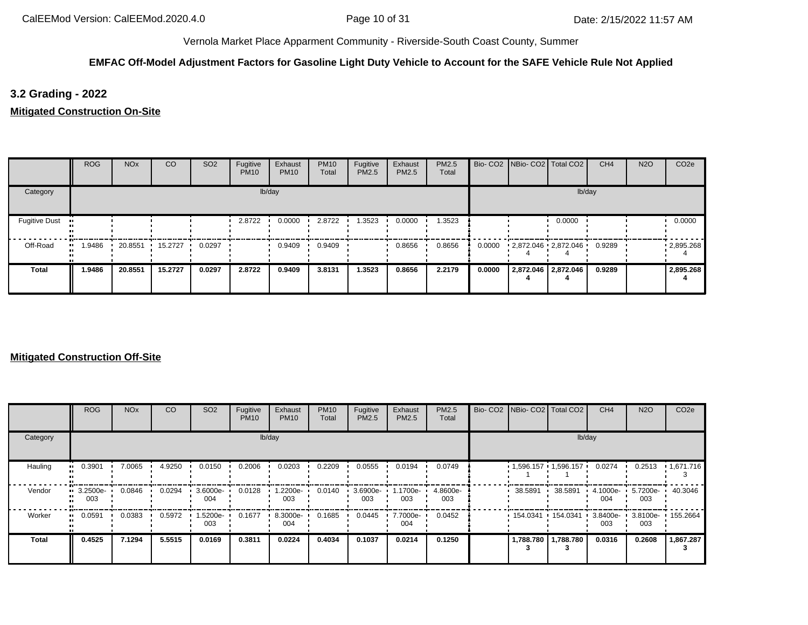### **EMFAC Off-Model Adjustment Factors for Gasoline Light Duty Vehicle to Account for the SAFE Vehicle Rule Not Applied**

## **3.2 Grading - 2022**

**Mitigated Construction On-Site**

|                      | <b>ROG</b> | <b>NO<sub>x</sub></b> | CO      | SO <sub>2</sub> | Fugitive<br><b>PM10</b> | Exhaust<br><b>PM10</b> | <b>PM10</b><br>Total | Fugitive<br>PM2.5 | Exhaust<br>PM2.5 | PM2.5<br>Total |        | Bio- CO2   NBio- CO2   Total CO2 | CH <sub>4</sub> | <b>N2O</b> | CO <sub>2e</sub>  |
|----------------------|------------|-----------------------|---------|-----------------|-------------------------|------------------------|----------------------|-------------------|------------------|----------------|--------|----------------------------------|-----------------|------------|-------------------|
| Category             |            |                       |         |                 |                         | lb/day                 |                      |                   |                  |                |        |                                  | lb/day          |            |                   |
| <b>Fugitive Dust</b> |            |                       |         |                 | 2.8722                  | 0.0000                 | 2.8722               | 1.3523            | 0.0000           | 1.3523         |        | 0.0000                           |                 |            | 0.0000            |
| Off-Road             | .9486      | 20.8551               | 15.2727 | 0.0297          |                         | 0.9409                 | 0.9409               |                   | 0.8656           | 0.8656         | 0.0000 | 2,872.046 2,872.046              | 0.9289          |            | $\cdot$ 2,895.268 |
| <b>Total</b>         | 1.9486     | 20.8551               | 15.2727 | 0.0297          | 2.8722                  | 0.9409                 | 3.8131               | 1.3523            | 0.8656           | 2.2179         | 0.0000 | 2,872.046 2,872.046              | 0.9289          |            | 2,895.268         |

|          | <b>ROG</b>              | <b>NO<sub>x</sub></b> | CO     | SO <sub>2</sub> | Fugitive<br><b>PM10</b> | Exhaust<br><b>PM10</b> | <b>PM10</b><br>Total | Fugitive<br><b>PM2.5</b> | Exhaust<br>PM2.5 | PM2.5<br>Total  |                   | Bio- CO2 NBio- CO2 Total CO2 | CH <sub>4</sub>    | <b>N2O</b>      | CO <sub>2e</sub>  |
|----------|-------------------------|-----------------------|--------|-----------------|-------------------------|------------------------|----------------------|--------------------------|------------------|-----------------|-------------------|------------------------------|--------------------|-----------------|-------------------|
| Category |                         |                       |        |                 |                         | lb/day                 |                      |                          |                  |                 |                   | lb/day                       |                    |                 |                   |
| Hauling  | 0.3901<br>              | 7.0065                | 4.9250 | 0.0150          | 0.2006                  | 0.0203                 | 0.2209               | 0.0555                   | 0.0194           | 0.0749          |                   | $1,596.157$ 1,596.157        | 0.0274             | 0.2513          | 1,671.716         |
| Vendor   | $\cdot$ 3.2500e-<br>003 | 0.0846                | 0.0294 | 3.6000e-<br>004 | 0.0128                  | 1.2200e-<br>003        | 0.0140               | 3.6900e-<br>003          | 1.1700e-<br>003  | 4.8600e-<br>003 | 38.5891           | 38.5891                      | 4.1000e-<br>004    | 5.7200e-<br>003 | 40.3046           |
| Worker   | 0.0591<br>              | 0.0383                | 0.5972 | -5200e-<br>003  | 0.1677                  | 8.3000e-<br>004        | 0.1685               | 0.0445                   | 7.7000e-<br>004  | 0.0452          | 154.0341 154.0341 |                              | $3.8400e -$<br>003 | 003             | 3.8100e- 155.2664 |
| Total    | 0.4525                  | 7.1294                | 5.5515 | 0.0169          | 0.3811                  | 0.0224                 | 0.4034               | 0.1037                   | 0.0214           | 0.1250          | 1,788.780         | 1,788.780                    | 0.0316             | 0.2608          | 1,867.287         |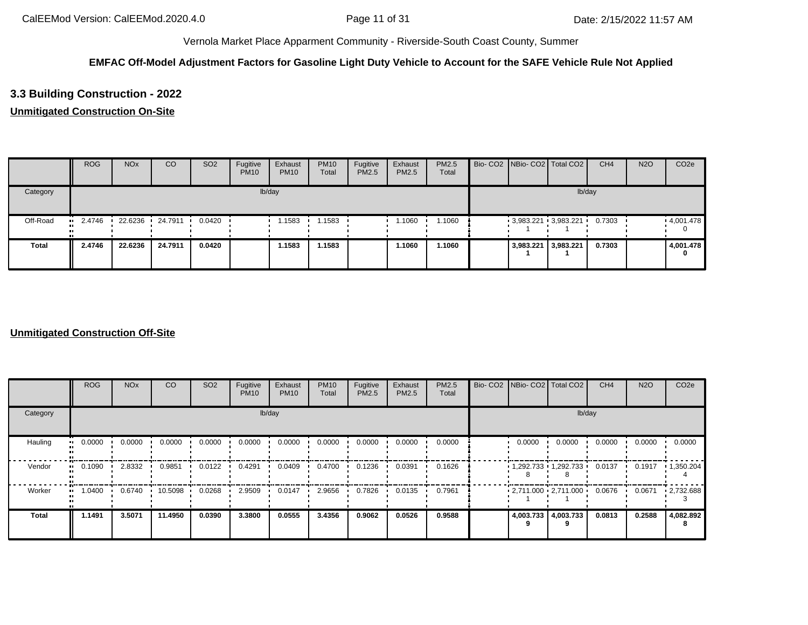### **EMFAC Off-Model Adjustment Factors for Gasoline Light Duty Vehicle to Account for the SAFE Vehicle Rule Not Applied**

## **3.3 Building Construction - 2022**

### **Unmitigated Construction On-Site**

|              | <b>ROG</b>    | <b>NO<sub>x</sub></b> | CO        | SO <sub>2</sub> | Fugitive<br><b>PM10</b> | Exhaust<br><b>PM10</b> | <b>PM10</b><br>Total | Fugitive<br>PM2.5 | Exhaust<br>PM2.5 | <b>PM2.5</b><br>Total |                     | Bio- CO2 NBio- CO2 Total CO2 | CH <sub>4</sub> | <b>N2O</b> | CO <sub>2e</sub> |
|--------------|---------------|-----------------------|-----------|-----------------|-------------------------|------------------------|----------------------|-------------------|------------------|-----------------------|---------------------|------------------------------|-----------------|------------|------------------|
| Category     |               |                       |           |                 |                         | lb/day                 |                      |                   |                  |                       |                     | lb/day                       |                 |            |                  |
| Off-Road     | 2.4746<br>. . | 22.6236 ·             | 24.7911 . | 0.0420          |                         | 1.1583                 | i 1583               |                   | 1.1060           | 1.1060                |                     | $3,983.221$ $3,983.221$      | 0.7303          |            | .4,001.478       |
| <b>Total</b> | 2.4746        | 22.6236               | 24.7911   | 0.0420          |                         | 1.1583                 | 1.1583               |                   | 1.1060           | 1.1060                | 3,983.221 3,983.221 |                              | 0.7303          |            | 4,001.478<br>0   |

|              | <b>ROG</b>          | <b>NO<sub>x</sub></b> | <b>CO</b> | SO <sub>2</sub> | Fugitive<br><b>PM10</b> | Exhaust<br><b>PM10</b> | <b>PM10</b><br>Total | Fugitive<br>PM2.5 | Exhaust<br>PM2.5 | PM2.5<br>Total |                     | Bio- CO2   NBio- CO2   Total CO2 | CH <sub>4</sub> | <b>N2O</b> | CO <sub>2e</sub>  |
|--------------|---------------------|-----------------------|-----------|-----------------|-------------------------|------------------------|----------------------|-------------------|------------------|----------------|---------------------|----------------------------------|-----------------|------------|-------------------|
| Category     |                     |                       |           |                 |                         | lb/day                 |                      |                   |                  |                |                     | lb/day                           |                 |            |                   |
| Hauling      | 0.0000<br>$\bullet$ | 0.0000                | 0.0000    | 0.0000          | 0.0000                  | 0.0000                 | 0.0000               | 0.0000            | 0.0000           | 0.0000         | 0.0000              | 0.0000                           | 0.0000          | 0.0000     | 0.0000            |
| Vendor       | 0.1090<br>$\bullet$ | 2.8332                | 0.9851    | 0.0122          | 0.4291                  | 0.0409                 | 0.4700               | 0.1236            | 0.0391           | 0.1626         |                     | 1,292.733 1,292.733              | 0.0137          | 0.1917     | $\cdot$ 1,350.204 |
| Worker       | 1.0400              | 0.6740                | 10.5098   | 0.0268          | 2.9509                  | 0.0147                 | 2.9656               | 0.7826            | 0.0135           | 0.7961         |                     | $2,711.000$ $2,711.000$ $\cdot$  | 0.0676          | 0.0671     | $-2,732.688$      |
| <b>Total</b> | 1.1491              | 3.5071                | 11.4950   | 0.0390          | 3.3800                  | 0.0555                 | 3.4356               | 0.9062            | 0.0526           | 0.9588         | 4,003.733 4,003.733 |                                  | 0.0813          | 0.2588     | 4,082.892<br>8    |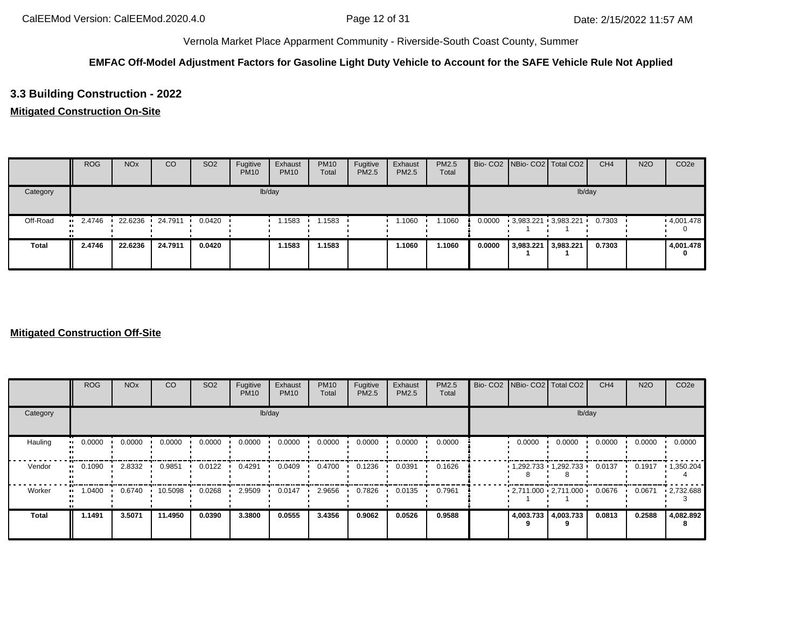### **EMFAC Off-Model Adjustment Factors for Gasoline Light Duty Vehicle to Account for the SAFE Vehicle Rule Not Applied**

## **3.3 Building Construction - 2022**

### **Mitigated Construction On-Site**

|              | <b>ROG</b> | <b>NO<sub>x</sub></b> | CO              | SO <sub>2</sub> | Fugitive<br><b>PM10</b> | Exhaust<br><b>PM10</b> | <b>PM10</b><br>Total | Fugitive<br>PM2.5 | Exhaust<br>PM2.5 | <b>PM2.5</b><br>Total |        |           | Bio- CO2 NBio- CO2 Total CO2 | CH <sub>4</sub> | <b>N2O</b> | CO <sub>2e</sub> |
|--------------|------------|-----------------------|-----------------|-----------------|-------------------------|------------------------|----------------------|-------------------|------------------|-----------------------|--------|-----------|------------------------------|-----------------|------------|------------------|
| Category     |            |                       |                 |                 |                         | lb/day                 |                      |                   |                  |                       |        |           |                              | lb/day          |            |                  |
| Off-Road     | 2.4746<br> |                       | 22.6236 24.7911 | 0.0420          |                         | 1.1583                 | 1.1583               |                   | 1.1060           | 1.1060                | 0.0000 |           | $3,983.221$ $3,983.221$      | 0.7303          |            | .4,001.478       |
| <b>Total</b> | 2.4746     | 22.6236               | 24.7911         | 0.0420          |                         | 1.1583                 | 1.1583               |                   | 1.1060           | 1.1060                | 0.0000 | 3,983.221 | 3,983.221                    | 0.7303          |            | 4,001.478<br>0   |

|                        | <b>ROG</b>                 | <b>NO<sub>x</sub></b> | CO      | SO <sub>2</sub> | Fugitive<br><b>PM10</b> | Exhaust<br><b>PM10</b> | <b>PM10</b><br>Total | Fugitive<br><b>PM2.5</b> | Exhaust<br>PM2.5 | <b>PM2.5</b><br>Total | Bio- CO2   NBio- CO2   Total CO2 |                          | CH <sub>4</sub> | <b>N2O</b> | CO <sub>2e</sub>  |
|------------------------|----------------------------|-----------------------|---------|-----------------|-------------------------|------------------------|----------------------|--------------------------|------------------|-----------------------|----------------------------------|--------------------------|-----------------|------------|-------------------|
| Category               |                            |                       |         |                 |                         | lb/day                 |                      |                          |                  |                       |                                  | lb/day                   |                 |            |                   |
| Hauling                | 0.0000<br>$\bullet\bullet$ | 0.0000                | 0.0000  | 0.0000          | 0.0000                  | 0.0000                 | 0.0000               | 0.0000                   | 0.0000           | 0.0000                | 0.0000                           | 0.0000                   | 0.0000          | 0.0000     | 0.0000            |
| Vendor<br>$\mathbf{u}$ | 0.1090                     | 2.8332                | 0.9851  | 0.0122          | 0.4291                  | 0.0409                 | 0.4700               | 0.1236                   | 0.0391           | 0.1626                |                                  | 1,292.733 1,292.733 '    | 0.0137          | 0.1917     | $\cdot$ 1,350.204 |
| Worker<br>$\bullet$    | 1.0400                     | 0.6740                | 10.5098 | 0.0268          | 2.9509                  | 0.0147                 | 2.9656               | 0.7826                   | 0.0135           | 0.7961                |                                  | $-2,711.000 - 2,711.000$ | 0.0676          | 0.0671     | $-2,732.688$      |
| <b>Total</b>           | 1.1491                     | 3.5071                | 11.4950 | 0.0390          | 3.3800                  | 0.0555                 | 3.4356               | 0.9062                   | 0.0526           | 0.9588                | 4,003.733 4,003.733              |                          | 0.0813          | 0.2588     | 4,082.892<br>8    |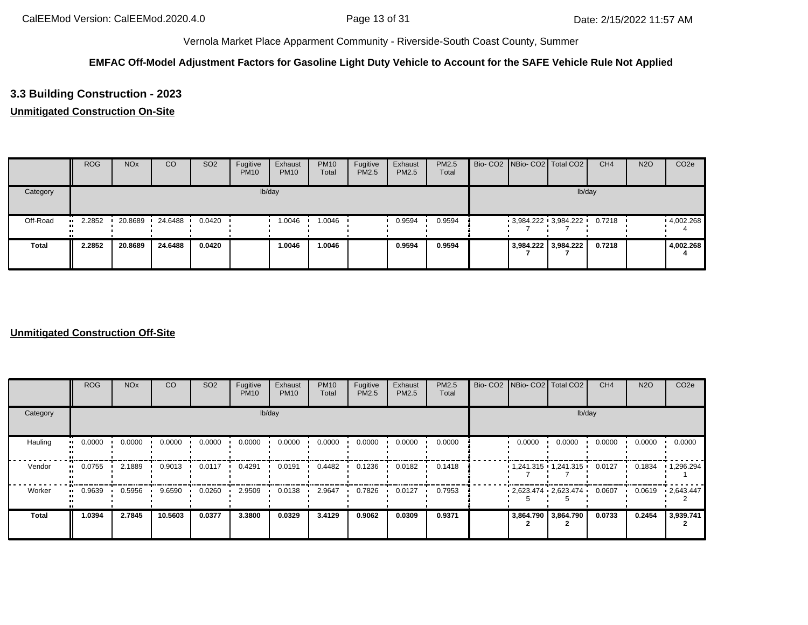### **EMFAC Off-Model Adjustment Factors for Gasoline Light Duty Vehicle to Account for the SAFE Vehicle Rule Not Applied**

## **3.3 Building Construction - 2023**

### **Unmitigated Construction On-Site**

|              | <b>ROG</b> | <b>NO<sub>x</sub></b> | CO      | SO <sub>2</sub> | Fugitive<br><b>PM10</b> | Exhaust<br><b>PM10</b> | <b>PM10</b><br>Total | Fugitive<br>PM2.5 | Exhaust<br>PM2.5 | <b>PM2.5</b><br>Total |  | Bio- CO2 NBio- CO2 Total CO2 | CH <sub>4</sub> | <b>N2O</b> | CO <sub>2e</sub>  |
|--------------|------------|-----------------------|---------|-----------------|-------------------------|------------------------|----------------------|-------------------|------------------|-----------------------|--|------------------------------|-----------------|------------|-------------------|
| Category     |            |                       |         |                 |                         | lb/day                 |                      |                   |                  |                       |  | lb/day                       |                 |            |                   |
| Off-Road     | 2.2852     | 20.8689               | 24.6488 | 0.0420          |                         | 1.0046                 | 1.0046               |                   | 0.9594           | 0.9594                |  | $3,984.222$ $3,984.222$      | 0.7218          |            | $\cdot$ 4,002.268 |
| <b>Total</b> | 2.2852     | 20.8689               | 24.6488 | 0.0420          |                         | 1.0046                 | 1.0046               |                   | 0.9594           | 0.9594                |  | 3,984.222 3,984.222          | 0.7218          |            | 4,002.268         |

|                      | <b>ROG</b> | <b>NO<sub>x</sub></b> | <b>CO</b> | SO <sub>2</sub> | Fugitive<br><b>PM10</b> | Exhaust<br><b>PM10</b> | <b>PM10</b><br>Total | Fugitive<br>PM2.5 | Exhaust<br>PM2.5 | PM2.5<br>Total | Bio- CO2 NBio- CO2 Total CO2 |                         | CH <sub>4</sub> | <b>N2O</b> | CO <sub>2e</sub> |
|----------------------|------------|-----------------------|-----------|-----------------|-------------------------|------------------------|----------------------|-------------------|------------------|----------------|------------------------------|-------------------------|-----------------|------------|------------------|
| Category             |            |                       |           |                 |                         | lb/day                 |                      |                   |                  |                |                              | lb/day                  |                 |            |                  |
| Hauling<br>$\bullet$ | 0.0000     | 0.0000                | 0.0000    | 0.0000          | 0.0000                  | 0.0000                 | 0.0000               | 0.0000            | 0.0000           | 0.0000         | 0.0000                       | 0.0000                  | 0.0000          | 0.0000     | 0.0000           |
| Vendor<br>$\bullet$  | 0.0755     | 2.1889                | 0.9013    | 0.0117          | 0.4291                  | 0.0191                 | 0.4482               | 0.1236            | 0.0182           | 0.1418         |                              | $1,241.315$ $1,241.315$ | 0.0127          | 0.1834     | 1,296.294        |
| Worker               | 0.9639     | 0.5956                | 9.6590    | 0.0260          | 2.9509                  | 0.0138                 | 2.9647               | 0.7826            | 0.0127           | 0.7953         |                              | 2,623.474 2,623.474     | 0.0607          | 0.0619     | 12,643.447       |
| <b>Total</b>         | 1.0394     | 2.7845                | 10.5603   | 0.0377          | 3.3800                  | 0.0329                 | 3.4129               | 0.9062            | 0.0309           | 0.9371         |                              | 3,864.790 3,864.790     | 0.0733          | 0.2454     | 3,939.741        |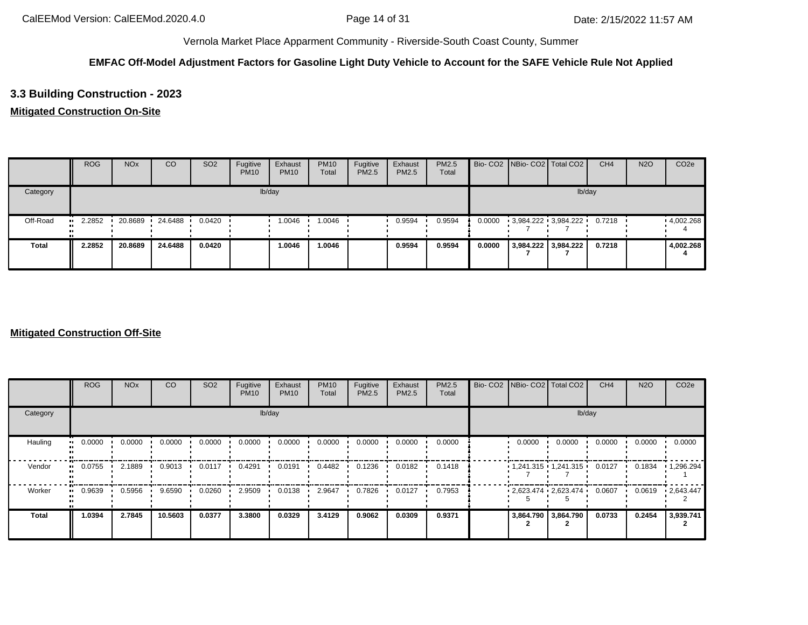### **EMFAC Off-Model Adjustment Factors for Gasoline Light Duty Vehicle to Account for the SAFE Vehicle Rule Not Applied**

## **3.3 Building Construction - 2023**

### **Mitigated Construction On-Site**

|              | <b>ROG</b>    | <b>NO<sub>x</sub></b> | CO      | SO <sub>2</sub> | Fugitive<br><b>PM10</b> | Exhaust<br><b>PM10</b> | <b>PM10</b><br>Total | Fugitive<br>PM2.5 | Exhaust<br><b>PM2.5</b> | <b>PM2.5</b><br>Total |        | Bio- CO2 NBio- CO2 Total CO2 | CH <sub>4</sub> | <b>N2O</b> | CO <sub>2e</sub>  |
|--------------|---------------|-----------------------|---------|-----------------|-------------------------|------------------------|----------------------|-------------------|-------------------------|-----------------------|--------|------------------------------|-----------------|------------|-------------------|
| Category     |               |                       |         |                 |                         | lb/day                 |                      |                   |                         |                       |        | lb/day                       |                 |            |                   |
| Off-Road     | 2.2852<br>. . | 20.8689               | 24.6488 | 0.0420          |                         | 1.0046                 | 1.0046               |                   | 0.9594                  | 0.9594                | 0.0000 | 3,984.222 3,984.222          | 0.7218          |            | $\cdot$ 4,002.268 |
| <b>Total</b> | 2.2852        | 20.8689               | 24.6488 | 0.0420          |                         | 1.0046                 | 1.0046               |                   | 0.9594                  | 0.9594                | 0.0000 | 3,984.222 3,984.222          | 0.7218          |            | 4,002.268         |

|                     | <b>ROG</b>                 | <b>NO<sub>x</sub></b> | CO      | SO <sub>2</sub> | Fugitive<br><b>PM10</b> | Exhaust<br><b>PM10</b> | <b>PM10</b><br>Total | Fugitive<br><b>PM2.5</b> | Exhaust<br>PM2.5 | <b>PM2.5</b><br>Total | Bio- CO2 NBio- CO2 Total CO2 |                         | CH <sub>4</sub> | <b>N2O</b> | CO <sub>2e</sub>  |
|---------------------|----------------------------|-----------------------|---------|-----------------|-------------------------|------------------------|----------------------|--------------------------|------------------|-----------------------|------------------------------|-------------------------|-----------------|------------|-------------------|
| Category            |                            |                       |         |                 |                         | lb/day                 |                      |                          |                  |                       |                              | lb/day                  |                 |            |                   |
| Hauling             | 0.0000<br>$\bullet\bullet$ | 0.0000                | 0.0000  | 0.0000          | 0.0000                  | 0.0000                 | 0.0000               | 0.0000                   | 0.0000           | 0.0000                | 0.0000                       | 0.0000                  | 0.0000          | 0.0000     | 0.0000            |
| Vendor<br>$\bullet$ | 0.0755                     | 2.1889                | 0.9013  | 0.0117          | 0.4291                  | 0.0191                 | 0.4482               | 0.1236                   | 0.0182           | 0.1418                |                              | $1,241.315$ $1,241.315$ | 0.0127          | 0.1834     | $\cdot$ 1,296.294 |
| Worker<br>$\bullet$ | 0.9639                     | 0.5956                | 9.6590  | 0.0260          | 2.9509                  | 0.0138                 | 2.9647               | 0.7826                   | 0.0127           | 0.7953                |                              | $2,623.474$ $2,623.474$ | 0.0607          | 0.0619     | $\cdot$ 2,643.447 |
| <b>Total</b>        | 1.0394                     | 2.7845                | 10.5603 | 0.0377          | 3.3800                  | 0.0329                 | 3.4129               | 0.9062                   | 0.0309           | 0.9371                |                              | 3,864.790 3,864.790     | 0.0733          | 0.2454     | 3,939.741         |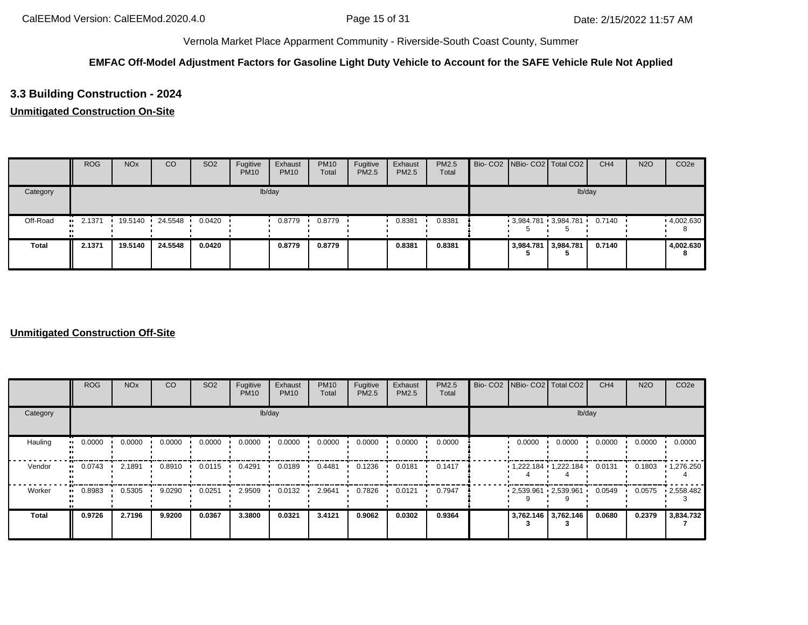### **EMFAC Off-Model Adjustment Factors for Gasoline Light Duty Vehicle to Account for the SAFE Vehicle Rule Not Applied**

## **3.3 Building Construction - 2024**

### **Unmitigated Construction On-Site**

|              | <b>ROG</b>    | <b>NO<sub>x</sub></b> | CO      | SO <sub>2</sub> | Fugitive<br><b>PM10</b> | Exhaust<br><b>PM10</b> | <b>PM10</b><br>Total | Fugitive<br>PM2.5 | Exhaust<br>PM2.5 | <b>PM2.5</b><br>Total |  | Bio- CO2 NBio- CO2 Total CO2 | CH <sub>4</sub> | <b>N2O</b> | CO <sub>2e</sub>  |
|--------------|---------------|-----------------------|---------|-----------------|-------------------------|------------------------|----------------------|-------------------|------------------|-----------------------|--|------------------------------|-----------------|------------|-------------------|
| Category     |               |                       |         |                 |                         | lb/day                 |                      |                   |                  |                       |  | lb/day                       |                 |            |                   |
| Off-Road     | 2.1371<br>. . | 19.5140               | 24.5548 | 0.0420          |                         | 0.8779                 | 0.8779               |                   | 0.8381           | 0.8381                |  | $3,984.781$ 3,984.781        | 0.7140          |            | $\cdot$ 4,002.630 |
| <b>Total</b> | 2.1371        | 19.5140               | 24.5548 | 0.0420          |                         | 0.8779                 | 0.8779               |                   | 0.8381           | 0.8381                |  | 3,984.781 3,984.781          | 0.7140          |            | 4,002.630<br>8    |

|                        | <b>ROG</b>          | <b>NO<sub>x</sub></b> | CO     | SO <sub>2</sub> | Fugitive<br><b>PM10</b> | Exhaust<br><b>PM10</b> | <b>PM10</b><br>Total | Fugitive<br>PM2.5 | Exhaust<br>PM2.5 | PM2.5<br>Total | Bio- CO2 NBio- CO2 Total CO2 |                     | CH <sub>4</sub> | <b>N2O</b> | CO <sub>2e</sub>  |
|------------------------|---------------------|-----------------------|--------|-----------------|-------------------------|------------------------|----------------------|-------------------|------------------|----------------|------------------------------|---------------------|-----------------|------------|-------------------|
| Category               |                     |                       |        |                 |                         | lb/day                 |                      |                   |                  |                |                              | lb/day              |                 |            |                   |
| Hauling                | 0.0000<br>$\bullet$ | 0.0000                | 0.0000 | 0.0000          | 0.0000                  | 0.0000                 | 0.0000               | 0.0000            | 0.0000           | 0.0000         | 0.0000                       | 0.0000              | 0.0000          | 0.0000     | 0.0000            |
| Vendor<br>$\mathbf{u}$ | 0.0743              | 2.1891                | 0.8910 | 0.0115          | 0.4291                  | 0.0189                 | 0.4481               | 0.1236            | 0.0181           | 0.1417         | $1,222.184$ $1,222.184$      |                     | 0.0131          | 0.1803     | $\cdot$ 1,276.250 |
| Worker<br>$\bullet$    | 0.8983              | 0.5305                | 9.0290 | 0.0251          | 2.9509                  | 0.0132                 | 2.9641               | 0.7826            | 0.0121           | 0.7947         | $2,539.961$ $2,539.961$      |                     | 0.0549          | 0.0575     | .2,558.482        |
| <b>Total</b>           | 0.9726              | 2.7196                | 9.9200 | 0.0367          | 3.3800                  | 0.0321                 | 3.4121               | 0.9062            | 0.0302           | 0.9364         |                              | 3,762.146 3,762.146 | 0.0680          | 0.2379     | 3,834.732         |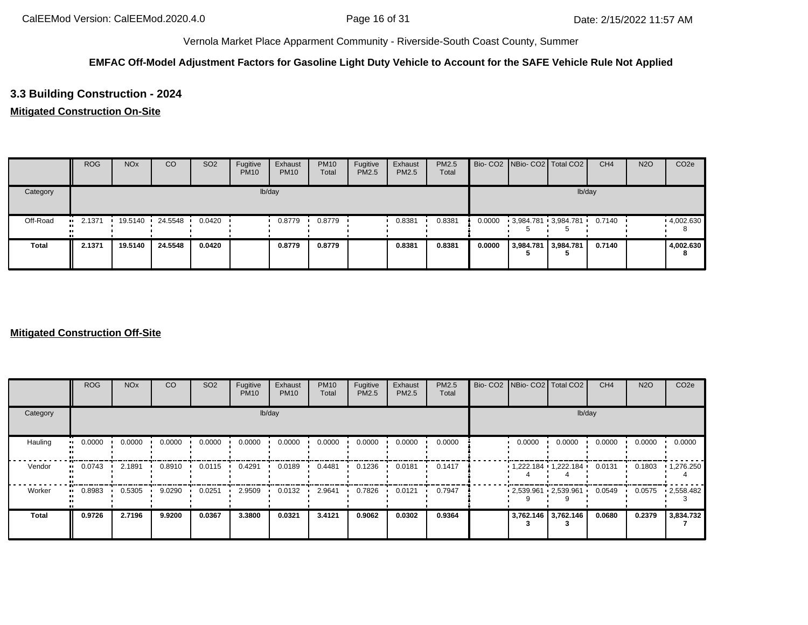### **EMFAC Off-Model Adjustment Factors for Gasoline Light Duty Vehicle to Account for the SAFE Vehicle Rule Not Applied**

## **3.3 Building Construction - 2024**

### **Mitigated Construction On-Site**

|              | <b>ROG</b>          | <b>NO<sub>x</sub></b> | CO      | SO <sub>2</sub> | Fugitive<br><b>PM10</b> | Exhaust<br><b>PM10</b> | <b>PM10</b><br>Total | Fugitive<br>PM2.5 | Exhaust<br><b>PM2.5</b> | PM2.5<br>Total |        |                     | Bio- CO2 NBio- CO2 Total CO2 | CH <sub>4</sub> | <b>N2O</b> | CO <sub>2e</sub> |
|--------------|---------------------|-----------------------|---------|-----------------|-------------------------|------------------------|----------------------|-------------------|-------------------------|----------------|--------|---------------------|------------------------------|-----------------|------------|------------------|
| Category     |                     |                       |         |                 |                         | lb/day                 |                      |                   |                         |                |        |                     |                              | lb/day          |            |                  |
| Off-Road     | 2.1371<br>$\bullet$ | 19.5140               | 24.5548 | 0.0420          |                         | 0.8779                 | 0.8779               |                   | 0.8381                  | 0.8381         | 0.0000 |                     | 3,984.781 3,984.781          | 0.7140          |            | 4,002.630        |
| <b>Total</b> | 2.1371              | 19.5140               | 24.5548 | 0.0420          |                         | 0.8779                 | 0.8779               |                   | 0.8381                  | 0.8381         | 0.0000 | 3,984.781 3,984.781 |                              | 0.7140          |            | 4,002.630<br>8   |

|                        | <b>ROG</b>                 | <b>NO<sub>x</sub></b> | CO     | SO <sub>2</sub> | Fugitive<br><b>PM10</b> | Exhaust<br><b>PM10</b> | <b>PM10</b><br>Total | Fugitive<br><b>PM2.5</b> | Exhaust<br>PM2.5 | <b>PM2.5</b><br>Total | Bio- CO2 NBio- CO2 Total CO2  |                       | CH <sub>4</sub> | <b>N2O</b> | CO <sub>2e</sub>  |
|------------------------|----------------------------|-----------------------|--------|-----------------|-------------------------|------------------------|----------------------|--------------------------|------------------|-----------------------|-------------------------------|-----------------------|-----------------|------------|-------------------|
| Category               |                            |                       |        |                 |                         | lb/day                 |                      |                          |                  |                       |                               | lb/day                |                 |            |                   |
| Hauling                | 0.0000<br>$\bullet\bullet$ | 0.0000                | 0.0000 | 0.0000          | 0.0000                  | 0.0000                 | 0.0000               | 0.0000                   | 0.0000           | 0.0000                | 0.0000                        | 0.0000                | 0.0000          | 0.0000     | 0.0000            |
| Vendor<br>$\mathbf{u}$ | 0.0743                     | 2.1891                | 0.8910 | 0.0115          | 0.4291                  | 0.0189                 | 0.4481               | 0.1236                   | 0.0181           | 0.1417                |                               | 1,222.184 1,222.184 ' | 0.0131          | 0.1803     | $\cdot$ 1,276.250 |
| Worker<br>$\bullet$    | 0.8983                     | 0.5305                | 9.0290 | 0.0251          | 2.9509                  | 0.0132                 | 2.9641               | 0.7826                   | 0.0121           | 0.7947                | $-2,539.961$ $-2,539.961$ $-$ |                       | 0.0549          | 0.0575     | $-2,558.482$      |
| <b>Total</b>           | 0.9726                     | 2.7196                | 9.9200 | 0.0367          | 3.3800                  | 0.0321                 | 3.4121               | 0.9062                   | 0.0302           | 0.9364                | 3,762.146 3,762.146           |                       | 0.0680          | 0.2379     | 3,834.732         |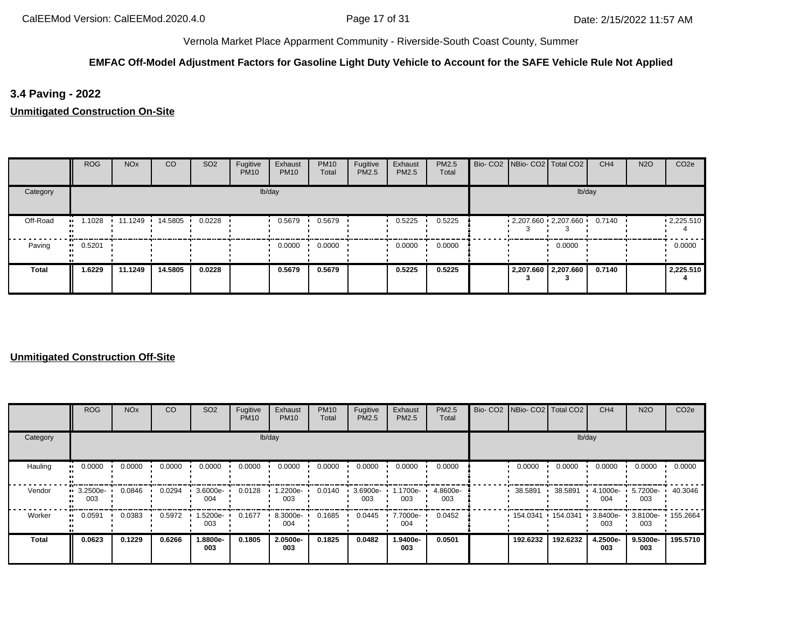### **EMFAC Off-Model Adjustment Factors for Gasoline Light Duty Vehicle to Account for the SAFE Vehicle Rule Not Applied**

**3.4 Paving - 2022**

**Unmitigated Construction On-Site**

|              | <b>ROG</b> | <b>NO<sub>x</sub></b> | CO      | SO <sub>2</sub> | Fugitive<br><b>PM10</b> | Exhaust<br><b>PM10</b> | <b>PM10</b><br>Total | Fugitive<br>PM2.5 | Exhaust<br>PM2.5 | PM2.5<br>Total |  | Bio- CO2   NBio- CO2   Total CO2 | CH <sub>4</sub> | <b>N2O</b> | CO <sub>2e</sub>  |
|--------------|------------|-----------------------|---------|-----------------|-------------------------|------------------------|----------------------|-------------------|------------------|----------------|--|----------------------------------|-----------------|------------|-------------------|
| Category     |            |                       |         |                 |                         | lb/day                 |                      |                   |                  |                |  | lb/day                           |                 |            |                   |
| Off-Road     | .1028      | 11.1249               | 14.5805 | 0.0228          |                         | 0.5679                 | 0.5679               |                   | 0.5225           | 0.5225         |  | $-2,207.660 - 2,207.660$         | 0.7140          |            | $\cdot$ 2,225.510 |
| Paving       | 0.5201     |                       |         |                 |                         | 0.0000                 | 0.0000               |                   | 0.0000           | 0.0000         |  | 0.0000                           |                 |            | 0.0000            |
| <b>Total</b> | 1.6229     | 11.1249               | 14.5805 | 0.0228          |                         | 0.5679                 | 0.5679               |                   | 0.5225           | 0.5225         |  | 2,207.660 2,207.660              | 0.7140          |            | 2,225.510         |

|              | ROG             | <b>NO<sub>x</sub></b> | CO     | SO <sub>2</sub> | Fugitive<br><b>PM10</b> | Exhaust<br><b>PM10</b> | <b>PM10</b><br>Total | Fugitive<br>PM2.5 | Exhaust<br>PM2.5 | <b>PM2.5</b><br>Total |                   | Bio- CO2   NBio- CO2   Total CO2 | CH <sub>4</sub>    | <b>N2O</b>               | CO <sub>2e</sub> |
|--------------|-----------------|-----------------------|--------|-----------------|-------------------------|------------------------|----------------------|-------------------|------------------|-----------------------|-------------------|----------------------------------|--------------------|--------------------------|------------------|
| Category     |                 |                       |        |                 |                         | lb/day                 |                      |                   |                  |                       |                   | lb/day                           |                    |                          |                  |
| Hauling      | 0.0000          | 0.0000                | 0.0000 | 0.0000          | 0.0000                  | 0.0000                 | 0.0000               | 0.0000            | 0.0000           | 0.0000                | 0.0000            | 0.0000                           | 0.0000             | 0.0000                   | 0.0000           |
| Vendor       | 3.2500e-<br>003 | 0.0846                | 0.0294 | 3.6000e-<br>004 | 0.0128                  | 1.2200e-<br>003        | 0.0140               | 3.6900e-<br>003   | 1700e-<br>003    | 4.8600e-<br>003       | 38.5891           | 38.5891                          | 4.1000e-<br>004    | 5.7200e-<br>003          | 40.3046          |
| Worker       | 0.0591          | 0.0383                | 0.5972 | 1.5200e-<br>003 | 0.1677                  | 8.3000e-<br>004        | 0.1685               | 0.0445            | 7.7000e-<br>004  | 0.0452                | 154.0341 154.0341 |                                  | $3.8400e -$<br>003 | 3.8100e- 155.2664<br>003 |                  |
| <b>Total</b> | 0.0623          | 0.1229                | 0.6266 | 1.8800e-<br>003 | 0.1805                  | 2.0500e-<br>003        | 0.1825               | 0.0482            | 1.9400e-<br>003  | 0.0501                | 192.6232          | 192.6232                         | 4.2500e-<br>003    | 9.5300e-<br>003          | 195.5710         |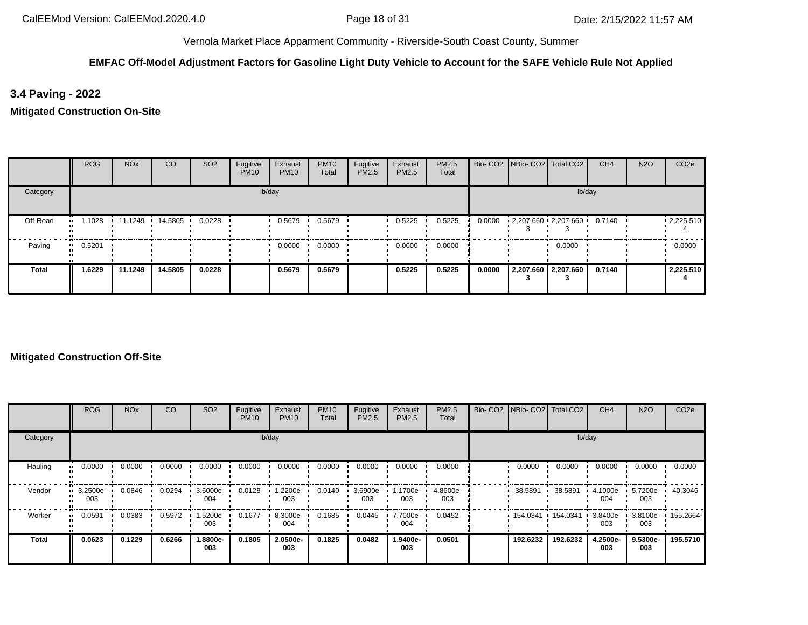### **EMFAC Off-Model Adjustment Factors for Gasoline Light Duty Vehicle to Account for the SAFE Vehicle Rule Not Applied**

**3.4 Paving - 2022**

**Mitigated Construction On-Site**

|              | <b>ROG</b>   | <b>NO<sub>x</sub></b> | <sub>CO</sub>   | SO <sub>2</sub> | Fugitive<br><b>PM10</b> | Exhaust<br><b>PM10</b> | <b>PM10</b><br>Total | Fugitive<br>PM2.5 | Exhaust<br>PM2.5 | PM2.5<br>Total |        | Bio- CO2   NBio- CO2   Total CO2 |                     | CH <sub>4</sub> | <b>N2O</b> | CO <sub>2e</sub>  |
|--------------|--------------|-----------------------|-----------------|-----------------|-------------------------|------------------------|----------------------|-------------------|------------------|----------------|--------|----------------------------------|---------------------|-----------------|------------|-------------------|
| Category     |              |                       |                 |                 |                         | lb/day                 |                      |                   |                  |                |        |                                  | lb/day              |                 |            |                   |
| Off-Road     | 1.1028<br>   |                       | 11.1249 14.5805 | 0.0228          |                         | 0.5679                 | 0.5679               |                   | 0.5225           | 0.5225         | 0.0000 | $2,207.660$ $2,207.660$          |                     | 0.7140          |            | $\cdot$ 2,225.510 |
| Paving       | 0.5201<br>ш. |                       |                 |                 |                         | 0.0000                 | 0.0000               |                   | 0.0000           | 0.0000         |        |                                  | 0.0000              |                 |            | 0.0000            |
| <b>Total</b> | 1.6229       | 11.1249               | 14.5805         | 0.0228          |                         | 0.5679                 | 0.5679               |                   | 0.5225           | 0.5225         | 0.0000 |                                  | 2,207.660 2,207.660 | 0.7140          |            | 2,225.510         |

|          | <b>ROG</b>              | <b>NO<sub>x</sub></b> | CO     | SO <sub>2</sub> | Fugitive<br><b>PM10</b> | Exhaust<br><b>PM10</b> | <b>PM10</b><br>Total | Fugitive<br>PM2.5 | Exhaust<br><b>PM2.5</b> | PM2.5<br>Total  | Bio- CO2 NBio- CO2 Total CO2 |          | CH <sub>4</sub> | <b>N2O</b>                            | CO <sub>2e</sub> |
|----------|-------------------------|-----------------------|--------|-----------------|-------------------------|------------------------|----------------------|-------------------|-------------------------|-----------------|------------------------------|----------|-----------------|---------------------------------------|------------------|
| Category |                         |                       |        |                 |                         | lb/day                 |                      |                   |                         |                 |                              | lb/day   |                 |                                       |                  |
| Hauling  | 0.0000<br>. .           | 0.0000                | 0.0000 | 0.0000          | 0.0000                  | 0.0000                 | 0.0000               | 0.0000            | 0.0000                  | 0.0000          | 0.0000                       | 0.0000   | 0.0000          | 0.0000                                | 0.0000           |
| Vendor   | $\cdot$ 3.2500e-<br>003 | 0.0846                | 0.0294 | 3.6000e-<br>004 | 0.0128                  | 1.2200e-<br>003        | 0.0140               | 3.6900e-<br>003   | 1.1700e-<br>003         | 4.8600e-<br>003 | 38.5891                      | 38.5891  | 4.1000e-<br>004 | 5.7200e-<br>003                       | 40.3046          |
| Worker   | 0.0591<br>. .           | 0.0383                | 0.5972 | -5200e-<br>003  | 0.1677                  | 8.3000e-<br>004        | 0.1685               | 0.0445            | 7.7000e-<br>004         | 0.0452          | 154.0341                     | 154.0341 | 003             | 3.8400e- 1 3.8100e- 1 155.2664<br>003 |                  |
| Total    | 0.0623                  | 0.1229                | 0.6266 | -8800e.<br>003  | 0.1805                  | 2.0500e-<br>003        | 0.1825               | 0.0482            | 1.9400e-<br>003         | 0.0501          | 192.6232                     | 192.6232 | 4.2500e-<br>003 | 9.5300e-<br>003                       | 195.5710         |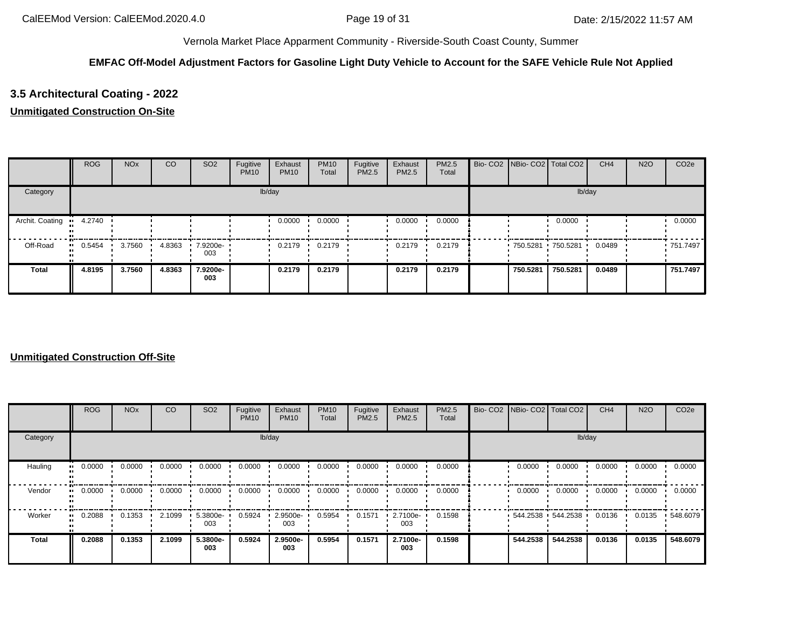### **EMFAC Off-Model Adjustment Factors for Gasoline Light Duty Vehicle to Account for the SAFE Vehicle Rule Not Applied**

## **3.5 Architectural Coating - 2022**

### **Unmitigated Construction On-Site**

|                 | <b>ROG</b> | <b>NO<sub>x</sub></b> | <sub>CO</sub> | SO <sub>2</sub> | Fugitive<br><b>PM10</b> | Exhaust<br><b>PM10</b> | <b>PM10</b><br>Total | Fugitive<br>PM2.5 | Exhaust<br>PM2.5 | <b>PM2.5</b><br>Total | Bio- CO2 NBio- CO2 Total CO2 |          | CH <sub>4</sub> | <b>N2O</b> | CO <sub>2e</sub> |
|-----------------|------------|-----------------------|---------------|-----------------|-------------------------|------------------------|----------------------|-------------------|------------------|-----------------------|------------------------------|----------|-----------------|------------|------------------|
| Category        |            |                       |               |                 |                         | lb/day                 |                      |                   |                  |                       |                              | lb/day   |                 |            |                  |
| Archit. Coating | 4.2740     |                       |               |                 |                         | 0.0000                 | 0.0000               |                   | 0.0000           | 0.0000                |                              | 0.0000   |                 |            | 0.0000           |
| Off-Road        | 0.5454     | 3.7560                | 4.8363        | 7.9200e-<br>003 |                         | 0.2179                 | 0.2179               |                   | 0.2179           | 0.2179                | 750.5281 750.5281            |          | 0.0489          |            | ■ 751.7497       |
| <b>Total</b>    | 4.8195     | 3.7560                | 4.8363        | 7.9200e-<br>003 |                         | 0.2179                 | 0.2179               |                   | 0.2179           | 0.2179                | 750,5281                     | 750.5281 | 0.0489          |            | 751.7497         |

|              | ROG    | <b>NO<sub>x</sub></b> | <sub>CO</sub> | SO <sub>2</sub> | Fugitive<br><b>PM10</b> | Exhaust<br><b>PM10</b> | <b>PM10</b><br>Total | Fugitive<br>PM2.5 | Exhaust<br>PM2.5 | <b>PM2.5</b><br>Total |          | Bio- CO2   NBio- CO2   Total CO2 | CH <sub>4</sub> | <b>N2O</b> | CO <sub>2e</sub> |
|--------------|--------|-----------------------|---------------|-----------------|-------------------------|------------------------|----------------------|-------------------|------------------|-----------------------|----------|----------------------------------|-----------------|------------|------------------|
| Category     |        |                       |               |                 |                         | lb/day                 |                      |                   |                  |                       |          | lb/day                           |                 |            |                  |
| Hauling      | 0.0000 | 0.0000                | 0.0000        | 0.0000          | 0.0000                  | 0.0000                 | 0.0000               | 0.0000            | 0.0000           | 0.0000                | 0.0000   | 0.0000                           | 0.0000          | 0.0000     | 0.0000           |
| Vendor       | 0.0000 | 0.0000                | 0.0000        | 0.0000          | 0.0000                  | 0.0000                 | 0.0000               | 0.0000            | 0.0000           | 0.0000                | 0.0000   | 0.0000                           | 0.0000          | 0.0000     | 0.0000           |
| Worker       | 0.2088 | 0.1353                | 2.1099        | 5.3800e-<br>003 | 0.5924                  | 2.9500e-<br>003        | 0.5954               | 0.1571            | 2.7100e-<br>003  | 0.1598                |          | $-544.2538 - 544.2538$           | 0.0136          | 0.0135     | .548.6079        |
| <b>Total</b> | 0.2088 | 0.1353                | 2.1099        | 5.3800e-<br>003 | 0.5924                  | 2.9500e-<br>003        | 0.5954               | 0.1571            | 2.7100e-<br>003  | 0.1598                | 544.2538 | 544.2538                         | 0.0136          | 0.0135     | 548.6079         |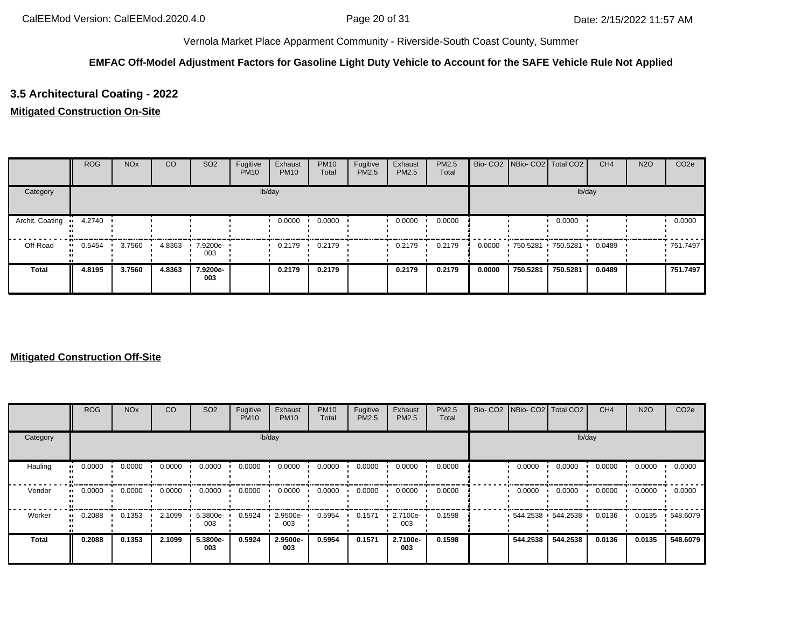### **EMFAC Off-Model Adjustment Factors for Gasoline Light Duty Vehicle to Account for the SAFE Vehicle Rule Not Applied**

## **3.5 Architectural Coating - 2022**

### **Mitigated Construction On-Site**

|                 | <b>ROG</b>    | <b>NO<sub>x</sub></b> | CO     | SO <sub>2</sub> | Fugitive<br><b>PM10</b> | Exhaust<br><b>PM10</b> | <b>PM10</b><br>Total | Fugitive<br><b>PM2.5</b> | Exhaust<br><b>PM2.5</b> | <b>PM2.5</b><br>Total |        | Bio- CO2   NBio- CO2   Total CO2 |                   | CH <sub>4</sub> | <b>N2O</b> | CO <sub>2e</sub> |
|-----------------|---------------|-----------------------|--------|-----------------|-------------------------|------------------------|----------------------|--------------------------|-------------------------|-----------------------|--------|----------------------------------|-------------------|-----------------|------------|------------------|
| Category        |               |                       |        |                 |                         | lb/day                 |                      |                          |                         |                       |        |                                  | lb/day            |                 |            |                  |
| Archit. Coating | 4.2740<br>. . |                       |        |                 |                         | 0.0000                 | 0.0000               |                          | 0.0000                  | 0.0000                |        |                                  | 0.0000            |                 |            | 0.0000           |
| Off-Road        | $-0.5454$     | 3.7560                | 4.8363 | 7.9200e-<br>003 |                         | 0.2179                 | 0.2179               |                          | 0.2179                  | 0.2179                | 0.0000 |                                  | 750.5281 750.5281 | 0.0489          |            | ■ 751.7497       |
| <b>Total</b>    | 4.8195        | 3.7560                | 4.8363 | 7.9200e-<br>003 |                         | 0.2179                 | 0.2179               |                          | 0.2179                  | 0.2179                | 0.0000 | 750.5281                         | 750.5281          | 0.0489          |            | 751.7497         |

|          | <b>ROG</b>            | <b>NO<sub>x</sub></b> | CO     | SO <sub>2</sub> | Fugitive<br><b>PM10</b> | Exhaust<br><b>PM10</b> | <b>PM10</b><br>Total | Fugitive<br><b>PM2.5</b> | Exhaust<br><b>PM2.5</b> | PM2.5<br>Total | Bio- CO2   NBio- CO2   Total CO2 |                   | CH <sub>4</sub> | <b>N2O</b> | CO <sub>2e</sub> |
|----------|-----------------------|-----------------------|--------|-----------------|-------------------------|------------------------|----------------------|--------------------------|-------------------------|----------------|----------------------------------|-------------------|-----------------|------------|------------------|
| Category |                       |                       |        |                 |                         | lb/day                 |                      |                          |                         |                |                                  | lb/day            |                 |            |                  |
| Hauling  | 0.0000<br>            | 0.0000                | 0.0000 | 0.0000          | 0.0000                  | 0.0000                 | 0.0000               | 0.0000                   | 0.0000                  | 0.0000         | 0.0000                           | 0.0000            | 0.0000          | 0.0000     | 0.0000           |
| Vendor   | $\blacksquare$ 0.0000 | 0.0000                | 0.0000 | 0.0000          | 0.0000                  | 0.0000                 | 0.0000               | 0.0000                   | 0.0000                  | 0.0000         | 0.0000                           | 0.0000            | 0.0000          | 0.0000     | 0.0000           |
| Worker   | 0.2088<br>            | 0.1353                | 2.1099 | 5.3800e-<br>003 | 0.5924                  | 2.9500e-<br>003        | 0.5954               | 0.1571                   | 2.7100e-<br>003         | 0.1598         |                                  | 544.2538 544.2538 | 0.0136          | 0.0135     | .548.6079        |
| Total    | 0.2088                | 0.1353                | 2.1099 | 5.3800e-<br>003 | 0.5924                  | 2.9500e-<br>003        | 0.5954               | 0.1571                   | 2.7100e-<br>003         | 0.1598         | 544.2538                         | 544.2538          | 0.0136          | 0.0135     | 548.6079         |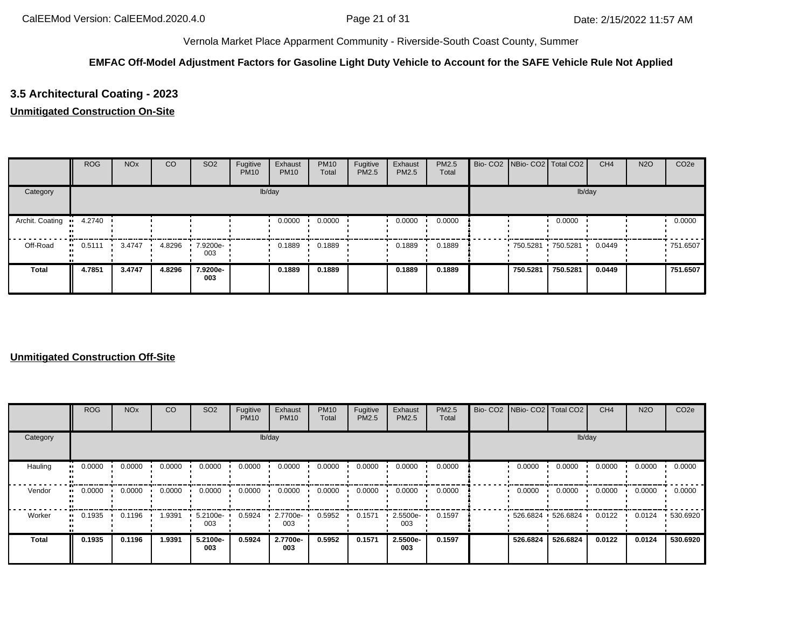### **EMFAC Off-Model Adjustment Factors for Gasoline Light Duty Vehicle to Account for the SAFE Vehicle Rule Not Applied**

## **3.5 Architectural Coating - 2023**

### **Unmitigated Construction On-Site**

|                 | <b>ROG</b> | <b>NO<sub>x</sub></b> | CO     | SO <sub>2</sub> | Fugitive<br><b>PM10</b> | Exhaust<br><b>PM10</b> | <b>PM10</b><br>Total | Fugitive<br>PM2.5 | Exhaust<br>PM2.5 | <b>PM2.5</b><br>Total | Bio- CO2 NBio- CO2 Total CO2 |          | CH <sub>4</sub> | <b>N2O</b> | CO <sub>2e</sub> |
|-----------------|------------|-----------------------|--------|-----------------|-------------------------|------------------------|----------------------|-------------------|------------------|-----------------------|------------------------------|----------|-----------------|------------|------------------|
| Category        |            |                       |        |                 |                         | lb/day                 |                      |                   |                  |                       |                              | lb/day   |                 |            |                  |
| Archit. Coating | 4.2740     |                       |        |                 |                         | 0.0000                 | 0.0000               |                   | 0.0000           | 0.0000                |                              | 0.0000   |                 |            | 0.0000           |
| Off-Road        | 0.5111     | 3.4747                | 4.8296 | 7.9200e-<br>003 |                         | 0.1889                 | 0.1889               |                   | 0.1889           | 0.1889                | 750.5281 750.5281            |          | 0.0449          |            | ■ 751.6507       |
| <b>Total</b>    | 4.7851     | 3.4747                | 4.8296 | 7.9200e-<br>003 |                         | 0.1889                 | 0.1889               |                   | 0.1889           | 0.1889                | 750.5281                     | 750.5281 | 0.0449          |            | 751.6507         |

|              | ROG    | <b>NO<sub>x</sub></b> | <sub>CO</sub> | SO <sub>2</sub> | Fugitive<br><b>PM10</b> | Exhaust<br><b>PM10</b> | <b>PM10</b><br>Total | Fugitive<br>PM2.5 | Exhaust<br>PM2.5 | <b>PM2.5</b><br>Total |             | Bio- CO2   NBio- CO2   Total CO2 | CH <sub>4</sub> | <b>N2O</b> | CO <sub>2e</sub> |
|--------------|--------|-----------------------|---------------|-----------------|-------------------------|------------------------|----------------------|-------------------|------------------|-----------------------|-------------|----------------------------------|-----------------|------------|------------------|
| Category     |        |                       |               |                 |                         | lb/day                 |                      |                   |                  |                       |             | lb/day                           |                 |            |                  |
| Hauling      | 0.0000 | 0.0000                | 0.0000        | 0.0000          | 0.0000                  | 0.0000                 | 0.0000               | 0.0000            | 0.0000           | 0.0000                | 0.0000      | 0.0000                           | 0.0000          | 0.0000     | 0.0000           |
| Vendor       | 0.0000 | 0.0000                | 0.0000        | 0.0000          | 0.0000                  | 0.0000                 | 0.0000               | 0.0000            | 0.0000           | 0.0000                | 0.0000      | 0.0000                           | 0.0000          | 0.0000     | 0.0000           |
| Worker       | 0.1935 | 0.1196                | 1.9391        | 5.2100e-<br>003 | 0.5924                  | 2.7700e-<br>003        | 0.5952               | 0.1571            | 2.5500e-<br>003  | 0.1597                | $-526.6824$ | 526.6824                         | 0.0122          | 0.0124     | .530.6920        |
| <b>Total</b> | 0.1935 | 0.1196                | 1.9391        | 5.2100e-<br>003 | 0.5924                  | 2.7700e-<br>003        | 0.5952               | 0.1571            | 2.5500e-<br>003  | 0.1597                | 526.6824    | 526.6824                         | 0.0122          | 0.0124     | 530.6920         |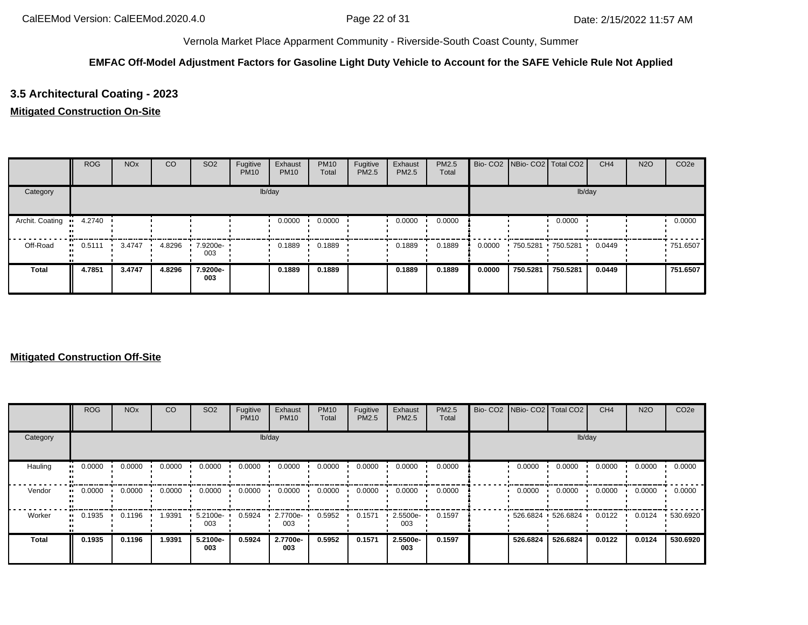### **EMFAC Off-Model Adjustment Factors for Gasoline Light Duty Vehicle to Account for the SAFE Vehicle Rule Not Applied**

## **3.5 Architectural Coating - 2023**

#### **Mitigated Construction On-Site**

|                 | <b>ROG</b> | <b>NO<sub>x</sub></b> | CO     | SO <sub>2</sub>    | Fugitive<br><b>PM10</b> | Exhaust<br><b>PM10</b> | <b>PM10</b><br>Total | Fugitive<br>PM2.5 | Exhaust<br><b>PM2.5</b> | <b>PM2.5</b><br>Total |        | Bio- CO2   NBio- CO2   Total CO2 |                     | CH <sub>4</sub> | <b>N2O</b> | CO <sub>2e</sub> |
|-----------------|------------|-----------------------|--------|--------------------|-------------------------|------------------------|----------------------|-------------------|-------------------------|-----------------------|--------|----------------------------------|---------------------|-----------------|------------|------------------|
| Category        |            |                       |        |                    |                         | lb/day                 |                      |                   |                         |                       |        |                                  | lb/day              |                 |            |                  |
| Archit. Coating | 4.2740     |                       |        |                    |                         | 0.0000                 | 0.0000               |                   | 0.0000                  | 0.0000                |        |                                  | 0.0000              |                 |            | 0.0000           |
| Off-Road        | 0.5111     | 3.4747                | 4.8296 | $.79200e -$<br>003 |                         | 0.1889                 | 0.1889               |                   | 0.1889                  | 0.1889                | 0.0000 |                                  | 750.5281 750.5281 ' | 0.0449          |            | ■ 751.6507       |
| <b>Total</b>    | 4.7851     | 3.4747                | 4.8296 | 7.9200e-<br>003    |                         | 0.1889                 | 0.1889               |                   | 0.1889                  | 0.1889                | 0.0000 | 750.5281                         | 750.5281            | 0.0449          |            | 751.6507         |

|              | ROG    | <b>NO<sub>x</sub></b> | <sub>CO</sub> | SO <sub>2</sub> | Fugitive<br><b>PM10</b> | Exhaust<br><b>PM10</b> | <b>PM10</b><br>Total | Fugitive<br>PM2.5 | Exhaust<br>PM2.5 | <b>PM2.5</b><br>Total | Bio- CO2   NBio- CO2   Total CO2 |          | CH <sub>4</sub> | <b>N2O</b> | CO <sub>2e</sub> |
|--------------|--------|-----------------------|---------------|-----------------|-------------------------|------------------------|----------------------|-------------------|------------------|-----------------------|----------------------------------|----------|-----------------|------------|------------------|
| Category     |        |                       |               |                 |                         | lb/day                 |                      |                   |                  |                       |                                  | lb/day   |                 |            |                  |
| Hauling      | 0.0000 | 0.0000                | 0.0000        | 0.0000          | 0.0000                  | 0.0000                 | 0.0000               | 0.0000            | 0.0000           | 0.0000                | 0.0000                           | 0.0000   | 0.0000          | 0.0000     | 0.0000           |
| Vendor       | 0.0000 | 0.0000                | 0.0000        | 0.0000          | 0.0000                  | 0.0000                 | 0.0000               | 0.0000            | 0.0000           | 0.0000                | 0.0000                           | 0.0000   | 0.0000          | 0.0000     | 0.0000           |
| Worker       | 0.1935 | 0.1196                | 1.9391        | 5.2100e-<br>003 | 0.5924                  | 2.7700e-<br>003        | 0.5952               | 0.1571            | 2.5500e-<br>003  | 0.1597                | $-526.6824$                      | 526.6824 | 0.0122          | 0.0124     | .530.6920        |
| <b>Total</b> | 0.1935 | 0.1196                | 1.9391        | 5.2100e-<br>003 | 0.5924                  | 2.7700e-<br>003        | 0.5952               | 0.1571            | 2.5500e-<br>003  | 0.1597                | 526.6824                         | 526.6824 | 0.0122          | 0.0124     | 530.6920         |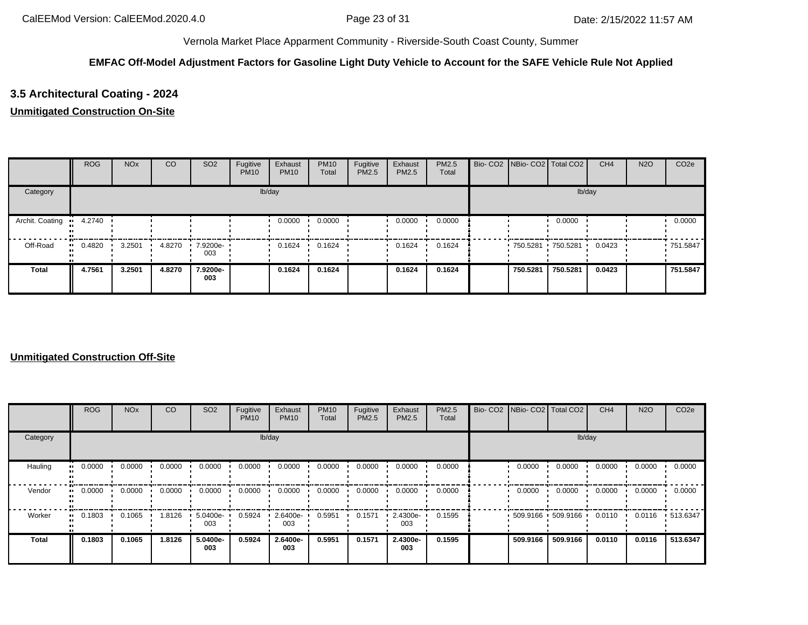### **EMFAC Off-Model Adjustment Factors for Gasoline Light Duty Vehicle to Account for the SAFE Vehicle Rule Not Applied**

## **3.5 Architectural Coating - 2024**

### **Unmitigated Construction On-Site**

|                 | <b>ROG</b>    | <b>NO<sub>x</sub></b> | CO     | SO <sub>2</sub> | Fugitive<br><b>PM10</b> | Exhaust<br><b>PM10</b> | <b>PM10</b><br>Total | Fugitive<br><b>PM2.5</b> | Exhaust<br><b>PM2.5</b> | <b>PM2.5</b><br>Total | Bio- CO2   NBio- CO2   Total CO2 |                   | CH <sub>4</sub> | <b>N2O</b> | CO <sub>2e</sub> |
|-----------------|---------------|-----------------------|--------|-----------------|-------------------------|------------------------|----------------------|--------------------------|-------------------------|-----------------------|----------------------------------|-------------------|-----------------|------------|------------------|
| Category        |               |                       |        |                 |                         | lb/day                 |                      |                          |                         |                       |                                  | lb/day            |                 |            |                  |
| Archit. Coating | 4.2740<br>. . |                       |        |                 |                         | 0.0000                 | 0.0000               |                          | 0.0000                  | 0.0000                |                                  | 0.0000            |                 |            | 0.0000           |
| Off-Road        | $-0.4820$     | 3.2501                | 4.8270 | 7.9200e-<br>003 |                         | 0.1624                 | 0.1624               |                          | 0.1624                  | 0.1624                |                                  | 750.5281 750.5281 | 0.0423          |            | .751.5847        |
| Total           | 4.7561        | 3.2501                | 4.8270 | 7.9200e-<br>003 |                         | 0.1624                 | 0.1624               |                          | 0.1624                  | 0.1624                | 750.5281                         | 750.5281          | 0.0423          |            | 751.5847         |

|              | ROG    | <b>NO<sub>x</sub></b> | <sub>CO</sub> | SO <sub>2</sub> | Fugitive<br><b>PM10</b> | Exhaust<br><b>PM10</b> | <b>PM10</b><br>Total | Fugitive<br>PM2.5 | Exhaust<br>PM2.5 | <b>PM2.5</b><br>Total | Bio- CO2   NBio- CO2   Total CO2 |                   | CH <sub>4</sub> | <b>N2O</b> | CO <sub>2e</sub> |
|--------------|--------|-----------------------|---------------|-----------------|-------------------------|------------------------|----------------------|-------------------|------------------|-----------------------|----------------------------------|-------------------|-----------------|------------|------------------|
| Category     |        |                       |               |                 |                         | lb/day                 |                      |                   |                  |                       |                                  | lb/day            |                 |            |                  |
| Hauling      | 0.0000 | 0.0000                | 0.0000        | 0.0000          | 0.0000                  | 0.0000                 | 0.0000               | 0.0000            | 0.0000           | 0.0000                | 0.0000                           | 0.0000            | 0.0000          | 0.0000     | 0.0000           |
| Vendor       | 0.0000 | 0.0000                | 0.0000        | 0.0000          | 0.0000                  | 0.0000                 | 0.0000               | 0.0000            | 0.0000           | 0.0000                | 0.0000                           | 0.0000            | 0.0000          | 0.0000     | 0.0000           |
| Worker       | 0.1803 | 0.1065                | 1.8126        | 5.0400e-<br>003 | 0.5924                  | 2.6400e-<br>003        | 0.5951               | 0.1571            | 2.4300e-<br>003  | 0.1595                |                                  | 509.9166 509.9166 | 0.0110          | 0.0116     | $\cdot$ 513.6347 |
| <b>Total</b> | 0.1803 | 0.1065                | 1.8126        | 5.0400e-<br>003 | 0.5924                  | 2.6400e-<br>003        | 0.5951               | 0.1571            | 2.4300e-<br>003  | 0.1595                | 509.9166                         | 509.9166          | 0.0110          | 0.0116     | 513.6347         |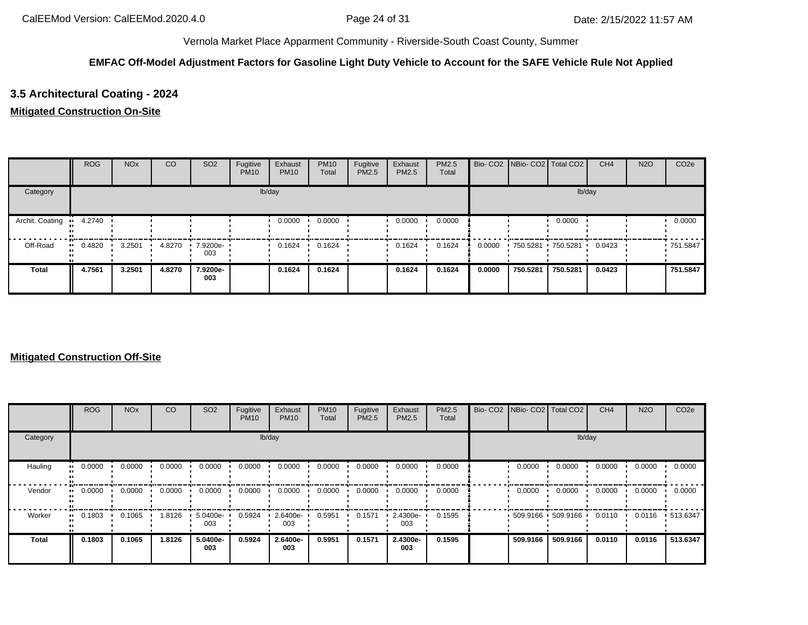## **EMFAC Off-Model Adjustment Factors for Gasoline Light Duty Vehicle to Account for the SAFE Vehicle Rule Not Applied**

# **3.5 Architectural Coating - 2024**

### **Mitigated Construction On-Site**

|                 | <b>ROG</b>    | <b>NO<sub>x</sub></b> | CO     | SO <sub>2</sub> | Fugitive<br><b>PM10</b> | Exhaust<br><b>PM10</b> | <b>PM10</b><br>Total | Fugitive<br><b>PM2.5</b> | Exhaust<br><b>PM2.5</b> | <b>PM2.5</b><br>Total |        | Bio- CO2   NBio- CO2   Total CO2 |                   | CH <sub>4</sub> | <b>N2O</b> | CO <sub>2e</sub> |
|-----------------|---------------|-----------------------|--------|-----------------|-------------------------|------------------------|----------------------|--------------------------|-------------------------|-----------------------|--------|----------------------------------|-------------------|-----------------|------------|------------------|
| Category        |               |                       |        |                 |                         | lb/day                 |                      |                          |                         |                       |        |                                  | lb/day            |                 |            |                  |
| Archit. Coating | 4.2740<br>. . |                       |        |                 |                         | 0.0000                 | 0.0000               |                          | 0.0000                  | 0.0000                |        |                                  | 0.0000            |                 |            | 0.0000           |
| Off-Road        | $-0.4820$     | 3.2501                | 4.8270 | 7.9200e-<br>003 |                         | 0.1624                 | 0.1624               |                          | 0.1624                  | 0.1624                | 0.0000 |                                  | 750.5281 750.5281 | 0.0423          |            | .751.5847        |
| <b>Total</b>    | 4.7561        | 3.2501                | 4.8270 | 7.9200e-<br>003 |                         | 0.1624                 | 0.1624               |                          | 0.1624                  | 0.1624                | 0.0000 | 750.5281                         | 750.5281          | 0.0423          |            | 751.5847         |

|          | <b>ROG</b>            | <b>NO<sub>x</sub></b> | CO     | SO <sub>2</sub> | Fugitive<br><b>PM10</b> | Exhaust<br><b>PM10</b> | <b>PM10</b><br>Total | Fugitive<br><b>PM2.5</b> | Exhaust<br><b>PM2.5</b> | PM2.5<br>Total | Bio- CO2   NBio- CO2   Total CO2 |          | CH <sub>4</sub> | <b>N2O</b> | CO <sub>2e</sub> |
|----------|-----------------------|-----------------------|--------|-----------------|-------------------------|------------------------|----------------------|--------------------------|-------------------------|----------------|----------------------------------|----------|-----------------|------------|------------------|
| Category |                       |                       |        |                 |                         | lb/day                 |                      |                          |                         |                |                                  | lb/day   |                 |            |                  |
| Hauling  | 0.0000<br>ш.          | 0.0000                | 0.0000 | 0.0000          | 0.0000                  | 0.0000                 | 0.0000               | 0.0000                   | 0.0000                  | 0.0000         | 0.0000                           | 0.0000   | 0.0000          | 0.0000     | 0.0000           |
| Vendor   | $\blacksquare$ 0.0000 | 0.0000                | 0.0000 | 0.0000          | 0.0000                  | 0.0000                 | 0.0000               | 0.0000                   | 0.0000                  | 0.0000         | 0.0000                           | 0.0000   | 0.0000          | 0.0000     | 0.0000           |
| Worker   | 0.1803<br>            | 0.1065                | 1.8126 | 5.0400e-<br>003 | 0.5924                  | 2.6400e-<br>003        | 0.5951               | 0.1571                   | 2.4300e-<br>003         | 0.1595         | $-509.9166 - 509.9166$           |          | 0.0110          | 0.0116     | $\cdot$ 513.6347 |
| Total    | 0.1803                | 0.1065                | 1.8126 | 5.0400e-<br>003 | 0.5924                  | 2.6400e-<br>003        | 0.5951               | 0.1571                   | 2.4300e-<br>003         | 0.1595         | 509.9166                         | 509.9166 | 0.0110          | 0.0116     | 513.6347         |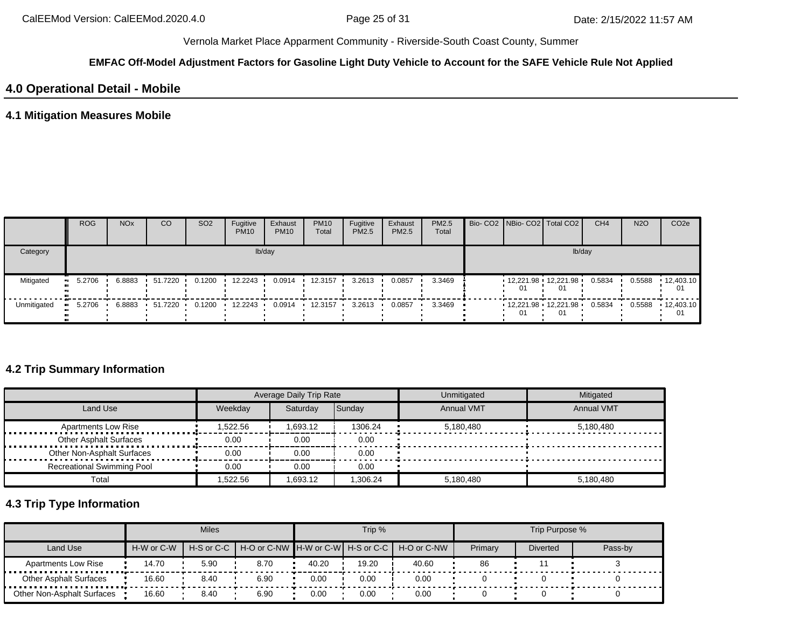#### **EMFAC Off-Model Adjustment Factors for Gasoline Light Duty Vehicle to Account for the SAFE Vehicle Rule Not Applied**

# **4.0 Operational Detail - Mobile**

## **4.1 Mitigation Measures Mobile**

|             | <b>ROG</b> | <b>NO<sub>x</sub></b> | CO             | SO <sub>2</sub> | Fugitive<br><b>PM10</b> | Exhaust<br><b>PM10</b> | <b>PM10</b><br>Total | Fugitive<br><b>PM2.5</b> | Exhaust<br>PM2.5 | <b>PM2.5</b><br>Total |    | Bio- CO2 NBio- CO2 Total CO2           | CH <sub>4</sub> | <b>N2O</b> | CO <sub>2e</sub> |
|-------------|------------|-----------------------|----------------|-----------------|-------------------------|------------------------|----------------------|--------------------------|------------------|-----------------------|----|----------------------------------------|-----------------|------------|------------------|
| Category    |            |                       |                |                 |                         | lb/day                 |                      |                          |                  |                       |    | lb/day                                 |                 |            |                  |
| Mitigated   | 5.2706     | 6.8883                | 51.7220        | 0.1200          | 12.2243                 | 0.0914                 | 12.3157              | 3.2613                   | 0.0857           | 3.3469                | 01 | $12,221.98$ $12,221.98$ $\cdot$<br>-01 | 0.5834          | 0.5588     | 12,403.10<br>01  |
| Unmitigated | 5.2706     |                       | 6.8883 51.7220 | 0.1200          | 12.2243                 | 0.0914                 | $+ 12.3157$          | 3.2613                   | 0.0857           | 3.3469                | 01 | $12,221.98$ $12,221.98$<br>01          | 0.5834          | 0.5588     | 12,403.10<br>01  |

# **4.2 Trip Summary Information**

|                                   |          | <b>Average Daily Trip Rate</b> |          | Unmitigated       | Mitigated         |
|-----------------------------------|----------|--------------------------------|----------|-------------------|-------------------|
| Land Use                          | Weekday  | Saturday                       | Sunday   | <b>Annual VMT</b> | <b>Annual VMT</b> |
| <b>Apartments Low Rise</b>        | 1,522.56 | 1.693.12                       | 1306.24  | 5,180,480         | 5.180.480         |
| <b>Other Asphalt Surfaces</b>     | 0.00     | 0.00                           | 0.00     |                   |                   |
| Other Non-Asphalt Surfaces        | 0.00     | 0.00                           | 0.00     |                   |                   |
| <b>Recreational Swimming Pool</b> | 0.00     | 0.00                           | 0.00     |                   |                   |
| Total                             | 522.56.  | 1.693.12                       | 1.306.24 | 5.180.480         | 5,180,480         |

# **4.3 Trip Type Information**

|                               |            | <b>Miles</b>   |      |       | Trip % |                                               |         | Trip Purpose %  |         |
|-------------------------------|------------|----------------|------|-------|--------|-----------------------------------------------|---------|-----------------|---------|
| Land Use                      | H-W or C-W | $H-S$ or $C-C$ |      |       |        | H-O or C-NW H-W or C-W H-S or C-C H-O or C-NW | Primary | <b>Diverted</b> | Pass-by |
| <b>Apartments Low Rise</b>    | 14.70      | 5.90           | 8.70 | 40.20 | 19.20  | 40.60                                         | 86      |                 |         |
| <b>Other Asphalt Surfaces</b> | 16.60      | 8.40           | 6.90 | 0.00  | 0.00   | 0.00                                          |         |                 |         |
| Other Non-Asphalt Surfaces    | 16.60      | 8.40           | 6.90 | 0.00  | 0.00   | 0.00                                          |         |                 |         |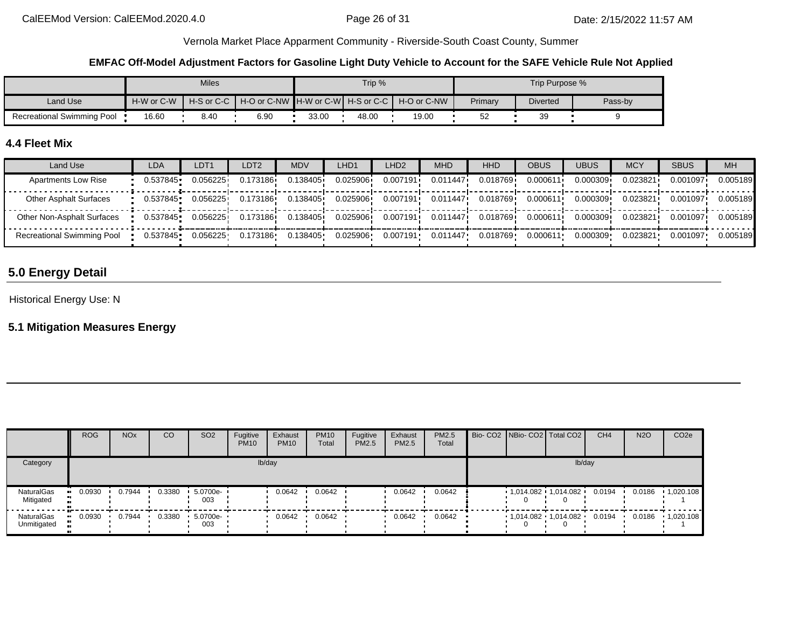#### **EMFAC Off-Model Adjustment Factors for Gasoline Light Duty Vehicle to Account for the SAFE Vehicle Rule Not Applied**

|                                   |            | <b>Miles</b> |      |       | Trip % |                                                                |         | Trip Purpose %  |         |
|-----------------------------------|------------|--------------|------|-------|--------|----------------------------------------------------------------|---------|-----------------|---------|
| Land Use                          | H-W or C-W |              |      |       |        | H-S or C-C I H-O or C-NW IH-W or C-WI H-S or C-C I H-O or C-NW | Primary | <b>Diverted</b> | Pass-by |
| <b>Recreational Swimming Pool</b> | 16.60      | 8.40         | 6.90 | 33.00 | 48.00  | 19.00                                                          | 52      | ЗΞ              |         |

## **4.4 Fleet Mix**

| Land Use                          | LDA      | LDT <sub>1</sub> | LDT2     | MDV      | LHD1     | LHD <sub>2</sub> | <b>MHD</b>            | <b>HHD</b> | OBUS     | <b>UBUS</b> | <b>MCY</b> | <b>SBUS</b> | <b>MH</b> |
|-----------------------------------|----------|------------------|----------|----------|----------|------------------|-----------------------|------------|----------|-------------|------------|-------------|-----------|
| <b>Apartments Low Rise</b>        | 0.537845 | 0.056225         | 0.173186 | 0.138405 | 0.025906 | 0.007191         | 0.011447              | 0.018769   | 0.000611 | 0.000309    | 0.023821   | 0.001097    | 0.005189  |
| <b>Other Asphalt Surfaces</b>     | 0.537845 | 0.056225         | 0.173186 | 0.138405 | 0.025906 | 0.007191         | 0.011447              | 0.018769   | 0.000611 | 0.000309    | 0.023821   | 0.001097    | 0.005189  |
| Other Non-Asphalt Surfaces        | 0.537845 | 0.056225         | 0.173186 | 0.138405 | 0.025906 |                  | $0.007191$ $0.011447$ | 0.018769 i | 0.000611 | 0.000309    | 0.023821   | 0.001097    | 0.005189  |
| <b>Recreational Swimming Pool</b> | 0.537845 | 0.056225         | 0.173186 | 0.138405 | 0.025906 | 0.007191         | 0.011447              | 0.018769   | 0.000611 | 0.000309    | 0.023821   | 0.001097    | 0.005189  |

# **5.0 Energy Detail**

Historical Energy Use: N

# **5.1 Mitigation Measures Energy**

|                           | ROG    | <b>NO<sub>x</sub></b> | CO     | SO <sub>2</sub> | Fugitive<br><b>PM10</b> | Exhaust<br><b>PM10</b> | <b>PM10</b><br>Total | Fugitive<br>PM2.5 | Exhaust<br>PM2.5 | PM2.5<br>Total |  | Bio- CO2   NBio- CO2   Total CO2 | CH <sub>4</sub> | <b>N2O</b> | CO <sub>2</sub> e |
|---------------------------|--------|-----------------------|--------|-----------------|-------------------------|------------------------|----------------------|-------------------|------------------|----------------|--|----------------------------------|-----------------|------------|-------------------|
| Category                  |        |                       |        |                 |                         | lb/day                 |                      |                   |                  |                |  | lb/day                           |                 |            |                   |
| NaturalGas<br>Mitigated   | 0.0930 | 0.7944                | 0.3380 | 5.0700e-<br>003 |                         | 0.0642                 | 0.0642               |                   | 0.0642           | 0.0642         |  | 1,014.082 · 1,014.082 ·          | 0.0194          | 0.0186     | 1,020.108         |
| NaturalGas<br>Unmitigated | 0.0930 | 0.7944                | 0.3380 | 5.0700e-<br>003 |                         | 0.0642                 | 0.0642               |                   | 0.0642           | 0.0642         |  | $1,014.082$ $1,014.082$ $1$      | 0.0194          | 0.0186     | 1,020.108         |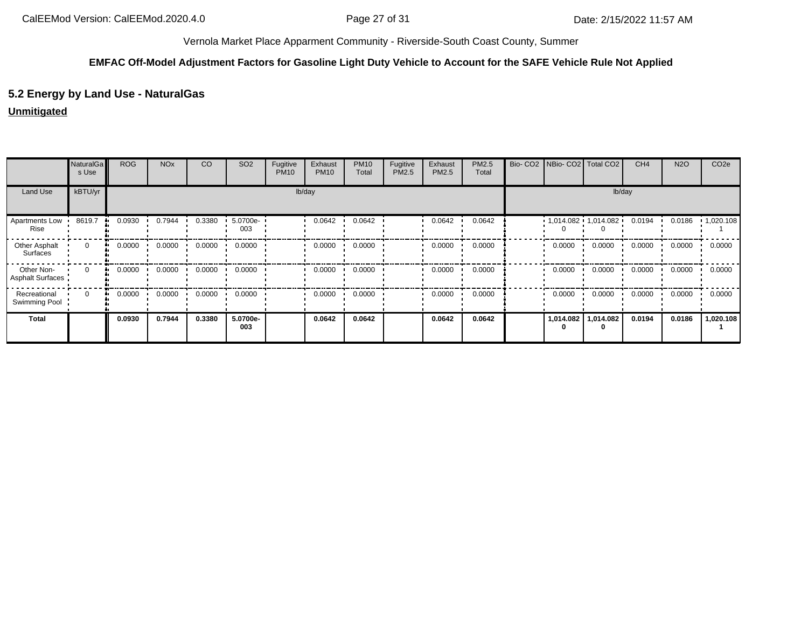#### **EMFAC Off-Model Adjustment Factors for Gasoline Light Duty Vehicle to Account for the SAFE Vehicle Rule Not Applied**

# **5.2 Energy by Land Use - NaturalGas**

### **Unmitigated**

|                                       | <b>NaturalGa</b><br>s Use | <b>ROG</b>   | <b>NO<sub>x</sub></b> | CO     | SO <sub>2</sub> | Fugitive<br><b>PM10</b> | Exhaust<br><b>PM10</b> | <b>PM10</b><br>Total | Fugitive<br>PM2.5 | Exhaust<br>PM2.5 | PM2.5<br>Total | Bio- CO2 NBio- CO2 Total CO2 |                             | CH <sub>4</sub> | <b>N2O</b> | CO <sub>2e</sub> |
|---------------------------------------|---------------------------|--------------|-----------------------|--------|-----------------|-------------------------|------------------------|----------------------|-------------------|------------------|----------------|------------------------------|-----------------------------|-----------------|------------|------------------|
| Land Use                              | kBTU/yr                   |              |                       |        |                 | lb/day                  |                        |                      |                   |                  |                |                              | lb/day                      |                 |            |                  |
| Apartments Low<br>Rise                | 8619.7                    | 0.0930       | 0.7944                | 0.3380 | 5.0700e-<br>003 |                         | 0.0642                 | 0.0642               |                   | 0.0642           | 0.0642         |                              | $1,014.082$ $1,014.082$ $1$ | 0.0194          | 0.0186     | 1,020.108        |
| Other Asphalt<br>Surfaces             | $\mathbf 0$               | 0.0000       | 0.0000                | 0.0000 | 0.0000          |                         | 0.0000                 | 0.0000               |                   | 0.0000           | 0.0000         | 0.0000                       | 0.0000                      | 0.0000          | 0.0000     | 0.0000           |
| Other Non-<br><b>Asphalt Surfaces</b> | $\Omega$                  | 0.0000<br>ш. | 0.0000                | 0.0000 | 0.0000          |                         | 0.0000                 | 0.0000               |                   | 0.0000           | 0.0000         | 0.0000                       | 0.0000                      | 0.0000          | 0.0000     | 0.0000           |
| Recreational<br>Swimming Pool         | $\Omega$                  | 0.0000       | 0.0000                | 0.0000 | 0.0000          |                         | 0.0000                 | 0.0000               |                   | 0.0000           | 0.0000         | 0.0000                       | 0.0000                      | 0.0000          | 0.0000     | 0.0000           |
| <b>Total</b>                          |                           | 0.0930       | 0.7944                | 0.3380 | 5.0700e-<br>003 |                         | 0.0642                 | 0.0642               |                   | 0.0642           | 0.0642         | 1,014.082<br>0               | 1,014.082<br>0              | 0.0194          | 0.0186     | 1,020.108        |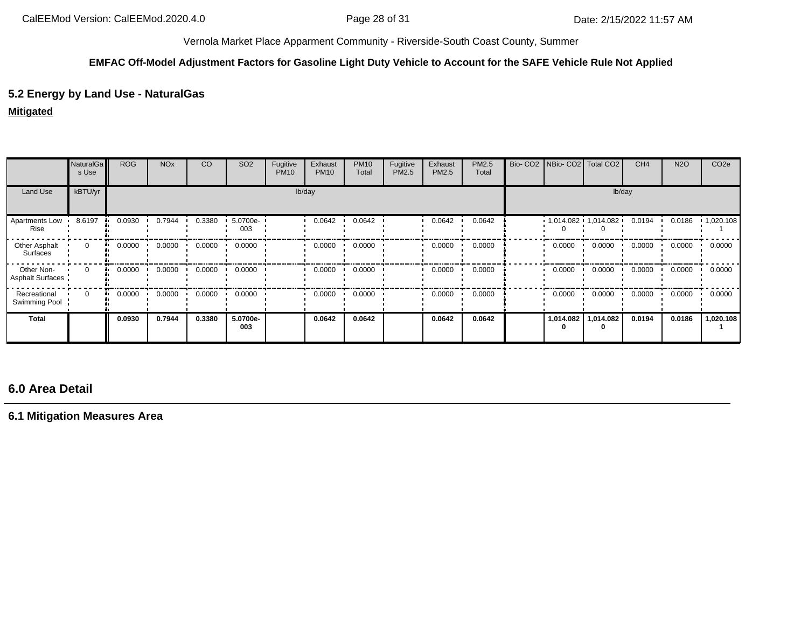### **EMFAC Off-Model Adjustment Factors for Gasoline Light Duty Vehicle to Account for the SAFE Vehicle Rule Not Applied**

# **5.2 Energy by Land Use - NaturalGas**

## **Mitigated**

|                                | <b>NaturalGa</b><br>s Use | <b>ROG</b>   | <b>NO<sub>x</sub></b> | CO     | SO <sub>2</sub> | Fugitive<br><b>PM10</b> | Exhaust<br><b>PM10</b> | <b>PM10</b><br>Total | Fugitive<br>PM2.5 | Exhaust<br>PM2.5 | PM2.5<br>Total | Bio-CO <sub>2</sub> |           | NBio- CO2   Total CO2     | CH <sub>4</sub> | <b>N2O</b> | CO <sub>2e</sub> |
|--------------------------------|---------------------------|--------------|-----------------------|--------|-----------------|-------------------------|------------------------|----------------------|-------------------|------------------|----------------|---------------------|-----------|---------------------------|-----------------|------------|------------------|
| Land Use                       | kBTU/yr                   |              |                       |        |                 |                         | lb/day                 |                      |                   |                  |                |                     |           | lb/day                    |                 |            |                  |
| Apartments Low<br>Rise         | 8.6197                    | 0.0930       | 0.7944                | 0.3380 | 5.0700e-<br>003 |                         | 0.0642                 | 0.0642               |                   | 0.0642           | 0.0642         |                     |           | $1,014.082 + 1,014.082 +$ | 0.0194          | 0.0186     | 1,020.108        |
| Other Asphalt<br>Surfaces      | $\mathbf{0}$              | 0.0000<br>ш. | 0.0000                | 0.0000 | 0.0000          |                         | 0.0000                 | 0.0000               |                   | 0.0000           | 0.0000         |                     | 0.0000    | 0.0000                    | 0.0000          | 0.0000     | 0.0000           |
| Other Non-<br>Asphalt Surfaces | $\Omega$                  | 0.0000<br>ш. | 0.0000                | 0.0000 | 0.0000          |                         | 0.0000                 | 0.0000               |                   | 0.0000           | 0.0000         |                     | 0.0000    | 0.0000                    | 0.0000          | 0.0000     | 0.0000           |
| Recreational<br>Swimming Pool  | $\Omega$                  | 0.0000<br>ш. | 0.0000                | 0.0000 | 0.0000          |                         | 0.0000                 | 0.0000               |                   | 0.0000           | 0.0000         |                     | 0.0000    | 0.0000                    | 0.0000          | 0.0000     | 0.0000           |
| <b>Total</b>                   |                           | 0.0930       | 0.7944                | 0.3380 | 5.0700e-<br>003 |                         | 0.0642                 | 0.0642               |                   | 0.0642           | 0.0642         |                     | 1,014.082 | 1,014.082                 | 0.0194          | 0.0186     | 1,020.108        |

# **6.0 Area Detail**

**6.1 Mitigation Measures Area**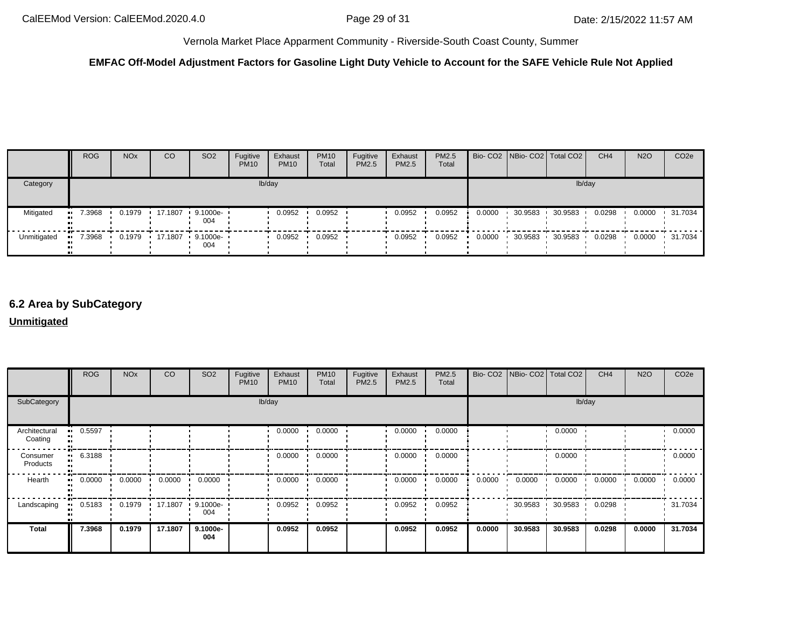### **EMFAC Off-Model Adjustment Factors for Gasoline Light Duty Vehicle to Account for the SAFE Vehicle Rule Not Applied**

|             | <b>ROG</b> | <b>NO<sub>x</sub></b> | <sub>CO</sub> | SO <sub>2</sub>                 | Fugitive<br><b>PM10</b> | Exhaust<br><b>PM10</b> | <b>PM10</b><br>Total | Fugitive<br>PM2.5 | Exhaust<br><b>PM2.5</b> | PM2.5<br>Total |        |         | Bio- CO2 NBio- CO2 Total CO2 | CH <sub>4</sub> | <b>N2O</b> | CO <sub>2e</sub> |
|-------------|------------|-----------------------|---------------|---------------------------------|-------------------------|------------------------|----------------------|-------------------|-------------------------|----------------|--------|---------|------------------------------|-----------------|------------|------------------|
| Category    |            |                       |               |                                 |                         | lb/day                 |                      |                   |                         |                |        |         | lb/day                       |                 |            |                  |
| Mitigated   | $-7.3968$  | 0.1979                |               | ■ 17.1807 ■ 9.1000e- ■<br>004   |                         | 0.0952                 | 0.0952               |                   | 0.0952                  | 0.0952         | 0.0000 | 30.9583 | 30.9583                      | 0.0298          | 0.0000     | 31.7034          |
| Unmitigated | $-7.3968$  |                       |               | 0.1979 17.1807 9.1000e ·<br>004 |                         | 0.0952                 | 0.0952               |                   | 0.0952                  | 0.0952         | 0.0000 | 30.9583 | 30.9583                      | 0.0298          | 0.0000     | $\cdot$ 31.7034  |

# **6.2 Area by SubCategory**

#### **Unmitigated**

|                                | <b>ROG</b>             | <b>NO<sub>x</sub></b> | CO      | SO <sub>2</sub> | Fugitive<br><b>PM10</b> | Exhaust<br><b>PM10</b> | <b>PM10</b><br>Total | Fugitive<br>PM2.5 | Exhaust<br>PM2.5 | PM2.5<br>Total |        | Bio- CO2 NBio- CO2 Total CO2 |         | CH <sub>4</sub> | <b>N2O</b> | CO <sub>2e</sub> |
|--------------------------------|------------------------|-----------------------|---------|-----------------|-------------------------|------------------------|----------------------|-------------------|------------------|----------------|--------|------------------------------|---------|-----------------|------------|------------------|
| SubCategory                    |                        |                       |         |                 |                         | lb/day                 |                      |                   |                  |                |        |                              | lb/day  |                 |            |                  |
| Architectural<br>п.<br>Coating | 0.5597                 |                       |         |                 |                         | 0.0000                 | 0.0000               |                   | 0.0000           | 0.0000         |        |                              | 0.0000  |                 |            | 0.0000           |
| Consumer<br>Products           | 6.3188<br>$\mathbf{u}$ |                       |         |                 |                         | 0.0000                 | 0.0000               |                   | 0.0000           | 0.0000         |        |                              | 0.0000  |                 |            | 0.0000           |
| Hearth                         | 0.0000<br>$\mathbf{u}$ | 0.0000                | 0.0000  | 0.0000          |                         | 0.0000                 | 0.0000               |                   | 0.0000           | 0.0000         | 0.0000 | 0.0000                       | 0.0000  | 0.0000          | 0.0000     | 0.0000           |
| Landscaping                    | 0.5183                 | 0.1979                | 17.1807 | 9.1000e-<br>004 |                         | 0.0952                 | 0.0952               |                   | 0.0952           | 0.0952         |        | 30.9583                      | 30.9583 | 0.0298          |            | 31.7034          |
| <b>Total</b>                   | 7.3968                 | 0.1979                | 17.1807 | 9.1000e-<br>004 |                         | 0.0952                 | 0.0952               |                   | 0.0952           | 0.0952         | 0.0000 | 30.9583                      | 30.9583 | 0.0298          | 0.0000     | 31.7034          |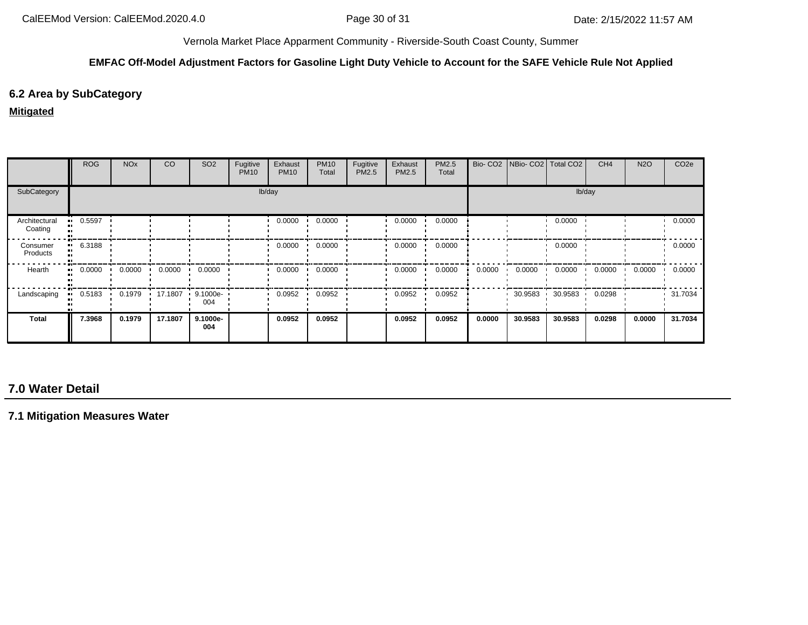#### **EMFAC Off-Model Adjustment Factors for Gasoline Light Duty Vehicle to Account for the SAFE Vehicle Rule Not Applied**

# **6.2 Area by SubCategory**

#### **Mitigated**

|                          | <b>ROG</b> | <b>NO<sub>x</sub></b> | CO      | SO <sub>2</sub>    | Fugitive<br><b>PM10</b> | Exhaust<br><b>PM10</b> | <b>PM10</b><br>Total | Fugitive<br>PM2.5 | Exhaust<br><b>PM2.5</b> | PM2.5<br>Total |        | Bio- CO2   NBio- CO2   Total CO2 |         | CH <sub>4</sub> | <b>N2O</b> | CO <sub>2e</sub> |
|--------------------------|------------|-----------------------|---------|--------------------|-------------------------|------------------------|----------------------|-------------------|-------------------------|----------------|--------|----------------------------------|---------|-----------------|------------|------------------|
| SubCategory              | lb/day     |                       |         |                    |                         |                        |                      |                   |                         |                | lb/day |                                  |         |                 |            |                  |
| Architectural<br>Coating | 0.5597     |                       |         |                    |                         | 0.0000                 | 0.0000               |                   | 0.0000                  | 0.0000         |        |                                  | 0.0000  |                 |            | 0.0000           |
| Consumer<br>Products     | 6.3188     |                       |         |                    |                         | 0.0000                 | 0.0000               |                   | 0.0000                  | 0.0000         |        |                                  | 0.0000  |                 |            | 0.0000           |
| Hearth                   | 0.0000     | 0.0000                | 0.0000  | 0.0000             |                         | 0.0000                 | 0.0000               |                   | 0.0000                  | 0.0000         | 0.0000 | 0.0000                           | 0.0000  | 0.0000          | 0.0000     | 0.0000           |
| Landscaping              | 0.5183     | 0.1979                | 17.1807 | $9.1000e -$<br>004 |                         | 0.0952                 | 0.0952               |                   | 0.0952                  | 0.0952         |        | 30.9583                          | 30.9583 | 0.0298          |            | 31.7034          |
| Total                    | 7.3968     | 0.1979                | 17.1807 | 9.1000e-<br>004    |                         | 0.0952                 | 0.0952               |                   | 0.0952                  | 0.0952         | 0.0000 | 30.9583                          | 30.9583 | 0.0298          | 0.0000     | 31.7034          |

# **7.0 Water Detail**

**7.1 Mitigation Measures Water**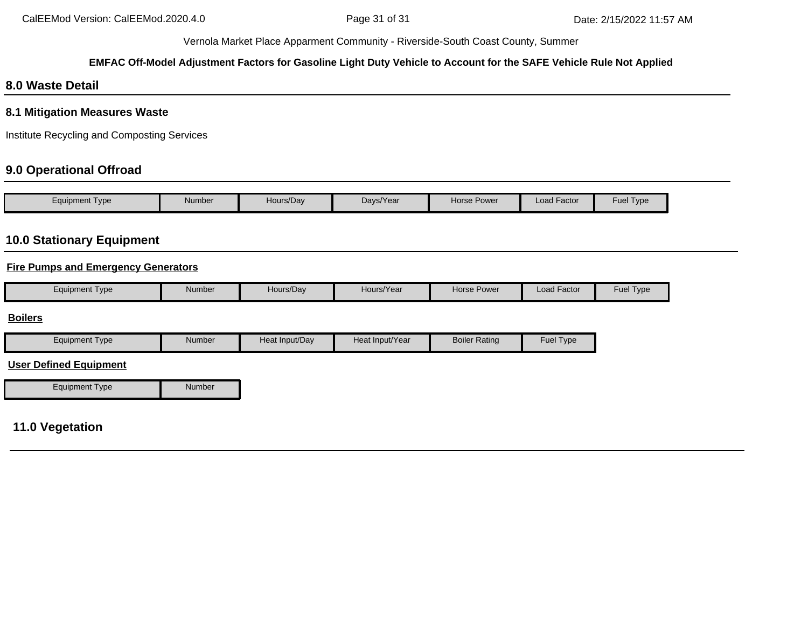## **EMFAC Off-Model Adjustment Factors for Gasoline Light Duty Vehicle to Account for the SAFE Vehicle Rule Not Applied**

# **8.0 Waste Detail**

## **8.1 Mitigation Measures Waste**

Institute Recycling and Composting Services

# **9.0 Operational Offroad**

| Equipment Type | <b>Number</b> | Hours/Day | Days/Year | <b>Horse Power</b> | <b>Load Factor</b> | Fuel Type |
|----------------|---------------|-----------|-----------|--------------------|--------------------|-----------|

# **10.0 Stationary Equipment**

## **Fire Pumps and Emergency Generators**

|  | Equipment Type | Number | Hours/Dav | Hours/Year | Horse Power | $\cdot$ $-$<br>Load Factor | Fuel $\tau$<br>l ype <sup>-</sup> |
|--|----------------|--------|-----------|------------|-------------|----------------------------|-----------------------------------|
|--|----------------|--------|-----------|------------|-------------|----------------------------|-----------------------------------|

#### **Boilers**

| Equipment Type | Number | Heat Input/Dav | Heat Input/Year | <b>Boiler Rating</b> | <b>Fuel Type</b> |
|----------------|--------|----------------|-----------------|----------------------|------------------|

### **User Defined Equipment**

| <b>Equipment Type</b> | Number |
|-----------------------|--------|

# **11.0 Vegetation**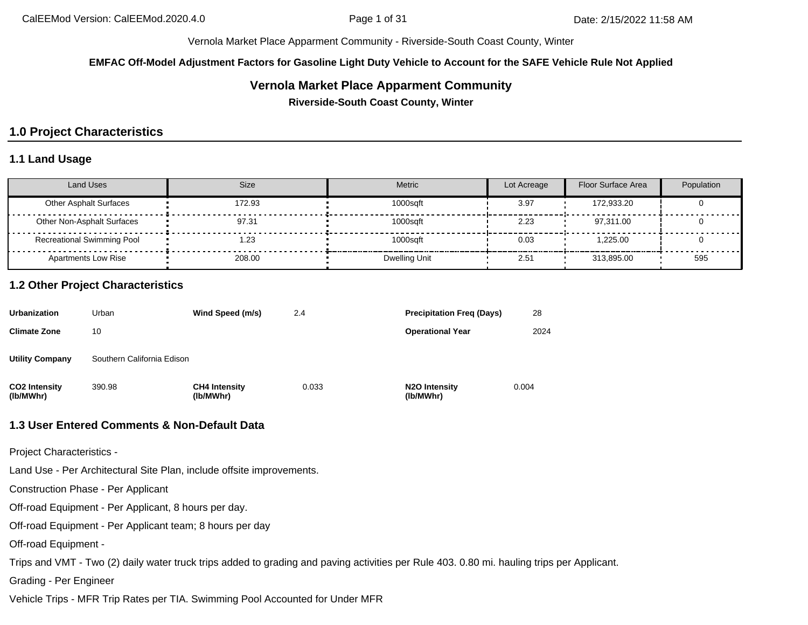**EMFAC Off-Model Adjustment Factors for Gasoline Light Duty Vehicle to Account for the SAFE Vehicle Rule Not Applied**

# **Vernola Market Place Apparment Community**

**Riverside-South Coast County, Winter**

# **1.0 Project Characteristics**

## **1.1 Land Usage**

| <b>Land Uses</b>                  | Size   | <b>Metric</b> | Lot Acreage | Floor Surface Area | Population |
|-----------------------------------|--------|---------------|-------------|--------------------|------------|
| <b>Other Asphalt Surfaces</b>     | 172.93 | 1000sqft      | 3.97        | 172.933.20         |            |
| Other Non-Asphalt Surfaces        | 97.31  | 1000sqft      | 2.23        | 97.311.00          |            |
| <b>Recreational Swimming Pool</b> | 23، ا  | 1000sqft      | 0.03        | 1.225.00           |            |
| <b>Apartments Low Rise</b>        | 208.00 | Dwelling Unit | 2.51        | 313.895.00         | 595        |

## **1.2 Other Project Characteristics**

| <b>Urbanization</b>               | Urban                      | Wind Speed (m/s)                  | 2.4   | <b>Precipitation Freg (Days)</b>        | 28    |
|-----------------------------------|----------------------------|-----------------------------------|-------|-----------------------------------------|-------|
| <b>Climate Zone</b>               | 10                         |                                   |       | <b>Operational Year</b>                 | 2024  |
| <b>Utility Company</b>            | Southern California Edison |                                   |       |                                         |       |
| <b>CO2 Intensity</b><br>(lb/MWhr) | 390.98                     | <b>CH4 Intensity</b><br>(lb/MWhr) | 0.033 | N <sub>2</sub> O Intensity<br>(lb/MWhr) | 0.004 |

### **1.3 User Entered Comments & Non-Default Data**

Project Characteristics -

Land Use - Per Architectural Site Plan, include offsite improvements.

Construction Phase - Per Applicant

Off-road Equipment - Per Applicant, 8 hours per day.

Off-road Equipment - Per Applicant team; 8 hours per day

Off-road Equipment -

Trips and VMT - Two (2) daily water truck trips added to grading and paving activities per Rule 403. 0.80 mi. hauling trips per Applicant.

Grading - Per Engineer

Vehicle Trips - MFR Trip Rates per TIA. Swimming Pool Accounted for Under MFR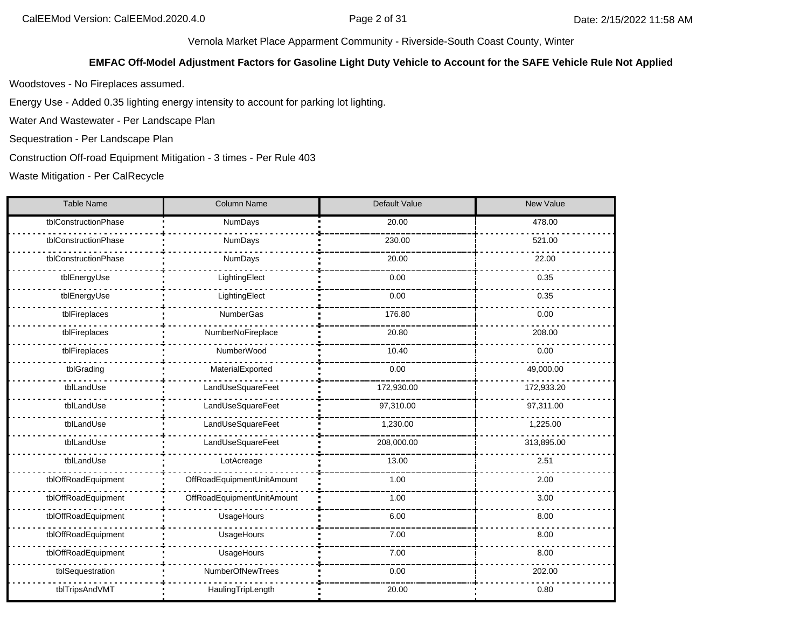### **EMFAC Off-Model Adjustment Factors for Gasoline Light Duty Vehicle to Account for the SAFE Vehicle Rule Not Applied**

Woodstoves - No Fireplaces assumed.

Energy Use - Added 0.35 lighting energy intensity to account for parking lot lighting.

Water And Wastewater - Per Landscape Plan

Sequestration - Per Landscape Plan

Construction Off-road Equipment Mitigation - 3 times - Per Rule 403

Waste Mitigation - Per CalRecycle

| Table Name           | Column Name                | Default Value | New Value  |
|----------------------|----------------------------|---------------|------------|
| tblConstructionPhase | NumDays                    | 20.00         | 478.00     |
| tblConstructionPhase | NumDays                    | 230.00        | 521.00     |
| tblConstructionPhase | NumDays                    | 20.00         | 22.00      |
| tblEnergyUse         | LightingElect              | 0.00          | 0.35       |
| tblEnergyUse         | LightingElect              | 0.00          | 0.35       |
| tblFireplaces        | NumberGas                  | 176.80        | 0.00       |
| tblFireplaces        | NumberNoFireplace          | 20.80         | 208.00     |
| tblFireplaces        | NumberWood                 | 10.40         | 0.00       |
| tblGrading           | MaterialExported           | 0.00          | 49,000.00  |
| tblLandUse           | LandUseSquareFeet          | 172,930.00    | 172,933.20 |
| tblLandUse           | LandUseSquareFeet          | 97,310.00     | 97,311.00  |
| tblLandUse           | LandUseSquareFeet          | 1,230.00      | 1,225.00   |
| tblLandUse           | LandUseSquareFeet          | 208,000.00    | 313,895.00 |
| tblLandUse           | LotAcreage                 | 13.00         | 2.51       |
| tblOffRoadEquipment  | OffRoadEquipmentUnitAmount | 1.00          | 2.00       |
| tblOffRoadEquipment  | OffRoadEquipmentUnitAmount | 1.00          | 3.00       |
| tblOffRoadEquipment  | UsageHours                 | 6.00          | 8.00       |
| tblOffRoadEquipment  | UsageHours                 | 7.00          | 8.00       |
| tblOffRoadEquipment  | UsageHours                 | 7.00          | 8.00       |
| tblSequestration     | NumberOfNewTrees           | 0.00          | 202.00     |
| tblTripsAndVMT       | HaulingTripLength          | 20.00         | 0.80       |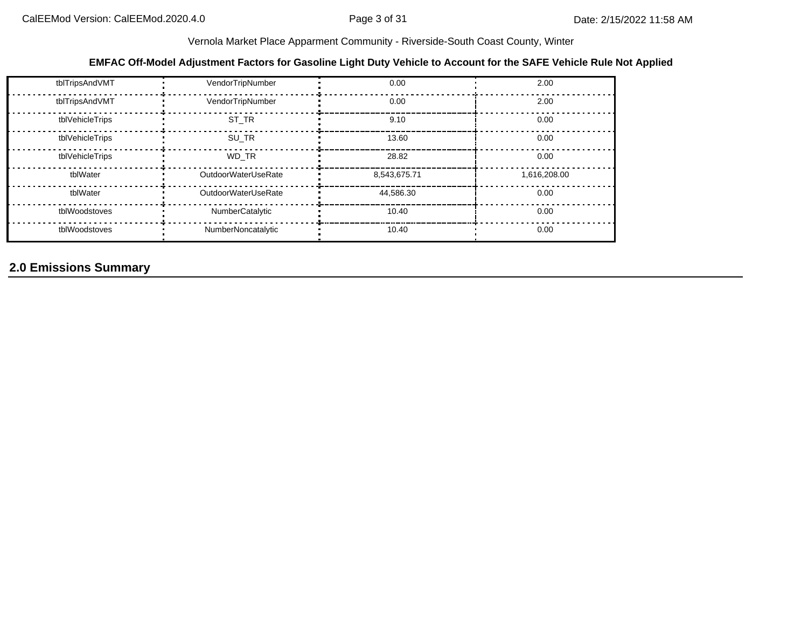## **EMFAC Off-Model Adjustment Factors for Gasoline Light Duty Vehicle to Account for the SAFE Vehicle Rule Not Applied**

| tblTripsAndVMT  | VendorTripNumber    | 0.00         | 2.00         |
|-----------------|---------------------|--------------|--------------|
| tblTripsAndVMT  | VendorTripNumber    | 0.00         | 2.00         |
| tblVehicleTrips | ST TR               | 9.10         | 0.00         |
| tblVehicleTrips | SU TR               | 13.60        | 0.00         |
| tblVehicleTrips | WD TR               | 28.82        | 0.00         |
| tblWater        | OutdoorWaterUseRate | 8,543,675.71 | 1,616,208.00 |
| tblWater        | OutdoorWaterUseRate | 44.586.30    | 0.00         |
| tblWoodstoves   | NumberCatalytic     | 10.40        | 0.00         |
| tblWoodstoves   | NumberNoncatalytic  | 10.40        | 0.00         |

# **2.0 Emissions Summary**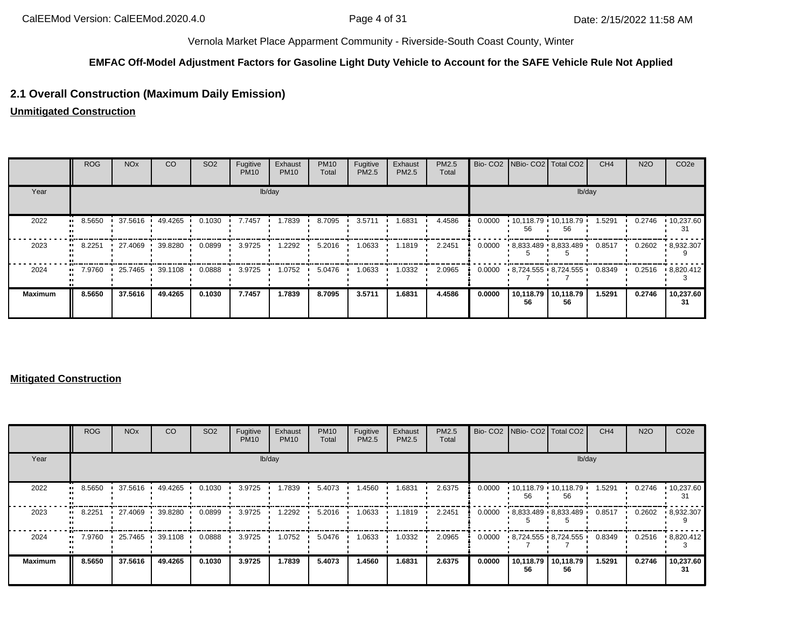#### **EMFAC Off-Model Adjustment Factors for Gasoline Light Duty Vehicle to Account for the SAFE Vehicle Rule Not Applied**

# **2.1 Overall Construction (Maximum Daily Emission)**

**Unmitigated Construction**

|                | <b>ROG</b> | <b>NO<sub>x</sub></b> | CO      | SO <sub>2</sub> | Fugitive<br><b>PM10</b> | Exhaust<br><b>PM10</b> | <b>PM10</b><br>Total | Fugitive<br>PM2.5 | Exhaust<br><b>PM2.5</b> | PM2.5<br>Total |        |                 | Bio- CO2   NBio- CO2   Total CO2 | CH <sub>4</sub> | <b>N2O</b> | CO <sub>2e</sub>        |  |
|----------------|------------|-----------------------|---------|-----------------|-------------------------|------------------------|----------------------|-------------------|-------------------------|----------------|--------|-----------------|----------------------------------|-----------------|------------|-------------------------|--|
| Year           | lb/day     |                       |         |                 |                         |                        |                      |                   |                         |                | lb/day |                 |                                  |                 |            |                         |  |
| 2022           | 8.5650     | 37.5616               | 49.4265 | 0.1030          | 7.7457                  | 1.7839                 | 8.7095               | 3.5711            | 1.6831                  | 4.4586         | 0.0000 | 56              | $10,118.79$ 10,118.79<br>56      | 1.5291          | 0.2746     | $\cdot$ 10,237.60<br>31 |  |
| 2023           | 8.2251     | 27.4069               | 39.8280 | 0.0899          | 3.9725                  | 1.2292                 | 5.2016               | 1.0633            | 1.1819                  | 2.2451         | 0.0000 |                 | 8,833.489 8,833.489              | 0.8517          | 0.2602     | $\cdot$ 8,932.307       |  |
| 2024           | 7.9760     | 25.7465               | 39.1108 | 0.0888          | 3.9725                  | 1.0752                 | 5.0476               | 1.0633            | 1.0332                  | 2.0965         | 0.0000 |                 | $8,724.555 \cdot 8,724.555$      | 0.8349          | 0.2516     | 8,820.412               |  |
| <b>Maximum</b> | 8.5650     | 37.5616               | 49.4265 | 0.1030          | 7.7457                  | 1.7839                 | 8.7095               | 3.5711            | 1.6831                  | 4.4586         | 0.0000 | 10,118.79<br>56 | 10,118.79<br>56                  | 1.5291          | 0.2746     | 10,237.60<br>31         |  |

#### **Mitigated Construction**

|                      | <b>ROG</b> | <b>NO<sub>x</sub></b> | CO        | SO <sub>2</sub> | Fugitive<br><b>PM10</b> | Exhaust<br><b>PM10</b> | <b>PM10</b><br>Total | Fugitive<br><b>PM2.5</b> | Exhaust<br>PM2.5 | <b>PM2.5</b><br>Total |        |                 | Bio- CO2   NBio- CO2   Total CO2 | CH <sub>4</sub> | <b>N2O</b> | CO <sub>2e</sub>        |  |  |
|----------------------|------------|-----------------------|-----------|-----------------|-------------------------|------------------------|----------------------|--------------------------|------------------|-----------------------|--------|-----------------|----------------------------------|-----------------|------------|-------------------------|--|--|
| Year                 | lb/day     |                       |           |                 |                         |                        |                      |                          |                  |                       | lb/day |                 |                                  |                 |            |                         |  |  |
| 2022<br>             | 8.5650     | 37.5616               | 49.4265 · | 0.1030          | 3.9725                  | 1.7839                 | 5.4073               | 1.4560                   | 1.6831           | 2.6375                | 0.0000 | 56              | $10,118.79$ 10,118.79<br>56      | 1.5291          | 0.2746     | $\cdot$ 10,237.60<br>31 |  |  |
| 2023                 | 8.2251     | 27.4069               | 39.8280   | 0.0899          | 3.9725                  | 1.2292                 | 5.2016               | 1.0633                   | 1.1819           | 2.2451                | 0.0000 |                 | 8,833.489 8,833.489              | 0.8517          | 0.2602     | $\cdot$ 8,932.307       |  |  |
| 2024<br>$\mathbf{u}$ | 7.9760     | 25.7465               | 39.1108   | 0.0888          | 3.9725                  | 1.0752                 | 5.0476               | 1.0633                   | 1.0332           | 2.0965                | 0.0000 |                 | 8,724.555 8,724.555              | 0.8349          | 0.2516     | $\cdot$ 8,820.412       |  |  |
| <b>Maximum</b>       | 8.5650     | 37.5616               | 49.4265   | 0.1030          | 3.9725                  | 1.7839                 | 5.4073               | 1.4560                   | 1.6831           | 2.6375                | 0.0000 | 10,118.79<br>56 | 10,118.79<br>56                  | 1.5291          | 0.2746     | 10,237.60<br>31         |  |  |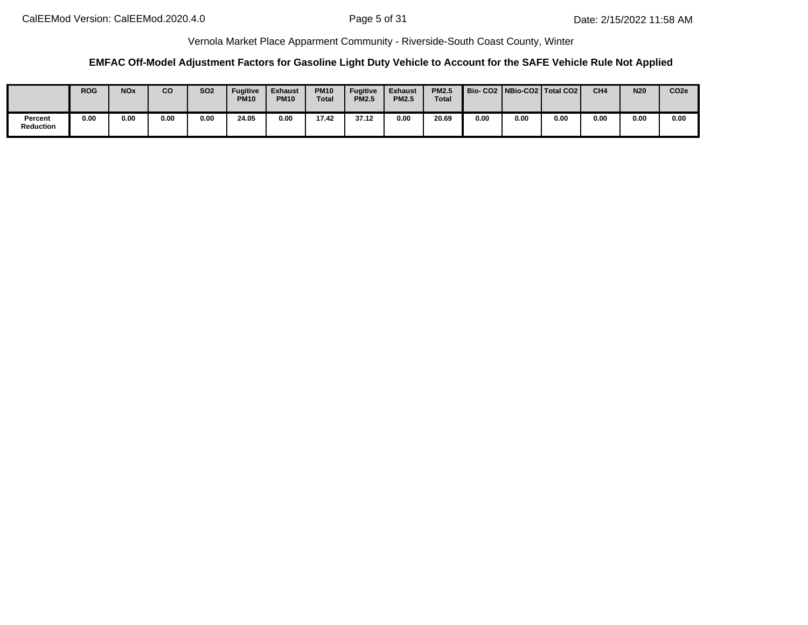## **EMFAC Off-Model Adjustment Factors for Gasoline Light Duty Vehicle to Account for the SAFE Vehicle Rule Not Applied**

|                             | <b>ROG</b> | <b>NO<sub>x</sub></b> | co   | <b>SO2</b> | <b>Fugitive</b><br><b>PM10</b> | <b>Exhaust</b><br><b>PM10</b> | <b>PM10</b><br><b>Total</b> | <b>Fugitive</b><br><b>PM2.5</b> | <b>Exhaust</b><br><b>PM2.5</b> | <b>PM2.5</b><br>Total |      |      | Bio-CO2   NBio-CO2   Total CO2 | CH <sub>4</sub> | <b>N20</b> | CO <sub>2e</sub> |
|-----------------------------|------------|-----------------------|------|------------|--------------------------------|-------------------------------|-----------------------------|---------------------------------|--------------------------------|-----------------------|------|------|--------------------------------|-----------------|------------|------------------|
| Percent<br><b>Reduction</b> | 0.00       | 0.00                  | 0.00 | 0.00       | 24.05                          | 0.00                          | 17.42                       | 37.12                           | 0.00                           | 20.69                 | 0.00 | 0.00 | 0.00                           | 0.00            | 0.00       | 0.00             |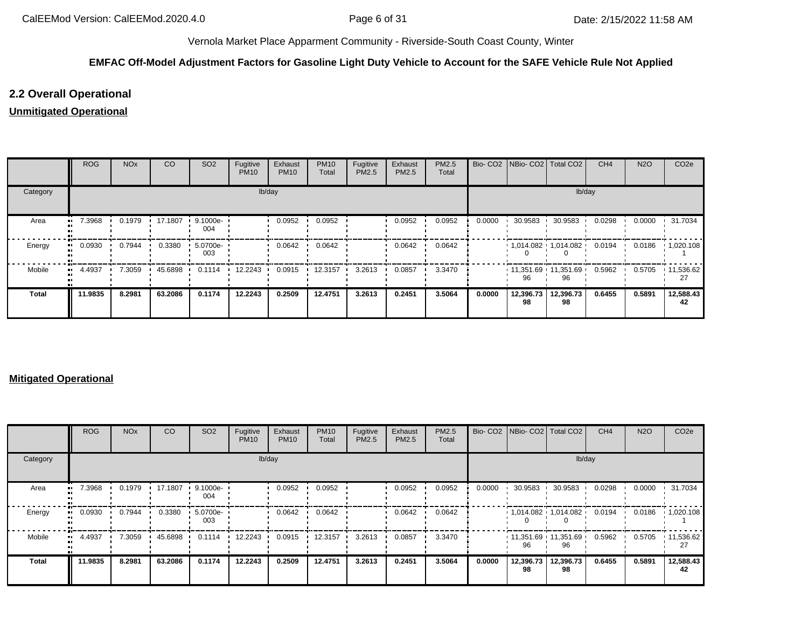## **EMFAC Off-Model Adjustment Factors for Gasoline Light Duty Vehicle to Account for the SAFE Vehicle Rule Not Applied**

# **2.2 Overall Operational**

# **Unmitigated Operational**

|              | ROG     | <b>NO<sub>x</sub></b> | CO      | SO <sub>2</sub>                 | Fugitive<br><b>PM10</b> | Exhaust<br><b>PM10</b> | <b>PM10</b><br>Total | Fugitive<br>PM2.5 | Exhaust<br>PM2.5 | PM2.5<br>Total |        | Bio- CO2   NBio- CO2   Total CO2 |                 | CH <sub>4</sub> | <b>N2O</b> | CO <sub>2e</sub>  |
|--------------|---------|-----------------------|---------|---------------------------------|-------------------------|------------------------|----------------------|-------------------|------------------|----------------|--------|----------------------------------|-----------------|-----------------|------------|-------------------|
| Category     |         |                       |         |                                 | lb/day                  |                        |                      |                   |                  |                |        |                                  | lb/day          |                 |            |                   |
| Area         | 7.3968  | 0.1979                | 17.1807 | $\cdot$ 9.1000e- $\cdot$<br>004 |                         | 0.0952                 | 0.0952               |                   | 0.0952           | 0.0952         | 0.0000 | 30.9583                          | 30.9583         | 0.0298          | 0.0000     | 31.7034           |
| Energy       | 0.0930  | 0.7944                | 0.3380  | 5.0700e-<br>003                 |                         | 0.0642                 | 0.0642               |                   | 0.0642           | 0.0642         |        | $1,014.082$ $1,014.082$          |                 | 0.0194          | 0.0186     | $\cdot$ 1,020.108 |
| Mobile       | 4.4937  | 7.3059                | 45.6898 | 0.1114                          | 12.2243                 | 0.0915                 | 12.3157              | 3.2613            | 0.0857           | 3.3470         |        | $11,351.69$ 11,351.69<br>96      | 96              | 0.5962          | 0.5705     | $\cdot$ 11,536.62 |
| <b>Total</b> | 11.9835 | 8.2981                | 63.2086 | 0.1174                          | 12.2243                 | 0.2509                 | 12.4751              | 3.2613            | 0.2451           | 3.5064         | 0.0000 | 12,396.73<br>98                  | 12,396.73<br>98 | 0.6455          | 0.5891     | 12,588.43<br>42   |

### **Mitigated Operational**

|              | ROG     | <b>NO<sub>x</sub></b> | CO      | SO <sub>2</sub> | Fugitive<br><b>PM10</b> | Exhaust<br><b>PM10</b> | <b>PM10</b><br>Total | Fugitive<br>PM2.5 | Exhaust<br>PM2.5 | PM2.5<br>Total |        | Bio- CO2 NBio- CO2 Total CO2 |                             | CH <sub>4</sub> | <b>N2O</b> | CO <sub>2e</sub>  |
|--------------|---------|-----------------------|---------|-----------------|-------------------------|------------------------|----------------------|-------------------|------------------|----------------|--------|------------------------------|-----------------------------|-----------------|------------|-------------------|
| Category     |         |                       |         |                 | lb/day                  |                        |                      |                   |                  |                |        |                              | lb/day                      |                 |            |                   |
| Area         | 7.3968  | 0.1979                | 17.1807 | 9.1000e-<br>004 |                         | 0.0952                 | 0.0952               |                   | 0.0952           | 0.0952         | 0.0000 | 30.9583                      | 30.9583                     | 0.0298          | 0.0000     | 31.7034           |
| Energy       | 0.0930  | 0.7944                | 0.3380  | 5.0700e-<br>003 |                         | 0.0642                 | 0.0642               |                   | 0.0642           | 0.0642         |        |                              | $1,014.082$ $1,014.082$     | 0.0194          | 0.0186     | $\cdot$ 1,020.108 |
| Mobile       | 4.4937  | 7.3059                | 45.6898 | 0.1114          | 12.2243                 | 0.0915                 | 12.3157              | 3.2613            | 0.0857           | 3.3470         |        | 96                           | $11,351.69$ 11,351.69<br>96 | 0.5962          | 0.5705     | 11,536.62         |
| <b>Total</b> | 11.9835 | 8.2981                | 63.2086 | 0.1174          | 12.2243                 | 0.2509                 | 12.4751              | 3.2613            | 0.2451           | 3.5064         | 0.0000 | 12,396.73<br>98              | 12,396.73<br>98             | 0.6455          | 0.5891     | 12,588.43<br>42   |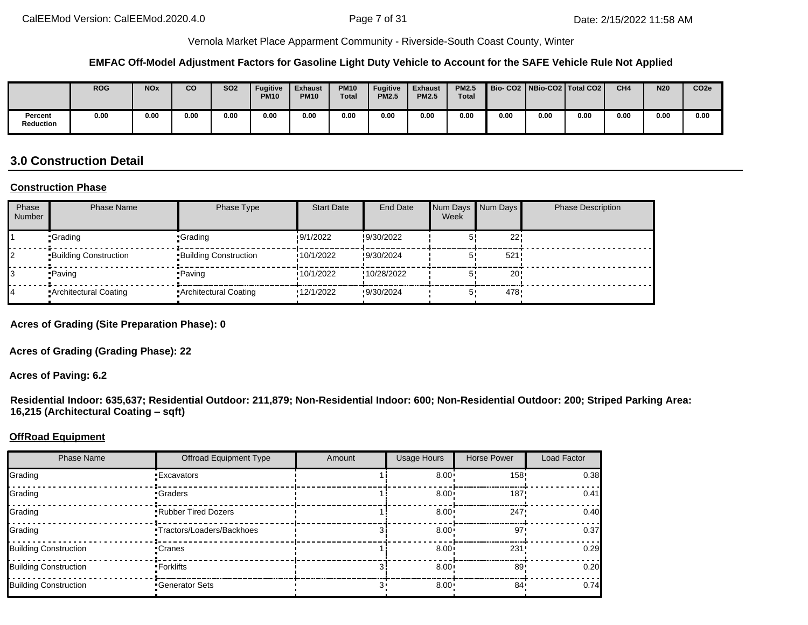#### **EMFAC Off-Model Adjustment Factors for Gasoline Light Duty Vehicle to Account for the SAFE Vehicle Rule Not Applied**

|                      | <b>ROG</b> | <b>NOx</b> | CO   | <b>SO2</b> | <b>Fugitive</b><br><b>PM10</b> | Exhaust<br><b>PM10</b> | <b>PM10</b><br><b>Total</b> | <b>Fugitive</b><br><b>PM2.5</b> | <b>Exhaust</b><br><b>PM2.5</b> | <b>PM2.5</b><br><b>Total</b> |      |      | Bio-CO2   NBio-CO2   Total CO2 | CH <sub>4</sub> | <b>N20</b> | CO <sub>2e</sub> |
|----------------------|------------|------------|------|------------|--------------------------------|------------------------|-----------------------------|---------------------------------|--------------------------------|------------------------------|------|------|--------------------------------|-----------------|------------|------------------|
| Percent<br>Reduction | 0.00       | 0.00       | 0.00 | 0.00       | 0.00                           | 0.00                   | 0.00                        | 0.00                            | 0.00                           | 0.00                         | 0.00 | 0.00 | 0.00                           | 0.00            | 0.00       | 0.00             |

# **3.0 Construction Detail**

#### **Construction Phase**

| Phase<br><b>Number</b> | <b>Phase Name</b>            | Phase Type                   | <b>Start Date</b> | <b>End Date</b> | Week | Num Days Num Days | <b>Phase Description</b> |
|------------------------|------------------------------|------------------------------|-------------------|-----------------|------|-------------------|--------------------------|
|                        | •Grading                     | •Grading                     | 9/1/2022          | !9/30/2022      |      | 22                |                          |
|                        | <b>Building Construction</b> | <b>Building Construction</b> | 10/1/2022         | !9/30/2024      |      | 521               |                          |
|                        | •Paving                      | • Paving                     | 10/1/2022         | !10/28/2022     |      | 20 <sup>1</sup>   |                          |
|                        | Architectural Coating        | Architectural Coating        | 12/1/2022         | 9/30/2024       | 5'   | 478               |                          |

**Acres of Grading (Site Preparation Phase): 0**

**Acres of Grading (Grading Phase): 22**

**Acres of Paving: 6.2**

**Residential Indoor: 635,637; Residential Outdoor: 211,879; Non-Residential Indoor: 600; Non-Residential Outdoor: 200; Striped Parking Area: 16,215 (Architectural Coating – sqft)**

#### **OffRoad Equipment**

| <b>Phase Name</b>            | <b>Offroad Equipment Type</b> | Amount | <b>Usage Hours</b> | Horse Power     | Load Factor |
|------------------------------|-------------------------------|--------|--------------------|-----------------|-------------|
| Grading                      | <b>Excavators</b>             |        | $8.00 \cdot$       | $158 -$         | 0.38        |
| Grading                      | •Graders                      |        | $8.00 \cdot$       | 187             | 0.41        |
| Grading                      | <b>Rubber Tired Dozers</b>    |        | $8.00 \cdot$       | 247             | 0.40        |
| Grading                      | •Tractors/Loaders/Backhoes    |        | $8.00 \cdot$       | 97'             | 0.37        |
| <b>Building Construction</b> | •Cranes                       |        | $8.00 \cdot$       | 231:            | 0.29        |
| <b>Building Construction</b> | • Forklifts                   |        | $8.00 \cdot$       | 89 <sub>1</sub> | 0.20        |
| <b>Building Construction</b> | Generator Sets                |        | $8.00 \cdot$       | 84 .            | 0.74        |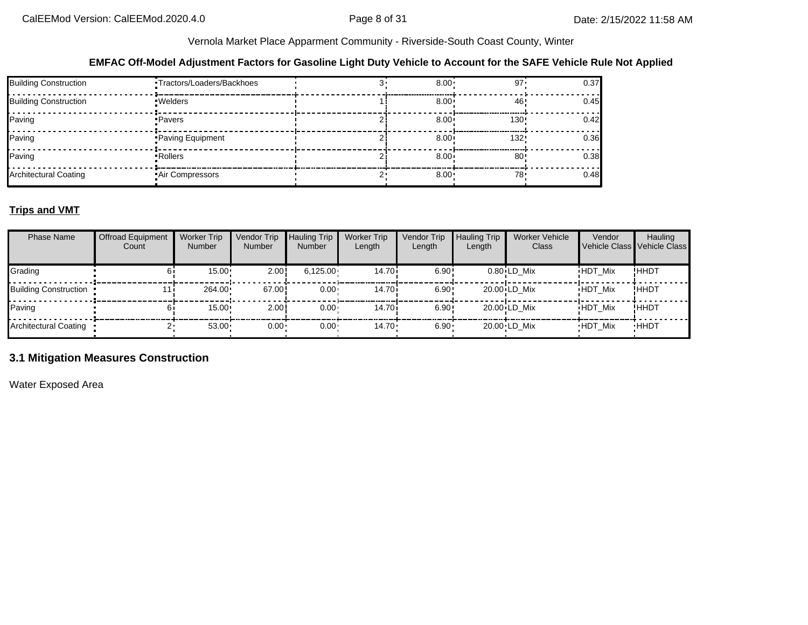### **EMFAC Off-Model Adjustment Factors for Gasoline Light Duty Vehicle to Account for the SAFE Vehicle Rule Not Applied**

| <b>Building Construction</b> | ·Tractors/Loaders/Backhoes | $8.00 \cdot$ | 97'     | 0.37 |
|------------------------------|----------------------------|--------------|---------|------|
| <b>Building Construction</b> | · Welders                  | $8.00 \cdot$ | 46'     | 0.45 |
| Paving                       | • Pavers                   | $8.00 \cdot$ | $130 -$ | 0.42 |
| Paving                       | Paving Equipment           | $8.00 \div$  | 132     | 0.36 |
| Paving                       | • Rollers                  | $8.00 \div$  | 80'     | 0.38 |
| <b>Architectural Coating</b> | Air Compressors            | 8.00:        | 78.     | 0.48 |

## **Trips and VMT**

| <b>Phase Name</b>            | <b>Offroad Equipment</b><br>Count | <b>Worker Trip</b><br><b>Number</b> | Vendor Trip<br>Number | <b>Hauling Trip</b><br><b>Number</b> | <b>Worker Trip</b><br>Length | Vendor Trip<br>Length | <b>Hauling Trip</b><br>Length | <b>Worker Vehicle</b><br>Class | Vendor<br>Vehicle Class Vehicle Class | Hauling     |
|------------------------------|-----------------------------------|-------------------------------------|-----------------------|--------------------------------------|------------------------------|-----------------------|-------------------------------|--------------------------------|---------------------------------------|-------------|
| Grading                      |                                   | 15.00                               | 2.00!                 | 6,125.00                             | 14.70i                       | 6.90!                 |                               | $0.80$ LD Mix                  | <b>HDT Mix</b>                        | !ННDТ       |
| <b>Building Construction</b> |                                   | 264.00                              | 67.00!                | $0.00 \cdot$                         | 14.70i                       | 6.90:                 |                               | 20.00 LD Mix                   | <b>HDT Mix</b>                        | !HHDT       |
| Paving                       |                                   | $15.00 \cdot$                       | 2.00                  | $0.00 \cdot$                         | 14.70i                       | 6.90:                 |                               | $20.00 \cdot LD$ Mix           | <b>HDT Mix</b>                        | !ННDТ       |
| <b>Architectural Coating</b> |                                   | 53.00                               | $0.00 \cdot$          | $0.00 \cdot$                         | $14.70 \cdot$                | $6.90 -$              |                               | 20.00 LD Mix                   | <b>HDT Mix</b>                        | <b>HHDT</b> |

# **3.1 Mitigation Measures Construction**

Water Exposed Area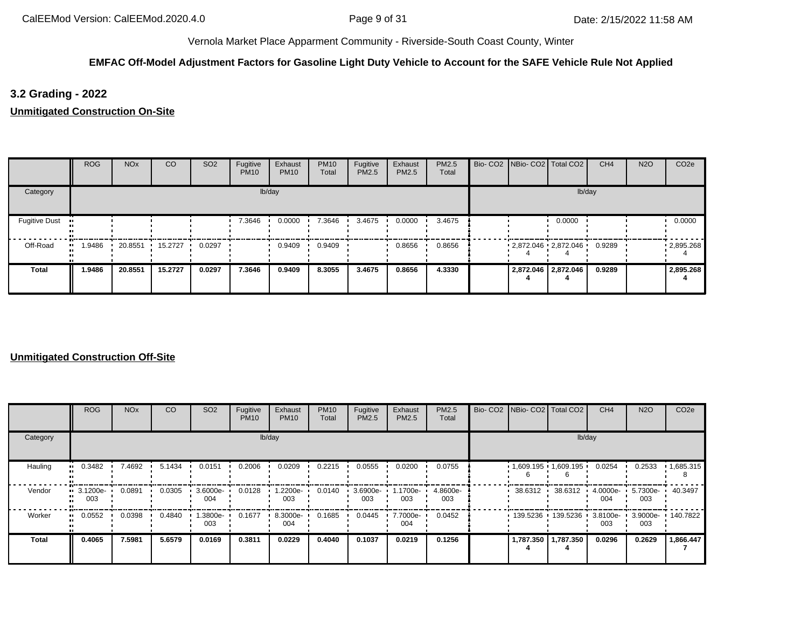# **EMFAC Off-Model Adjustment Factors for Gasoline Light Duty Vehicle to Account for the SAFE Vehicle Rule Not Applied**

# **3.2 Grading - 2022**

**Unmitigated Construction On-Site**

|                      | <b>ROG</b> | <b>NO<sub>x</sub></b> | CO      | SO <sub>2</sub> | Fugitive<br><b>PM10</b> | Exhaust<br><b>PM10</b> | <b>PM10</b><br>Total | Fugitive<br>PM2.5 | Exhaust<br>PM2.5 | PM2.5<br>Total | Bio- CO2   NBio- CO2   Total CO2 |                     | CH <sub>4</sub> | <b>N2O</b> | CO <sub>2e</sub> |
|----------------------|------------|-----------------------|---------|-----------------|-------------------------|------------------------|----------------------|-------------------|------------------|----------------|----------------------------------|---------------------|-----------------|------------|------------------|
| Category             |            |                       |         |                 |                         | lb/day                 |                      |                   |                  |                |                                  |                     | lb/day          |            |                  |
| <b>Fugitive Dust</b> |            |                       |         |                 | 7.3646                  | 0.0000                 | 7.3646               | 3.4675            | 0.0000           | 3.4675         |                                  | 0.0000              |                 |            | 0.0000           |
| Off-Road             | .9486      | 20.8551               | 15.2727 | 0.0297          |                         | 0.9409                 | 0.9409               |                   | 0.8656           | 0.8656         | $2,872.046$ $2,872.046$          |                     | 0.9289          |            | .2895.268        |
| <b>Total</b>         | 1.9486     | 20.8551               | 15.2727 | 0.0297          | 7.3646                  | 0.9409                 | 8.3055               | 3.4675            | 0.8656           | 4.3330         |                                  | 2,872.046 2,872.046 | 0.9289          |            | 2,895.268        |

|              | ROG             | <b>NO<sub>x</sub></b> | <sub>CO</sub> | SO <sub>2</sub> | Fugitive<br><b>PM10</b> | Exhaust<br><b>PM10</b> | <b>PM10</b><br>Total | Fugitive<br>PM2.5 | Exhaust<br>PM2.5 | <b>PM2.5</b><br>Total | Bio- CO2   NBio- CO2   Total CO2 |                     | CH <sub>4</sub>    | <b>N2O</b>         | CO <sub>2e</sub>  |
|--------------|-----------------|-----------------------|---------------|-----------------|-------------------------|------------------------|----------------------|-------------------|------------------|-----------------------|----------------------------------|---------------------|--------------------|--------------------|-------------------|
| Category     |                 |                       |               |                 |                         | lb/day                 |                      |                   |                  |                       |                                  | lb/day              |                    |                    |                   |
| Hauling      | 0.3482          | 7.4692                | 5.1434        | 0.0151          | 0.2006                  | 0.0209                 | 0.2215               | 0.0555            | 0.0200           | 0.0755                | $1,609.195$ 1,609.195            |                     | 0.0254             | 0.2533             | 1,685.315         |
| Vendor       | 3.1200e-<br>003 | 0.0891                | 0.0305        | 3.6000e-<br>004 | 0.0128                  | 1.2200e-<br>003        | 0.0140               | 3.6900e-<br>003   | 1.1700e-<br>003  | 4.8600e-<br>003       | 38.6312 ·                        | 38.6312             | $4.0000e -$<br>004 | $5.7300e -$<br>003 | 40.3497           |
| Worker       | 0.0552          | 0.0398                | 0.4840        | 1.3800e-<br>003 | 0.1677                  | 8.3000e-<br>004        | 0.1685               | 0.0445            | 7.7000e-<br>004  | 0.0452                |                                  | 139.5236 139.5236 ' | 3.8100e-<br>003    | 003                | 3.9000e- 140.7822 |
| <b>Total</b> | 0.4065          | 7.5981                | 5.6579        | 0.0169          | 0.3811                  | 0.0229                 | 0.4040               | 0.1037            | 0.0219           | 0.1256                |                                  | 1,787.350 1,787.350 | 0.0296             | 0.2629             | 1,866.447         |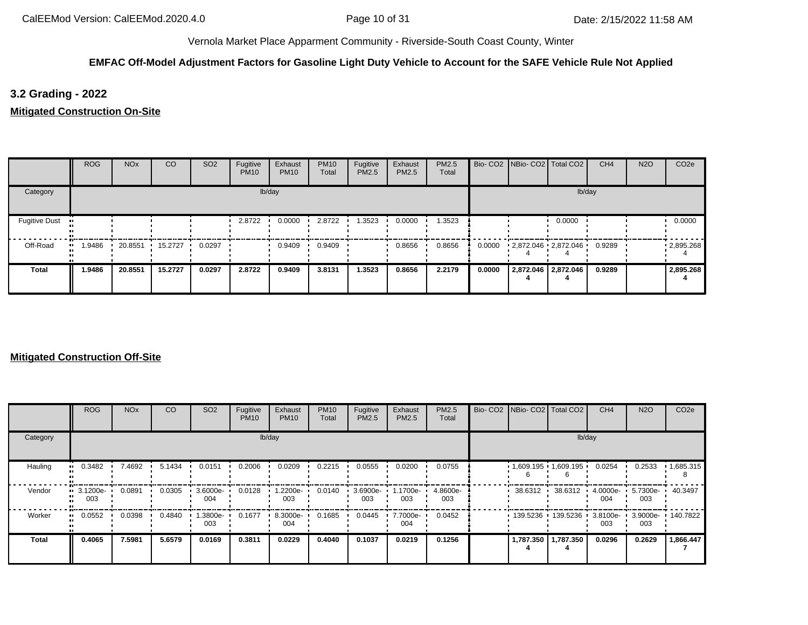## **EMFAC Off-Model Adjustment Factors for Gasoline Light Duty Vehicle to Account for the SAFE Vehicle Rule Not Applied**

# **3.2 Grading - 2022**

**Mitigated Construction On-Site**

|                      | <b>ROG</b> | <b>NO<sub>x</sub></b> | CO      | SO <sub>2</sub> | Fugitive<br><b>PM10</b> | Exhaust<br><b>PM10</b> | <b>PM10</b><br>Total | Fugitive<br>PM2.5 | Exhaust<br>PM2.5 | PM2.5<br>Total |        | Bio- CO2   NBio- CO2   Total CO2 | CH <sub>4</sub> | <b>N2O</b> | CO <sub>2e</sub>  |
|----------------------|------------|-----------------------|---------|-----------------|-------------------------|------------------------|----------------------|-------------------|------------------|----------------|--------|----------------------------------|-----------------|------------|-------------------|
| Category             |            |                       |         |                 |                         | lb/day                 |                      |                   |                  |                |        |                                  | lb/day          |            |                   |
| <b>Fugitive Dust</b> |            |                       |         |                 | 2.8722                  | 0.0000                 | 2.8722               | 1.3523            | 0.0000           | 1.3523         |        | 0.0000                           |                 |            | 0.0000            |
| Off-Road             | .9486      | 20.8551               | 15.2727 | 0.0297          |                         | 0.9409                 | 0.9409               |                   | 0.8656           | 0.8656         | 0.0000 | 2,872.046 2,872.046              | 0.9289          |            | $\cdot$ 2,895.268 |
| <b>Total</b>         | 1.9486     | 20.8551               | 15.2727 | 0.0297          | 2.8722                  | 0.9409                 | 3.8131               | 1.3523            | 0.8656           | 2.2179         | 0.0000 | 2,872.046 2,872.046              | 0.9289          |            | 2,895.268         |

|              | ROG               | <b>NO<sub>x</sub></b> | CO     | SO <sub>2</sub> | Fugitive<br><b>PM10</b> | Exhaust<br><b>PM10</b> | <b>PM10</b><br>Total | Fugitive<br>PM2.5 | Exhaust<br>PM2.5 | <b>PM2.5</b><br>Total | Bio- CO2 NBio- CO2 Total CO2 |                     | CH <sub>4</sub>    | <b>N2O</b>      | CO <sub>2e</sub>  |
|--------------|-------------------|-----------------------|--------|-----------------|-------------------------|------------------------|----------------------|-------------------|------------------|-----------------------|------------------------------|---------------------|--------------------|-----------------|-------------------|
| Category     |                   |                       |        |                 |                         | lb/day                 |                      |                   |                  |                       |                              |                     | lb/day             |                 |                   |
| Hauling      | 0.3482            | 7.4692                | 5.1434 | 0.0151          | 0.2006                  | 0.0209                 | 0.2215               | 0.0555            | 0.0200           | 0.0755                | $1,609.195$ 1,609.195        |                     | 0.0254             | 0.2533          | 1,685.315         |
| Vendor       | ■ 3.1200e-<br>003 | 0.0891                | 0.0305 | 3.6000e-<br>004 | 0.0128                  | 1.2200e-<br>003        | 0.0140               | 3.6900e-<br>003   | 1700e-<br>003    | 4.8600e-<br>003       | 38.6312                      | 38.6312             | 4.0000e-<br>004    | 5.7300e-<br>003 | 40.3497           |
| Worker       | 0.0552            | 0.0398                | 0.4840 | -3800e-<br>003  | 0.1677                  | 8.3000e-<br>004        | 0.1685               | 0.0445            | 7.7000e-<br>004  | 0.0452                |                              | 139.5236 139.5236   | $3.8100e -$<br>003 | 003             | 3.9000e- 140.7822 |
| <b>Total</b> | 0.4065            | 7.5981                | 5.6579 | 0.0169          | 0.3811                  | 0.0229                 | 0.4040               | 0.1037            | 0.0219           | 0.1256                |                              | 1,787.350 1,787.350 | 0.0296             | 0.2629          | 1,866.447         |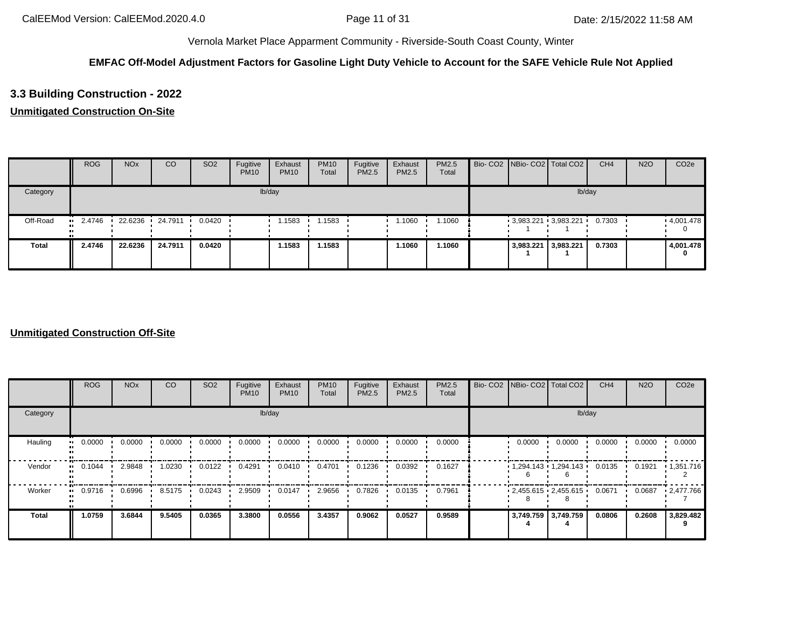## **EMFAC Off-Model Adjustment Factors for Gasoline Light Duty Vehicle to Account for the SAFE Vehicle Rule Not Applied**

# **3.3 Building Construction - 2022**

# **Unmitigated Construction On-Site**

|              | <b>ROG</b>    | <b>NO<sub>x</sub></b> | CO        | SO <sub>2</sub> | Fugitive<br><b>PM10</b> | Exhaust<br><b>PM10</b> | <b>PM10</b><br>Total | Fugitive<br>PM2.5 | Exhaust<br>PM2.5 | <b>PM2.5</b><br>Total |                     | Bio- CO2 NBio- CO2 Total CO2 | CH <sub>4</sub> | <b>N2O</b> | CO <sub>2e</sub> |
|--------------|---------------|-----------------------|-----------|-----------------|-------------------------|------------------------|----------------------|-------------------|------------------|-----------------------|---------------------|------------------------------|-----------------|------------|------------------|
| Category     |               |                       |           |                 |                         | lb/day                 |                      |                   |                  |                       |                     | lb/day                       |                 |            |                  |
| Off-Road     | 2.4746<br>. . | 22.6236 ·             | 24.7911 . | 0.0420          |                         | 1.1583                 | i 1583               |                   | 1.1060           | 1.1060                |                     | $3,983.221$ $3,983.221$      | 0.7303          |            | .4,001.478       |
| <b>Total</b> | 2.4746        | 22.6236               | 24.7911   | 0.0420          |                         | 1.1583                 | 1.1583               |                   | 1.1060           | 1.1060                | 3,983.221 3,983.221 |                              | 0.7303          |            | 4,001.478<br>0   |

|              | <b>ROG</b>          | <b>NO<sub>x</sub></b> | <b>CO</b> | SO <sub>2</sub> | Fugitive<br><b>PM10</b> | Exhaust<br><b>PM10</b> | <b>PM10</b><br>Total | Fugitive<br>PM2.5 | Exhaust<br>PM2.5 | PM2.5<br>Total | Bio- CO2 NBio- CO2 Total CO2 |                         | CH <sub>4</sub> | <b>N2O</b> | CO <sub>2e</sub> |
|--------------|---------------------|-----------------------|-----------|-----------------|-------------------------|------------------------|----------------------|-------------------|------------------|----------------|------------------------------|-------------------------|-----------------|------------|------------------|
| Category     |                     |                       |           |                 |                         | lb/day                 |                      |                   |                  |                |                              | lb/day                  |                 |            |                  |
| Hauling      | 0.0000<br>$\bullet$ | 0.0000                | 0.0000    | 0.0000          | 0.0000                  | 0.0000                 | 0.0000               | 0.0000            | 0.0000           | 0.0000         | 0.0000                       | 0.0000                  | 0.0000          | 0.0000     | 0.0000           |
| Vendor       | 0.1044              | 2.9848                | 1.0230    | 0.0122          | 0.4291                  | 0.0410                 | 0.4701               | 0.1236            | 0.0392           | 0.1627         |                              | $1,294.143$ $1,294.143$ | 0.0135          | 0.1921     | 1,351.716        |
| Worker       | 0.9716<br>$\bullet$ | 0.6996                | 8.5175    | 0.0243          | 2.9509                  | 0.0147                 | 2.9656               | 0.7826            | 0.0135           | 0.7961         |                              | $2,455.615$ $2,455.615$ | 0.0671          | 0.0687     | 12,477.766       |
| <b>Total</b> | 1.0759              | 3.6844                | 9.5405    | 0.0365          | 3.3800                  | 0.0556                 | 3.4357               | 0.9062            | 0.0527           | 0.9589         |                              | 3,749.759 3,749.759     | 0.0806          | 0.2608     | 3,829.482        |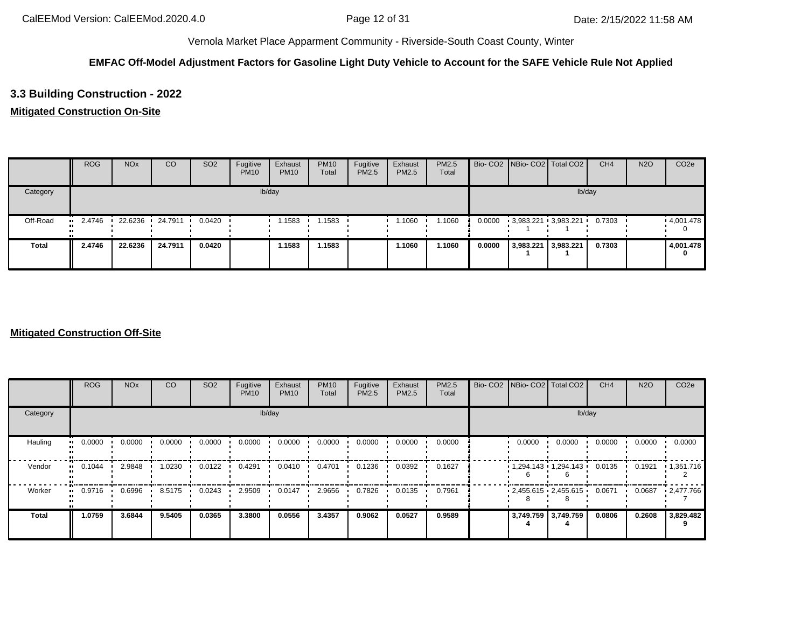## **EMFAC Off-Model Adjustment Factors for Gasoline Light Duty Vehicle to Account for the SAFE Vehicle Rule Not Applied**

# **3.3 Building Construction - 2022**

## **Mitigated Construction On-Site**

|              | <b>ROG</b> | <b>NO<sub>x</sub></b> | CO              | SO <sub>2</sub> | Fugitive<br><b>PM10</b> | Exhaust<br><b>PM10</b> | <b>PM10</b><br>Total | Fugitive<br>PM2.5 | Exhaust<br>PM2.5 | <b>PM2.5</b><br>Total |        |           | Bio- CO2 NBio- CO2 Total CO2 | CH <sub>4</sub> | <b>N2O</b> | CO <sub>2e</sub> |
|--------------|------------|-----------------------|-----------------|-----------------|-------------------------|------------------------|----------------------|-------------------|------------------|-----------------------|--------|-----------|------------------------------|-----------------|------------|------------------|
| Category     |            |                       |                 |                 |                         | lb/day                 |                      |                   |                  |                       |        |           |                              | lb/day          |            |                  |
| Off-Road     | 2.4746<br> |                       | 22.6236 24.7911 | 0.0420          |                         | 1.1583                 | 1.1583               |                   | 1.1060           | 1.1060                | 0.0000 |           | $3,983.221$ $3,983.221$      | 0.7303          |            | .4,001.478       |
| <b>Total</b> | 2.4746     | 22.6236               | 24.7911         | 0.0420          |                         | 1.1583                 | 1.1583               |                   | 1.1060           | 1.1060                | 0.0000 | 3,983.221 | 3,983.221                    | 0.7303          |            | 4,001.478<br>0   |

|                        | <b>ROG</b>                 | <b>NO<sub>x</sub></b> | CO     | SO <sub>2</sub> | Fugitive<br><b>PM10</b> | Exhaust<br><b>PM10</b> | <b>PM10</b><br>Total | Fugitive<br><b>PM2.5</b> | Exhaust<br>PM2.5 | <b>PM2.5</b><br>Total | Bio- CO2   NBio- CO2   Total CO2 |        | CH <sub>4</sub> | <b>N2O</b> | CO <sub>2e</sub>  |
|------------------------|----------------------------|-----------------------|--------|-----------------|-------------------------|------------------------|----------------------|--------------------------|------------------|-----------------------|----------------------------------|--------|-----------------|------------|-------------------|
| Category               |                            |                       |        |                 |                         | lb/day                 |                      |                          |                  |                       |                                  | lb/day |                 |            |                   |
| Hauling                | 0.0000<br>$\bullet\bullet$ | 0.0000                | 0.0000 | 0.0000          | 0.0000                  | 0.0000                 | 0.0000               | 0.0000                   | 0.0000           | 0.0000                | 0.0000                           | 0.0000 | 0.0000          | 0.0000     | 0.0000            |
| Vendor<br>$\mathbf{u}$ | 0.1044                     | 2.9848                | 1.0230 | 0.0122          | 0.4291                  | 0.0410                 | 0.4701               | 0.1236                   | 0.0392           | 0.1627                | $1,294.143$ $1,294.143$          |        | 0.0135          | 0.1921     | 1,351.716         |
| Worker<br>$\bullet$    | 0.9716                     | 0.6996                | 8.5175 | 0.0243          | 2.9509                  | 0.0147                 | 2.9656               | 0.7826                   | 0.0135           | 0.7961                | $2,455.615$ $2,455.615$          |        | 0.0671          | 0.0687     | $\cdot$ 2,477.766 |
| <b>Total</b>           | 1.0759                     | 3.6844                | 9.5405 | 0.0365          | 3.3800                  | 0.0556                 | 3.4357               | 0.9062                   | 0.0527           | 0.9589                | 3,749.759 3,749.759              |        | 0.0806          | 0.2608     | 3,829.482         |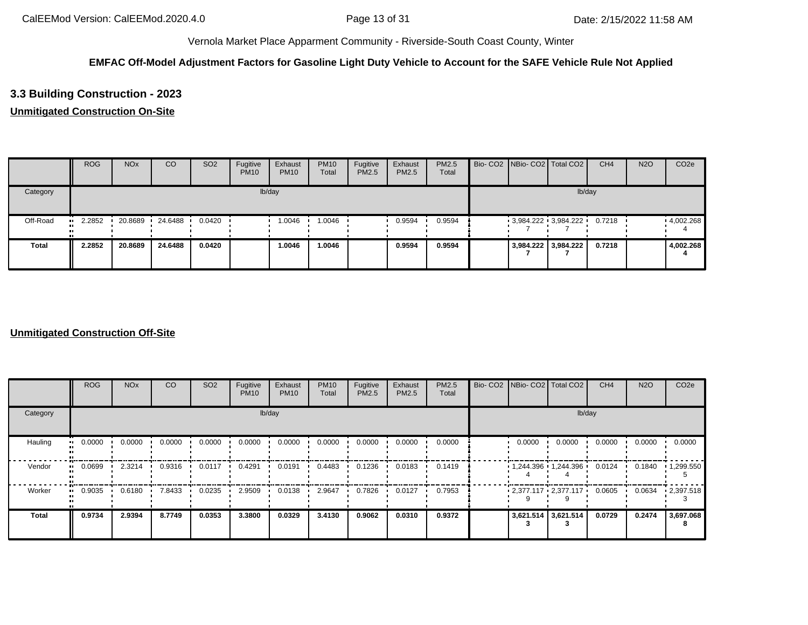## **EMFAC Off-Model Adjustment Factors for Gasoline Light Duty Vehicle to Account for the SAFE Vehicle Rule Not Applied**

# **3.3 Building Construction - 2023**

## **Unmitigated Construction On-Site**

|              | <b>ROG</b> | <b>NO<sub>x</sub></b> | CO      | SO <sub>2</sub> | Fugitive<br><b>PM10</b> | Exhaust<br><b>PM10</b> | <b>PM10</b><br>Total | Fugitive<br>PM2.5 | Exhaust<br>PM2.5 | <b>PM2.5</b><br>Total |  | Bio- CO2 NBio- CO2 Total CO2 | CH <sub>4</sub> | <b>N2O</b> | CO <sub>2e</sub>  |
|--------------|------------|-----------------------|---------|-----------------|-------------------------|------------------------|----------------------|-------------------|------------------|-----------------------|--|------------------------------|-----------------|------------|-------------------|
| Category     |            |                       |         |                 |                         | lb/day                 |                      |                   |                  |                       |  | lb/day                       |                 |            |                   |
| Off-Road     | 2.2852     | 20.8689               | 24.6488 | 0.0420          |                         | 1.0046                 | 1.0046               |                   | 0.9594           | 0.9594                |  | $3,984.222$ $3,984.222$      | 0.7218          |            | $\cdot$ 4,002.268 |
| <b>Total</b> | 2.2852     | 20.8689               | 24.6488 | 0.0420          |                         | 1.0046                 | 1.0046               |                   | 0.9594           | 0.9594                |  | 3,984.222 3,984.222          | 0.7218          |            | 4,002.268         |

|              | <b>ROG</b>          | <b>NO<sub>x</sub></b> | <b>CO</b> | SO <sub>2</sub> | Fugitive<br><b>PM10</b> | Exhaust<br><b>PM10</b> | <b>PM10</b><br>Total | Fugitive<br>PM2.5 | Exhaust<br>PM2.5 | PM2.5<br>Total |        | Bio- CO2   NBio- CO2   Total CO2 | CH <sub>4</sub> | <b>N2O</b> | CO <sub>2e</sub>  |
|--------------|---------------------|-----------------------|-----------|-----------------|-------------------------|------------------------|----------------------|-------------------|------------------|----------------|--------|----------------------------------|-----------------|------------|-------------------|
| Category     |                     |                       |           |                 |                         | lb/day                 |                      |                   |                  |                |        | lb/day                           |                 |            |                   |
| Hauling      | 0.0000<br>$\bullet$ | 0.0000                | 0.0000    | 0.0000          | 0.0000                  | 0.0000                 | 0.0000               | 0.0000            | 0.0000           | 0.0000         | 0.0000 | 0.0000                           | 0.0000          | 0.0000     | 0.0000            |
| Vendor       | 0.0699<br>$\bullet$ | 2.3214                | 0.9316    | 0.0117          | 0.4291                  | 0.0191                 | 0.4483               | 0.1236            | 0.0183           | 0.1419         |        | $1,244.396$ $1,244.396$          | 0.0124          | 0.1840     | $\cdot$ 1,299.550 |
| Worker       | 0.9035              | 0.6180                | 7.8433    | 0.0235          | 2.9509                  | 0.0138                 | 2.9647               | 0.7826            | 0.0127           | 0.7953         |        | $2,377.117$ $2,377.117$ $\cdot$  | 0.0605          | 0.0634     | $\cdot$ 2,397.518 |
| <b>Total</b> | 0.9734              | 2.9394                | 8.7749    | 0.0353          | 3.3800                  | 0.0329                 | 3.4130               | 0.9062            | 0.0310           | 0.9372         |        | 3,621.514 3,621.514              | 0.0729          | 0.2474     | 3,697.068<br>8    |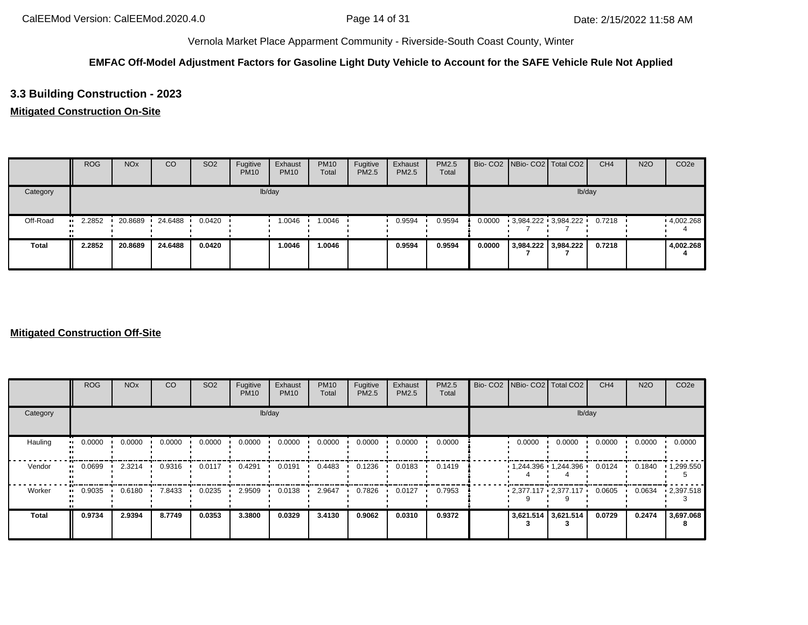## **EMFAC Off-Model Adjustment Factors for Gasoline Light Duty Vehicle to Account for the SAFE Vehicle Rule Not Applied**

# **3.3 Building Construction - 2023**

## **Mitigated Construction On-Site**

|              | <b>ROG</b>    | <b>NO<sub>x</sub></b> | CO      | SO <sub>2</sub> | Fugitive<br><b>PM10</b> | Exhaust<br><b>PM10</b> | <b>PM10</b><br>Total | Fugitive<br>PM2.5 | Exhaust<br>PM2.5 | PM2.5<br>Total |        | Bio- CO2 NBio- CO2 Total CO2 | CH <sub>4</sub> | <b>N2O</b> | CO <sub>2e</sub> |
|--------------|---------------|-----------------------|---------|-----------------|-------------------------|------------------------|----------------------|-------------------|------------------|----------------|--------|------------------------------|-----------------|------------|------------------|
| Category     |               |                       |         |                 |                         | lb/day                 |                      |                   |                  |                |        | lb/day                       |                 |            |                  |
| Off-Road     | 2.2852<br>. . | 20.8689               | 24.6488 | 0.0420          |                         | 1.0046                 | 1.0046               |                   | 0.9594           | 0.9594         | 0.0000 | $-3,984.222 - 3,984.222$     | 0.7218          |            | 4,002.268        |
| <b>Total</b> | 2.2852        | 20.8689               | 24.6488 | 0.0420          |                         | 1.0046                 | 1.0046               |                   | 0.9594           | 0.9594         | 0.0000 | 3,984.222 3,984.222          | 0.7218          |            | 4,002.268        |

|                     | <b>ROG</b>                 | <b>NO<sub>x</sub></b> | CO     | SO <sub>2</sub> | Fugitive<br><b>PM10</b> | Exhaust<br><b>PM10</b> | <b>PM10</b><br>Total | Fugitive<br><b>PM2.5</b> | Exhaust<br>PM2.5 | <b>PM2.5</b><br>Total |        | Bio- CO2 NBio- CO2 Total CO2 | CH <sub>4</sub> | <b>N2O</b> | CO <sub>2e</sub>  |
|---------------------|----------------------------|-----------------------|--------|-----------------|-------------------------|------------------------|----------------------|--------------------------|------------------|-----------------------|--------|------------------------------|-----------------|------------|-------------------|
| Category            |                            |                       |        |                 |                         | lb/day                 |                      |                          |                  |                       |        | lb/day                       |                 |            |                   |
| Hauling             | 0.0000<br>$\bullet\bullet$ | 0.0000                | 0.0000 | 0.0000          | 0.0000                  | 0.0000                 | 0.0000               | 0.0000                   | 0.0000           | 0.0000                | 0.0000 | 0.0000                       | 0.0000          | 0.0000     | 0.0000            |
| Vendor<br>$\bullet$ | 0.0699                     | 2.3214                | 0.9316 | 0.0117          | 0.4291                  | 0.0191                 | 0.4483               | 0.1236                   | 0.0183           | 0.1419                |        | 1,244.396 1,244.396          | 0.0124          | 0.1840     | $\cdot$ 1,299.550 |
| Worker<br>$\bullet$ | 0.9035                     | 0.6180                | 7.8433 | 0.0235          | 2.9509                  | 0.0138                 | 2.9647               | 0.7826                   | 0.0127           | 0.7953                |        | $2,377.117$ $2,377.117$      | 0.0605          | 0.0634     | $\cdot 2,397.518$ |
| <b>Total</b>        | 0.9734                     | 2.9394                | 8.7749 | 0.0353          | 3.3800                  | 0.0329                 | 3.4130               | 0.9062                   | 0.0310           | 0.9372                |        | 3,621.514 3,621.514          | 0.0729          | 0.2474     | 3,697.068         |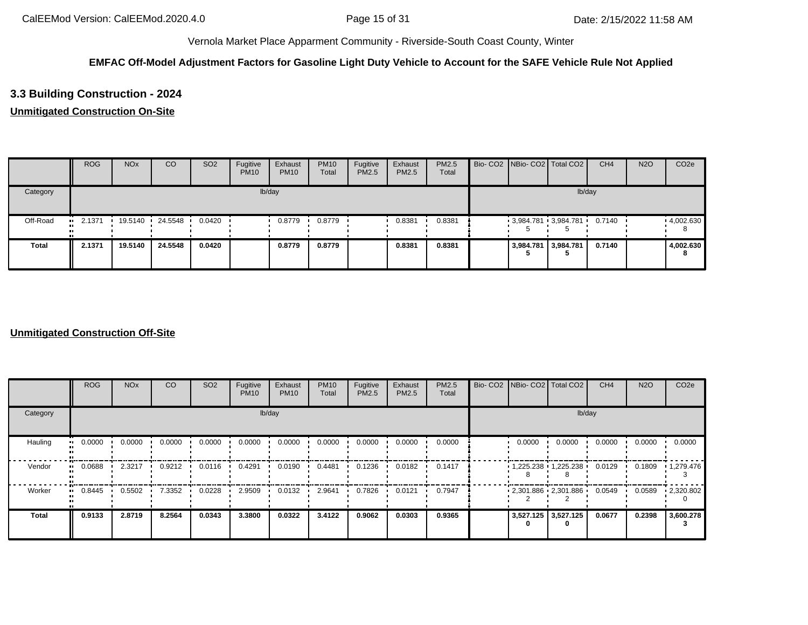## **EMFAC Off-Model Adjustment Factors for Gasoline Light Duty Vehicle to Account for the SAFE Vehicle Rule Not Applied**

# **3.3 Building Construction - 2024**

## **Unmitigated Construction On-Site**

|          | <b>ROG</b> | <b>NO<sub>x</sub></b> | CO              | SO <sub>2</sub> | Fugitive<br><b>PM10</b> | Exhaust<br><b>PM10</b> | <b>PM10</b><br>Total | Fugitive<br><b>PM2.5</b> | Exhaust<br>PM2.5 | PM2.5<br>Total |  | Bio- CO2 NBio- CO2 Total CO2 | CH <sub>4</sub> | <b>N2O</b> | CO <sub>2e</sub> |
|----------|------------|-----------------------|-----------------|-----------------|-------------------------|------------------------|----------------------|--------------------------|------------------|----------------|--|------------------------------|-----------------|------------|------------------|
| Category |            |                       |                 |                 |                         | lb/day                 |                      |                          |                  |                |  | lb/day                       |                 |            |                  |
| Off-Road | $-2.1371$  |                       | 19.5140 24.5548 | 0.0420          |                         | 0.8779                 | 0.8779               |                          | 0.8381           | 0.8381         |  | $3,984.781$ 3,984.781        | 0.7140          |            | .4,002.630<br>8  |
| Total    | 2.1371     | 19.5140               | 24.5548         | 0.0420          |                         | 0.8779                 | 0.8779               |                          | 0.8381           | 0.8381         |  | 3,984.781 3,984.781          | 0.7140          |            | 4,002.630        |

|              | <b>ROG</b>          | <b>NO<sub>x</sub></b> | <b>CO</b> | SO <sub>2</sub> | Fugitive<br><b>PM10</b> | Exhaust<br><b>PM10</b> | <b>PM10</b><br>Total | Fugitive<br>PM2.5 | Exhaust<br>PM2.5 | PM2.5<br>Total | Bio- CO2   NBio- CO2   Total CO2 |                     | CH <sub>4</sub> | <b>N2O</b> | CO <sub>2e</sub>  |
|--------------|---------------------|-----------------------|-----------|-----------------|-------------------------|------------------------|----------------------|-------------------|------------------|----------------|----------------------------------|---------------------|-----------------|------------|-------------------|
| Category     |                     |                       |           |                 |                         | lb/day                 |                      |                   |                  |                |                                  | lb/day              |                 |            |                   |
| Hauling      | 0.0000<br>$\bullet$ | 0.0000                | 0.0000    | 0.0000          | 0.0000                  | 0.0000                 | 0.0000               | 0.0000            | 0.0000           | 0.0000         | 0.0000                           | 0.0000              | 0.0000          | 0.0000     | 0.0000            |
| Vendor       | 0.0688<br>$\bullet$ | 2.3217                | 0.9212    | 0.0116          | 0.4291                  | 0.0190                 | 0.4481               | 0.1236            | 0.0182           | 0.1417         |                                  | 1,225.238 1,225.238 | 0.0129          | 0.1809     | $\cdot$ 1,279.476 |
| Worker       | 0.8445              | 0.5502                | 7.3352    | 0.0228          | 2.9509                  | 0.0132                 | 2.9641               | 0.7826            | 0.0121           | 0.7947         | $2,301.886$ $2,301.886$          |                     | 0.0549          | 0.0589     | $-2,320.802$      |
| <b>Total</b> | 0.9133              | 2.8719                | 8.2564    | 0.0343          | 3.3800                  | 0.0322                 | 3.4122               | 0.9062            | 0.0303           | 0.9365         | 3,527.125 3,527.125              |                     | 0.0677          | 0.2398     | 3,600.278         |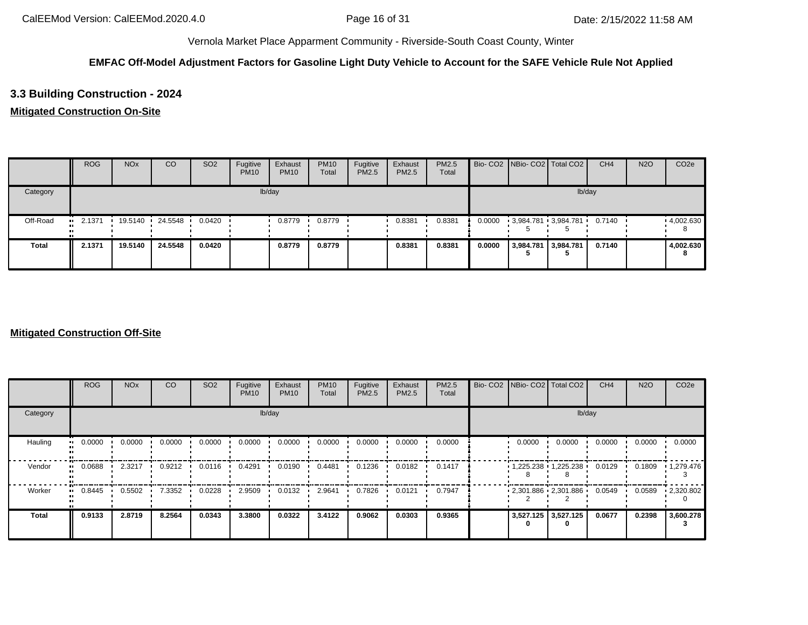## **EMFAC Off-Model Adjustment Factors for Gasoline Light Duty Vehicle to Account for the SAFE Vehicle Rule Not Applied**

# **3.3 Building Construction - 2024**

## **Mitigated Construction On-Site**

|              | <b>ROG</b>          | <b>NO<sub>x</sub></b> | CO      | SO <sub>2</sub> | Fugitive<br><b>PM10</b> | Exhaust<br><b>PM10</b> | <b>PM10</b><br>Total | Fugitive<br>PM2.5 | Exhaust<br><b>PM2.5</b> | PM2.5<br>Total |        |                     | Bio- CO2 NBio- CO2 Total CO2 | CH <sub>4</sub> | <b>N2O</b> | CO <sub>2e</sub> |
|--------------|---------------------|-----------------------|---------|-----------------|-------------------------|------------------------|----------------------|-------------------|-------------------------|----------------|--------|---------------------|------------------------------|-----------------|------------|------------------|
| Category     |                     |                       |         |                 |                         | lb/day                 |                      |                   |                         |                |        |                     |                              | lb/day          |            |                  |
| Off-Road     | 2.1371<br>$\bullet$ | 19.5140               | 24.5548 | 0.0420          |                         | 0.8779                 | 0.8779               |                   | 0.8381                  | 0.8381         | 0.0000 |                     | 3,984.781 3,984.781          | 0.7140          |            | 4,002.630        |
| <b>Total</b> | 2.1371              | 19.5140               | 24.5548 | 0.0420          |                         | 0.8779                 | 0.8779               |                   | 0.8381                  | 0.8381         | 0.0000 | 3,984.781 3,984.781 |                              | 0.7140          |            | 4,002.630<br>8   |

|                        | <b>ROG</b>                 | <b>NO<sub>x</sub></b> | CO     | SO <sub>2</sub> | Fugitive<br><b>PM10</b> | Exhaust<br><b>PM10</b> | <b>PM10</b><br>Total | Fugitive<br><b>PM2.5</b> | Exhaust<br>PM2.5 | <b>PM2.5</b><br>Total | Bio- CO2 NBio- CO2 Total CO2 |                     | CH <sub>4</sub> | <b>N2O</b> | CO <sub>2e</sub>  |
|------------------------|----------------------------|-----------------------|--------|-----------------|-------------------------|------------------------|----------------------|--------------------------|------------------|-----------------------|------------------------------|---------------------|-----------------|------------|-------------------|
| Category               |                            |                       |        |                 |                         | lb/day                 |                      |                          |                  |                       |                              | lb/day              |                 |            |                   |
| Hauling                | 0.0000<br>$\bullet\bullet$ | 0.0000                | 0.0000 | 0.0000          | 0.0000                  | 0.0000                 | 0.0000               | 0.0000                   | 0.0000           | 0.0000                | 0.0000                       | 0.0000              | 0.0000          | 0.0000     | 0.0000            |
| Vendor<br>$\mathbf{u}$ | 0.0688                     | 2.3217                | 0.9212 | 0.0116          | 0.4291                  | 0.0190                 | 0.4481               | 0.1236                   | 0.0182           | 0.1417                |                              | 1,225.238 1,225.238 | 0.0129          | 0.1809     | $\cdot$ 1,279.476 |
| Worker<br>$\mathbf{u}$ | 0.8445                     | 0.5502                | 7.3352 | 0.0228          | 2.9509                  | 0.0132                 | 2.9641               | 0.7826                   | 0.0121           | 0.7947                | $2,301.886$ $2,301.886$      |                     | 0.0549          | 0.0589     | $-2,320.802$      |
| <b>Total</b>           | 0.9133                     | 2.8719                | 8.2564 | 0.0343          | 3.3800                  | 0.0322                 | 3.4122               | 0.9062                   | 0.0303           | 0.9365                | 3,527.125 3,527.125<br>0     |                     | 0.0677          | 0.2398     | 3,600.278         |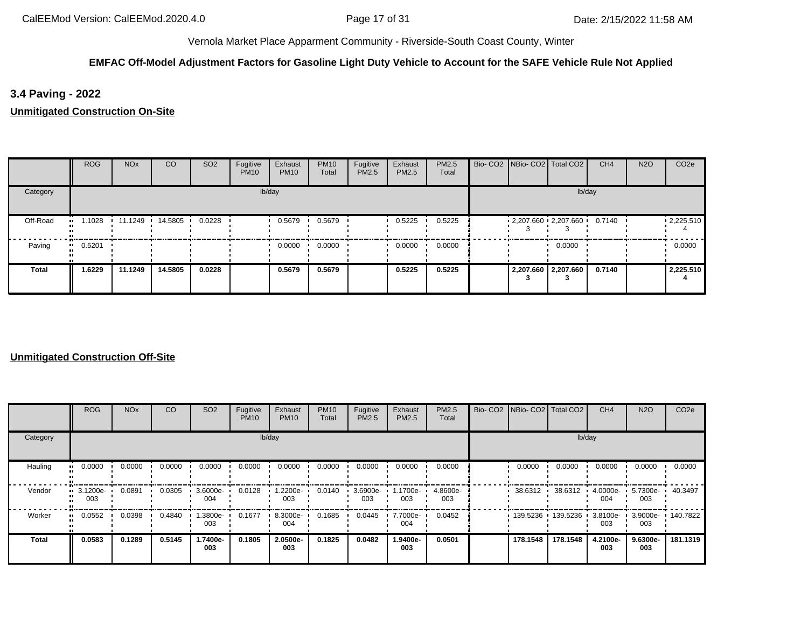# **EMFAC Off-Model Adjustment Factors for Gasoline Light Duty Vehicle to Account for the SAFE Vehicle Rule Not Applied**

**3.4 Paving - 2022**

**Unmitigated Construction On-Site**

|              | <b>ROG</b>   | <b>NO<sub>x</sub></b> | <sub>CO</sub>   | SO <sub>2</sub> | Fugitive<br><b>PM10</b> | Exhaust<br><b>PM10</b> | <b>PM10</b><br>Total | Fugitive<br>PM2.5 | Exhaust<br>PM2.5 | PM2.5<br>Total | Bio- CO2 NBio- CO2 Total CO2 |                     | CH <sub>4</sub> | <b>N2O</b> | CO <sub>2e</sub>  |
|--------------|--------------|-----------------------|-----------------|-----------------|-------------------------|------------------------|----------------------|-------------------|------------------|----------------|------------------------------|---------------------|-----------------|------------|-------------------|
| Category     |              |                       |                 |                 |                         | lb/day                 |                      |                   |                  |                |                              |                     | lb/day          |            |                   |
| Off-Road     | 1.1028<br>   |                       | 11.1249 14.5805 | 0.0228          |                         | 0.5679                 | 0.5679               |                   | 0.5225           | 0.5225         | $-2,207.660 - 2,207.660$     |                     | 0.7140          |            | $\cdot$ 2,225.510 |
| Paving       | 0.5201<br>ш. |                       |                 |                 |                         | 0.0000                 | 0.0000               |                   | 0.0000           | 0.0000         |                              | 0.0000              |                 |            | 0.0000            |
| <b>Total</b> | 1.6229       | 11.1249               | 14.5805         | 0.0228          |                         | 0.5679                 | 0.5679               |                   | 0.5225           | 0.5225         |                              | 2,207.660 2,207.660 | 0.7140          |            | 2,225.510         |

|              | ROG               | <b>NO<sub>x</sub></b> | CO     | SO <sub>2</sub> | Fugitive<br><b>PM10</b> | Exhaust<br><b>PM10</b> | <b>PM10</b><br>Total | Fugitive<br>PM2.5 | Exhaust<br>PM2.5 | <b>PM2.5</b><br>Total | Bio- CO2 NBio- CO2 Total CO2 |                     | CH <sub>4</sub>    | <b>N2O</b>      | CO <sub>2e</sub>  |
|--------------|-------------------|-----------------------|--------|-----------------|-------------------------|------------------------|----------------------|-------------------|------------------|-----------------------|------------------------------|---------------------|--------------------|-----------------|-------------------|
| Category     |                   |                       |        |                 |                         | lb/day                 |                      |                   |                  |                       |                              | lb/day              |                    |                 |                   |
| Hauling      | 0.0000            | 0.0000                | 0.0000 | 0.0000          | 0.0000                  | 0.0000                 | 0.0000               | 0.0000            | 0.0000           | 0.0000                | 0.0000                       | 0.0000              | 0.0000             | 0.0000          | 0.0000            |
| Vendor       | ■ 3.1200e-<br>003 | 0.0891                | 0.0305 | 3.6000e-<br>004 | 0.0128                  | 1.2200e-<br>003        | 0.0140               | 3.6900e-<br>003   | 1700e-<br>003    | 4.8600e-<br>003       | 38.6312                      | 38.6312             | 4.0000e-<br>004    | 5.7300e-<br>003 | 40.3497           |
| Worker       | 0.0552            | 0.0398                | 0.4840 | --3800e.<br>003 | 0.1677                  | 8.3000e-<br>004        | 0.1685               | 0.0445            | 7.7000e-<br>004  | 0.0452                |                              | 139.5236 139.5236 1 | $3.8100e -$<br>003 | 003             | 3.9000e- 140.7822 |
| <b>Total</b> | 0.0583            | 0.1289                | 0.5145 | 1.7400e-<br>003 | 0.1805                  | 2.0500e-<br>003        | 0.1825               | 0.0482            | 1.9400e-<br>003  | 0.0501                | 178.1548                     | 178.1548            | 4.2100e-<br>003    | 9.6300e-<br>003 | 181.1319          |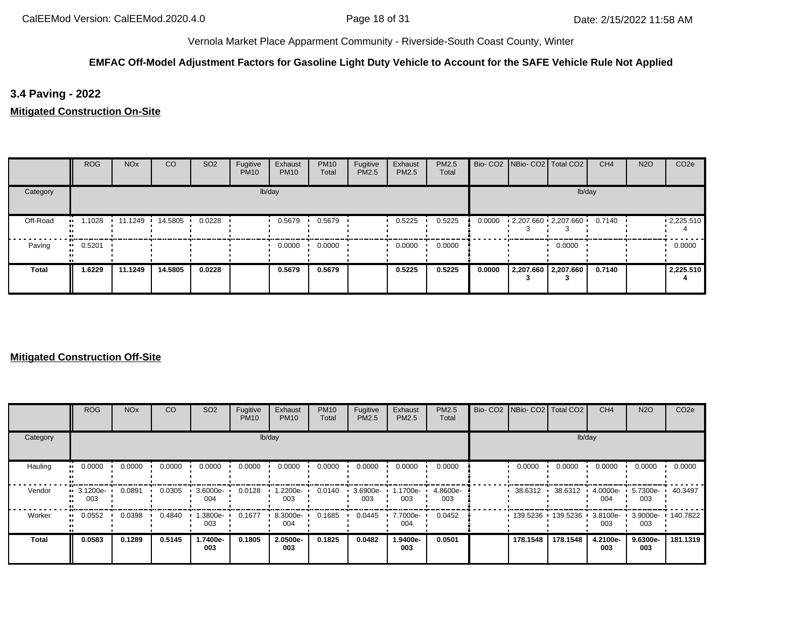# **EMFAC Off-Model Adjustment Factors for Gasoline Light Duty Vehicle to Account for the SAFE Vehicle Rule Not Applied**

**3.4 Paving - 2022**

**Mitigated Construction On-Site**

|          | <b>ROG</b>            | <b>NO<sub>x</sub></b> | <sub>CO</sub>    | SO <sub>2</sub> | Fugitive<br><b>PM10</b> | Exhaust<br><b>PM10</b> | <b>PM10</b><br>Total | Fugitive<br>PM2.5 | Exhaust<br>PM2.5 | PM2.5<br>Total |        | Bio- CO2   NBio- CO2   Total CO2 |                     | CH <sub>4</sub> | <b>N2O</b> | CO <sub>2e</sub> |
|----------|-----------------------|-----------------------|------------------|-----------------|-------------------------|------------------------|----------------------|-------------------|------------------|----------------|--------|----------------------------------|---------------------|-----------------|------------|------------------|
| Category |                       |                       |                  |                 |                         | lb/day                 |                      |                   |                  |                |        |                                  | lb/day              |                 |            |                  |
| Off-Road | 1.1028<br>. .         |                       | 11.1249  14.5805 | 0.0228          |                         | 0.5679                 | 0.5679               |                   | 0.5225           | 0.5225         | 0.0000 | $-2,207.660 - 2,207.660$         |                     | 0.7140          |            | .225.510         |
| Paving   | $\blacksquare$ 0.5201 |                       |                  |                 |                         | 0.0000                 | 0.0000               |                   | 0.0000           | 0.0000         |        |                                  | 0.0000              |                 |            | 0.0000           |
| Total    | 1.6229                | 11.1249               | 14.5805          | 0.0228          |                         | 0.5679                 | 0.5679               |                   | 0.5225           | 0.5225         | 0.0000 |                                  | 2,207.660 2,207.660 | 0.7140          |            | 2,225.510        |

|          | ROG                            | <b>NO<sub>x</sub></b> | <sub>CO</sub> | SO <sub>2</sub> | Fugitive<br><b>PM10</b> | Exhaust<br><b>PM10</b> | <b>PM10</b><br>Total | Fugitive<br>PM2.5 | Exhaust<br>PM2.5 | <b>PM2.5</b><br>Total | Bio- CO2   NBio- CO2   Total CO2 |                             | CH <sub>4</sub> | <b>N2O</b>      | CO <sub>2e</sub>  |
|----------|--------------------------------|-----------------------|---------------|-----------------|-------------------------|------------------------|----------------------|-------------------|------------------|-----------------------|----------------------------------|-----------------------------|-----------------|-----------------|-------------------|
| Category |                                |                       |               |                 |                         | lb/day                 |                      |                   |                  |                       |                                  |                             | lb/day          |                 |                   |
| Hauling  | 0.0000                         | 0.0000                | 0.0000        | 0.0000          | 0.0000                  | 0.0000                 | 0.0000               | 0.0000            | 0.0000           | 0.0000                | 0.0000                           | 0.0000                      | 0.0000          | 0.0000          | 0.0000            |
| Vendor   | $\blacksquare$ 3.1200e-<br>003 | 0.0891                | 0.0305        | 3.6000e-<br>004 | 0.0128                  | 1.2200e-<br>003        | 0.0140               | 3.6900e-<br>003   | 1.1700e-<br>003  | 4.8600e-<br>003       | 38.6312 ·                        | 38.6312                     | 4.0000e-<br>004 | 5.7300e-<br>003 | 40.3497           |
| Worker   | 0.0552                         | 0.0398                | 0.4840        | --3800e.<br>003 | 0.1677                  | 8.3000e-<br>004        | 0.1685               | 0.0445            | 7.7000e-<br>004  | 0.0452                |                                  | 139.5236 139.5236 3.8100e · | 003             | 003             | 3.9000e- 140.7822 |
| Total    | 0.0583                         | 0.1289                | 0.5145        | 1.7400e-<br>003 | 0.1805                  | 2.0500e-<br>003        | 0.1825               | 0.0482            | 1.9400e-<br>003  | 0.0501                | 178.1548                         | 178.1548                    | 4.2100e-<br>003 | 9.6300e-<br>003 | 181.1319          |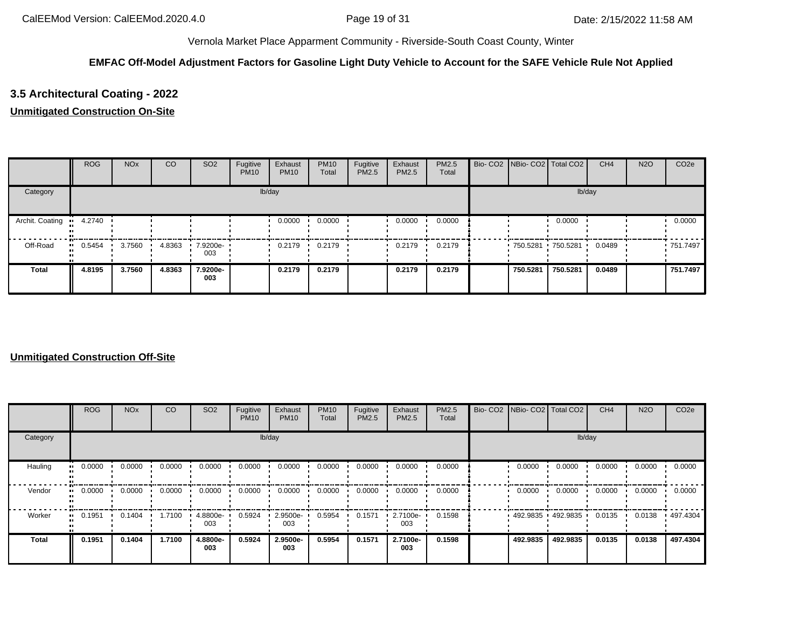## **EMFAC Off-Model Adjustment Factors for Gasoline Light Duty Vehicle to Account for the SAFE Vehicle Rule Not Applied**

# **3.5 Architectural Coating - 2022**

### **Unmitigated Construction On-Site**

|                 | <b>ROG</b> | <b>NO<sub>x</sub></b> | CO     | SO <sub>2</sub> | Fugitive<br><b>PM10</b> | Exhaust<br><b>PM10</b> | <b>PM10</b><br>Total | Fugitive<br>PM2.5 | Exhaust<br>PM2.5 | <b>PM2.5</b><br>Total | Bio- CO2 NBio- CO2 Total CO2 |          | CH <sub>4</sub> | <b>N2O</b> | CO <sub>2e</sub> |
|-----------------|------------|-----------------------|--------|-----------------|-------------------------|------------------------|----------------------|-------------------|------------------|-----------------------|------------------------------|----------|-----------------|------------|------------------|
| Category        |            |                       |        |                 |                         | lb/day                 |                      |                   |                  |                       |                              | lb/day   |                 |            |                  |
| Archit. Coating | 4.2740     |                       |        |                 |                         | 0.0000                 | 0.0000               |                   | 0.0000           | 0.0000                |                              | 0.0000   |                 |            | 0.0000           |
| Off-Road        | 0.5454     | 3.7560                | 4.8363 | 7.9200e-<br>003 |                         | 0.2179                 | 0.2179               |                   | 0.2179           | 0.2179                | 750.5281 750.5281            |          | 0.0489          |            | ■ 751.7497       |
| <b>Total</b>    | 4.8195     | 3.7560                | 4.8363 | 7.9200e-<br>003 |                         | 0.2179                 | 0.2179               |                   | 0.2179           | 0.2179                | 750.5281                     | 750.5281 | 0.0489          |            | 751.7497         |

|              | ROG    | <b>NO<sub>x</sub></b> | <sub>CO</sub> | SO <sub>2</sub> | Fugitive<br><b>PM10</b> | Exhaust<br><b>PM10</b> | <b>PM10</b><br>Total | Fugitive<br>PM2.5 | Exhaust<br>PM2.5 | <b>PM2.5</b><br>Total |          | Bio- CO2   NBio- CO2   Total CO2 | CH <sub>4</sub> | <b>N2O</b> | CO <sub>2e</sub> |
|--------------|--------|-----------------------|---------------|-----------------|-------------------------|------------------------|----------------------|-------------------|------------------|-----------------------|----------|----------------------------------|-----------------|------------|------------------|
| Category     |        |                       |               |                 |                         | lb/day                 |                      |                   |                  |                       |          | lb/day                           |                 |            |                  |
| Hauling      | 0.0000 | 0.0000                | 0.0000        | 0.0000          | 0.0000                  | 0.0000                 | 0.0000               | 0.0000            | 0.0000           | 0.0000                | 0.0000   | 0.0000                           | 0.0000          | 0.0000     | 0.0000           |
| Vendor       | 0.0000 | 0.0000                | 0.0000        | 0.0000          | 0.0000                  | 0.0000                 | 0.0000               | 0.0000            | 0.0000           | 0.0000                | 0.0000   | 0.0000                           | 0.0000          | 0.0000     | 0.0000           |
| Worker       | 0.1951 | 0.1404                | 1.7100        | 4.8800e-<br>003 | 0.5924                  | 2.9500e-<br>003        | 0.5954               | 0.1571            | 2.7100e-<br>003  | 0.1598                |          | 492.9835 492.9835                | 0.0135          | 0.0138     | $+497.4304$      |
| <b>Total</b> | 0.1951 | 0.1404                | 1.7100        | 4.8800e-<br>003 | 0.5924                  | 2.9500e-<br>003        | 0.5954               | 0.1571            | 2.7100e-<br>003  | 0.1598                | 492.9835 | 492.9835                         | 0.0135          | 0.0138     | 497.4304         |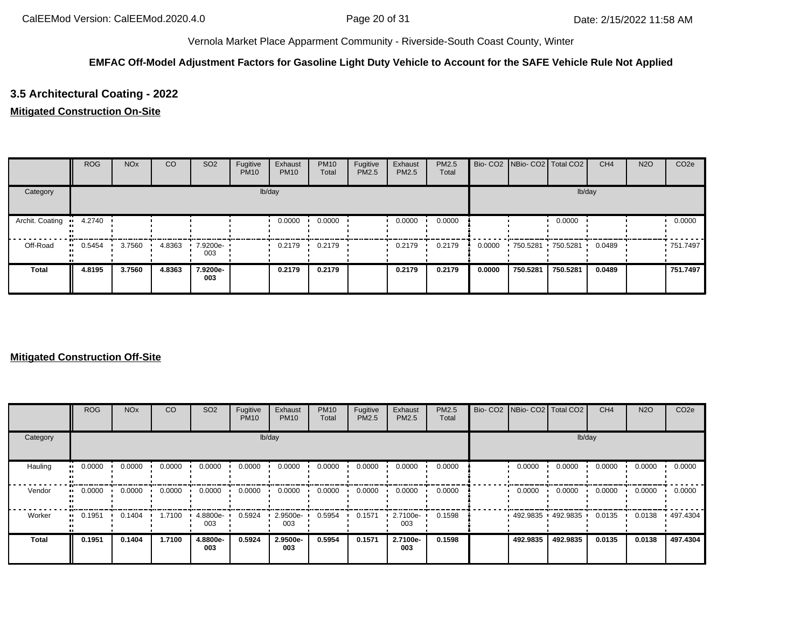## **EMFAC Off-Model Adjustment Factors for Gasoline Light Duty Vehicle to Account for the SAFE Vehicle Rule Not Applied**

# **3.5 Architectural Coating - 2022**

### **Mitigated Construction On-Site**

|                 | <b>ROG</b> | <b>NO<sub>x</sub></b> | CO     | SO <sub>2</sub>         | Fugitive<br><b>PM10</b> | Exhaust<br><b>PM10</b> | <b>PM10</b><br>Total | Fugitive<br>PM2.5 | Exhaust<br><b>PM2.5</b> | <b>PM2.5</b><br>Total |        | Bio- CO2   NBio- CO2   Total CO2 |                     | CH <sub>4</sub> | <b>N2O</b> | CO <sub>2e</sub> |
|-----------------|------------|-----------------------|--------|-------------------------|-------------------------|------------------------|----------------------|-------------------|-------------------------|-----------------------|--------|----------------------------------|---------------------|-----------------|------------|------------------|
| Category        |            |                       |        |                         |                         | lb/day                 |                      |                   |                         |                       |        |                                  | lb/day              |                 |            |                  |
| Archit. Coating | 4.2740     |                       |        |                         |                         | 0.0000                 | 0.0000               |                   | 0.0000                  | 0.0000                |        |                                  | 0.0000              |                 |            | 0.0000           |
| Off-Road        | 0.5454     | 3.7560                | 4.8363 | $\cdot$ 7.9200e-<br>003 |                         | 0.2179                 | 0.2179               |                   | 0.2179                  | 0.2179                | 0.0000 |                                  | 750.5281 750.5281 ' | 0.0489          |            | ■ 751.7497       |
| <b>Total</b>    | 4.8195     | 3.7560                | 4.8363 | 7.9200e-<br>003         |                         | 0.2179                 | 0.2179               |                   | 0.2179                  | 0.2179                | 0.0000 | 750.5281                         | 750.5281            | 0.0489          |            | 751.7497         |

|              | <b>ROG</b> | <b>NO<sub>x</sub></b> | <sub>CO</sub> | SO <sub>2</sub> | Fugitive<br><b>PM10</b> | Exhaust<br><b>PM10</b> | <b>PM10</b><br>Total | Fugitive<br><b>PM2.5</b> | Exhaust<br><b>PM2.5</b> | PM2.5<br>Total | Bio- CO2   NBio- CO2   Total CO2 |                   | CH <sub>4</sub> | <b>N2O</b> | CO <sub>2e</sub> |
|--------------|------------|-----------------------|---------------|-----------------|-------------------------|------------------------|----------------------|--------------------------|-------------------------|----------------|----------------------------------|-------------------|-----------------|------------|------------------|
| Category     |            |                       |               |                 |                         | lb/day                 |                      |                          |                         |                |                                  | lb/day            |                 |            |                  |
| Hauling      | 0.0000     | 0.0000                | 0.0000        | 0.0000          | 0.0000                  | 0.0000                 | 0.0000               | 0.0000                   | 0.0000                  | 0.0000         | 0.0000                           | 0.0000            | 0.0000          | 0.0000     | 0.0000           |
| Vendor       | 0.0000     | 0.0000                | 0.0000        | 0.0000          | 0.0000                  | 0.0000                 | 0.0000               | 0.0000                   | 0.0000                  | 0.0000         | 0.0000                           | 0.0000            | 0.0000          | 0.0000     | 0.0000           |
| Worker       | 0.1951     | 0.1404                | 1.7100        | 4.8800e-<br>003 | 0.5924                  | 2.9500e-<br>003        | 0.5954               | 0.1571                   | 2.7100e-<br>003         | 0.1598         |                                  | 492.9835 492.9835 | 0.0135          | 0.0138     | ▪ 497.4304       |
| <b>Total</b> | 0.1951     | 0.1404                | 1.7100        | 4.8800e-<br>003 | 0.5924                  | 2.9500e-<br>003        | 0.5954               | 0.1571                   | 2.7100e-<br>003         | 0.1598         | 492.9835                         | 492.9835          | 0.0135          | 0.0138     | 497.4304         |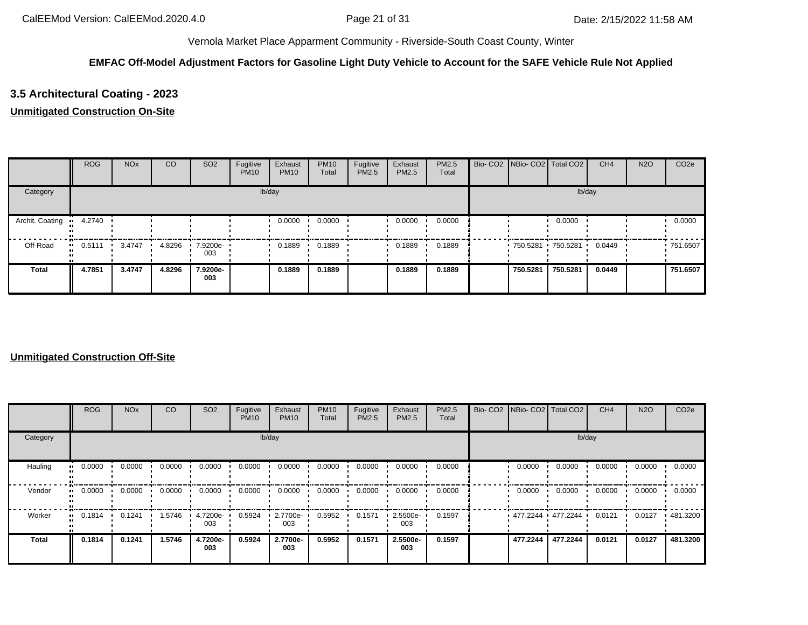## **EMFAC Off-Model Adjustment Factors for Gasoline Light Duty Vehicle to Account for the SAFE Vehicle Rule Not Applied**

# **3.5 Architectural Coating - 2023**

### **Unmitigated Construction On-Site**

|                 | <b>ROG</b> | <b>NO<sub>x</sub></b> | <sub>CO</sub> | SO <sub>2</sub> | Fugitive<br><b>PM10</b> | Exhaust<br><b>PM10</b> | <b>PM10</b><br>Total | Fugitive<br>PM2.5 | Exhaust<br>PM2.5 | PM2.5<br>Total | Bio- CO2 NBio- CO2 Total CO2 |          | CH <sub>4</sub> | <b>N2O</b> | CO <sub>2e</sub> |
|-----------------|------------|-----------------------|---------------|-----------------|-------------------------|------------------------|----------------------|-------------------|------------------|----------------|------------------------------|----------|-----------------|------------|------------------|
| Category        |            |                       |               |                 |                         | lb/day                 |                      |                   |                  |                |                              | lb/day   |                 |            |                  |
| Archit. Coating | 4.2740     |                       |               |                 |                         | 0.0000                 | 0.0000               |                   | 0.0000           | 0.0000         |                              | 0.0000   |                 |            | 0.0000           |
| Off-Road        | 0.5111     | 3.4747                | 4.8296        | 7.9200e-<br>003 |                         | 0.1889                 | 0.1889               |                   | 0.1889           | 0.1889         | 750.5281 750.5281            |          | 0.0449          |            | ■ 751.6507       |
| <b>Total</b>    | 4.7851     | 3.4747                | 4.8296        | 7.9200e-<br>003 |                         | 0.1889                 | 0.1889               |                   | 0.1889           | 0.1889         | 750,5281                     | 750.5281 | 0.0449          |            | 751.6507         |

|          | ROG    | <b>NO<sub>x</sub></b> | <sub>CO</sub> | SO <sub>2</sub> | Fugitive<br><b>PM10</b> | Exhaust<br><b>PM10</b> | <b>PM10</b><br>Total | Fugitive<br>PM2.5 | Exhaust<br>PM2.5 | PM2.5<br>Total |                       | Bio- CO2 NBio- CO2 Total CO2 | CH <sub>4</sub> | <b>N2O</b> | CO <sub>2e</sub> |
|----------|--------|-----------------------|---------------|-----------------|-------------------------|------------------------|----------------------|-------------------|------------------|----------------|-----------------------|------------------------------|-----------------|------------|------------------|
| Category |        |                       |               |                 |                         | lb/day                 |                      |                   |                  |                |                       | lb/day                       |                 |            |                  |
| Hauling  | 0.0000 | 0.0000                | 0.0000        | 0.0000          | 0.0000                  | 0.0000                 | 0.0000               | 0.0000            | 0.0000           | 0.0000         | 0.0000                | 0.0000                       | 0.0000          | 0.0000     | 0.0000           |
| Vendor   | 0.0000 | 0.0000                | 0.0000        | 0.0000          | 0.0000                  | 0.0000                 | 0.0000               | 0.0000            | 0.0000           | 0.0000         | 0.0000                | 0.0000                       | 0.0000          | 0.0000     | 0.0000           |
| Worker   | 0.1814 | 0.1241                | 1.5746        | 4.7200e-<br>003 | 0.5924                  | 2.7700e-<br>003        | 0.5952               | 0.1571            | 2.5500e-<br>003  | 0.1597         | $477.2244$ $477.2244$ |                              | 0.0121          | 0.0127     | 481.3200         |
| Total    | 0.1814 | 0.1241                | 1.5746        | 4.7200e-<br>003 | 0.5924                  | 2.7700e-<br>003        | 0.5952               | 0.1571            | 2.5500e-<br>003  | 0.1597         | 477.2244              | 477.2244                     | 0.0121          | 0.0127     | 481.3200         |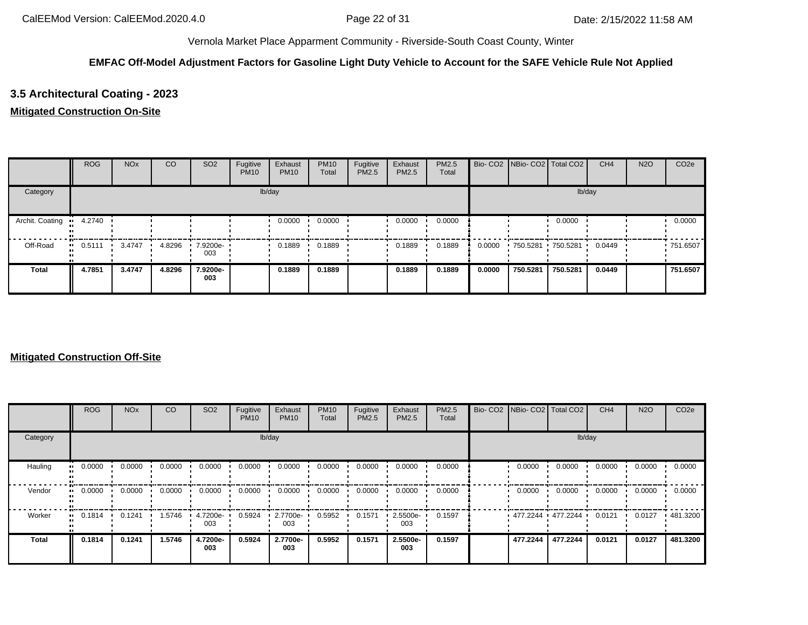## **EMFAC Off-Model Adjustment Factors for Gasoline Light Duty Vehicle to Account for the SAFE Vehicle Rule Not Applied**

# **3.5 Architectural Coating - 2023**

### **Mitigated Construction On-Site**

|                 | <b>ROG</b> | <b>NO<sub>x</sub></b> | CO     | SO <sub>2</sub>    | Fugitive<br><b>PM10</b> | Exhaust<br><b>PM10</b> | <b>PM10</b><br>Total | Fugitive<br>PM2.5 | Exhaust<br><b>PM2.5</b> | <b>PM2.5</b><br>Total |        | Bio- CO2   NBio- CO2   Total CO2 |                     | CH <sub>4</sub> | <b>N2O</b> | CO <sub>2e</sub> |
|-----------------|------------|-----------------------|--------|--------------------|-------------------------|------------------------|----------------------|-------------------|-------------------------|-----------------------|--------|----------------------------------|---------------------|-----------------|------------|------------------|
| Category        |            |                       |        |                    |                         | lb/day                 |                      |                   |                         |                       |        |                                  | lb/day              |                 |            |                  |
| Archit. Coating | 4.2740     |                       |        |                    |                         | 0.0000                 | 0.0000               |                   | 0.0000                  | 0.0000                |        |                                  | 0.0000              |                 |            | 0.0000           |
| Off-Road        | 0.5111     | 3.4747                | 4.8296 | $.79200e -$<br>003 |                         | 0.1889                 | 0.1889               |                   | 0.1889                  | 0.1889                | 0.0000 |                                  | 750.5281 750.5281 ' | 0.0449          |            | ■ 751.6507       |
| <b>Total</b>    | 4.7851     | 3.4747                | 4.8296 | 7.9200e-<br>003    |                         | 0.1889                 | 0.1889               |                   | 0.1889                  | 0.1889                | 0.0000 | 750.5281                         | 750.5281            | 0.0449          |            | 751.6507         |

|              | ROG    | <b>NO<sub>x</sub></b> | <sub>CO</sub> | SO <sub>2</sub> | Fugitive<br><b>PM10</b> | Exhaust<br><b>PM10</b> | <b>PM10</b><br>Total | Fugitive<br><b>PM2.5</b> | Exhaust<br><b>PM2.5</b> | PM2.5<br>Total | Bio- CO2   NBio- CO2   Total CO2 |          | CH <sub>4</sub> | <b>N2O</b> | CO <sub>2e</sub> |
|--------------|--------|-----------------------|---------------|-----------------|-------------------------|------------------------|----------------------|--------------------------|-------------------------|----------------|----------------------------------|----------|-----------------|------------|------------------|
| Category     |        |                       |               |                 |                         | lb/day                 |                      |                          |                         |                |                                  | lb/day   |                 |            |                  |
| Hauling      | 0.0000 | 0.0000                | 0.0000        | 0.0000          | 0.0000                  | 0.0000                 | 0.0000               | 0.0000                   | 0.0000                  | 0.0000         | 0.0000                           | 0.0000   | 0.0000          | 0.0000     | 0.0000           |
| Vendor       | 0.0000 | 0.0000                | 0.0000        | 0.0000          | 0.0000                  | 0.0000                 | 0.0000               | 0.0000                   | 0.0000                  | 0.0000         | 0.0000                           | 0.0000   | 0.0000          | 0.0000     | 0.0000           |
| Worker       | 0.1814 | 0.1241                | 1.5746        | 4.7200e-<br>003 | 0.5924                  | 2.7700e-<br>003        | 0.5952               | 0.1571                   | 2.5500e-<br>003         | 0.1597         | $477.2244$ $477.2244$            |          | 0.0121          | 0.0127     | 481.3200         |
| <b>Total</b> | 0.1814 | 0.1241                | 1.5746        | 4.7200e-<br>003 | 0.5924                  | 2.7700e-<br>003        | 0.5952               | 0.1571                   | 2.5500e-<br>003         | 0.1597         | 477.2244                         | 477.2244 | 0.0121          | 0.0127     | 481.3200         |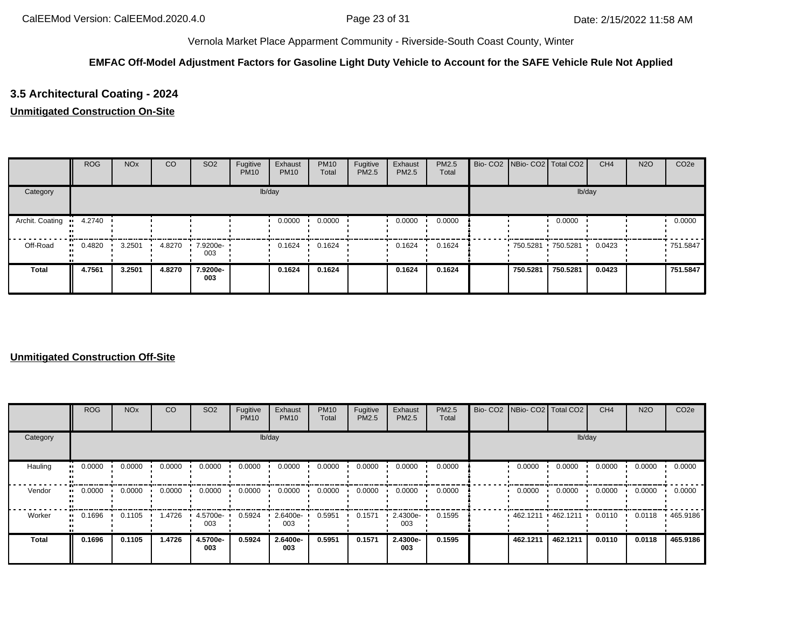## **EMFAC Off-Model Adjustment Factors for Gasoline Light Duty Vehicle to Account for the SAFE Vehicle Rule Not Applied**

# **3.5 Architectural Coating - 2024**

### **Unmitigated Construction On-Site**

|                 | <b>ROG</b> | <b>NO<sub>x</sub></b> | CO     | SO <sub>2</sub> | Fugitive<br><b>PM10</b> | Exhaust<br><b>PM10</b> | <b>PM10</b><br>Total | Fugitive<br>PM2.5 | Exhaust<br>PM2.5 | PM2.5<br>Total | Bio- CO2 NBio- CO2 Total CO2 |          | CH <sub>4</sub> | <b>N2O</b> | CO <sub>2e</sub> |
|-----------------|------------|-----------------------|--------|-----------------|-------------------------|------------------------|----------------------|-------------------|------------------|----------------|------------------------------|----------|-----------------|------------|------------------|
| Category        |            |                       |        |                 |                         | lb/day                 |                      |                   |                  |                |                              | lb/day   |                 |            |                  |
| Archit. Coating | 4.2740     |                       |        |                 |                         | 0.0000                 | 0.0000               |                   | 0.0000           | 0.0000         |                              | 0.0000   |                 |            | 0.0000           |
| Off-Road        | 0.4820     | 3.2501                | 4.8270 | 7.9200e-<br>003 |                         | 0.1624                 | 0.1624               |                   | 0.1624           | 0.1624         | 750.5281 750.5281            |          | 0.0423          |            | ■ 751.5847       |
| <b>Total</b>    | 4.7561     | 3.2501                | 4.8270 | 7.9200e-<br>003 |                         | 0.1624                 | 0.1624               |                   | 0.1624           | 0.1624         | 750.5281                     | 750.5281 | 0.0423          |            | 751.5847         |

|              | <b>ROG</b>            | <b>NO<sub>x</sub></b> | CO     | SO <sub>2</sub> | Fugitive<br><b>PM10</b> | Exhaust<br><b>PM10</b> | <b>PM10</b><br>Total | Fugitive<br><b>PM2.5</b> | Exhaust<br><b>PM2.5</b> | PM2.5<br>Total | Bio- CO2   NBio- CO2   Total CO2 |          | CH <sub>4</sub> | <b>N2O</b> | CO <sub>2e</sub> |
|--------------|-----------------------|-----------------------|--------|-----------------|-------------------------|------------------------|----------------------|--------------------------|-------------------------|----------------|----------------------------------|----------|-----------------|------------|------------------|
| Category     |                       |                       |        |                 |                         | lb/day                 |                      |                          |                         |                |                                  | lb/day   |                 |            |                  |
| Hauling      | 0.0000<br>ш.          | 0.0000                | 0.0000 | 0.0000          | 0.0000                  | 0.0000                 | 0.0000               | 0.0000                   | 0.0000                  | 0.0000         | 0.0000                           | 0.0000   | 0.0000          | 0.0000     | 0.0000           |
| Vendor       | $\blacksquare$ 0.0000 | 0.0000                | 0.0000 | 0.0000          | 0.0000                  | 0.0000                 | 0.0000               | 0.0000                   | 0.0000                  | 0.0000         | 0.0000                           | 0.0000   | 0.0000          | 0.0000     | 0.0000           |
| Worker       | 0.1696<br>            | 0.1105                | 1.4726 | 4.5700e-<br>003 | 0.5924                  | 2.6400e-<br>003        | 0.5951               | 0.1571                   | 2.4300e-<br>003         | 0.1595         | $462.1211$ $462.1211$            |          | 0.0110          | 0.0118     | 465.9186         |
| <b>Total</b> | 0.1696                | 0.1105                | 1.4726 | 4.5700e-<br>003 | 0.5924                  | 2.6400e-<br>003        | 0.5951               | 0.1571                   | 2.4300e-<br>003         | 0.1595         | 462.1211                         | 462.1211 | 0.0110          | 0.0118     | 465.9186         |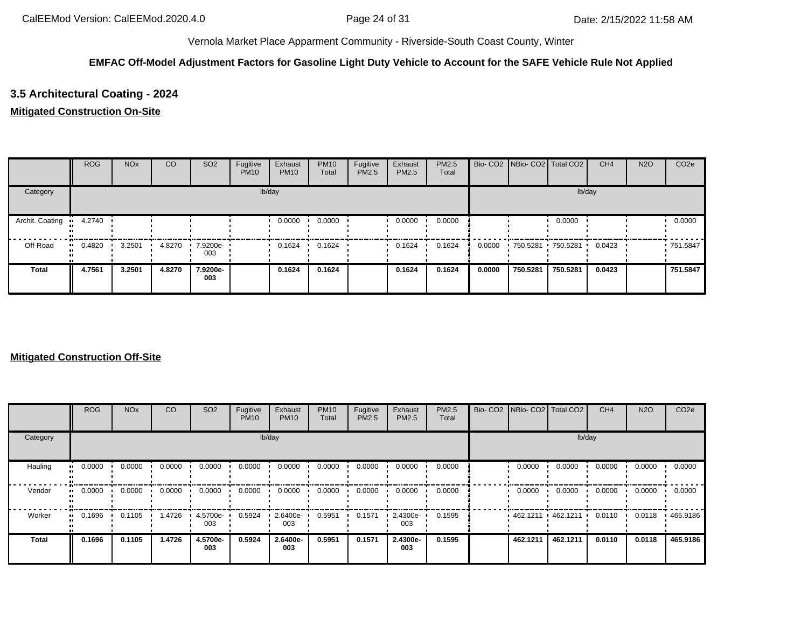## **EMFAC Off-Model Adjustment Factors for Gasoline Light Duty Vehicle to Account for the SAFE Vehicle Rule Not Applied**

# **3.5 Architectural Coating - 2024**

### **Mitigated Construction On-Site**

|                 | <b>ROG</b> | <b>NO<sub>x</sub></b> | CO     | SO <sub>2</sub>       | Fugitive<br><b>PM10</b> | Exhaust<br><b>PM10</b> | <b>PM10</b><br>Total | Fugitive<br>PM2.5 | Exhaust<br><b>PM2.5</b> | <b>PM2.5</b><br>Total |        | Bio- CO2   NBio- CO2   Total CO2 |                     | CH <sub>4</sub> | <b>N2O</b> | CO <sub>2e</sub> |
|-----------------|------------|-----------------------|--------|-----------------------|-------------------------|------------------------|----------------------|-------------------|-------------------------|-----------------------|--------|----------------------------------|---------------------|-----------------|------------|------------------|
| Category        |            |                       |        |                       |                         | lb/day                 |                      |                   |                         |                       |        |                                  | lb/day              |                 |            |                  |
| Archit. Coating | 4.2740     |                       |        |                       |                         | 0.0000                 | 0.0000               |                   | 0.0000                  | 0.0000                |        |                                  | 0.0000              |                 |            | 0.0000           |
| Off-Road        | 0.4820     | 3.2501                | 4.8270 | $17.9200e - 1$<br>003 |                         | 0.1624                 | 0.1624               |                   | 0.1624                  | 0.1624                | 0.0000 |                                  | 750.5281 750.5281 ' | 0.0423          |            | ■ 751.5847       |
| <b>Total</b>    | 4.7561     | 3.2501                | 4.8270 | 7.9200e-<br>003       |                         | 0.1624                 | 0.1624               |                   | 0.1624                  | 0.1624                | 0.0000 | 750.5281                         | 750.5281            | 0.0423          |            | 751.5847         |

|              | ROG    | <b>NO<sub>x</sub></b> | <sub>CO</sub> | SO <sub>2</sub> | Fugitive<br><b>PM10</b> | Exhaust<br><b>PM10</b> | <b>PM10</b><br>Total | Fugitive<br><b>PM2.5</b> | Exhaust<br><b>PM2.5</b> | PM2.5<br>Total | Bio- CO2   NBio- CO2   Total CO2 |          | CH <sub>4</sub> | <b>N2O</b> | CO <sub>2e</sub> |
|--------------|--------|-----------------------|---------------|-----------------|-------------------------|------------------------|----------------------|--------------------------|-------------------------|----------------|----------------------------------|----------|-----------------|------------|------------------|
| Category     |        |                       |               |                 |                         | lb/day                 |                      |                          |                         |                |                                  | lb/day   |                 |            |                  |
| Hauling      | 0.0000 | 0.0000                | 0.0000        | 0.0000          | 0.0000                  | 0.0000                 | 0.0000               | 0.0000                   | 0.0000                  | 0.0000         | 0.0000                           | 0.0000   | 0.0000          | 0.0000     | 0.0000           |
| Vendor       | 0.0000 | 0.0000                | 0.0000        | 0.0000          | 0.0000                  | 0.0000                 | 0.0000               | 0.0000                   | 0.0000                  | 0.0000         | 0.0000                           | 0.0000   | 0.0000          | 0.0000     | 0.0000           |
| Worker       | 0.1696 | 0.1105                | l.4726        | 4.5700e-<br>003 | 0.5924                  | 2.6400e-<br>003        | 0.5951               | 0.1571                   | 2.4300e-<br>003         | 0.1595         | 462.1211 462.1211                |          | 0.0110          | 0.0118     | 465.9186         |
| <b>Total</b> | 0.1696 | 0.1105                | 1.4726        | 4.5700e-<br>003 | 0.5924                  | 2.6400e-<br>003        | 0.5951               | 0.1571                   | 2.4300e-<br>003         | 0.1595         | 462.1211                         | 462.1211 | 0.0110          | 0.0118     | 465.9186         |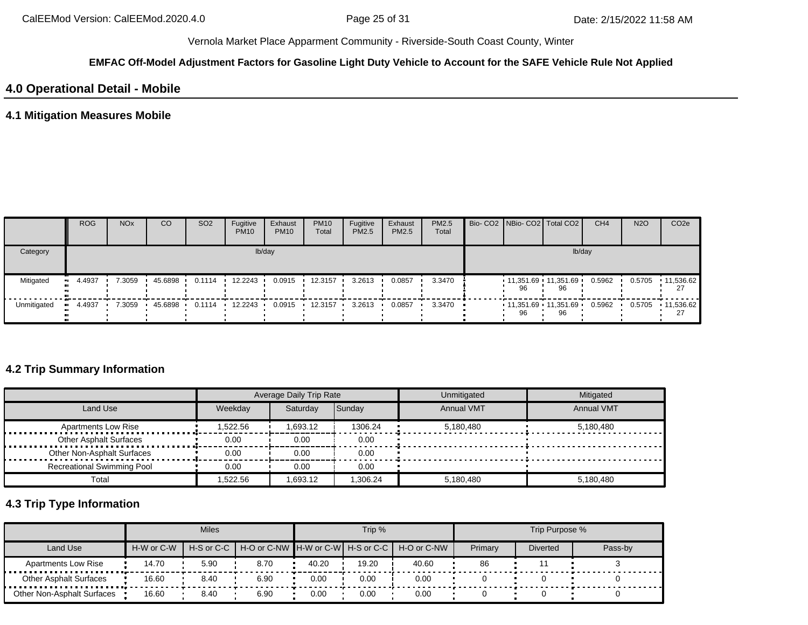#### **EMFAC Off-Model Adjustment Factors for Gasoline Light Duty Vehicle to Account for the SAFE Vehicle Rule Not Applied**

# **4.0 Operational Detail - Mobile**

## **4.1 Mitigation Measures Mobile**

|             | <b>ROG</b> | <b>NO<sub>x</sub></b> | CO      | SO <sub>2</sub>  | Fugitive<br><b>PM10</b> | Exhaust<br><b>PM10</b> | <b>PM10</b><br>Total | Fugitive<br><b>PM2.5</b> | Exhaust<br>PM2.5 | <b>PM2.5</b><br>Total |    | Bio- CO2 NBio- CO2 Total CO2        | CH <sub>4</sub> | <b>N2O</b> | CO <sub>2e</sub> |
|-------------|------------|-----------------------|---------|------------------|-------------------------|------------------------|----------------------|--------------------------|------------------|-----------------------|----|-------------------------------------|-----------------|------------|------------------|
| Category    |            |                       |         |                  |                         | lb/day                 |                      |                          |                  |                       |    |                                     | lb/day          |            |                  |
| Mitigated   | 4.4937     | 7.3059                | 45.6898 | $0.1114$ $\cdot$ | 12.2243                 | 0.0915                 | 12.3157              | 3.2613                   | 0.0857           | 3.3470                | 96 | $11,351.69$ 11,351.69 $\cdot$<br>96 | 0.5962          | 0.5705     | 11,536.62        |
| Unmitigated | 4.4937     | 7.3059                | 45.6898 | 0.1114           | 12.2243                 | 0.0915                 | 12.3157              | 3.2613                   | 0.0857           | $3.3470$ $\bullet$    | 96 | $11.351.69$ $11.351.69$<br>96       | 0.5962          | 0.5705     | $-11,536.62$     |

# **4.2 Trip Summary Information**

|                                   |          | <b>Average Daily Trip Rate</b> |          | Unmitigated       | Mitigated         |
|-----------------------------------|----------|--------------------------------|----------|-------------------|-------------------|
| Land Use                          | Weekday  | Saturday                       | Sunday   | <b>Annual VMT</b> | <b>Annual VMT</b> |
| <b>Apartments Low Rise</b>        | 1,522.56 | 1.693.12                       | 1306.24  | 5,180,480         | 5.180.480         |
| <b>Other Asphalt Surfaces</b>     | 0.00     | 0.00                           | 0.00     |                   |                   |
| Other Non-Asphalt Surfaces        | 0.00     | 0.00                           | 0.00     |                   |                   |
| <b>Recreational Swimming Pool</b> | 0.00     | 0.00                           | 0.00     |                   |                   |
| Total                             | 522.56.  | 1.693.12                       | 1.306.24 | 5.180.480         | 5,180,480         |

# **4.3 Trip Type Information**

|                               |            | <b>Miles</b>   |      |       | Trip % |                                               |         | Trip Purpose %  |         |
|-------------------------------|------------|----------------|------|-------|--------|-----------------------------------------------|---------|-----------------|---------|
| Land Use                      | H-W or C-W | $H-S$ or $C-C$ |      |       |        | H-O or C-NW H-W or C-W H-S or C-C H-O or C-NW | Primary | <b>Diverted</b> | Pass-by |
| <b>Apartments Low Rise</b>    | 14.70      | 5.90           | 8.70 | 40.20 | 19.20  | 40.60                                         | 86      |                 |         |
| <b>Other Asphalt Surfaces</b> | 16.60      | 8.40           | 6.90 | 0.00  | 0.00   | 0.00                                          |         |                 |         |
| Other Non-Asphalt Surfaces    | 16.60      | 8.40           | 6.90 | 0.00  | 0.00   | 0.00                                          |         |                 |         |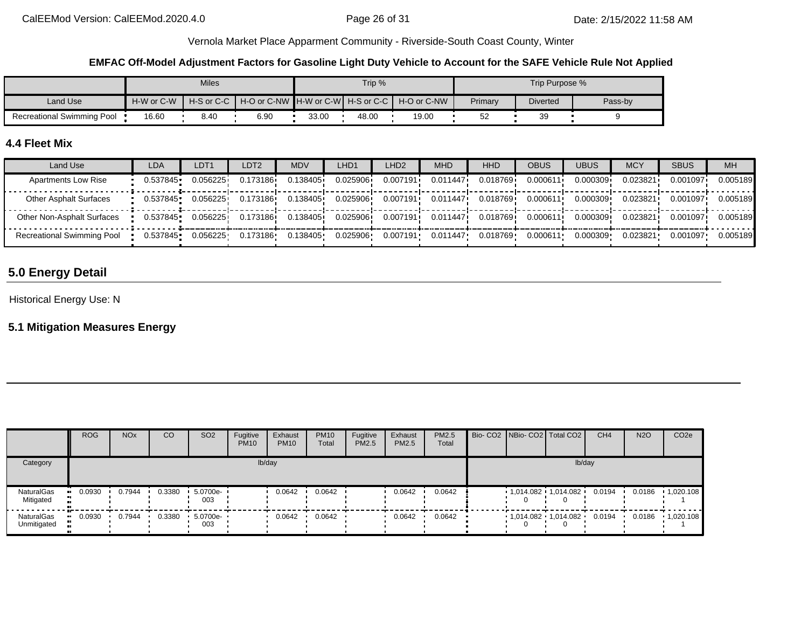#### **EMFAC Off-Model Adjustment Factors for Gasoline Light Duty Vehicle to Account for the SAFE Vehicle Rule Not Applied**

|                                   |            | Miles |      |       | Trip % |                                                                |         | Trip Purpose %  |         |
|-----------------------------------|------------|-------|------|-------|--------|----------------------------------------------------------------|---------|-----------------|---------|
| Land Use                          | H-W or C-W |       |      |       |        | H-S or C-C I H-O or C-NW IH-W or C-WI H-S or C-C I H-O or C-NW | Primary | <b>Diverted</b> | Pass-by |
| <b>Recreational Swimming Pool</b> | 16.60      | 8.40  | 6.90 | 33.00 | 48.00  | 19.00                                                          | 52      | ЗΞ              |         |

## **4.4 Fleet Mix**

| Land Use                          | LDA      | LDT <sub>1</sub> | LDT2     | MDV      | LHD1     | LHD <sub>2</sub> | <b>MHD</b>            | <b>HHD</b> | OBUS     | <b>UBUS</b> | <b>MCY</b> | <b>SBUS</b> | <b>MH</b> |
|-----------------------------------|----------|------------------|----------|----------|----------|------------------|-----------------------|------------|----------|-------------|------------|-------------|-----------|
| <b>Apartments Low Rise</b>        | 0.537845 | 0.056225         | 0.173186 | 0.138405 | 0.025906 | 0.007191         | 0.011447              | 0.018769   | 0.000611 | 0.000309    | 0.023821   | 0.001097    | 0.005189  |
| <b>Other Asphalt Surfaces</b>     | 0.537845 | 0.056225         | 0.173186 | 0.138405 | 0.025906 | 0.007191         | 0.011447              | 0.018769   | 0.000611 | 0.000309    | 0.023821   | 0.001097    | 0.005189  |
| Other Non-Asphalt Surfaces        | 0.537845 | 0.056225         | 0.173186 | 0.138405 | 0.025906 |                  | $0.007191$ $0.011447$ | 0.018769 i | 0.000611 | 0.000309    | 0.023821   | 0.001097    | 0.005189  |
| <b>Recreational Swimming Pool</b> | 0.537845 | 0.056225         | 0.173186 | 0.138405 | 0.025906 | 0.007191         | 0.011447              | 0.018769   | 0.000611 | 0.000309    | 0.023821   | 0.001097    | 0.005189  |

# **5.0 Energy Detail**

Historical Energy Use: N

# **5.1 Mitigation Measures Energy**

|                           | <b>ROG</b> | <b>NO<sub>x</sub></b> | CO     | SO <sub>2</sub> | Fugitive<br><b>PM10</b> | Exhaust<br><b>PM10</b> | <b>PM10</b><br>Total | Fugitive<br>PM2.5 | Exhaust<br>PM2.5 | <b>PM2.5</b><br>Total |  | Bio- CO2   NBio- CO2   Total CO2 | CH <sub>4</sub> | <b>N2O</b> | CO <sub>2</sub> e |
|---------------------------|------------|-----------------------|--------|-----------------|-------------------------|------------------------|----------------------|-------------------|------------------|-----------------------|--|----------------------------------|-----------------|------------|-------------------|
| Category                  |            |                       |        |                 | lb/day                  |                        |                      |                   |                  |                       |  | lb/day                           |                 |            |                   |
| NaturalGas<br>Mitigated   | 0.0930     | 0.7944                | 0.3380 | 5.0700e-<br>003 |                         | 0.0642                 | 0.0642               |                   | 0.0642           | 0.0642                |  | • 1,014.082 • 1,014.082 •        | 0.0194          | 0.0186     | 1,020.108         |
| NaturalGas<br>Unmitigated | 0.0930     | 0.7944                | 0.3380 | 5.0700e-<br>003 |                         | 0.0642                 | 0.0642               |                   | 0.0642           | 0.0642                |  | $1,014.082$ $1,014.082$ $1$      | 0.0194          | 0.0186     | 1,020.108         |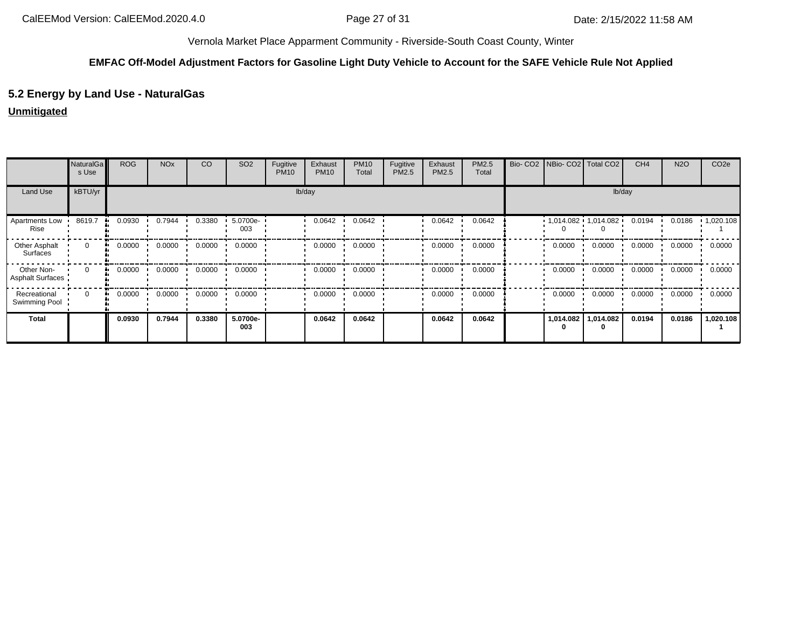#### **EMFAC Off-Model Adjustment Factors for Gasoline Light Duty Vehicle to Account for the SAFE Vehicle Rule Not Applied**

# **5.2 Energy by Land Use - NaturalGas**

### **Unmitigated**

|                                       | NaturalGa<br>s Use | <b>ROG</b>   | <b>NO<sub>x</sub></b> | CO     | SO <sub>2</sub> | Fugitive<br><b>PM10</b> | Exhaust<br><b>PM10</b> | <b>PM10</b><br>Total | Fugitive<br>PM2.5 | Exhaust<br>PM2.5 | PM2.5<br>Total | Bio- CO2 NBio- CO2 Total CO2 |                             | CH <sub>4</sub> | <b>N2O</b> | CO <sub>2e</sub> |
|---------------------------------------|--------------------|--------------|-----------------------|--------|-----------------|-------------------------|------------------------|----------------------|-------------------|------------------|----------------|------------------------------|-----------------------------|-----------------|------------|------------------|
| Land Use                              | kBTU/yr            |              |                       |        |                 |                         | lb/day                 |                      |                   |                  |                |                              | lb/day                      |                 |            |                  |
| Apartments Low<br>Rise                | 8619.7             | 0.0930       | 0.7944                | 0.3380 | 5.0700e-<br>003 |                         | 0.0642                 | 0.0642               |                   | 0.0642           | 0.0642         |                              | $1,014.082$ $1,014.082$ $1$ | 0.0194          | 0.0186     | 1,020.108        |
| Other Asphalt<br>Surfaces             | $\mathbf 0$        | 0.0000<br>ш. | 0.0000                | 0.0000 | 0.0000          |                         | 0.0000                 | 0.0000               |                   | 0.0000           | 0.0000         | 0.0000                       | 0.0000                      | 0.0000          | 0.0000     | 0.0000           |
| Other Non-<br><b>Asphalt Surfaces</b> | $\Omega$           | 0.0000<br>ш. | 0.0000                | 0.0000 | 0.0000          |                         | 0.0000                 | 0.0000               |                   | 0.0000           | 0.0000         | 0.0000                       | 0.0000                      | 0.0000          | 0.0000     | 0.0000           |
| Recreational<br>Swimming Pool         | $\Omega$           | 0.0000       | 0.0000                | 0.0000 | 0.0000          |                         | 0.0000                 | 0.0000               |                   | 0.0000           | 0.0000         | 0.0000                       | 0.0000                      | 0.0000          | 0.0000     | 0.0000           |
| Total                                 |                    | 0.0930       | 0.7944                | 0.3380 | 5.0700e-<br>003 |                         | 0.0642                 | 0.0642               |                   | 0.0642           | 0.0642         | 1,014.082<br>0               | 1,014.082<br>0              | 0.0194          | 0.0186     | 1,020.108        |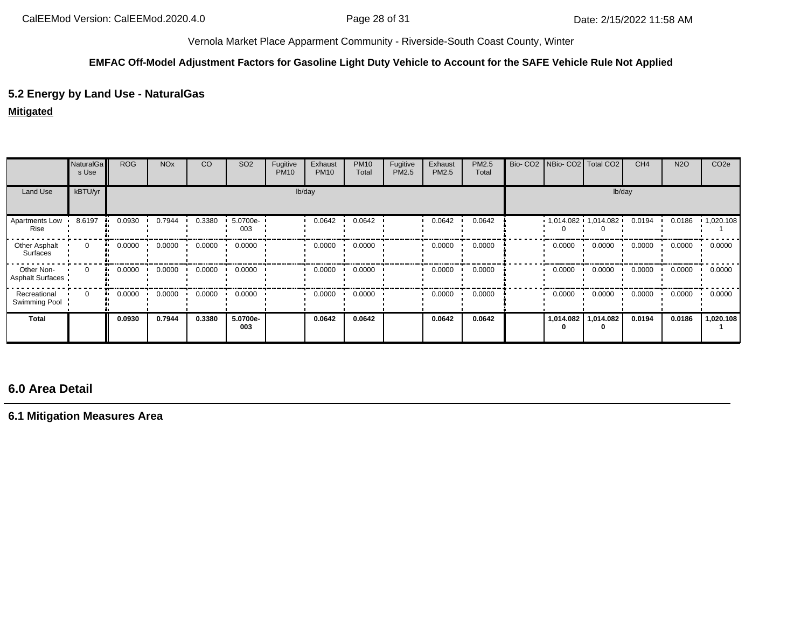#### **EMFAC Off-Model Adjustment Factors for Gasoline Light Duty Vehicle to Account for the SAFE Vehicle Rule Not Applied**

# **5.2 Energy by Land Use - NaturalGas**

## **Mitigated**

|                                | <b>NaturalGa</b><br>s Use | <b>ROG</b>   | <b>NO<sub>x</sub></b> | CO     | SO <sub>2</sub> | Fugitive<br><b>PM10</b> | Exhaust<br><b>PM10</b> | <b>PM10</b><br>Total | Fugitive<br>PM2.5 | Exhaust<br>PM2.5 | PM2.5<br>Total | Bio-CO <sub>2</sub> |           | NBio- CO2   Total CO2     | CH <sub>4</sub> | <b>N2O</b> | CO <sub>2e</sub> |
|--------------------------------|---------------------------|--------------|-----------------------|--------|-----------------|-------------------------|------------------------|----------------------|-------------------|------------------|----------------|---------------------|-----------|---------------------------|-----------------|------------|------------------|
| Land Use                       | kBTU/yr                   |              |                       |        |                 |                         | lb/day                 |                      |                   |                  |                |                     |           | lb/day                    |                 |            |                  |
| Apartments Low<br>Rise         | 8.6197                    | 0.0930       | 0.7944                | 0.3380 | 5.0700e-<br>003 |                         | 0.0642                 | 0.0642               |                   | 0.0642           | 0.0642         |                     |           | $1,014.082 + 1,014.082 +$ | 0.0194          | 0.0186     | 1,020.108        |
| Other Asphalt<br>Surfaces      | $\mathbf{0}$              | 0.0000<br>ш. | 0.0000                | 0.0000 | 0.0000          |                         | 0.0000                 | 0.0000               |                   | 0.0000           | 0.0000         |                     | 0.0000    | 0.0000                    | 0.0000          | 0.0000     | 0.0000           |
| Other Non-<br>Asphalt Surfaces | $\Omega$                  | 0.0000<br>ш. | 0.0000                | 0.0000 | 0.0000          |                         | 0.0000                 | 0.0000               |                   | 0.0000           | 0.0000         |                     | 0.0000    | 0.0000                    | 0.0000          | 0.0000     | 0.0000           |
| Recreational<br>Swimming Pool  | $\Omega$                  | 0.0000<br>ш. | 0.0000                | 0.0000 | 0.0000          |                         | 0.0000                 | 0.0000               |                   | 0.0000           | 0.0000         |                     | 0.0000    | 0.0000                    | 0.0000          | 0.0000     | 0.0000           |
| <b>Total</b>                   |                           | 0.0930       | 0.7944                | 0.3380 | 5.0700e-<br>003 |                         | 0.0642                 | 0.0642               |                   | 0.0642           | 0.0642         |                     | 1,014.082 | 1,014.082                 | 0.0194          | 0.0186     | 1,020.108        |

# **6.0 Area Detail**

**6.1 Mitigation Measures Area**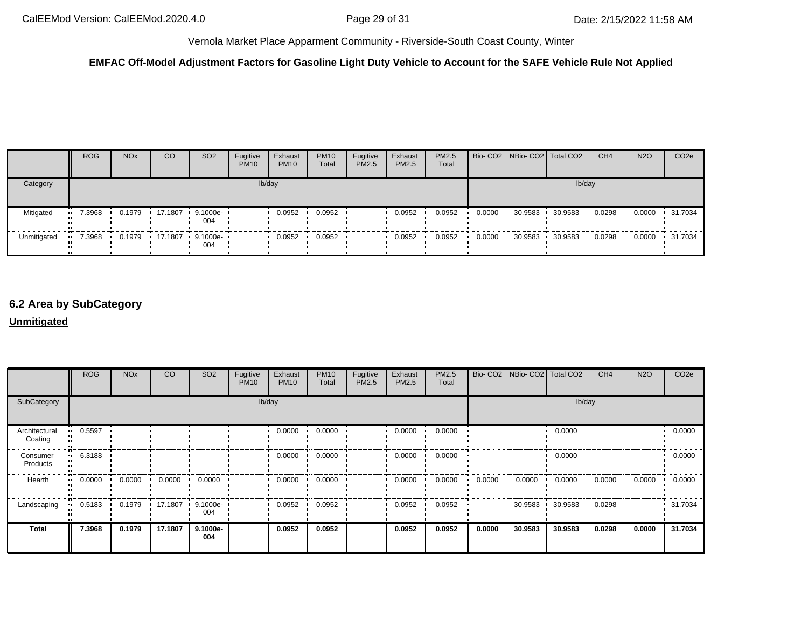# **EMFAC Off-Model Adjustment Factors for Gasoline Light Duty Vehicle to Account for the SAFE Vehicle Rule Not Applied**

|             | <b>ROG</b> | <b>NO<sub>x</sub></b> | CO | SO <sub>2</sub>                 | Fugitive<br><b>PM10</b> | Exhaust<br><b>PM10</b> | <b>PM10</b><br>Total | Fugitive<br><b>PM2.5</b> | Exhaust<br><b>PM2.5</b> | <b>PM2.5</b><br>Total |        | Bio- CO2 NBio- CO2 Total CO2 |         | CH <sub>4</sub> | <b>N2O</b> | CO <sub>2</sub> e |
|-------------|------------|-----------------------|----|---------------------------------|-------------------------|------------------------|----------------------|--------------------------|-------------------------|-----------------------|--------|------------------------------|---------|-----------------|------------|-------------------|
| Category    |            |                       |    |                                 |                         | lb/day                 |                      |                          |                         |                       |        |                              | lb/day  |                 |            |                   |
| Mitigated   | 7.3968     | 0.1979                |    | $17.1807$ $9.1000e -$<br>004    |                         | 0.0952                 | 0.0952               |                          | 0.0952                  | 0.0952                | 0.0000 | 30.9583                      | 30.9583 | 0.0298          | 0.0000     | .31.7034          |
| Unmitigated | 7.3968     |                       |    | 0.1979 17.1807 9.1000e ·<br>004 |                         | 0.0952                 | 0.0952               |                          | 0.0952                  | 0.0952                | 0.0000 | 30.9583                      | 30.9583 | 0.0298          | 0.0000     | $\cdot$ 31.7034   |

# **6.2 Area by SubCategory**

#### **Unmitigated**

|                          | <b>ROG</b> | <b>NO<sub>x</sub></b> | CO      | SO <sub>2</sub>    | Fugitive<br><b>PM10</b> | Exhaust<br><b>PM10</b> | <b>PM10</b><br>Total | Fugitive<br>PM2.5 | Exhaust<br>PM2.5 | PM2.5<br>Total |        | Bio- CO2 NBio- CO2 Total CO2 |         | CH <sub>4</sub> | <b>N2O</b> | CO <sub>2e</sub> |
|--------------------------|------------|-----------------------|---------|--------------------|-------------------------|------------------------|----------------------|-------------------|------------------|----------------|--------|------------------------------|---------|-----------------|------------|------------------|
| SubCategory              |            |                       |         |                    |                         | lb/day                 |                      |                   |                  |                |        |                              |         | lb/day          |            |                  |
| Architectural<br>Coating | 0.5597     |                       |         |                    |                         | 0.0000                 | 0.0000               |                   | 0.0000           | 0.0000         |        |                              | 0.0000  |                 |            | 0.0000           |
| Consumer<br>Products     | 6.3188     |                       |         |                    |                         | 0.0000                 | 0.0000               |                   | 0.0000           | 0.0000         |        |                              | 0.0000  |                 |            | 0.0000           |
| Hearth                   | 0.0000     | 0.0000                | 0.0000  | 0.0000             |                         | 0.0000                 | 0.0000               |                   | 0.0000           | 0.0000         | 0.0000 | 0.0000                       | 0.0000  | 0.0000          | 0.0000     | 0.0000           |
| Landscaping              | 0.5183     | 0.1979                | 17.1807 | $9.1000e -$<br>004 |                         | 0.0952                 | 0.0952               |                   | 0.0952           | 0.0952         |        | 30.9583                      | 30.9583 | 0.0298          |            | 31.7034          |
| Total                    | 7.3968     | 0.1979                | 17.1807 | 9.1000e-<br>004    |                         | 0.0952                 | 0.0952               |                   | 0.0952           | 0.0952         | 0.0000 | 30.9583                      | 30.9583 | 0.0298          | 0.0000     | 31.7034          |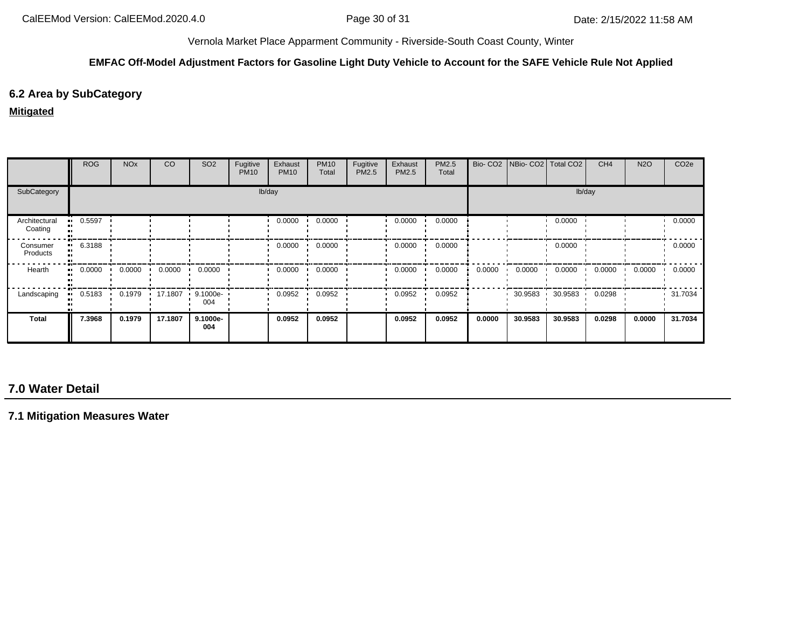#### **EMFAC Off-Model Adjustment Factors for Gasoline Light Duty Vehicle to Account for the SAFE Vehicle Rule Not Applied**

# **6.2 Area by SubCategory**

### **Mitigated**

|                          | <b>ROG</b> | <b>NO<sub>x</sub></b> | CO      | SO <sub>2</sub>    | Fugitive<br><b>PM10</b> | Exhaust<br><b>PM10</b> | <b>PM10</b><br>Total | Fugitive<br>PM2.5 | Exhaust<br><b>PM2.5</b> | PM2.5<br>Total |        | Bio- CO2   NBio- CO2   Total CO2 |         | CH <sub>4</sub> | <b>N2O</b> | CO <sub>2e</sub> |
|--------------------------|------------|-----------------------|---------|--------------------|-------------------------|------------------------|----------------------|-------------------|-------------------------|----------------|--------|----------------------------------|---------|-----------------|------------|------------------|
| SubCategory              |            |                       |         |                    |                         | lb/day                 |                      |                   |                         |                |        |                                  | lb/day  |                 |            |                  |
| Architectural<br>Coating | 0.5597     |                       |         |                    |                         | 0.0000                 | 0.0000               |                   | 0.0000                  | 0.0000         |        |                                  | 0.0000  |                 |            | 0.0000           |
| Consumer<br>Products     | 6.3188     |                       |         |                    |                         | 0.0000                 | 0.0000               |                   | 0.0000                  | 0.0000         |        |                                  | 0.0000  |                 |            | 0.0000           |
| Hearth                   | 0.0000     | 0.0000                | 0.0000  | 0.0000             |                         | 0.0000                 | 0.0000               |                   | 0.0000                  | 0.0000         | 0.0000 | 0.0000                           | 0.0000  | 0.0000          | 0.0000     | 0.0000           |
| Landscaping              | 0.5183     | 0.1979                | 17.1807 | $9.1000e -$<br>004 |                         | 0.0952                 | 0.0952               |                   | 0.0952                  | 0.0952         |        | 30.9583                          | 30.9583 | 0.0298          |            | 31.7034          |
| Total                    | 7.3968     | 0.1979                | 17.1807 | 9.1000e-<br>004    |                         | 0.0952                 | 0.0952               |                   | 0.0952                  | 0.0952         | 0.0000 | 30.9583                          | 30.9583 | 0.0298          | 0.0000     | 31.7034          |

# **7.0 Water Detail**

**7.1 Mitigation Measures Water**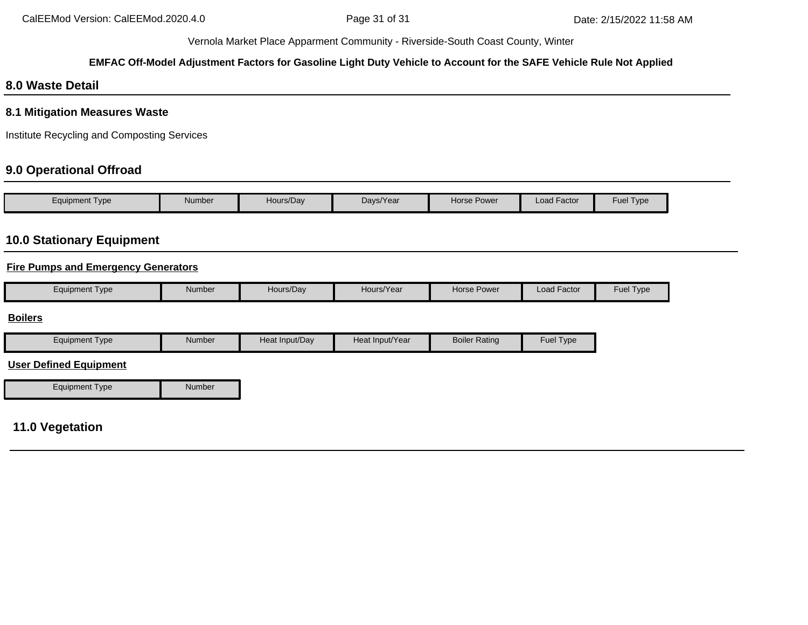# **EMFAC Off-Model Adjustment Factors for Gasoline Light Duty Vehicle to Account for the SAFE Vehicle Rule Not Applied**

# **8.0 Waste Detail**

## **8.1 Mitigation Measures Waste**

Institute Recycling and Composting Services

# **9.0 Operational Offroad**

| Equipment Type | <b>Number</b> | Hours/Day | Days/Year | <b>Horse Power</b> | <b>Load Factor</b> | Fuel Type |
|----------------|---------------|-----------|-----------|--------------------|--------------------|-----------|

# **10.0 Stationary Equipment**

## **Fire Pumps and Emergency Generators**

| Number<br><b>Fuel Type</b><br>Load Factor<br>Hours/Year<br>Horse Power<br>Equipment Type<br>Hours/Dav |
|-------------------------------------------------------------------------------------------------------|
|-------------------------------------------------------------------------------------------------------|

#### **Boilers**

| Equipment Type | Number | Heat Input/Dav | Heat Input/Year | <b>Boiler Rating</b> | <b>Fuel Type</b> |
|----------------|--------|----------------|-----------------|----------------------|------------------|
|----------------|--------|----------------|-----------------|----------------------|------------------|

## **User Defined Equipment**

| <b>Equipment Type</b> | Number |
|-----------------------|--------|

# **11.0 Vegetation**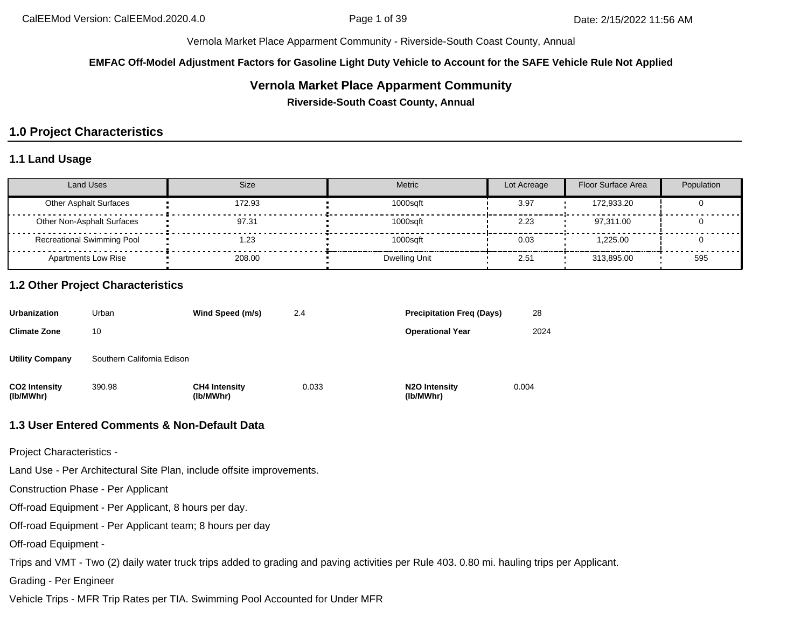**EMFAC Off-Model Adjustment Factors for Gasoline Light Duty Vehicle to Account for the SAFE Vehicle Rule Not Applied**

# **Vernola Market Place Apparment Community**

**Riverside-South Coast County, Annual**

# **1.0 Project Characteristics**

### **1.1 Land Usage**

| <b>Land Uses</b>                  | Size   | <b>Metric</b> | Lot Acreage | Floor Surface Area | Population |
|-----------------------------------|--------|---------------|-------------|--------------------|------------|
| <b>Other Asphalt Surfaces</b>     | 172.93 | 1000sqft      | 3.97        | 172.933.20         |            |
| Other Non-Asphalt Surfaces        | 97.31  | 1000sqft      | 2.23        | 97.311.00          |            |
| <b>Recreational Swimming Pool</b> | 23، ا  | 1000sqft      | 0.03        | 1.225.00           |            |
| <b>Apartments Low Rise</b>        | 208.00 | Dwelling Unit | 2.51        | 313.895.00         | 595        |

### **1.2 Other Project Characteristics**

| <b>Urbanization</b>               | Urban                      | Wind Speed (m/s)                  | 2.4   | <b>Precipitation Freg (Days)</b>        | 28    |
|-----------------------------------|----------------------------|-----------------------------------|-------|-----------------------------------------|-------|
| <b>Climate Zone</b>               | 10                         |                                   |       | <b>Operational Year</b>                 | 2024  |
| <b>Utility Company</b>            | Southern California Edison |                                   |       |                                         |       |
| <b>CO2 Intensity</b><br>(lb/MWhr) | 390.98                     | <b>CH4 Intensity</b><br>(lb/MWhr) | 0.033 | N <sub>2</sub> O Intensity<br>(lb/MWhr) | 0.004 |

### **1.3 User Entered Comments & Non-Default Data**

Project Characteristics -

Land Use - Per Architectural Site Plan, include offsite improvements.

Construction Phase - Per Applicant

Off-road Equipment - Per Applicant, 8 hours per day.

Off-road Equipment - Per Applicant team; 8 hours per day

Off-road Equipment -

Trips and VMT - Two (2) daily water truck trips added to grading and paving activities per Rule 403. 0.80 mi. hauling trips per Applicant.

Grading - Per Engineer

Vehicle Trips - MFR Trip Rates per TIA. Swimming Pool Accounted for Under MFR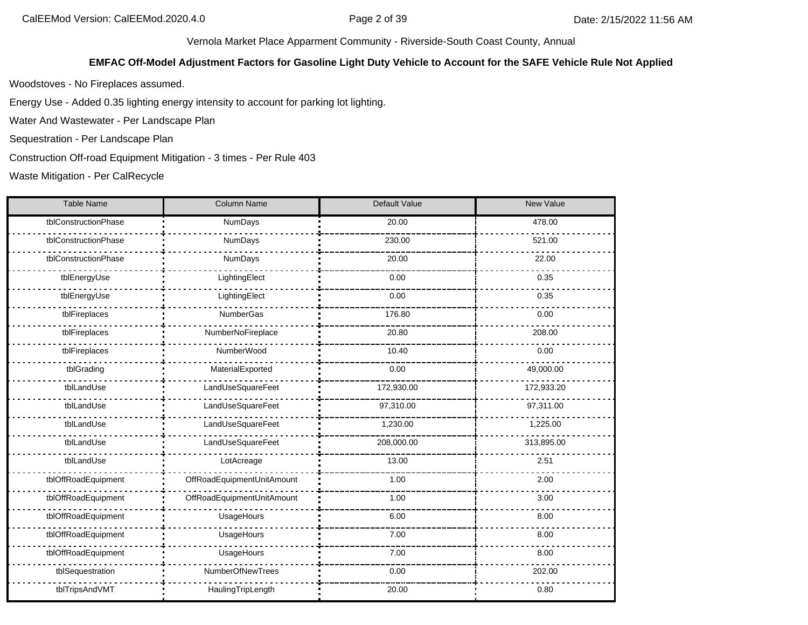### **EMFAC Off-Model Adjustment Factors for Gasoline Light Duty Vehicle to Account for the SAFE Vehicle Rule Not Applied**

Woodstoves - No Fireplaces assumed.

Energy Use - Added 0.35 lighting energy intensity to account for parking lot lighting.

Water And Wastewater - Per Landscape Plan

Sequestration - Per Landscape Plan

Construction Off-road Equipment Mitigation - 3 times - Per Rule 403

Waste Mitigation - Per CalRecycle

| <b>Table Name</b>    | <b>Column Name</b>         | Default Value | New Value  |
|----------------------|----------------------------|---------------|------------|
| tblConstructionPhase | NumDays                    | 20.00         | 478.00     |
| tblConstructionPhase | NumDays                    | 230.00        | 521.00     |
| tblConstructionPhase | NumDays                    | 20.00         | 22.00      |
| tblEnergyUse         | LightingElect              | 0.00          | 0.35       |
| tblEnergyUse         | LightingElect              | 0.00          | 0.35       |
| tblFireplaces        | NumberGas                  | 176.80        | 0.00       |
| tblFireplaces        | NumberNoFireplace          | 20.80         | 208.00     |
| tblFireplaces        | NumberWood                 | 10.40         | 0.00       |
| tblGrading           | MaterialExported           | 0.00          | 49,000.00  |
| tblLandUse           | LandUseSquareFeet          | 172,930.00    | 172,933.20 |
| tblLandUse           | LandUseSquareFeet          | 97,310.00     | 97,311.00  |
| tblLandUse           | LandUseSquareFeet          | 1,230.00      | 1,225.00   |
| tblLandUse           | LandUseSquareFeet          | 208,000.00    | 313,895.00 |
| tblLandUse           | LotAcreage                 | 13.00         | 2.51       |
| tblOffRoadEquipment  | OffRoadEquipmentUnitAmount | 1.00          | 2.00       |
| tblOffRoadEquipment  | OffRoadEquipmentUnitAmount | 1.00          | 3.00       |
| tblOffRoadEquipment  | UsageHours                 | 6.00          | 8.00       |
| tblOffRoadEquipment  | UsageHours                 | 7.00          | 8.00       |
| tblOffRoadEquipment  | UsageHours                 | 7.00          | 8.00       |
| tblSequestration     | NumberOfNewTrees           | 0.00          | 202.00     |
| tblTripsAndVMT       | HaulingTripLength          | 20.00         | 0.80       |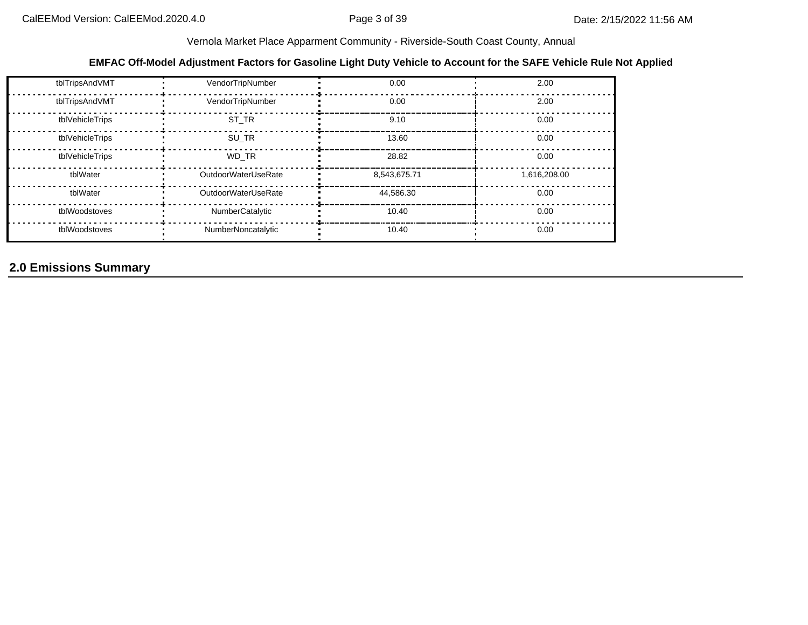## **EMFAC Off-Model Adjustment Factors for Gasoline Light Duty Vehicle to Account for the SAFE Vehicle Rule Not Applied**

| tblTripsAndVMT  | VendorTripNumber    | 0.00         | 2.00         |
|-----------------|---------------------|--------------|--------------|
| tblTripsAndVMT  | VendorTripNumber    | 0.00         | 2.00         |
| tblVehicleTrips | ST TR               | 9.10         | 0.00         |
| tblVehicleTrips | SU TR               | 13.60        | 0.00         |
| tblVehicleTrips | WD TR               | 28.82        | 0.00         |
| tblWater        | OutdoorWaterUseRate | 8,543,675.71 | 1,616,208.00 |
| tblWater        | OutdoorWaterUseRate | 44.586.30    | 0.00         |
| tblWoodstoves   | NumberCatalytic     | 10.40        | 0.00         |
| tblWoodstoves   | NumberNoncatalytic  | 10.40        | 0.00         |

# **2.0 Emissions Summary**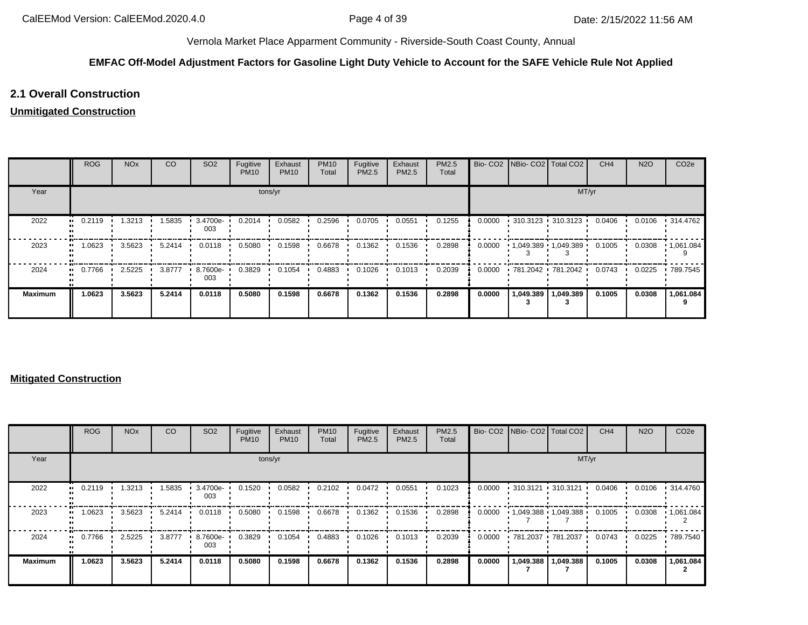# **EMFAC Off-Model Adjustment Factors for Gasoline Light Duty Vehicle to Account for the SAFE Vehicle Rule Not Applied**

# **2.1 Overall Construction**

## **Unmitigated Construction**

|                      | <b>ROG</b> | <b>NO<sub>x</sub></b> | CO     | SO <sub>2</sub> | Fugitive<br><b>PM10</b> | Exhaust<br><b>PM10</b> | <b>PM10</b><br>Total | Fugitive<br>PM2.5 | Exhaust<br>PM2.5 | PM2.5<br>Total |        | Bio- CO2   NBio- CO2   Total CO2 |           | CH <sub>4</sub> | <b>N2O</b> | CO <sub>2e</sub>  |
|----------------------|------------|-----------------------|--------|-----------------|-------------------------|------------------------|----------------------|-------------------|------------------|----------------|--------|----------------------------------|-----------|-----------------|------------|-------------------|
| Year                 |            |                       |        |                 | tons/yr                 |                        |                      |                   |                  |                |        |                                  | MT/yr     |                 |            |                   |
| 2022<br>$\bullet$    | 0.2119     | 1.3213                | 1.5835 | 3.4700e-<br>003 | 0.2014                  | 0.0582                 | 0.2596               | 0.0705            | 0.0551           | 0.1255         | 0.0000 | $-310.3123 - 310.3123$           |           | 0.0406          | 0.0106     | $\cdot$ 314.4762  |
| 2023                 | 1.0623     | 3.5623                | 5.2414 | 0.0118          | 0.5080                  | 0.1598                 | 0.6678               | 0.1362            | 0.1536           | 0.2898         | 0.0000 | $1,049.389$ $1,049.389$          |           | 0.1005          | 0.0308     | $\cdot$ 1,061.084 |
| 2024<br>$\mathbf{u}$ | 0.7766     | 2.5225                | 3.8777 | 8.7600e-<br>003 | 0.3829                  | 0.1054                 | 0.4883               | 0.1026            | 0.1013           | 0.2039         | 0.0000 | 781.2042 781.2042                |           | 0.0743          | 0.0225     | .789.7545         |
| <b>Maximum</b>       | 1.0623     | 3.5623                | 5.2414 | 0.0118          | 0.5080                  | 0.1598                 | 0.6678               | 0.1362            | 0.1536           | 0.2898         | 0.0000 | 1,049.389                        | 1,049.389 | 0.1005          | 0.0308     | 1,061.084         |

#### **Mitigated Construction**

|                | <b>ROG</b> | <b>NO<sub>x</sub></b> | CO     | SO <sub>2</sub> | Fugitive<br><b>PM10</b> | Exhaust<br><b>PM10</b> | <b>PM10</b><br>Total | Fugitive<br><b>PM2.5</b> | Exhaust<br>PM2.5 | <b>PM2.5</b><br>Total |        |           | Bio- CO2 NBio- CO2   Total CO2 | CH <sub>4</sub> | <b>N2O</b> | CO <sub>2e</sub>  |
|----------------|------------|-----------------------|--------|-----------------|-------------------------|------------------------|----------------------|--------------------------|------------------|-----------------------|--------|-----------|--------------------------------|-----------------|------------|-------------------|
| Year           |            | tons/yr               |        |                 |                         |                        |                      |                          |                  |                       |        |           | MT/yr                          |                 |            |                   |
| 2022<br>       | 0.2119     | 1.3213                | 1.5835 | 3.4700e-<br>003 | 0.1520                  | 0.0582                 | 0.2102               | 0.0472                   | 0.0551           | 0.1023                | 0.0000 |           | $-310.3121 - 310.3121$         | 0.0406          | 0.0106     | $\cdot$ 314.4760  |
| 2023           | 1.0623     | 3.5623                | 5.2414 | 0.0118          | 0.5080                  | 0.1598                 | 0.6678               | 0.1362                   | 0.1536           | 0.2898                | 0.0000 |           | 1,049.388 1,049.388            | 0.1005          | 0.0308     | $\cdot$ 1,061.084 |
| 2024           | 0.7766     | 2.5225                | 3.8777 | 8.7600e-<br>003 | 0.3829                  | 0.1054                 | 0.4883               | 0.1026                   | 0.1013           | 0.2039                | 0.0000 |           | 781.2037 781.2037              | 0.0743          | 0.0225     | 789.7540          |
| <b>Maximum</b> | 1.0623     | 3.5623                | 5.2414 | 0.0118          | 0.5080                  | 0.1598                 | 0.6678               | 0.1362                   | 0.1536           | 0.2898                | 0.0000 | 1,049.388 | 1,049.388                      | 0.1005          | 0.0308     | 1,061.084         |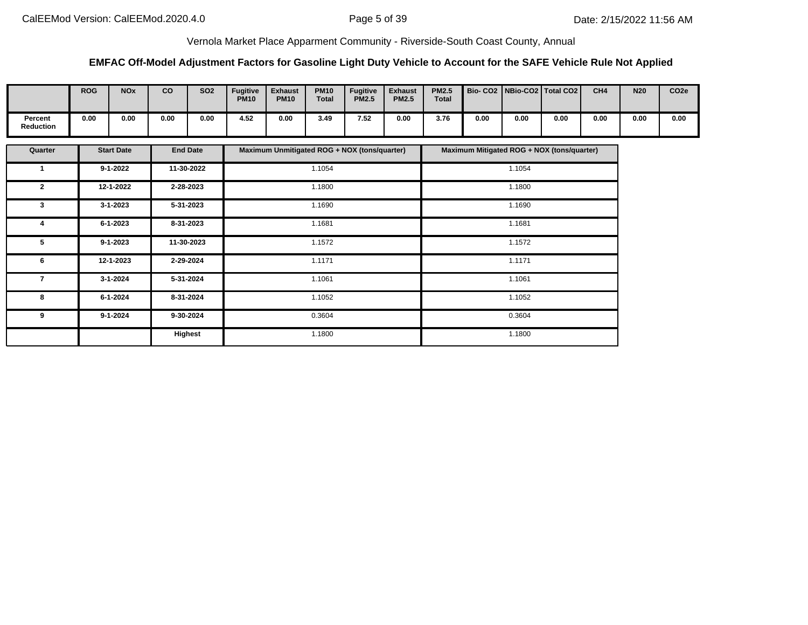## **EMFAC Off-Model Adjustment Factors for Gasoline Light Duty Vehicle to Account for the SAFE Vehicle Rule Not Applied**

|                             | <b>ROG</b> | <b>NO<sub>x</sub></b> | co   | <b>SO2</b> | <b>Fugitive</b><br><b>PM10</b> | <b>Exhaust</b><br><b>PM10</b> | <b>PM10</b><br>Total | <b>Fugitive</b><br><b>PM2.5</b> | <b>Exhaust</b><br><b>PM2.5</b> | <b>PM2.5</b><br><b>Total</b> |      |      | Bio- CO2   NBio-CO2   Total CO2 | CH <sub>4</sub> | <b>N20</b> | CO <sub>2e</sub> |
|-----------------------------|------------|-----------------------|------|------------|--------------------------------|-------------------------------|----------------------|---------------------------------|--------------------------------|------------------------------|------|------|---------------------------------|-----------------|------------|------------------|
| Percent<br><b>Reduction</b> | 0.00       | 0.00                  | 0.00 | 0.00       | 4.52                           | 0.00                          | 3.49                 | 7.52                            | 0.00                           | 3.76                         | 0.00 | 0.00 | 0.00                            | 0.00            | 0.00       | 0.00             |

| Quarter      | <b>Start Date</b> | <b>End Date</b> | Maximum Unmitigated ROG + NOX (tons/quarter) | Maximum Mitigated ROG + NOX (tons/quarter) |
|--------------|-------------------|-----------------|----------------------------------------------|--------------------------------------------|
|              | $9 - 1 - 2022$    | 11-30-2022      | 1.1054                                       | 1.1054                                     |
| $\mathbf{2}$ | 12-1-2022         | 2-28-2023       | 1.1800                                       | 1.1800                                     |
| 3            | 3-1-2023          | 5-31-2023       | 1.1690                                       | 1.1690                                     |
| 4            | 6-1-2023          | 8-31-2023       | 1.1681                                       | 1.1681                                     |
| 5            | $9 - 1 - 2023$    | 11-30-2023      | 1.1572                                       | 1.1572                                     |
| 6            | 12-1-2023         | 2-29-2024       | 1.1171                                       | 1.1171                                     |
| 7            | $3 - 1 - 2024$    | 5-31-2024       | 1.1061                                       | 1.1061                                     |
| 8            | 6-1-2024          | 8-31-2024       | 1.1052                                       | 1.1052                                     |
| 9            | $9 - 1 - 2024$    | 9-30-2024       | 0.3604                                       | 0.3604                                     |
|              |                   | Highest         | 1.1800                                       | 1.1800                                     |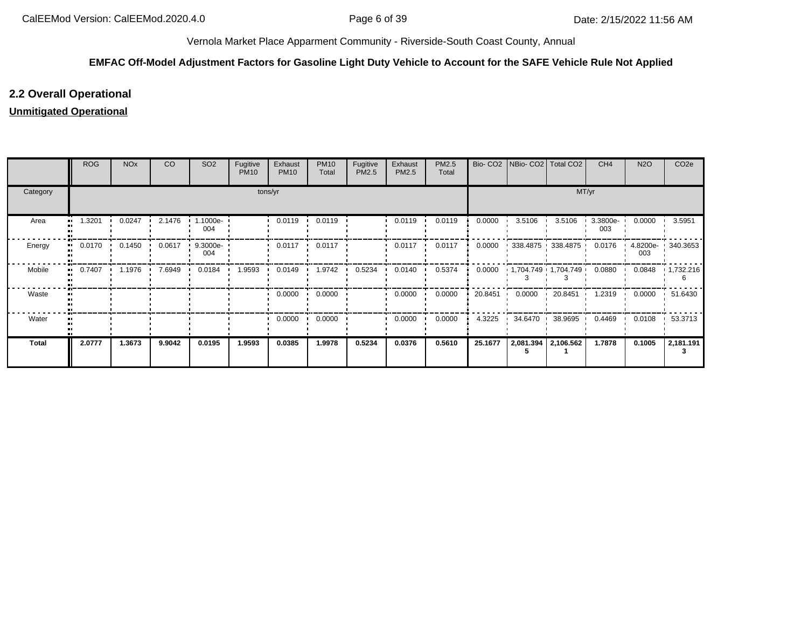# **EMFAC Off-Model Adjustment Factors for Gasoline Light Duty Vehicle to Account for the SAFE Vehicle Rule Not Applied**

# **2.2 Overall Operational**

# **Unmitigated Operational**

|              | <b>ROG</b> | <b>NO<sub>x</sub></b> | CO     | SO <sub>2</sub>    | Fugitive<br><b>PM10</b> | Exhaust<br><b>PM10</b> | <b>PM10</b><br>Total | Fugitive<br>PM2.5 | Exhaust<br>PM2.5 | PM2.5<br>Total |         | Bio- CO2   NBio- CO2   Total CO2 |                     | CH <sub>4</sub> | <b>N2O</b> | CO <sub>2e</sub>  |
|--------------|------------|-----------------------|--------|--------------------|-------------------------|------------------------|----------------------|-------------------|------------------|----------------|---------|----------------------------------|---------------------|-----------------|------------|-------------------|
| Category     |            |                       |        |                    | tons/yr                 |                        |                      |                   |                  |                |         |                                  | MT/yr               |                 |            |                   |
| Area         | 1.3201     | 0.0247                | 2.1476 | 1.1000e-<br>004    |                         | 0.0119                 | 0.0119               |                   | 0.0119           | 0.0119         | 0.0000  | 3.5106                           | 3.5106              | 3.3800e-<br>003 | 0.0000     | 3.5951            |
| Energy       | 0.0170     | 0.1450<br>. .         | 0.0617 | $9.3000e -$<br>004 |                         | 0.0117                 | 0.0117               |                   | 0.0117           | 0.0117         | 0.0000  |                                  | $338.4875$ 338.4875 | 0.0176          | 003        | 4.8200e- 340.3653 |
| Mobile       | 0.7407     | 1.1976                | 7.6949 | 0.0184             | 1.9593                  | 0.0149                 | 1.9742               | 0.5234            | 0.0140           | 0.5374         | 0.0000  |                                  | 1,704.749 1,704.749 | 0.0880          | 0.0848     | 1,732.216         |
| Waste        |            |                       |        |                    |                         | 0.0000                 | 0.0000               |                   | 0.0000           | 0.0000         | 20.8451 | 0.0000                           | 20.8451             | 1.2319          | 0.0000     | 51.6430           |
| Water        |            |                       |        |                    |                         | 0.0000                 | 0.0000               |                   | 0.0000           | 0.0000         | 4.3225  | 34.6470                          | 38.9695             | 0.4469          | 0.0108     | 53.3713           |
| <b>Total</b> | 2.0777     | 1.3673                | 9.9042 | 0.0195             | 1.9593                  | 0.0385                 | 1.9978               | 0.5234            | 0.0376           | 0.5610         | 25.1677 | 2,081.394                        | 2,106.562           | 1.7878          | 0.1005     | 2,181.191         |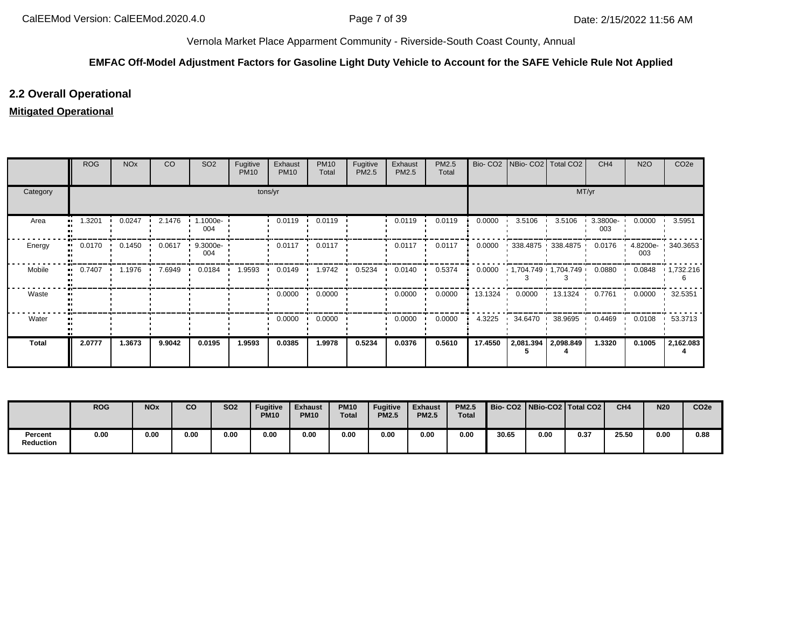# **EMFAC Off-Model Adjustment Factors for Gasoline Light Duty Vehicle to Account for the SAFE Vehicle Rule Not Applied**

# **2.2 Overall Operational**

# **Mitigated Operational**

|                     | <b>ROG</b> | <b>NO<sub>x</sub></b> | CO     | SO <sub>2</sub>    | Fugitive<br><b>PM10</b> | Exhaust<br><b>PM10</b> | <b>PM10</b><br>Total | Fugitive<br>PM2.5 | Exhaust<br>PM2.5 | PM2.5<br>Total |         | Bio- CO2 NBio- CO2       | Total CO <sub>2</sub> | CH <sub>4</sub> | <b>N2O</b> | CO <sub>2e</sub>    |
|---------------------|------------|-----------------------|--------|--------------------|-------------------------|------------------------|----------------------|-------------------|------------------|----------------|---------|--------------------------|-----------------------|-----------------|------------|---------------------|
| Category            |            |                       |        |                    |                         | tons/yr                |                      |                   |                  |                |         |                          | MT/yr                 |                 |            |                     |
| Area<br>п.          | 1.3201     | 0.0247                | 2.1476 | 1.1000e-<br>004    |                         | 0.0119                 | 0.0119               |                   | 0.0119           | 0.0119         | 0.0000  | 3.5106                   | 3.5106                | 3.3800e-<br>003 | 0.0000     | 3.5951              |
| Energy<br>          | 0.0170     | 0.1450                | 0.0617 | $9.3000e -$<br>004 |                         | 0.0117                 | 0.0117               |                   | 0.0117           | 0.0117         | 0.0000  | 338.4875 338.4875        |                       | 0.0176          | 003        | 4.8200e- 1 340.3653 |
| Mobile<br>$\bullet$ | 0.7407     | 1.1976                | 7.6949 | 0.0184             | 1.9593                  | 0.0149                 | 1.9742               | 0.5234            | 0.0140           | 0.5374         | 0.0000  | 1,704.749 1,704.749      |                       | 0.0880          | 0.0848     | 1,732.216           |
| Waste               |            |                       |        |                    |                         | 0.0000                 | 0.0000               |                   | 0.0000           | 0.0000         | 13.1324 | 0.0000<br>$\blacksquare$ | 13.1324               | 0.7761          | 0.0000     | 32.5351             |
| Water               |            |                       |        |                    |                         | 0.0000<br>. .          | 0.0000               |                   | 0.0000           | 0.0000         | 4.3225  | 34.6470 38.9695          |                       | 0.4469          | 0.0108     | 53.3713             |
| <b>Total</b>        | 2.0777     | 1.3673                | 9.9042 | 0.0195             | 1.9593                  | 0.0385                 | 1.9978               | 0.5234            | 0.0376           | 0.5610         | 17.4550 | 2,081.394                | 2,098.849             | 1.3320          | 0.1005     | 2,162.083           |

|                             | <b>ROG</b> | <b>NOx</b> | <b>CO</b> | <b>SO2</b> | <b>Fugitive</b><br><b>PM10</b> | <b>Exhaust</b><br><b>PM10</b> | <b>PM10</b><br><b>Total</b> | <b>Fugitive</b><br><b>PM2.5</b> | <b>Exhaust</b><br><b>PM2.5</b> | <b>PM2.5</b><br><b>Total</b> |       |      | Bio-CO2 NBio-CO2 Total CO2 L | CH <sub>4</sub> | <b>N20</b> | CO <sub>2e</sub> |
|-----------------------------|------------|------------|-----------|------------|--------------------------------|-------------------------------|-----------------------------|---------------------------------|--------------------------------|------------------------------|-------|------|------------------------------|-----------------|------------|------------------|
| Percent<br><b>Reduction</b> | 0.00       | 0.00       | 0.00      | 0.00       | 0.00                           | 0.00                          | 0.00                        | 0.00                            | 0.00                           | 0.00                         | 30.65 | 0.00 | 0.37                         | 25.50           | 0.00       | 0.88             |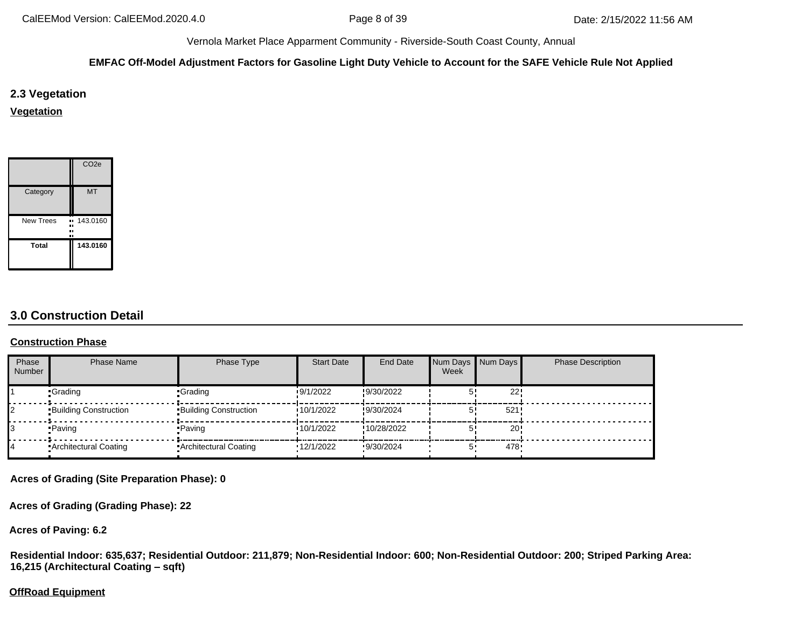### **EMFAC Off-Model Adjustment Factors for Gasoline Light Duty Vehicle to Account for the SAFE Vehicle Rule Not Applied**

**2.3 Vegetation**

**Vegetation**

|                          | CO <sub>2e</sub> |
|--------------------------|------------------|
| Category                 | <b>MT</b>        |
| <b>New Trees</b><br><br> | 143.0160         |
| Total                    | 143.0160         |

# **3.0 Construction Detail**

#### **Construction Phase**

| Phase<br><b>Number</b> | <b>Phase Name</b>            | Phase Type                   | <b>Start Date</b> | <b>End Date</b> | Week | Num Days Num Days | <b>Phase Description</b> |
|------------------------|------------------------------|------------------------------|-------------------|-----------------|------|-------------------|--------------------------|
|                        | •Grading                     | -Grading                     | 9/1/2022          | !9/30/2022      |      | 22'               |                          |
|                        | <b>Building Construction</b> | <b>Building Construction</b> | 10/1/2022         | !9/30/2024      |      | 521               |                          |
|                        | •Paving                      | •Paving                      | 10/1/2022         | !10/28/2022     |      | 20 <sub>1</sub>   |                          |
|                        | Architectural Coating        | Architectural Coating        | 12/1/2022         | 9/30/2024       | 5.   | 478.              |                          |

**Acres of Grading (Site Preparation Phase): 0**

**Acres of Grading (Grading Phase): 22**

**Acres of Paving: 6.2**

**Residential Indoor: 635,637; Residential Outdoor: 211,879; Non-Residential Indoor: 600; Non-Residential Outdoor: 200; Striped Parking Area: 16,215 (Architectural Coating – sqft)**

# **OffRoad Equipment**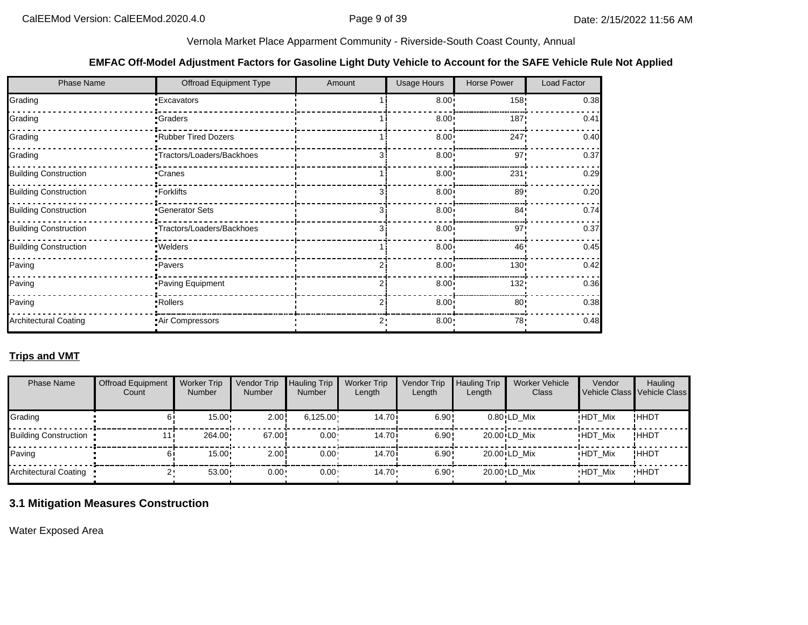#### **EMFAC Off-Model Adjustment Factors for Gasoline Light Duty Vehicle to Account for the SAFE Vehicle Rule Not Applied**

| <b>Phase Name</b>            | <b>Offroad Equipment Type</b> | Amount | <b>Usage Hours</b> | <b>Horse Power</b> | Load Factor |
|------------------------------|-------------------------------|--------|--------------------|--------------------|-------------|
| Grading                      | <b>Excavators</b>             |        | $8.00 \cdot$       | 158:               | 0.38        |
| Grading                      | <b>Graders</b>                |        | $8.00 \cdot$       | 187:               | 0.41        |
| Grading                      | Rubber Tired Dozers           |        | $8.00 \cdot$       | 247                | 0.40        |
| Grading                      | Tractors/Loaders/Backhoes     |        | $8.00 \cdot$       | 97'                | 0.37        |
| <b>Building Construction</b> | <b>Cranes</b>                 |        | $8.00 -$           | 231:               | 0.29        |
| <b>Building Construction</b> | -Forklifts                    |        | $8.00 -$           | 89!                | 0.20        |
| <b>Building Construction</b> | Generator Sets                |        | $8.00 \cdot$       | 84'                | 0.74        |
| <b>Building Construction</b> | Tractors/Loaders/Backhoes     |        | $8.00 -$           | 97'                | 0.37        |
| <b>Building Construction</b> | · Welders                     |        | 8.00 <sup>1</sup>  | 46'                | 0.45        |
| Paving                       | Pavers                        |        | 8.00               | 130:               | 0.42        |
| Paving                       | Paving Equipment              |        | $8.00 \cdot$       | 132!               | 0.36        |
| Paving                       | Rollers                       |        | 8.00               | 80:                | 0.38        |
| <b>Architectural Coating</b> | Air Compressors               |        | 8.00:              | 78 <sub>1</sub>    | 0.48        |

## **Trips and VMT**

| <b>Phase Name</b>     | <b>Offroad Equipment</b><br>Count | <b>Worker Trip</b><br><b>Number</b> | Vendor Trip<br><b>Number</b> | <b>Hauling Trip</b><br><b>Number</b> | <b>Worker Trip</b><br>Length | Vendor Trip<br>Length | <b>Hauling Trip</b><br>Length | <b>Worker Vehicle</b><br>Class | Vendor<br>Vehicle Class Vehicle Class | Hauling     |
|-----------------------|-----------------------------------|-------------------------------------|------------------------------|--------------------------------------|------------------------------|-----------------------|-------------------------------|--------------------------------|---------------------------------------|-------------|
| Grading               |                                   | 15.00                               | 2.00                         | 6,125.00                             | 14.70i                       | 6.90!                 |                               | $0.80$ <sup>ILD</sup> Mix      | <b>HDT Mix</b>                        | !HHDT       |
| Building Construction | 11                                | 264.00                              | 67.00                        | $0.00 \cdot$                         | 14.70i                       | 6.90!                 |                               | $20.00 \cdot LD$ Mix           | <b>HDT Mix</b>                        | !HHDT       |
| Paving                |                                   | 15.00                               | 2.00                         | $0.00 \cdot$                         | 14.70i                       | 6.90!                 |                               | $20.00 \cdot LD$ Mix           | <b>HDT Mix</b>                        | !HHDT       |
| Architectural Coating |                                   | 53.00                               | $0.00 \cdot$                 | $0.00 -$                             | $14.70 \cdot$                | $6.90 -$              |                               | 20.00 LD Mix                   | <b>HDT Mix</b>                        | <b>HHDT</b> |

## **3.1 Mitigation Measures Construction**

Water Exposed Area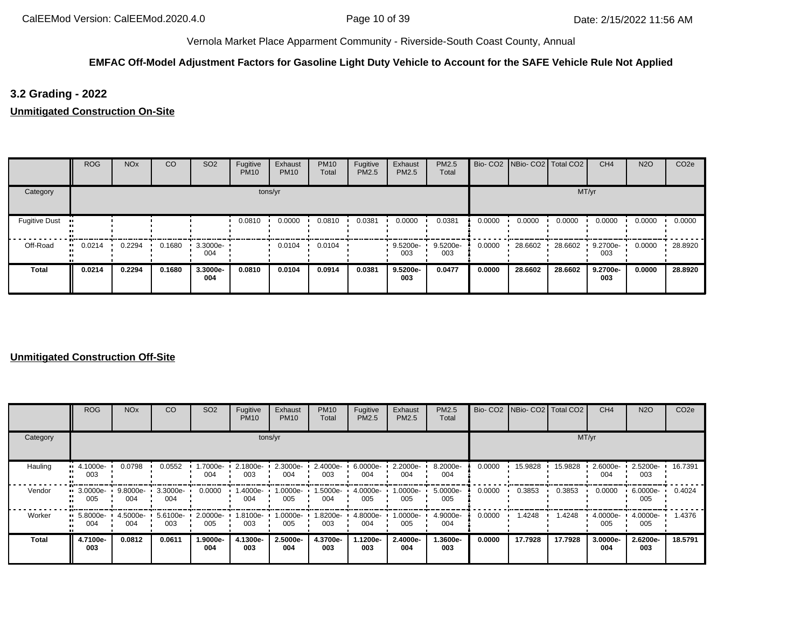# **EMFAC Off-Model Adjustment Factors for Gasoline Light Duty Vehicle to Account for the SAFE Vehicle Rule Not Applied**

# **3.2 Grading - 2022**

**Unmitigated Construction On-Site**

|                      | <b>ROG</b> | <b>NO<sub>x</sub></b> | CO     | <b>SO2</b>         | Fugitive<br><b>PM10</b> | Exhaust<br><b>PM10</b> | <b>PM10</b><br>Total | Fugitive<br>PM2.5 | Exhaust<br>PM2.5 | PM2.5<br>Total  |        | Bio- CO2   NBio- CO2   Total CO2 |         | CH <sub>4</sub> | <b>N2O</b> | CO <sub>2e</sub> |
|----------------------|------------|-----------------------|--------|--------------------|-------------------------|------------------------|----------------------|-------------------|------------------|-----------------|--------|----------------------------------|---------|-----------------|------------|------------------|
| Category             |            |                       |        |                    |                         | tons/yr                |                      |                   |                  |                 |        |                                  | MT/yr   |                 |            |                  |
| <b>Fugitive Dust</b> |            |                       |        |                    | 0.0810                  | 0.0000                 | 0.0810               | 0.0381            | 0.0000           | 0.0381          | 0.0000 | 0.0000                           | 0.0000  | 0.0000          | 0.0000     | 0.0000           |
| Off-Road             | 0.0214<br> | 0.2294                | 0.1680 | $3.3000e -$<br>004 |                         | 0.0104                 | 0.0104               |                   | 9.5200e-<br>003  | 9.5200e-<br>003 | 0.0000 | 28.6602                          | 28.6602 | 9.2700e-<br>003 | 0.0000     | 28.8920          |
| <b>Total</b>         | 0.0214     | 0.2294                | 0.1680 | 3.3000e-<br>004    | 0.0810                  | 0.0104                 | 0.0914               | 0.0381            | 9.5200e-<br>003  | 0.0477          | 0.0000 | 28.6602                          | 28.6602 | 9.2700e-<br>003 | 0.0000     | 28.8920          |

|          | <b>ROG</b>                     | <b>NO<sub>x</sub></b> | CO              | SO <sub>2</sub> | Fugitive<br><b>PM10</b> | Exhaust<br><b>PM10</b> | <b>PM10</b><br>Total | Fugitive<br>PM2.5 | Exhaust<br><b>PM2.5</b> | <b>PM2.5</b><br>Total |        |         | Bio- CO2 NBio- CO2 Total CO2 | CH <sub>4</sub> | <b>N2O</b>         | CO <sub>2e</sub> |
|----------|--------------------------------|-----------------------|-----------------|-----------------|-------------------------|------------------------|----------------------|-------------------|-------------------------|-----------------------|--------|---------|------------------------------|-----------------|--------------------|------------------|
| Category |                                |                       |                 |                 | tons/yr                 |                        |                      |                   | MT/yr                   |                       |        |         |                              |                 |                    |                  |
| Hauling  | $\blacksquare$ 4.1000e-<br>003 | 0.0798                | 0.0552          | 1.7000e-<br>004 | 2.1800e-<br>003         | 2.3000e-<br>004        | 2.4000e-<br>003      | 6.0000e-<br>004   | 2.2000e-<br>004         | 8.2000e-<br>004       | 0.0000 | 15.9828 | 15.9828                      | 2.6000e-<br>004 | 2.5200e-<br>003    | 16.7391          |
| Vendor   | $\blacksquare$ 3.0000e-<br>005 | 9.8000e-<br>004       | 3.3000e-<br>004 | 0.0000          | .4000e-<br>004          | 1.0000e-<br>005        | 1.5000e-<br>004      | 4.0000e-<br>005   | 1.0000e-<br>005         | 5.0000e-<br>005       | 0.0000 | 0.3853  | 0.3853                       | 0.0000          | 6.0000e-<br>005    | 0.4024           |
| Worker   | $\blacksquare$ 5.8000e-<br>004 | 4.5000e- ·<br>004     | 5.6100e-<br>003 | 2.0000e-<br>005 | 1.8100e- L<br>003       | 1.0000e-<br>005        | 1.8200e-<br>003      | 4.8000e-<br>004   | -0000e-<br>005          | 4.9000e-<br>004       | 0.0000 | 1.4248  | 1.4248                       | 4.0000e-<br>005 | $4.0000e -$<br>005 | 1.4376           |
| Total    | 4.7100e-<br>003                | 0.0812                | 0.0611          | 1.9000e-<br>004 | 4.1300e-<br>003         | 2.5000e-<br>004        | 4.3700e-<br>003      | .1200e-<br>003    | 2.4000e-<br>004         | 1.3600e-<br>003       | 0.0000 | 17.7928 | 17.7928                      | 3.0000e-<br>004 | 2.6200e-<br>003    | 18.5791          |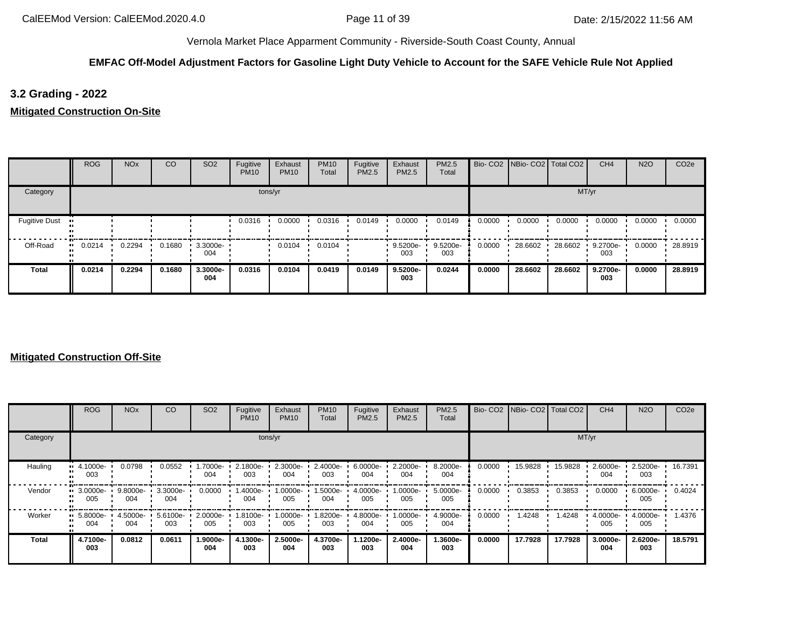# **EMFAC Off-Model Adjustment Factors for Gasoline Light Duty Vehicle to Account for the SAFE Vehicle Rule Not Applied**

# **3.2 Grading - 2022**

**Mitigated Construction On-Site**

|                      | <b>ROG</b> | <b>NO<sub>x</sub></b> | CO     | SO <sub>2</sub>    | Fugitive<br><b>PM10</b> | Exhaust<br><b>PM10</b> | <b>PM10</b><br>Total | Fugitive<br>PM2.5 | Exhaust<br>PM2.5 | PM2.5<br>Total  |        | Bio- CO2   NBio- CO2   Total CO2 |         | CH <sub>4</sub> | <b>N2O</b> | CO <sub>2e</sub> |
|----------------------|------------|-----------------------|--------|--------------------|-------------------------|------------------------|----------------------|-------------------|------------------|-----------------|--------|----------------------------------|---------|-----------------|------------|------------------|
| Category             |            |                       |        |                    |                         | tons/yr                |                      |                   |                  |                 |        |                                  | MT/yr   |                 |            |                  |
| <b>Fugitive Dust</b> |            |                       |        |                    | 0.0316                  | 0.0000                 | 0.0316               | 0.0149            | 0.0000           | 0.0149          | 0.0000 | 0.0000                           | 0.0000  | 0.0000          | 0.0000     | 0.0000           |
| Off-Road             | 0.0214<br> | 0.2294                | 0.1680 | $3.3000e -$<br>004 |                         | 0.0104                 | 0.0104               |                   | 9.5200e-<br>003  | 9.5200e-<br>003 | 0.0000 | 28.6602                          | 28.6602 | 9.2700e-<br>003 | 0.0000     | 28.8919          |
| <b>Total</b>         | 0.0214     | 0.2294                | 0.1680 | 3.3000e-<br>004    | 0.0316                  | 0.0104                 | 0.0419               | 0.0149            | 9.5200e-<br>003  | 0.0244          | 0.0000 | 28.6602                          | 28.6602 | 9.2700e-<br>003 | 0.0000     | 28.8919          |

|          | <b>ROG</b>                     | <b>NO<sub>x</sub></b> | CO              | SO <sub>2</sub>    | Fugitive<br><b>PM10</b> | Exhaust<br><b>PM10</b> | <b>PM10</b><br>Total | Fugitive<br>PM2.5 | Exhaust<br>PM2.5 | <b>PM2.5</b><br>Total |        |         | Bio- CO2   NBio- CO2   Total CO2 | CH <sub>4</sub> | <b>N2O</b>         | CO <sub>2e</sub> |
|----------|--------------------------------|-----------------------|-----------------|--------------------|-------------------------|------------------------|----------------------|-------------------|------------------|-----------------------|--------|---------|----------------------------------|-----------------|--------------------|------------------|
| Category |                                |                       |                 |                    |                         | tons/yr                |                      |                   |                  |                       |        |         | MT/yr                            |                 |                    |                  |
| Hauling  | $\blacksquare$ 4.1000e-<br>003 | 0.0798                | 0.0552          | --7000e.l<br>004   | 2.1800e-<br>003         | 2.3000e-<br>004        | 2.4000e-<br>003      | 6.0000e-<br>004   | 2.2000e-<br>004  | 8.2000e-<br>004       | 0.0000 | 15.9828 | 15.9828                          | 2.6000e-<br>004 | 2.5200e-<br>003    | 16.7391          |
| Vendor   | $\cdot$ 3.0000e-<br>005        | 9.8000e-<br>004       | 3.3000e-<br>004 | 0.0000             | 1.4000e-<br>004         | 1.0000e-<br>005        | 1.5000e-<br>004      | 4.0000e-<br>005   | 1.0000e-<br>005  | 5.0000e-<br>005       | 0.0000 | 0.3853  | 0.3853                           | 0.0000          | 6.0000e-<br>005    | 0.4024           |
| Worker   | $\blacksquare$ 5.8000e-<br>004 | 4.5000e ·<br>004      | 5.6100e-<br>003 | $2.0000e -$<br>005 | 1.8100e-<br>003         | 1.0000e-<br>005        | 1.8200e-<br>003      | 4.8000e-<br>004   | --0000e-1<br>005 | 4.9000e-<br>004       | 0.0000 | .4248   | 1.4248                           | 4.0000e-<br>005 | $4.0000e -$<br>005 | 1.4376           |
| Total    | 4.7100e-<br>003                | 0.0812                | 0.0611          | 1.9000e-<br>004    | 4.1300e-<br>003         | 2.5000e-<br>004        | 4.3700e-<br>003      | 1.1200e-<br>003   | 2.4000e-<br>004  | 1.3600e-<br>003       | 0.0000 | 17.7928 | 17.7928                          | 3.0000e-<br>004 | 2.6200e-<br>003    | 18.5791          |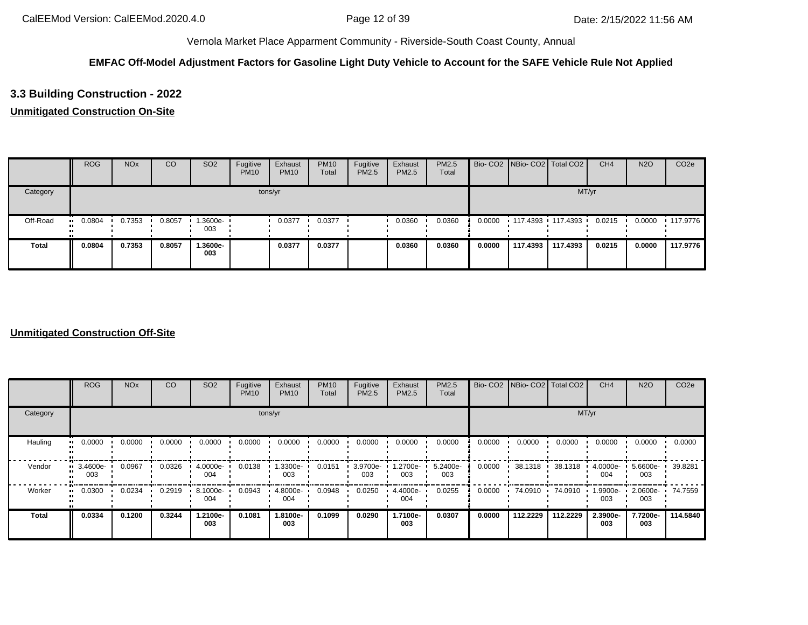# **EMFAC Off-Model Adjustment Factors for Gasoline Light Duty Vehicle to Account for the SAFE Vehicle Rule Not Applied**

# **3.3 Building Construction - 2022**

## **Unmitigated Construction On-Site**

|              | <b>ROG</b> | <b>NO<sub>x</sub></b> | CO     | SO <sub>2</sub>   | Fugitive<br><b>PM10</b> | Exhaust<br><b>PM10</b> | <b>PM10</b><br>Total | Fugitive<br>PM2.5 | Exhaust<br>PM2.5 | <b>PM2.5</b><br>Total |        | Bio- CO2 NBio- CO2 Total CO2 |          | CH <sub>4</sub> | <b>N2O</b> | CO <sub>2e</sub> |
|--------------|------------|-----------------------|--------|-------------------|-------------------------|------------------------|----------------------|-------------------|------------------|-----------------------|--------|------------------------------|----------|-----------------|------------|------------------|
| Category     |            |                       |        |                   |                         | tons/yr                |                      |                   |                  |                       |        |                              | MT/yr    |                 |            |                  |
| Off-Road     | 0.0804<br> | 0.7353                | 0.8057 | 1.3600e- •<br>003 |                         | 0.0377                 | 0.0377               |                   | 0.0360           | 0.0360                | 0.0000 | 117.4393 117.4393            |          | 0.0215          | 0.0000     | $\cdot$ 117.9776 |
| <b>Total</b> | 0.0804     | 0.7353                | 0.8057 | 1.3600e-<br>003   |                         | 0.0377                 | 0.0377               |                   | 0.0360           | 0.0360                | 0.0000 | 117.4393                     | 117.4393 | 0.0215          | 0.0000     | 117.9776         |

|          | <b>ROG</b>          | <b>NO<sub>x</sub></b> | CO     | SO <sub>2</sub> | Fugitive<br><b>PM10</b> | Exhaust<br><b>PM10</b> | <b>PM10</b><br>Total | Fugitive<br>PM2.5 | Exhaust<br>PM2.5 | PM2.5<br>Total  |        | Bio- CO2   NBio- CO2   Total CO2 |          | CH <sub>4</sub> | <b>N2O</b>         | CO <sub>2e</sub> |
|----------|---------------------|-----------------------|--------|-----------------|-------------------------|------------------------|----------------------|-------------------|------------------|-----------------|--------|----------------------------------|----------|-----------------|--------------------|------------------|
| Category |                     |                       |        |                 |                         | tons/yr                |                      |                   |                  |                 |        |                                  | MT/yr    |                 |                    |                  |
| Hauling  | 0.0000<br>$\bullet$ | 0.0000                | 0.0000 | 0.0000          | 0.0000                  | 0.0000                 | 0.0000               | 0.0000            | 0.0000           | 0.0000          | 0.0000 | 0.0000                           | 0.0000   | 0.0000          | 0.0000             | 0.0000           |
| Vendor   | 3.4600e-<br>003     | 0.0967                | 0.0326 | 4.0000e-<br>004 | 0.0138                  | 1.3300e-<br>003        | 0.0151               | 3.9700e-<br>003   | .2700e-<br>003   | 5.2400e-<br>003 | 0.0000 | 38.1318                          | 38.1318  | 4.0000e-<br>004 | 5.6600e-<br>003    | 39.8281          |
| Worker   | 0.0300              | 0.0234                | 0.2919 | 8.1000e-<br>004 | 0.0943                  | 4.8000e-<br>004        | 0.0948               | 0.0250            | 4.4000e-<br>004  | 0.0255          | 0.0000 | 74.0910 ·                        | 74.0910  | 1.9900e-<br>003 | $2.0600e -$<br>003 | 74.7559          |
| Total    | 0.0334              | 0.1200                | 0.3244 | 1.2100e-<br>003 | 0.1081                  | 1.8100e-<br>003        | 0.1099               | 0.0290            | 1.7100e-<br>003  | 0.0307          | 0.0000 | 112.2229                         | 112.2229 | 2.3900e-<br>003 | 7.7200e-<br>003    | 114.5840         |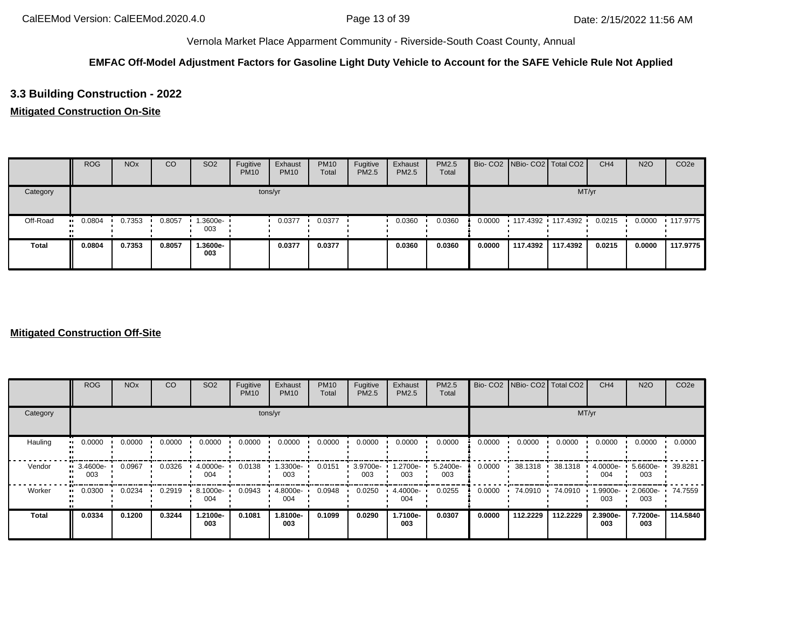# **EMFAC Off-Model Adjustment Factors for Gasoline Light Duty Vehicle to Account for the SAFE Vehicle Rule Not Applied**

# **3.3 Building Construction - 2022**

# **Mitigated Construction On-Site**

|              | <b>ROG</b> | <b>NO<sub>x</sub></b> | CO     | SO <sub>2</sub>    | Fugitive<br><b>PM10</b> | Exhaust<br><b>PM10</b> | <b>PM10</b><br>Total | Fugitive<br>PM2.5 | Exhaust<br><b>PM2.5</b> | <b>PM2.5</b><br>Total |        | Bio- CO2 NBio- CO2 Total CO2 |          | CH <sub>4</sub> | <b>N2O</b> | CO <sub>2e</sub> |
|--------------|------------|-----------------------|--------|--------------------|-------------------------|------------------------|----------------------|-------------------|-------------------------|-----------------------|--------|------------------------------|----------|-----------------|------------|------------------|
| Category     |            |                       |        |                    |                         | tons/yr                |                      |                   |                         |                       |        |                              | MT/yr    |                 |            |                  |
| Off-Road     | 0.0804<br> | 0.7353                | 0.8057 | $1.3600e -$<br>003 |                         | 0.0377                 | 0.0377               |                   | 0.0360                  | 0.0360                | 0.0000 | 117.4392 117.4392            |          | 0.0215          | 0.0000     | $\cdot$ 117.9775 |
| <b>Total</b> | 0.0804     | 0.7353                | 0.8057 | 1.3600e-<br>003    |                         | 0.0377                 | 0.0377               |                   | 0.0360                  | 0.0360                | 0.0000 | 117.4392                     | 117.4392 | 0.0215          | 0.0000     | 117.9775         |

|              | <b>ROG</b>                 | <b>NO<sub>x</sub></b> | CO     | SO <sub>2</sub> | Fugitive<br><b>PM10</b> | Exhaust<br><b>PM10</b> | <b>PM10</b><br>Total | Fugitive<br><b>PM2.5</b> | Exhaust<br>PM2.5 | <b>PM2.5</b><br>Total |        | Bio- CO2 NBio- CO2 Total CO2 |          | CH <sub>4</sub> | <b>N2O</b>      | CO <sub>2e</sub> |
|--------------|----------------------------|-----------------------|--------|-----------------|-------------------------|------------------------|----------------------|--------------------------|------------------|-----------------------|--------|------------------------------|----------|-----------------|-----------------|------------------|
| Category     |                            |                       |        |                 |                         | tons/yr                |                      |                          |                  |                       |        |                              | MT/yr    |                 |                 |                  |
| Hauling      | 0.0000<br>$\bullet\bullet$ | 0.0000                | 0.0000 | 0.0000          | 0.0000                  | 0.0000                 | 0.0000               | 0.0000                   | 0.0000           | 0.0000                | 0.0000 | 0.0000                       | 0.0000   | 0.0000          | 0.0000          | 0.0000           |
| Vendor       | 3.4600e-<br>003            | 0.0967                | 0.0326 | 4.0000e-<br>004 | 0.0138                  | 1.3300e-<br>003        | 0.0151               | 3.9700e-<br>003          | 1.2700e-<br>003  | 5.2400e-<br>003       | 0.0000 | 38.1318                      | 38.1318  | 4.0000e-<br>004 | 5.6600e-<br>003 | 39.8281          |
| Worker       | 0.0300<br>$\bullet$        | 0.0234                | 0.2919 | 8.1000e-<br>004 | 0.0943                  | 4.8000e-<br>004        | 0.0948               | 0.0250                   | 4.4000e-<br>004  | 0.0255                | 0.0000 | 74.0910                      | 74.0910  | 1.9900e-<br>003 | 2.0600e-<br>003 | 74.7559          |
| <b>Total</b> | 0.0334                     | 0.1200                | 0.3244 | 1.2100e-<br>003 | 0.1081                  | 1.8100e-<br>003        | 0.1099               | 0.0290                   | 1.7100e-<br>003  | 0.0307                | 0.0000 | 112.2229                     | 112.2229 | 2.3900e-<br>003 | 7.7200e-<br>003 | 114.5840         |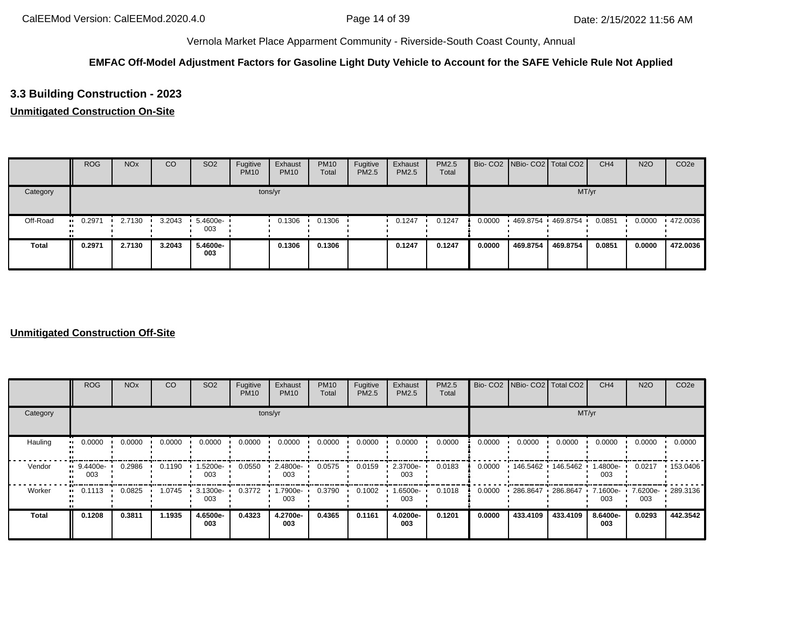# **EMFAC Off-Model Adjustment Factors for Gasoline Light Duty Vehicle to Account for the SAFE Vehicle Rule Not Applied**

# **3.3 Building Construction - 2023**

# **Unmitigated Construction On-Site**

|              | <b>ROG</b>    | <b>NO<sub>x</sub></b> | CO     | SO <sub>2</sub>                 | Fugitive<br><b>PM10</b> | Exhaust<br><b>PM10</b> | <b>PM10</b><br>Total | Fugitive<br>PM2.5 | Exhaust<br>PM2.5 | <b>PM2.5</b><br>Total |        | Bio- CO2   NBio- CO2   Total CO2 |          | CH <sub>4</sub> | <b>N2O</b> | CO <sub>2e</sub> |
|--------------|---------------|-----------------------|--------|---------------------------------|-------------------------|------------------------|----------------------|-------------------|------------------|-----------------------|--------|----------------------------------|----------|-----------------|------------|------------------|
| Category     |               |                       |        |                                 |                         | tons/yr                |                      |                   |                  |                       |        |                                  | MT/yr    |                 |            |                  |
| Off-Road     | 0.2971<br>. . | 2.7130                | 3.2043 | $\cdot$ 5.4600e- $\cdot$<br>003 |                         | 0.1306                 | 0.1306               |                   | 0.1247           | 0.1247                | 0.0000 | 469.8754                         | 469.8754 | 0.0851          | 0.0000     | .472.0036        |
| <b>Total</b> | 0.2971        | 2.7130                | 3.2043 | 5.4600e-<br>003                 |                         | 0.1306                 | 0.1306               |                   | 0.1247           | 0.1247                | 0.0000 | 469.8754                         | 469.8754 | 0.0851          | 0.0000     | 472.0036         |

|              | <b>ROG</b>                 | <b>NO<sub>x</sub></b> | CO     | SO <sub>2</sub> | Fugitive<br><b>PM10</b> | Exhaust<br><b>PM10</b> | <b>PM10</b><br>Total | Fugitive<br>PM2.5 | Exhaust<br>PM2.5 | PM2.5<br>Total |        | Bio- CO2 NBio- CO2 Total CO2 |          | CH <sub>4</sub>    | <b>N2O</b> | CO <sub>2e</sub>  |
|--------------|----------------------------|-----------------------|--------|-----------------|-------------------------|------------------------|----------------------|-------------------|------------------|----------------|--------|------------------------------|----------|--------------------|------------|-------------------|
| Category     |                            |                       |        |                 |                         | tons/yr                |                      |                   |                  |                |        |                              | MT/yr    |                    |            |                   |
| Hauling      | 0.0000<br>$\bullet\bullet$ | 0.0000                | 0.0000 | 0.0000          | 0.0000                  | 0.0000                 | 0.0000               | 0.0000            | 0.0000           | 0.0000         | 0.0000 | 0.0000                       | 0.0000   | 0.0000             | 0.0000     | 0.0000            |
| Vendor       | 9.4400e-<br>003            | 0.2986                | 0.1190 | 1.5200e-<br>003 | 0.0550                  | 2.4800e-<br>003        | 0.0575               | 0.0159            | 2.3700e-<br>003  | 0.0183         | 0.0000 | 146.5462  146.5462           |          | .4800e-<br>003     | 0.0217     | $\cdot$ 153.0406  |
| Worker       | 0.1113<br>$\bullet$        | 0.0825                | 1.0745 | 3.1300e-<br>003 | 0.3772                  | 1.7900e-<br>003        | 0.3790               | 0.1002            | .6500e-<br>003   | 0.1018         | 0.0000 | 286.8647 286.8647            |          | $7.1600e -$<br>003 | 003        | 7.6200e- 289.3136 |
| <b>Total</b> | 0.1208                     | 0.3811                | 1.1935 | 4.6500e-<br>003 | 0.4323                  | 4.2700e-<br>003        | 0.4365               | 0.1161            | 4.0200e-<br>003  | 0.1201         | 0.0000 | 433,4109                     | 433.4109 | 8.6400e-<br>003    | 0.0293     | 442.3542          |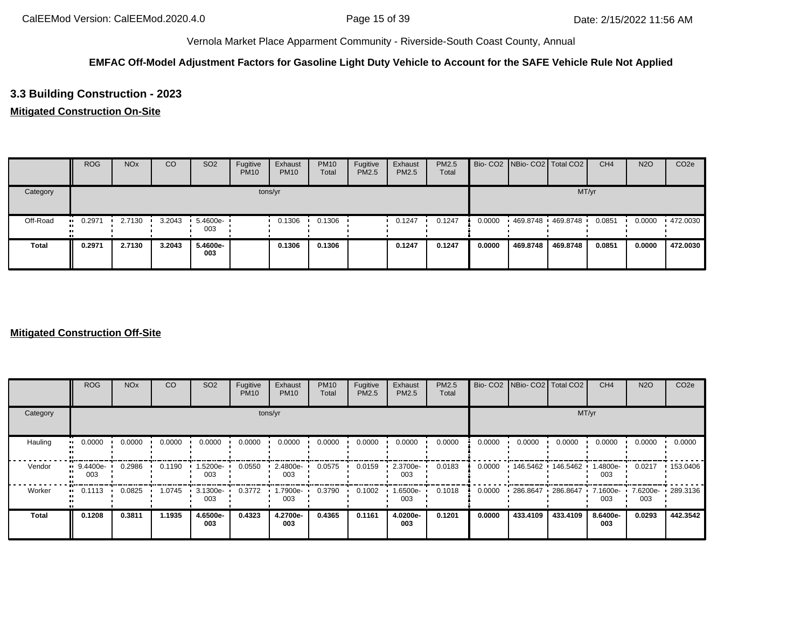# **EMFAC Off-Model Adjustment Factors for Gasoline Light Duty Vehicle to Account for the SAFE Vehicle Rule Not Applied**

# **3.3 Building Construction - 2023**

## **Mitigated Construction On-Site**

|              | <b>ROG</b> | <b>NO<sub>x</sub></b> | CO     | SO <sub>2</sub>    | Fugitive<br><b>PM10</b> | Exhaust<br><b>PM10</b> | <b>PM10</b><br>Total | Fugitive<br><b>PM2.5</b> | Exhaust<br>PM2.5 | PM2.5<br>Total |        | Bio- CO2 NBio- CO2 Total CO2 |          | CH <sub>4</sub> | <b>N2O</b> | CO <sub>2e</sub> |
|--------------|------------|-----------------------|--------|--------------------|-------------------------|------------------------|----------------------|--------------------------|------------------|----------------|--------|------------------------------|----------|-----------------|------------|------------------|
| Category     |            |                       |        |                    |                         | tons/yr                |                      |                          |                  |                |        |                              | MT/yr    |                 |            |                  |
| Off-Road     | 0.2971<br> | 2.7130                | 3.2043 | $5.4600e -$<br>003 |                         | 0.1306                 | 0.1306               |                          | 0.1247           | 0.1247         | 0.0000 | 469.8748 469.8748            |          | 0.0851          | 0.0000     | $\cdot$ 472.0030 |
| <b>Total</b> | 0.2971     | 2.7130                | 3.2043 | 5.4600e-<br>003    |                         | 0.1306                 | 0.1306               |                          | 0.1247           | 0.1247         | 0.0000 | 469.8748                     | 469.8748 | 0.0851          | 0.0000     | 472.0030         |

|                         | <b>ROG</b>          | <b>NO<sub>x</sub></b> | CO     | SO <sub>2</sub> | Fugitive<br><b>PM10</b> | Exhaust<br><b>PM10</b> | <b>PM10</b><br>Total | Fugitive<br><b>PM2.5</b> | Exhaust<br>PM2.5 | PM2.5<br>Total |        | Bio- CO2 NBio- CO2 Total CO2 |                    | CH <sub>4</sub> | <b>N2O</b> | CO <sub>2e</sub>  |
|-------------------------|---------------------|-----------------------|--------|-----------------|-------------------------|------------------------|----------------------|--------------------------|------------------|----------------|--------|------------------------------|--------------------|-----------------|------------|-------------------|
| Category                |                     |                       |        |                 |                         | tons/yr                |                      |                          |                  |                |        |                              | MT/yr              |                 |            |                   |
| Hauling<br>$\mathbf{u}$ | 0.0000              | 0.0000                | 0.0000 | 0.0000          | 0.0000                  | 0.0000                 | 0.0000               | 0.0000                   | 0.0000           | 0.0000         | 0.0000 | 0.0000                       | 0.0000             | 0.0000          | 0.0000     | 0.0000            |
| Vendor<br>$\mathbf{u}$  | 9.4400e-<br>003     | 0.2986                | 0.1190 | 1.5200e-<br>003 | 0.0550                  | 2.4800e-<br>003        | 0.0575               | 0.0159                   | 2.3700e-<br>003  | 0.0183         | 0.0000 |                              | 146.5462  146.5462 | .4800e-<br>003  | 0.0217     | $\cdot$ 153.0406  |
| Worker                  | 0.1113<br>$\bullet$ | 0.0825                | 1.0745 | 3.1300e-<br>003 | 0.3772                  | -.7900e<br>003         | 0.3790               | 0.1002                   | -6500e-<br>003   | 0.1018         | 0.0000 | 286.8647                     | 286.8647           | 7.1600e-<br>003 | 003        | 7.6200e- 289.3136 |
| <b>Total</b>            | 0.1208              | 0.3811                | 1.1935 | 4.6500e-<br>003 | 0.4323                  | 4.2700e-<br>003        | 0.4365               | 0.1161                   | 4.0200e-<br>003  | 0.1201         | 0.0000 | 433.4109                     | 433.4109           | 8.6400e-<br>003 | 0.0293     | 442.3542          |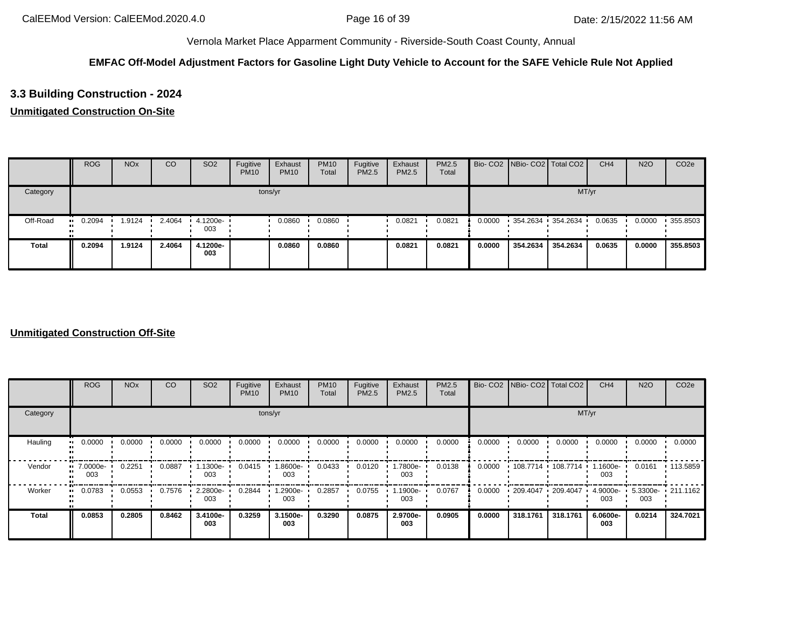# **EMFAC Off-Model Adjustment Factors for Gasoline Light Duty Vehicle to Account for the SAFE Vehicle Rule Not Applied**

# **3.3 Building Construction - 2024**

## **Unmitigated Construction On-Site**

|              | <b>ROG</b> | <b>NO<sub>x</sub></b> | CO     | SO <sub>2</sub>     | Fugitive<br><b>PM10</b> | Exhaust<br><b>PM10</b> | <b>PM10</b><br>Total | Fugitive<br>PM2.5 | Exhaust<br>PM2.5 | PM2.5<br>Total |        | Bio- CO2 NBio- CO2 Total CO2 |                   | CH <sub>4</sub> | <b>N2O</b> | CO <sub>2</sub> e |
|--------------|------------|-----------------------|--------|---------------------|-------------------------|------------------------|----------------------|-------------------|------------------|----------------|--------|------------------------------|-------------------|-----------------|------------|-------------------|
| Category     |            |                       |        |                     | tons/yr                 |                        |                      |                   |                  |                |        |                              | MT/yr             |                 |            |                   |
| Off-Road     | 0.2094<br> | .9124                 | 2.4064 | $-4.1200e -$<br>003 |                         | 0.0860                 | 0.0860               |                   | 0.0821           | 0.0821         | 0.0000 |                              | 354.2634 354.2634 | 0.0635          | 0.0000     | 355.8503          |
| <b>Total</b> | 0.2094     | 1.9124                | 2.4064 | 4.1200e-<br>003     |                         | 0.0860                 | 0.0860               |                   | 0.0821           | 0.0821         | 0.0000 | 354.2634                     | 354.2634          | 0.0635          | 0.0000     | 355.8503          |

|          | <b>ROG</b>          | <b>NO<sub>x</sub></b> | CO     | SO <sub>2</sub> | Fugitive<br><b>PM10</b> | Exhaust<br><b>PM10</b> | <b>PM10</b><br>Total | Fugitive<br>PM2.5 | Exhaust<br>PM2.5 | PM2.5<br>Total |        | Bio- CO2   NBio- CO2   Total CO2 |          | CH <sub>4</sub> | <b>N2O</b>               | CO <sub>2e</sub> |
|----------|---------------------|-----------------------|--------|-----------------|-------------------------|------------------------|----------------------|-------------------|------------------|----------------|--------|----------------------------------|----------|-----------------|--------------------------|------------------|
| Category |                     |                       |        |                 | tons/yr                 |                        |                      |                   |                  |                |        |                                  | MT/yr    |                 |                          |                  |
| Hauling  | 0.0000<br>$\bullet$ | 0.0000                | 0.0000 | 0.0000          | 0.0000                  | 0.0000                 | 0.0000               | 0.0000            | 0.0000           | 0.0000         | 0.0000 | 0.0000                           | 0.0000   | 0.0000          | 0.0000                   | 0.0000           |
| Vendor   | 7.0000e-<br>003     | 0.2251                | 0.0887 | .1300e-<br>003  | 0.0415                  | -9006.l<br>003         | 0.0433               | 0.0120            | -.7800e<br>003   | 0.0138         | 0.0000 | 108.7714                         | 108.7714 | -.1600e<br>003  | 0.0161                   | $\cdot$ 113.5859 |
| Worker   | 0.0783              | 0.0553                | 0.7576 | 2.2800e-<br>003 | 0.2844                  | -2900e-<br>003         | 0.2857               | 0.0755            | 1.1900e-<br>003  | 0.0767         | 0.0000 | 209.4047 209.4047                |          | 4.9000e-<br>003 | 5.3300e- 211.1162<br>003 |                  |
| Total    | 0.0853              | 0.2805                | 0.8462 | 3.4100e-<br>003 | 0.3259                  | 3.1500e-<br>003        | 0.3290               | 0.0875            | 2.9700e-<br>003  | 0.0905         | 0.0000 | 318.1761                         | 318.1761 | 6.0600e-<br>003 | 0.0214                   | 324.7021         |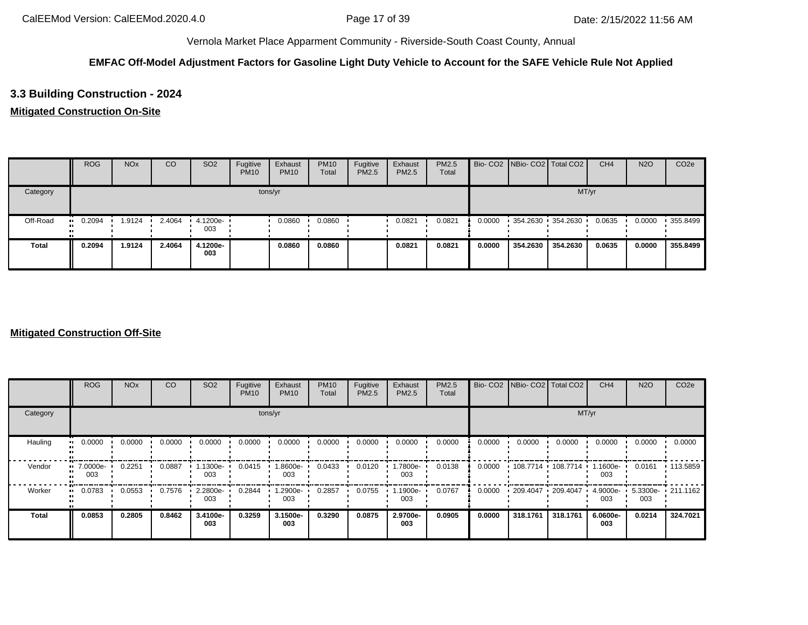# **EMFAC Off-Model Adjustment Factors for Gasoline Light Duty Vehicle to Account for the SAFE Vehicle Rule Not Applied**

# **3.3 Building Construction - 2024**

## **Mitigated Construction On-Site**

|              | <b>ROG</b> | <b>NO<sub>x</sub></b> | CO     | SO <sub>2</sub>                 | Fugitive<br><b>PM10</b> | Exhaust<br><b>PM10</b> | <b>PM10</b><br>Total | Fugitive<br><b>PM2.5</b> | Exhaust<br>PM2.5 | PM2.5<br>Total |        | Bio- CO2 NBio- CO2 Total CO2 |          | CH <sub>4</sub> | <b>N2O</b> | CO <sub>2e</sub> |
|--------------|------------|-----------------------|--------|---------------------------------|-------------------------|------------------------|----------------------|--------------------------|------------------|----------------|--------|------------------------------|----------|-----------------|------------|------------------|
| Category     |            |                       |        |                                 |                         | tons/yr                |                      |                          |                  |                |        |                              | MT/yr    |                 |            |                  |
| Off-Road     | 0.2094<br> | .9124                 | 2.4064 | $\cdot$ 4.1200e- $\cdot$<br>003 |                         | 0.0860                 | 0.0860               |                          | 0.0821           | 0.0821         | 0.0000 | 354.2630 354.2630            |          | 0.0635          | 0.0000     | 355.8499         |
| <b>Total</b> | 0.2094     | 1.9124                | 2.4064 | 4.1200e-<br>003                 |                         | 0.0860                 | 0.0860               |                          | 0.0821           | 0.0821         | 0.0000 | 354.2630                     | 354.2630 | 0.0635          | 0.0000     | 355.8499         |

|              | <b>ROG</b>          | <b>NO<sub>x</sub></b> | CO     | SO <sub>2</sub> | Fugitive<br><b>PM10</b> | Exhaust<br><b>PM10</b> | <b>PM10</b><br>Total | Fugitive<br>PM2.5 | Exhaust<br>PM2.5 | PM2.5<br>Total |        | Bio- CO2 NBio- CO2 Total CO2 |          | CH <sub>4</sub>    | <b>N2O</b> | CO <sub>2e</sub>     |
|--------------|---------------------|-----------------------|--------|-----------------|-------------------------|------------------------|----------------------|-------------------|------------------|----------------|--------|------------------------------|----------|--------------------|------------|----------------------|
| Category     |                     |                       |        |                 |                         | tons/yr                |                      |                   |                  |                |        |                              |          | MT/yr              |            |                      |
| Hauling      | 0.0000<br>$\bullet$ | 0.0000                | 0.0000 | 0.0000          | 0.0000                  | 0.0000                 | 0.0000               | 0.0000            | 0.0000           | 0.0000         | 0.0000 | 0.0000                       | 0.0000   | 0.0000             | 0.0000     | 0.0000               |
| Vendor       | 7.0000e-<br>003     | 0.2251                | 0.0887 | 1.1300e-<br>003 | 0.0415                  | 1.8600e-<br>003        | 0.0433               | 0.0120            | .7800e-<br>003   | 0.0138         | 0.0000 | 108.7714 108.7714            |          | .1600e-<br>003     | 0.0161     | .113.5859            |
| Worker       | 0.0783<br>$\bullet$ | 0.0553                | 0.7576 | 2.2800e-<br>003 | 0.2844                  | 1.2900e-<br>003        | 0.2857               | 0.0755            | .1900e-<br>003   | 0.0767         | 0.0000 | 209.4047 209.4047            |          | $4.9000e -$<br>003 | 003        | $5.3300e - 211.1162$ |
| <b>Total</b> | 0.0853              | 0.2805                | 0.8462 | 3.4100e-<br>003 | 0.3259                  | 3.1500e-<br>003        | 0.3290               | 0.0875            | 2.9700e-<br>003  | 0.0905         | 0.0000 | 318,1761                     | 318.1761 | 6.0600e-<br>003    | 0.0214     | 324.7021             |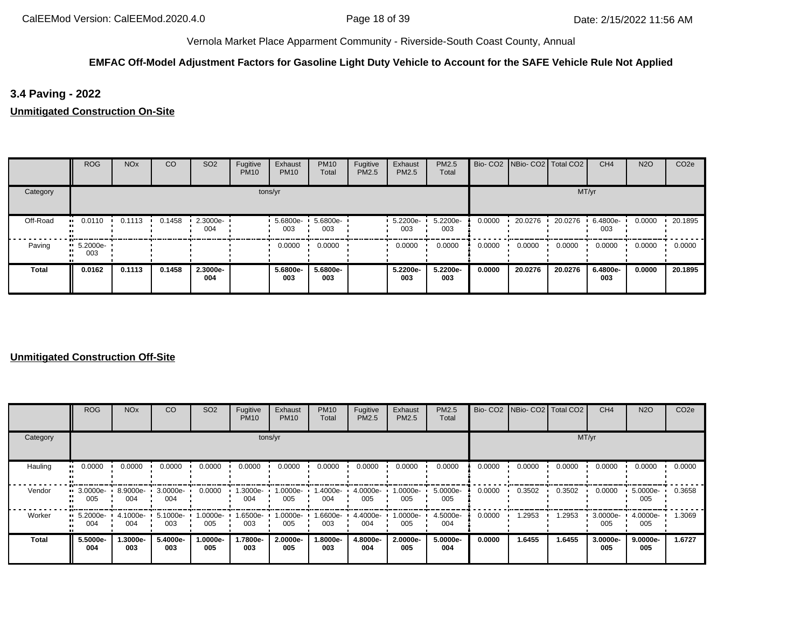# **EMFAC Off-Model Adjustment Factors for Gasoline Light Duty Vehicle to Account for the SAFE Vehicle Rule Not Applied**

**3.4 Paving - 2022**

**Unmitigated Construction On-Site**

|              | <b>ROG</b>                     | <b>NO<sub>x</sub></b> | CO     | SO <sub>2</sub>    | Fugitive<br><b>PM10</b> | Exhaust<br><b>PM10</b> | <b>PM10</b><br>Total | Fugitive<br>PM2.5 | Exhaust<br>PM2.5 | PM2.5<br>Total  |        | Bio- CO2 NBio- CO2 Total CO2 |         | CH <sub>4</sub> | <b>N2O</b> | CO <sub>2e</sub> |
|--------------|--------------------------------|-----------------------|--------|--------------------|-------------------------|------------------------|----------------------|-------------------|------------------|-----------------|--------|------------------------------|---------|-----------------|------------|------------------|
| Category     |                                |                       |        |                    |                         | tons/yr                |                      |                   |                  |                 |        |                              |         | MT/yr           |            |                  |
| Off-Road     | 0.0110                         | 0.1113                | 0.1458 | $-2.3000e-$<br>004 |                         | $5.6800e -$<br>003     | 5.6800e-<br>003      |                   | 5.2200e-<br>003  | 5.2200e-<br>003 | 0.0000 | 20.0276                      | 20.0276 | 6.4800e-<br>003 | 0.0000     | 20.1895          |
| Paving       | $\blacksquare$ 5.2000e-<br>003 |                       |        |                    |                         | 0.0000                 | 0.0000               |                   | 0.0000           | 0.0000          | 0.0000 | 0.0000                       | 0.0000  | 0.0000          | 0.0000     | 0.0000           |
| <b>Total</b> | 0.0162                         | 0.1113                | 0.1458 | 2.3000e-<br>004    |                         | 5.6800e-<br>003        | 5.6800e-<br>003      |                   | 5.2200e-<br>003  | 5.2200e-<br>003 | 0.0000 | 20.0276                      | 20.0276 | 6.4800e-<br>003 | 0.0000     | 20.1895          |

|          | ROG                            | <b>NO<sub>x</sub></b> | CO              | SO <sub>2</sub> | Fugitive<br><b>PM10</b> | Exhaust<br><b>PM10</b> | <b>PM10</b><br>Total | Fugitive<br>PM2.5 | Exhaust<br>PM2.5  | <b>PM2.5</b><br>Total |        | Bio- CO2 NBio- CO2 Total CO2 |        | CH <sub>4</sub> | <b>N2O</b>      | CO <sub>2e</sub> |
|----------|--------------------------------|-----------------------|-----------------|-----------------|-------------------------|------------------------|----------------------|-------------------|-------------------|-----------------------|--------|------------------------------|--------|-----------------|-----------------|------------------|
| Category |                                |                       |                 |                 |                         | tons/yr                |                      |                   |                   |                       |        |                              | MT/yr  |                 |                 |                  |
| Hauling  | 0.0000<br>. .                  | 0.0000                | 0.0000          | 0.0000          | 0.0000                  | 0.0000                 | 0.0000               | 0.0000            | 0.0000            | 0.0000                | 0.0000 | 0.0000                       | 0.0000 | 0.0000          | 0.0000          | 0.0000           |
| Vendor   | $\blacksquare$ 3.0000e-<br>005 | 8.9000e-<br>004       | 3.0000e-<br>004 | 0.0000          | 1.3000e-<br>004         | 1.0000e-<br>005        | 1.4000e-<br>004      | 4.0000e-<br>005   | 1.0000e-<br>005   | 5.0000e-<br>005       | 0.0000 | 0.3502                       | 0.3502 | 0.0000          | 5.0000e-<br>005 | 0.3658           |
| Worker   | $\blacksquare$ 5.2000e-<br>004 | 4.1000e- I<br>004     | 5.1000e-<br>003 | 1.0000e-<br>005 | 1.6500e- +<br>003       | 1.0000e-<br>005        | 1.6600e-<br>003      | 4.4000e-<br>004   | --0000e- I<br>005 | 4.5000e-<br>004       | 0.0000 | 1.2953                       | 1.2953 | 3.0000e-<br>005 | 4.0000e-<br>005 | 1.3069           |
| Total    | 5.5000e-<br>004                | 1.3000e-<br>003       | 5.4000e-<br>003 | -.0000e<br>005  | 1.7800e-<br>003         | 2.0000e-<br>005        | 1.8000e-<br>003      | 4.8000e-<br>004   | 2.0000e-<br>005   | 5.0000e-<br>004       | 0.0000 | 1.6455                       | 1.6455 | 3.0000e-<br>005 | 9.0000e-<br>005 | 1.6727           |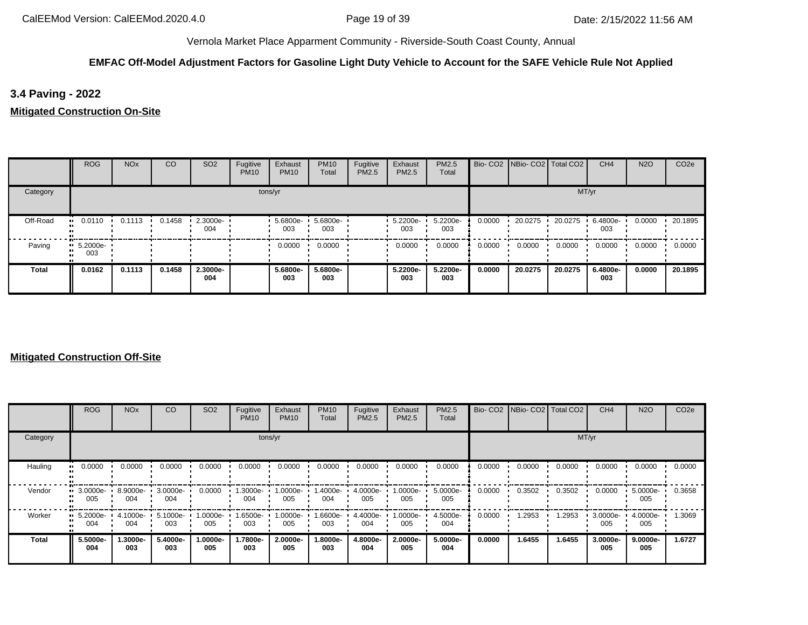# **EMFAC Off-Model Adjustment Factors for Gasoline Light Duty Vehicle to Account for the SAFE Vehicle Rule Not Applied**

**3.4 Paving - 2022**

**Mitigated Construction On-Site**

|              | <b>ROG</b>                     | <b>NO<sub>x</sub></b> | CO     | SO <sub>2</sub>    | Fugitive<br><b>PM10</b> | Exhaust<br><b>PM10</b> | <b>PM10</b><br>Total | Fugitive<br>PM2.5 | Exhaust<br><b>PM2.5</b> | PM2.5<br>Total  |        | Bio- CO2 NBio- CO2 Total CO2 |         | CH <sub>4</sub> | <b>N2O</b> | CO <sub>2e</sub> |
|--------------|--------------------------------|-----------------------|--------|--------------------|-------------------------|------------------------|----------------------|-------------------|-------------------------|-----------------|--------|------------------------------|---------|-----------------|------------|------------------|
| Category     |                                |                       |        |                    |                         | tons/yr                |                      |                   |                         |                 |        |                              |         | MT/yr           |            |                  |
| Off-Road     | 0.0110                         | 0.1113                | 0.1458 | $-2.3000e-$<br>004 |                         | 5.6800e-<br>003        | 5.6800e-<br>003      |                   | 5.2200e-<br>003         | 5.2200e-<br>003 | 0.0000 | 20.0275                      | 20.0275 | 6.4800e-<br>003 | 0.0000     | 20.1895          |
| Paving       | $\blacksquare$ 5.2000e-<br>003 |                       |        |                    |                         | 0.0000                 | 0.0000               |                   | 0.0000                  | 0.0000          | 0.0000 | 0.0000                       | 0.0000  | 0.0000          | 0.0000     | 0.0000           |
| <b>Total</b> | 0.0162                         | 0.1113                | 0.1458 | 2.3000e-<br>004    |                         | 5.6800e-<br>003        | 5.6800e-<br>003      |                   | 5.2200e-<br>003         | 5.2200e-<br>003 | 0.0000 | 20.0275                      | 20.0275 | 6.4800e-<br>003 | 0.0000     | 20.1895          |

|          | <b>ROG</b>                     | <b>NO<sub>x</sub></b> | CO              | SO <sub>2</sub> | Fugitive<br><b>PM10</b> | Exhaust<br><b>PM10</b> | <b>PM10</b><br>Total | Fugitive<br><b>PM2.5</b> | Exhaust<br>PM2.5  | <b>PM2.5</b><br>Total |        | Bio- CO2 NBio- CO2 Total CO2 |        | CH <sub>4</sub> | <b>N2O</b>      | CO <sub>2e</sub> |
|----------|--------------------------------|-----------------------|-----------------|-----------------|-------------------------|------------------------|----------------------|--------------------------|-------------------|-----------------------|--------|------------------------------|--------|-----------------|-----------------|------------------|
| Category |                                |                       |                 |                 |                         | tons/yr                |                      |                          |                   |                       |        |                              | MT/yr  |                 |                 |                  |
| Hauling  | 0.0000<br>$\mathbf{u}$         | 0.0000                | 0.0000          | 0.0000          | 0.0000                  | 0.0000                 | 0.0000               | 0.0000                   | 0.0000            | 0.0000                | 0.0000 | 0.0000                       | 0.0000 | 0.0000          | 0.0000          | 0.0000           |
| Vendor   | $\cdot$ 3.0000e-<br>005        | 8.9000e-<br>004       | 3.0000e-<br>004 | 0.0000          | 1.3000e-<br>004         | 1.0000e-<br>005        | 1.4000e-<br>004      | 4.0000e-<br>005          | 1.0000e-<br>005   | 5.0000e-<br>005       | 0.0000 | 0.3502                       | 0.3502 | 0.0000          | 5.0000e-<br>005 | 0.3658           |
| Worker   | $\blacksquare$ 5.2000e-<br>004 | 4.1000e-<br>004       | 5.1000e-<br>003 | -0000e-<br>005  | 1.6500e-<br>003         | 1.0000e-<br>005        | 1.6600e-<br>003      | 4.4000e-<br>004          | --0000e-1.<br>005 | 4.5000e-<br>004       | 0.0000 | .2953                        | 1.2953 | 3.0000e-<br>005 | 4.0000e-<br>005 | 1.3069           |
| Total    | 5.5000e-<br>004                | 1.3000e-<br>003       | 5.4000e-<br>003 | -.0000e<br>005  | 1.7800e-<br>003         | 2.0000e-<br>005        | 1.8000e-<br>003      | 4.8000e-<br>004          | 2.0000e-<br>005   | 5.0000e-<br>004       | 0.0000 | 1.6455                       | 1.6455 | 3.0000e-<br>005 | 9.0000e-<br>005 | 1.6727           |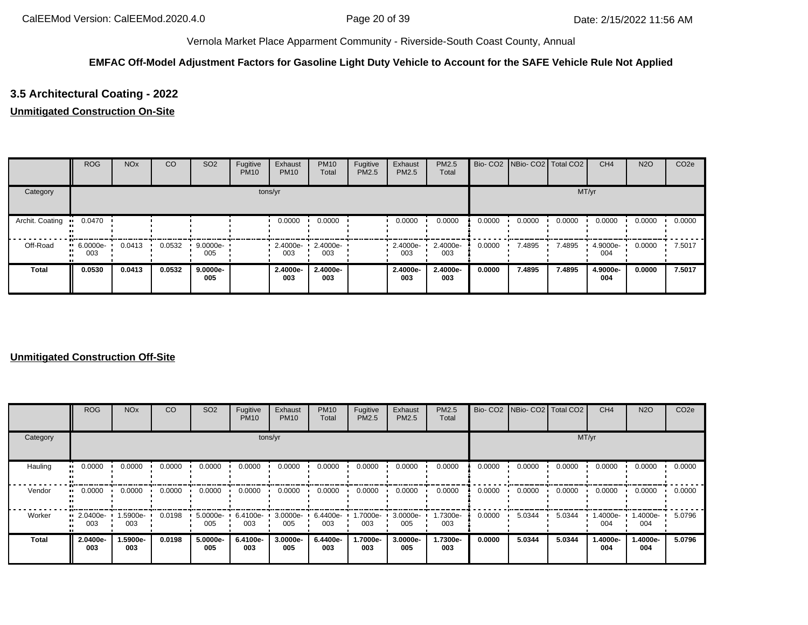# **EMFAC Off-Model Adjustment Factors for Gasoline Light Duty Vehicle to Account for the SAFE Vehicle Rule Not Applied**

# **3.5 Architectural Coating - 2022**

## **Unmitigated Construction On-Site**

|                 | <b>ROG</b>         | <b>NO<sub>x</sub></b> | CO     | SO <sub>2</sub>    | Fugitive<br><b>PM10</b> | Exhaust<br><b>PM10</b> | <b>PM10</b><br>Total | Fugitive<br>PM2.5 | Exhaust<br><b>PM2.5</b> | <b>PM2.5</b><br>Total |        | Bio- CO2 NBio- CO2 Total CO2 |        | CH <sub>4</sub> | <b>N2O</b> | CO <sub>2</sub> e |
|-----------------|--------------------|-----------------------|--------|--------------------|-------------------------|------------------------|----------------------|-------------------|-------------------------|-----------------------|--------|------------------------------|--------|-----------------|------------|-------------------|
| Category        |                    |                       |        |                    | tons/yr                 |                        |                      |                   |                         |                       |        |                              | MT/yr  |                 |            |                   |
| Archit. Coating | 0.0470             |                       |        |                    |                         | 0.0000                 | 0.0000               |                   | 0.0000                  | 0.0000                | 0.0000 | 0.0000                       | 0.0000 | 0.0000          | 0.0000     | 0.0000            |
| Off-Road        | $-6.0000e-$<br>003 | 0.0413                | 0.0532 | $9.0000e -$<br>005 |                         | 2.4000e-<br>003        | 2.4000e-<br>003      |                   | $\cdot$ 2.4000e-<br>003 | 2.4000e-<br>003       | 0.0000 | 7.4895                       | 7.4895 | 4.9000e-<br>004 | 0.0000     | 7.5017            |
| <b>Total</b>    | 0.0530             | 0.0413                | 0.0532 | 9.0000e-<br>005    |                         | 2.4000e-<br>003        | 2.4000e-<br>003      |                   | 2.4000e-<br>003         | 2.4000e-<br>003       | 0.0000 | 7.4895                       | 7.4895 | 4.9000e-<br>004 | 0.0000     | 7.5017            |

|          | <b>ROG</b>                     | <b>NO<sub>x</sub></b> | CO     | SO <sub>2</sub> | Fugitive<br><b>PM10</b> | Exhaust<br><b>PM10</b> | <b>PM10</b><br>Total | Fugitive<br>PM2.5 | Exhaust<br><b>PM2.5</b> | <b>PM2.5</b><br>Total |        | Bio- CO2 NBio- CO2 Total CO2 |        | CH <sub>4</sub> | <b>N2O</b>      | CO <sub>2e</sub> |
|----------|--------------------------------|-----------------------|--------|-----------------|-------------------------|------------------------|----------------------|-------------------|-------------------------|-----------------------|--------|------------------------------|--------|-----------------|-----------------|------------------|
| Category |                                |                       |        |                 |                         | tons/yr                |                      |                   |                         |                       |        |                              | MT/yr  |                 |                 |                  |
| Hauling  | 0.0000<br>                     | 0.0000                | 0.0000 | 0.0000          | 0.0000                  | 0.0000                 | 0.0000               | 0.0000            | 0.0000                  | 0.0000                | 0.0000 | 0.0000                       | 0.0000 | 0.0000          | 0.0000          | 0.0000           |
| Vendor   | $\blacksquare$ 0.0000          | 0.0000                | 0.0000 | 0.0000          | 0.0000                  | 0.0000                 | 0.0000               | 0.0000            | 0.0000                  | 0.0000                | 0.0000 | 0.0000                       | 0.0000 | 0.0000          | 0.0000          | 0.0000           |
| Worker   | $\blacksquare$ 2.0400e-<br>003 | 1.5900e-<br>003       | 0.0198 | 5.0000e-<br>005 | 6.4100e-<br>003         | $3.0000e -$<br>005     | 6.4400e-<br>003      | 1.7000e-<br>003   | 3.0000e-<br>005         | 1.7300e-<br>003       | 0.0000 | 5.0344                       | 5.0344 | 1.4000e-<br>004 | -.4000e<br>004  | 5.0796           |
| Total    | 2.0400e-<br>003                | 1.5900e-<br>003       | 0.0198 | 5.0000e-<br>005 | 6.4100e-<br>003         | 3.0000e-<br>005        | 6.4400e-<br>003      | 1.7000e-<br>003   | 3.0000e-<br>005         | 1.7300e-<br>003       | 0.0000 | 5.0344                       | 5.0344 | 1.4000e-<br>004 | 1.4000e-<br>004 | 5.0796           |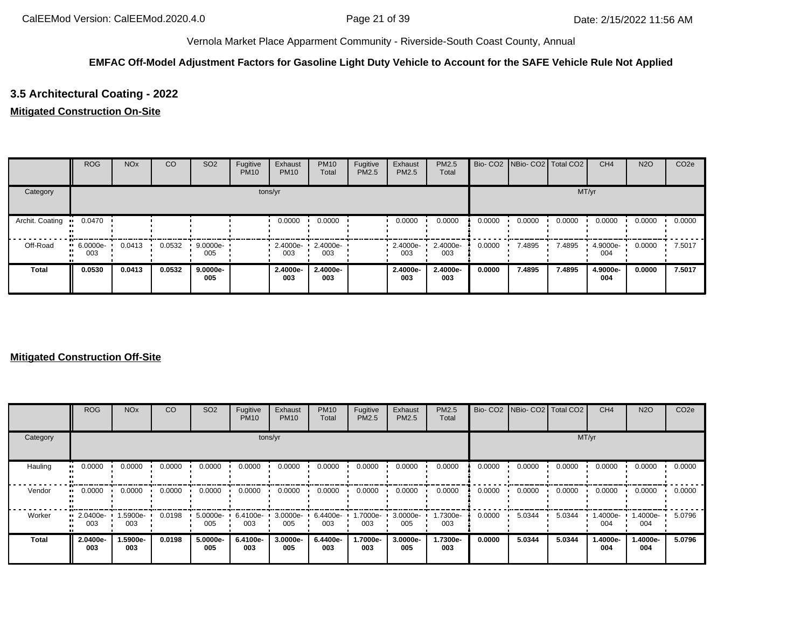# **EMFAC Off-Model Adjustment Factors for Gasoline Light Duty Vehicle to Account for the SAFE Vehicle Rule Not Applied**

# **3.5 Architectural Coating - 2022**

## **Mitigated Construction On-Site**

|                 | <b>ROG</b>         | <b>NO<sub>x</sub></b> | CO     | SO <sub>2</sub>    | Fugitive<br><b>PM10</b> | Exhaust<br><b>PM10</b> | <b>PM10</b><br>Total | Fugitive<br>PM2.5 | Exhaust<br><b>PM2.5</b> | PM2.5<br>Total  |        | Bio- CO2 NBio- CO2 Total CO2 |        | CH <sub>4</sub> | <b>N2O</b> | CO <sub>2e</sub> |
|-----------------|--------------------|-----------------------|--------|--------------------|-------------------------|------------------------|----------------------|-------------------|-------------------------|-----------------|--------|------------------------------|--------|-----------------|------------|------------------|
| Category        |                    |                       |        |                    | tons/yr                 |                        |                      |                   |                         |                 |        |                              | MT/yr  |                 |            |                  |
| Archit. Coating | 0.0470             |                       |        |                    |                         | 0.0000                 | 0.0000               |                   | 0.0000                  | 0.0000          | 0.0000 | 0.0000                       | 0.0000 | 0.0000          | 0.0000     | 0.0000           |
| Off-Road        | $-6.0000e-$<br>003 | 0.0413                | 0.0532 | $9.0000e -$<br>005 |                         | 2.4000e-<br>003        | 2.4000e-<br>003      |                   | $\cdot$ 2.4000e-<br>003 | 2.4000e-<br>003 | 0.0000 | 7.4895                       | 7.4895 | 4.9000e-<br>004 | 0.0000     | 7.5017           |
| <b>Total</b>    | 0.0530             | 0.0413                | 0.0532 | $9.0000e-$<br>005  |                         | 2.4000e-<br>003        | 2.4000e-<br>003      |                   | 2.4000e-<br>003         | 2.4000e-<br>003 | 0.0000 | 7.4895                       | 7.4895 | 4.9000e-<br>004 | 0.0000     | 7.5017           |

|          | <b>ROG</b>                     | <b>NO<sub>x</sub></b> | CO     | SO <sub>2</sub> | Fugitive<br><b>PM10</b> | Exhaust<br><b>PM10</b> | <b>PM10</b><br>Total | Fugitive<br>PM2.5 | Exhaust<br><b>PM2.5</b> | <b>PM2.5</b><br>Total |        | Bio- CO2 NBio- CO2 Total CO2 |        | CH <sub>4</sub> | <b>N2O</b>      | CO <sub>2e</sub> |
|----------|--------------------------------|-----------------------|--------|-----------------|-------------------------|------------------------|----------------------|-------------------|-------------------------|-----------------------|--------|------------------------------|--------|-----------------|-----------------|------------------|
| Category |                                |                       |        |                 |                         | tons/yr                |                      |                   |                         |                       |        |                              | MT/yr  |                 |                 |                  |
| Hauling  | 0.0000<br>                     | 0.0000                | 0.0000 | 0.0000          | 0.0000                  | 0.0000                 | 0.0000               | 0.0000            | 0.0000                  | 0.0000                | 0.0000 | 0.0000                       | 0.0000 | 0.0000          | 0.0000          | 0.0000           |
| Vendor   | $\blacksquare$ 0.0000          | 0.0000                | 0.0000 | 0.0000          | 0.0000                  | 0.0000                 | 0.0000               | 0.0000            | 0.0000                  | 0.0000                | 0.0000 | 0.0000                       | 0.0000 | 0.0000          | 0.0000          | 0.0000           |
| Worker   | $\blacksquare$ 2.0400e-<br>003 | 1.5900e-<br>003       | 0.0198 | 5.0000e-<br>005 | 6.4100e-<br>003         | $3.0000e -$<br>005     | 6.4400e-<br>003      | 1.7000e-<br>003   | 3.0000e-<br>005         | 1.7300e-<br>003       | 0.0000 | 5.0344                       | 5.0344 | 1.4000e-<br>004 | i.4000e-<br>004 | 5.0796           |
| Total    | 2.0400e-<br>003                | 1.5900e-<br>003       | 0.0198 | 5.0000e-<br>005 | 6.4100e-<br>003         | 3.0000e-<br>005        | 6.4400e-<br>003      | 1.7000e-<br>003   | 3.0000e-<br>005         | 1.7300e-<br>003       | 0.0000 | 5.0344                       | 5.0344 | 1.4000e-<br>004 | 1.4000e-<br>004 | 5.0796           |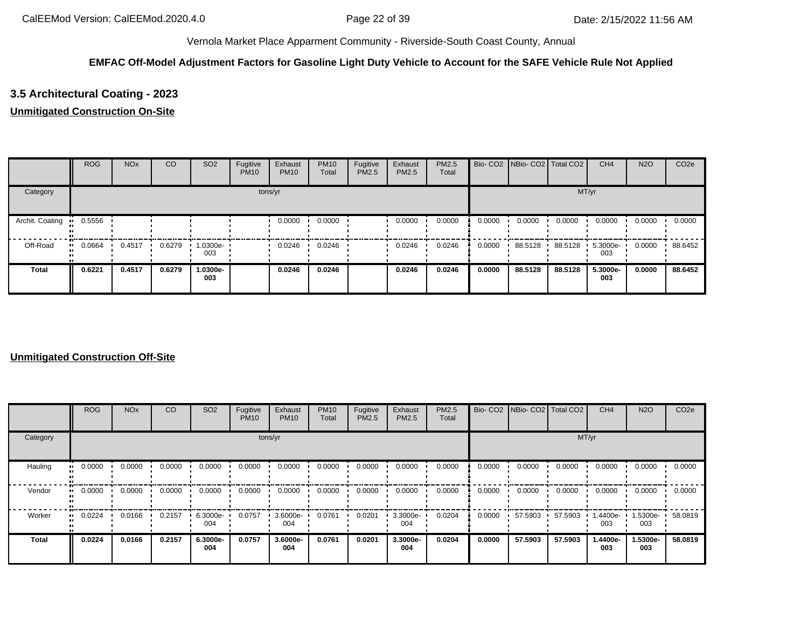# **EMFAC Off-Model Adjustment Factors for Gasoline Light Duty Vehicle to Account for the SAFE Vehicle Rule Not Applied**

# **3.5 Architectural Coating - 2023**

## **Unmitigated Construction On-Site**

|                 | <b>ROG</b> | <b>NO<sub>x</sub></b> | CO     | SO <sub>2</sub> | Fugitive<br><b>PM10</b> | Exhaust<br><b>PM10</b> | <b>PM10</b><br>Total | Fugitive<br>PM2.5 | Exhaust<br>PM2.5 | PM2.5<br>Total |        | Bio- CO2   NBio- CO2   Total CO2 |         | CH <sub>4</sub> | <b>N2O</b> | CO <sub>2e</sub> |
|-----------------|------------|-----------------------|--------|-----------------|-------------------------|------------------------|----------------------|-------------------|------------------|----------------|--------|----------------------------------|---------|-----------------|------------|------------------|
| Category        |            |                       |        |                 |                         | tons/yr                |                      |                   |                  |                |        |                                  | MT/yr   |                 |            |                  |
| Archit. Coating | 0.5556     |                       |        |                 |                         | 0.0000                 | 0.0000               |                   | 0.0000           | 0.0000         | 0.0000 | 0.0000                           | 0.0000  | 0.0000          | 0.0000     | 0.0000           |
| Off-Road        | 0.0664<br> | 0.4517                | 0.6279 | 1.0300e-<br>003 |                         | 0.0246                 | 0.0246               |                   | 0.0246           | 0.0246         | 0.0000 | 88.5128                          | 88.5128 | 5.3000e-<br>003 | 0.0000     | 88.6452          |
| <b>Total</b>    | 0.6221     | 0.4517                | 0.6279 | 1.0300e-<br>003 |                         | 0.0246                 | 0.0246               |                   | 0.0246           | 0.0246         | 0.0000 | 88.5128                          | 88.5128 | 5.3000e-<br>003 | 0.0000     | 88.6452          |

|              | <b>ROG</b> | <b>NO<sub>x</sub></b> | CO     | SO <sub>2</sub> | Fugitive<br><b>PM10</b> | Exhaust<br><b>PM10</b> | <b>PM10</b><br>Total | Fugitive<br>PM2.5 | Exhaust<br>PM2.5 | <b>PM2.5</b><br>Total |        |         | Bio- CO2   NBio- CO2   Total CO2 | CH <sub>4</sub> | <b>N2O</b>        | CO <sub>2e</sub> |
|--------------|------------|-----------------------|--------|-----------------|-------------------------|------------------------|----------------------|-------------------|------------------|-----------------------|--------|---------|----------------------------------|-----------------|-------------------|------------------|
| Category     |            |                       |        |                 |                         | tons/yr                |                      |                   |                  |                       |        |         | MT/yr                            |                 |                   |                  |
| Hauling      | 0.0000     | 0.0000                | 0.0000 | 0.0000          | 0.0000                  | 0.0000                 | 0.0000               | 0.0000            | 0.0000           | 0.0000                | 0.0000 | 0.0000  | 0.0000                           | 0.0000          | 0.0000            | 0.0000           |
| Vendor       | 0.0000     | 0.0000                | 0.0000 | 0.0000          | 0.0000                  | 0.0000                 | 0.0000               | 0.0000            | 0.0000           | 0.0000                | 0.0000 | 0.0000  | 0.0000                           | 0.0000          | 0.0000            | 0.0000           |
| Worker       | 0.0224     | 0.0166                | 0.2157 | 6.3000e-<br>004 | 0.0757                  | 3.6000e-<br>004        | 0.0761               | 0.0201            | 3.3000e-<br>004  | 0.0204                | 0.0000 | 57.5903 | 57.5903                          | .4400e-<br>003  | 1.5300e- •<br>003 | 58.0819          |
| <b>Total</b> | 0.0224     | 0.0166                | 0.2157 | 6.3000e-<br>004 | 0.0757                  | 3.6000e-<br>004        | 0.0761               | 0.0201            | 3.3000e-<br>004  | 0.0204                | 0.0000 | 57.5903 | 57.5903                          | 1.4400e-<br>003 | 1.5300e-<br>003   | 58.0819          |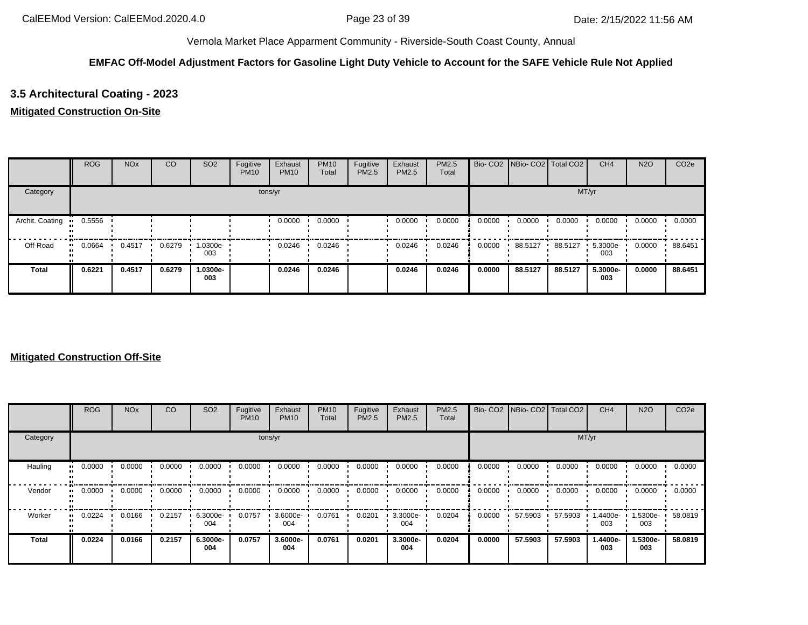# **EMFAC Off-Model Adjustment Factors for Gasoline Light Duty Vehicle to Account for the SAFE Vehicle Rule Not Applied**

# **3.5 Architectural Coating - 2023**

## **Mitigated Construction On-Site**

|                 | <b>ROG</b> | <b>NO<sub>x</sub></b> | CO     | SO <sub>2</sub> | Fugitive<br><b>PM10</b> | Exhaust<br><b>PM10</b> | <b>PM10</b><br>Total | Fugitive<br>PM2.5 | Exhaust<br>PM2.5 | PM2.5<br>Total |        | Bio- CO2   NBio- CO2   Total CO2 |         | CH <sub>4</sub> | <b>N2O</b> | CO <sub>2e</sub> |
|-----------------|------------|-----------------------|--------|-----------------|-------------------------|------------------------|----------------------|-------------------|------------------|----------------|--------|----------------------------------|---------|-----------------|------------|------------------|
| Category        |            |                       |        |                 |                         | tons/yr                |                      |                   |                  |                |        |                                  |         | MT/yr           |            |                  |
| Archit. Coating | 0.5556     |                       |        |                 |                         | 0.0000                 | 0.0000               |                   | 0.0000           | 0.0000         | 0.0000 | 0.0000                           | 0.0000  | 0.0000          | 0.0000     | 0.0000           |
| Off-Road        | 0.0664<br> | 0.4517                | 0.6279 | 1.0300e-<br>003 |                         | 0.0246                 | 0.0246               |                   | 0.0246           | 0.0246         | 0.0000 | 88.5127                          | 88.5127 | 5.3000e-<br>003 | 0.0000     | 88.6451          |
| <b>Total</b>    | 0.6221     | 0.4517                | 0.6279 | 1.0300e-<br>003 |                         | 0.0246                 | 0.0246               |                   | 0.0246           | 0.0246         | 0.0000 | 88.5127                          | 88.5127 | 5.3000e-<br>003 | 0.0000     | 88.6451          |

|              | <b>ROG</b> | <b>NO<sub>x</sub></b> | CO     | SO <sub>2</sub> | Fugitive<br><b>PM10</b> | Exhaust<br><b>PM10</b> | <b>PM10</b><br>Total | Fugitive<br>PM2.5 | Exhaust<br>PM2.5 | <b>PM2.5</b><br>Total |        | Bio- CO2 NBio- CO2 Total CO2 |         | CH <sub>4</sub> | <b>N2O</b>        | CO <sub>2e</sub> |
|--------------|------------|-----------------------|--------|-----------------|-------------------------|------------------------|----------------------|-------------------|------------------|-----------------------|--------|------------------------------|---------|-----------------|-------------------|------------------|
| Category     |            |                       |        |                 |                         | tons/yr                |                      |                   |                  |                       |        |                              | MT/yr   |                 |                   |                  |
| Hauling      | 0.0000     | 0.0000                | 0.0000 | 0.0000          | 0.0000                  | 0.0000                 | 0.0000               | 0.0000            | 0.0000           | 0.0000                | 0.0000 | 0.0000                       | 0.0000  | 0.0000          | 0.0000            | 0.0000           |
| Vendor       | 0.0000     | 0.0000                | 0.0000 | 0.0000          | 0.0000                  | 0.0000                 | 0.0000               | 0.0000            | 0.0000           | 0.0000                | 0.0000 | 0.0000                       | 0.0000  | 0.0000          | 0.0000            | 0.0000           |
| Worker       | 0.0224     | 0.0166                | 0.2157 | 6.3000e-<br>004 | 0.0757                  | 3.6000e-<br>004        | 0.0761               | 0.0201            | 3.3000e-<br>004  | 0.0204                | 0.0000 | 57.5903                      | 57.5903 | .4400e-<br>003  | 1.5300e- •<br>003 | 58.0819          |
| <b>Total</b> | 0.0224     | 0.0166                | 0.2157 | 6.3000e-<br>004 | 0.0757                  | 3.6000e-<br>004        | 0.0761               | 0.0201            | 3.3000e-<br>004  | 0.0204                | 0.0000 | 57.5903                      | 57.5903 | 1.4400e-<br>003 | 1.5300e-<br>003   | 58.0819          |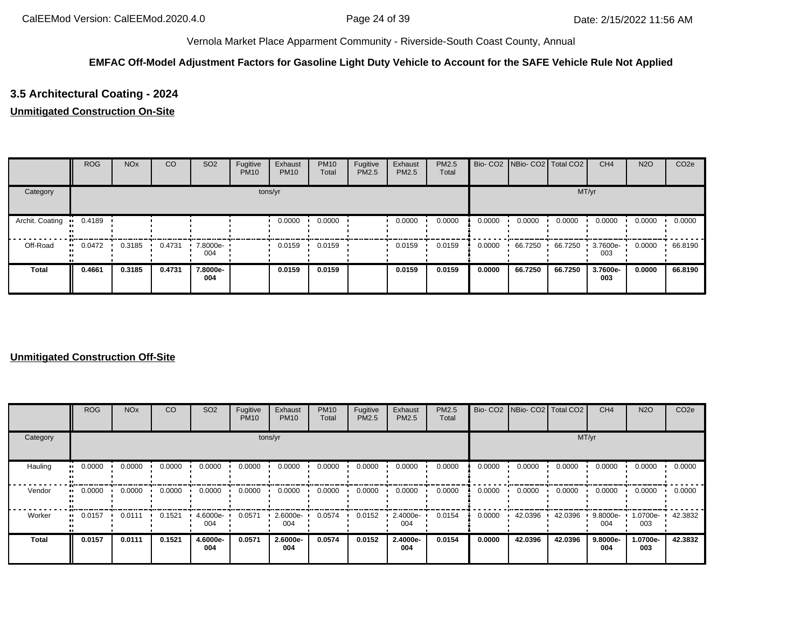# **EMFAC Off-Model Adjustment Factors for Gasoline Light Duty Vehicle to Account for the SAFE Vehicle Rule Not Applied**

# **3.5 Architectural Coating - 2024**

## **Unmitigated Construction On-Site**

|                 | <b>ROG</b> | <b>NO<sub>x</sub></b> | CO     | SO <sub>2</sub> | Fugitive<br><b>PM10</b> | Exhaust<br><b>PM10</b> | <b>PM10</b><br>Total | Fugitive<br>PM2.5 | Exhaust<br><b>PM2.5</b> | <b>PM2.5</b><br>Total |        | Bio- CO2   NBio- CO2   Total CO2 |         | CH <sub>4</sub> | <b>N2O</b> | CO <sub>2</sub> e |
|-----------------|------------|-----------------------|--------|-----------------|-------------------------|------------------------|----------------------|-------------------|-------------------------|-----------------------|--------|----------------------------------|---------|-----------------|------------|-------------------|
| Category        |            |                       |        |                 |                         | tons/yr                |                      |                   |                         |                       |        |                                  | MT/yr   |                 |            |                   |
| Archit. Coating | 0.4189     |                       |        |                 |                         | 0.0000                 | 0.0000               |                   | 0.0000                  | 0.0000                | 0.0000 | 0.0000                           | 0.0000  | 0.0000          | 0.0000     | 0.0000            |
| Off-Road        | 0.0472<br> | 0.3185                | 0.4731 | 7.8000e-<br>004 |                         | 0.0159                 | 0.0159               |                   | 0.0159                  | 0.0159                | 0.0000 | 66.7250                          | 66.7250 | 3.7600e-<br>003 | 0.0000     | 66.8190           |
| <b>Total</b>    | 0.4661     | 0.3185                | 0.4731 | 7.8000e-<br>004 |                         | 0.0159                 | 0.0159               |                   | 0.0159                  | 0.0159                | 0.0000 | 66.7250                          | 66.7250 | 3.7600e-<br>003 | 0.0000     | 66.8190           |

|              | <b>ROG</b> | <b>NO<sub>x</sub></b> | CO     | SO <sub>2</sub> | Fugitive<br><b>PM10</b> | Exhaust<br><b>PM10</b> | <b>PM10</b><br>Total | Fugitive<br>PM2.5 | Exhaust<br>PM2.5 | PM2.5<br>Total |        | Bio- CO2   NBio- CO2   Total CO2 |         | CH <sub>4</sub> | <b>N2O</b>      | CO <sub>2e</sub> |
|--------------|------------|-----------------------|--------|-----------------|-------------------------|------------------------|----------------------|-------------------|------------------|----------------|--------|----------------------------------|---------|-----------------|-----------------|------------------|
| Category     |            |                       |        |                 |                         | tons/yr                |                      |                   |                  |                |        |                                  | MT/yr   |                 |                 |                  |
| Hauling      | 0.0000     | 0.0000                | 0.0000 | 0.0000          | 0.0000                  | 0.0000                 | 0.0000               | 0.0000            | 0.0000           | 0.0000         | 0.0000 | 0.0000                           | 0.0000  | 0.0000          | 0.0000          | 0.0000           |
| Vendor       | 0.0000     | 0.0000                | 0.0000 | 0.0000          | 0.0000                  | 0.0000                 | 0.0000               | 0.0000            | 0.0000           | 0.0000         | 0.0000 | 0.0000                           | 0.0000  | 0.0000          | 0.0000          | 0.0000           |
| Worker       | 0.0157     | 0.0111                | 0.1521 | 4.6000e-<br>004 | 0.0571                  | 2.6000e-<br>004        | 0.0574               | 0.0152            | 2.4000e-<br>004  | 0.0154         | 0.0000 | 42.0396                          | 42.0396 | 9.8000e-<br>004 | 1.0700e-<br>003 | 42.3832          |
| <b>Total</b> | 0.0157     | 0.0111                | 0.1521 | 4.6000e-<br>004 | 0.0571                  | 2.6000e-<br>004        | 0.0574               | 0.0152            | 2.4000e-<br>004  | 0.0154         | 0.0000 | 42.0396                          | 42.0396 | 9.8000e-<br>004 | 1.0700e-<br>003 | 42.3832          |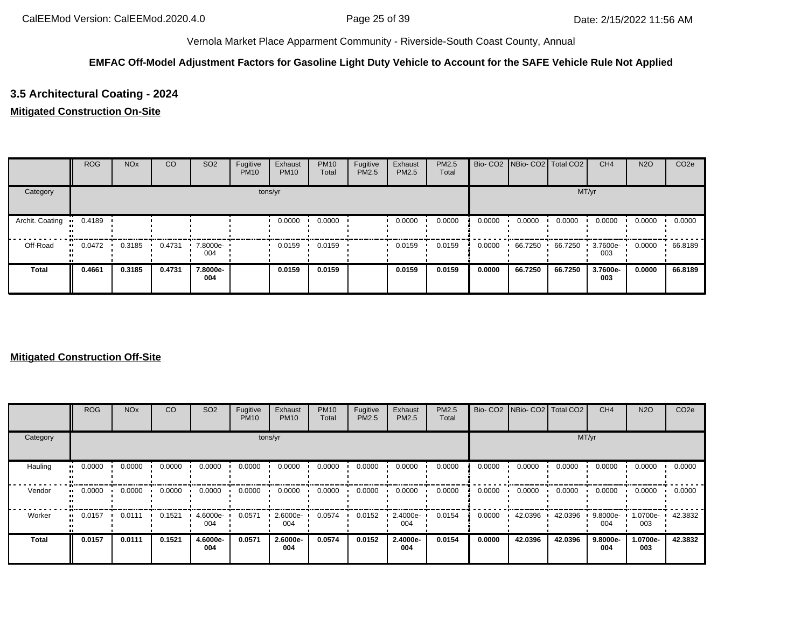# **EMFAC Off-Model Adjustment Factors for Gasoline Light Duty Vehicle to Account for the SAFE Vehicle Rule Not Applied**

# **3.5 Architectural Coating - 2024**

## **Mitigated Construction On-Site**

|                 | <b>ROG</b>   | <b>NO<sub>x</sub></b> | CO     | SO <sub>2</sub> | Fugitive<br><b>PM10</b> | Exhaust<br><b>PM10</b> | <b>PM10</b><br>Total | Fugitive<br>PM2.5 | Exhaust<br>PM2.5 | PM2.5<br>Total |        | Bio- CO2   NBio- CO2   Total CO2 |         | CH <sub>4</sub> | <b>N2O</b> | CO <sub>2e</sub> |
|-----------------|--------------|-----------------------|--------|-----------------|-------------------------|------------------------|----------------------|-------------------|------------------|----------------|--------|----------------------------------|---------|-----------------|------------|------------------|
| Category        |              |                       |        |                 |                         | tons/yr                |                      |                   |                  |                |        |                                  |         | MT/yr           |            |                  |
| Archit. Coating | 0.4189       |                       |        |                 |                         | 0.0000                 | 0.0000               |                   | 0.0000           | 0.0000         | 0.0000 | 0.0000                           | 0.0000  | 0.0000          | 0.0000     | 0.0000           |
| Off-Road        | 0.0472<br>ш. | 0.3185                | 0.4731 | 7.8000e-<br>004 |                         | 0.0159                 | 0.0159               |                   | 0.0159           | 0.0159         | 0.0000 | 66.7250                          | 66.7250 | 3.7600e-<br>003 | 0.0000     | 66.8189          |
| <b>Total</b>    | 0.4661       | 0.3185                | 0.4731 | 7.8000e-<br>004 |                         | 0.0159                 | 0.0159               |                   | 0.0159           | 0.0159         | 0.0000 | 66.7250                          | 66.7250 | 3.7600e-<br>003 | 0.0000     | 66.8189          |

|              | <b>ROG</b> | <b>NO<sub>x</sub></b> | CO     | SO <sub>2</sub> | Fugitive<br><b>PM10</b> | Exhaust<br><b>PM10</b> | <b>PM10</b><br>Total | Fugitive<br>PM2.5 | Exhaust<br>PM2.5 | <b>PM2.5</b><br>Total |        | Bio- CO2 NBio- CO2 Total CO2 |         | CH <sub>4</sub> | <b>N2O</b>      | CO <sub>2e</sub> |
|--------------|------------|-----------------------|--------|-----------------|-------------------------|------------------------|----------------------|-------------------|------------------|-----------------------|--------|------------------------------|---------|-----------------|-----------------|------------------|
| Category     |            |                       |        |                 |                         | tons/yr                |                      |                   |                  |                       |        |                              | MT/yr   |                 |                 |                  |
| Hauling      | 0.0000     | 0.0000                | 0.0000 | 0.0000          | 0.0000                  | 0.0000                 | 0.0000               | 0.0000            | 0.0000           | 0.0000                | 0.0000 | 0.0000                       | 0.0000  | 0.0000          | 0.0000          | 0.0000           |
| Vendor       | 0.0000     | 0.0000                | 0.0000 | 0.0000          | 0.0000                  | 0.0000                 | 0.0000               | 0.0000            | 0.0000           | 0.0000                | 0.0000 | 0.0000                       | 0.0000  | 0.0000          | 0.0000          | 0.0000           |
| Worker       | 0.0157     | 0.0111                | 0.1521 | 4.6000e-<br>004 | 0.0571                  | 2.6000e-<br>004        | 0.0574               | 0.0152            | 2.4000e-<br>004  | 0.0154                | 0.0000 | 42.0396                      | 42.0396 | 9.8000e-<br>004 | 1.0700e-<br>003 | 42.3832          |
| <b>Total</b> | 0.0157     | 0.0111                | 0.1521 | 4.6000e-<br>004 | 0.0571                  | 2.6000e-<br>004        | 0.0574               | 0.0152            | 2.4000e-<br>004  | 0.0154                | 0.0000 | 42.0396                      | 42.0396 | 9.8000e-<br>004 | 1.0700e-<br>003 | 42.3832          |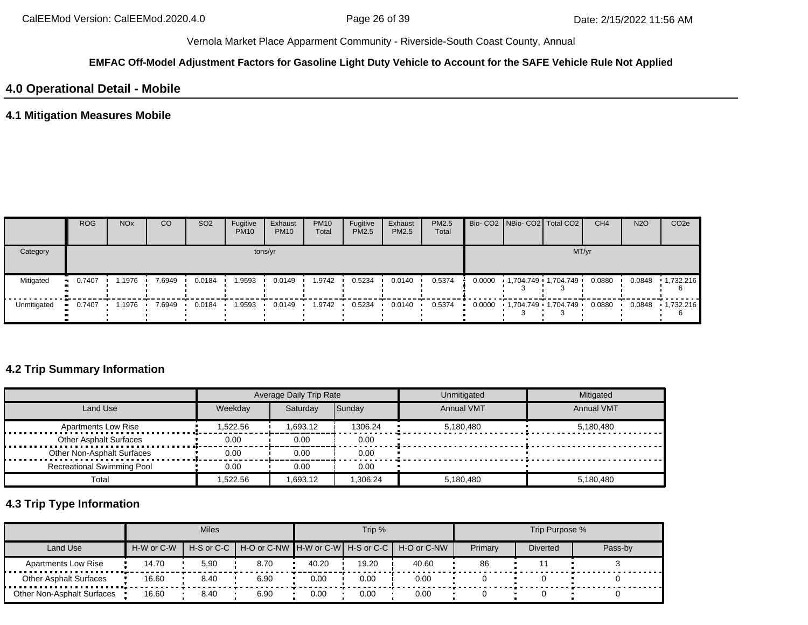### **EMFAC Off-Model Adjustment Factors for Gasoline Light Duty Vehicle to Account for the SAFE Vehicle Rule Not Applied**

# **4.0 Operational Detail - Mobile**

# **4.1 Mitigation Measures Mobile**

|             | <b>ROG</b>          | <b>NO<sub>x</sub></b> | CO     | SO <sub>2</sub> | Fugitive<br><b>PM10</b> | Exhaust<br><b>PM10</b> | <b>PM10</b><br>Total | Fugitive<br>PM2.5 | Exhaust<br><b>PM2.5</b> | <b>PM2.5</b><br>Total |        | Bio- CO2 NBio- CO2 Total CO2 | CH <sub>4</sub> | <b>N2O</b> | CO <sub>2e</sub>  |
|-------------|---------------------|-----------------------|--------|-----------------|-------------------------|------------------------|----------------------|-------------------|-------------------------|-----------------------|--------|------------------------------|-----------------|------------|-------------------|
| Category    |                     |                       |        |                 |                         | tons/yr                |                      |                   |                         |                       |        | MT/yr                        |                 |            |                   |
| Mitigated   | 0.7407<br>$\bullet$ | .1976                 | 7.6949 | 0.0184          | 1.9593                  | 0.0149                 | 1.9742               | 0.5234            | 0.0140                  | 0.5374                | 0.0000 | 1,704.749 1,704.749          | 0.0880          | 0.0848     | $\cdot$ 1,732.216 |
| Unmitigated | 0.7407              | 1.1976                | 7.6949 | 0.0184          | 1.9593                  | 0.0149                 | 1.9742               | 0.5234            | 0.0140                  | 0.5374                |        | 0.0000 1.704.749 1.704.749   | 0.0880          | 0.0848     | $-1,732.216$      |

# **4.2 Trip Summary Information**

|                                   |          | Average Daily Trip Rate |         | Unmitigated       | Mitigated         |
|-----------------------------------|----------|-------------------------|---------|-------------------|-------------------|
| Land Use                          | Weekday  | Saturday                | Sunday  | <b>Annual VMT</b> | <b>Annual VMT</b> |
| <b>Apartments Low Rise</b>        | 1,522.56 | 1.693.12                | 1306.24 | 5,180,480         | 5.180.480         |
| <b>Other Asphalt Surfaces</b>     | 0.00     | 0.00                    | 0.00    |                   |                   |
| Other Non-Asphalt Surfaces        | 0.00     | 0.00                    | 0.00    |                   |                   |
| <b>Recreational Swimming Pool</b> | 0.00     | 0.00                    | 0.00    |                   |                   |
| Total                             | .522.56  | 1.693.12                | .306.24 | 5,180,480         | 5,180,480         |

# **4.3 Trip Type Information**

|                               |            | <b>Miles</b> |                                                    |       | Trip % |             |         | Trip Purpose %  |         |
|-------------------------------|------------|--------------|----------------------------------------------------|-------|--------|-------------|---------|-----------------|---------|
| Land Use                      | H-W or C-W |              | H-S or C-C   H-O or C-NW   H-W or C-W   H-S or C-C |       |        | H-O or C-NW | Primary | <b>Diverted</b> | Pass-by |
| <b>Apartments Low Rise</b>    | 14.70      | 5.90         | 8.70                                               | 40.20 | 19.20  | 40.60       | 86      |                 |         |
| <b>Other Asphalt Surfaces</b> | 16.60      | 8.40         | 6.90                                               | 0.00  | 0.00   | 0.00        |         |                 |         |
| Other Non-Asphalt Surfaces    | 16.60      | 8.40         | 6.90                                               | 0.00  | 0.00   | 0.00        |         |                 |         |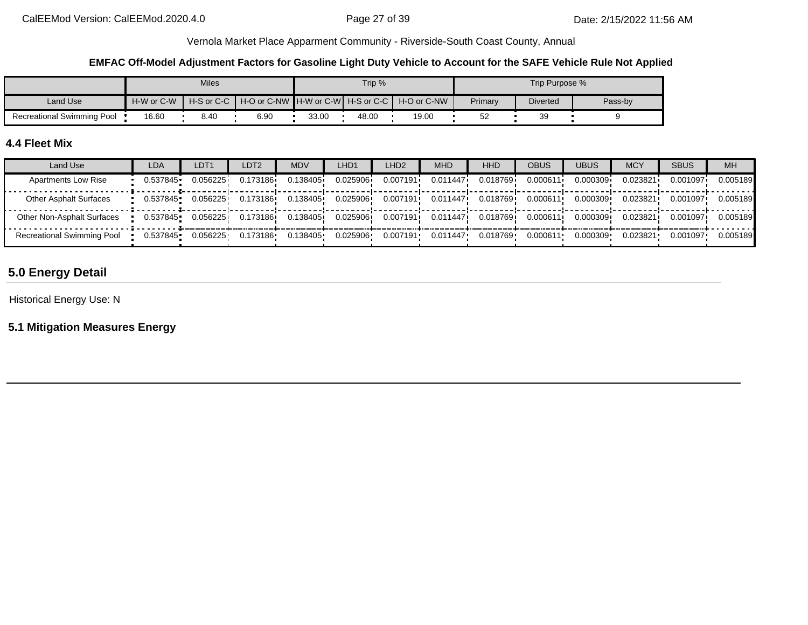### **EMFAC Off-Model Adjustment Factors for Gasoline Light Duty Vehicle to Account for the SAFE Vehicle Rule Not Applied**

|                            |            | <b>Miles</b> |      |       | Trip % |                                                                |         | Trip Purpose %  |         |
|----------------------------|------------|--------------|------|-------|--------|----------------------------------------------------------------|---------|-----------------|---------|
| Land Use                   | H-W or C-W |              |      |       |        | H-S or C-C I H-O or C-NW IH-W or C-WI H-S or C-C I H-O or C-NW | Primary | <b>Diverted</b> | Pass-by |
| Recreational Swimming Pool | 16.60      | 8.40         | 6.90 | 33.00 | 48.00  | 19.00                                                          | ∽<br>ےں | 39              |         |

# **4.4 Fleet Mix**

| Land Use                          | LDA      | LDT <sub>1</sub> | LDT2     | MDV      | LHD1     | LHD <sub>2</sub> | <b>MHD</b>            | <b>HHD</b> | OBUS     | <b>UBUS</b> | <b>MCY</b> | <b>SBUS</b> | <b>MH</b> |
|-----------------------------------|----------|------------------|----------|----------|----------|------------------|-----------------------|------------|----------|-------------|------------|-------------|-----------|
| <b>Apartments Low Rise</b>        | 0.537845 | 0.056225         | 0.173186 | 0.138405 | 0.025906 | 0.007191         | 0.011447              | 0.018769   | 0.000611 | 0.000309    | 0.023821   | 0.001097    | 0.005189  |
| <b>Other Asphalt Surfaces</b>     | 0.537845 | 0.056225         | 0.173186 | 0.138405 | 0.025906 | 0.007191         | 0.011447              | 0.018769   | 0.000611 | 0.000309    | 0.023821   | 0.001097    | 0.005189  |
| Other Non-Asphalt Surfaces        | 0.537845 | 0.056225         | 0.173186 | 0.138405 | 0.025906 |                  | $0.007191$ $0.011447$ | 0.018769 i | 0.000611 | 0.000309    | 0.023821   | 0.001097    | 0.005189  |
| <b>Recreational Swimming Pool</b> | 0.537845 | 0.056225         | 0.173186 | 0.138405 | 0.025906 | 0.007191         | 0.011447              | 0.018769   | 0.000611 | 0.000309    | 0.023821   | 0.001097    | 0.005189  |

# **5.0 Energy Detail**

Historical Energy Use: N

**5.1 Mitigation Measures Energy**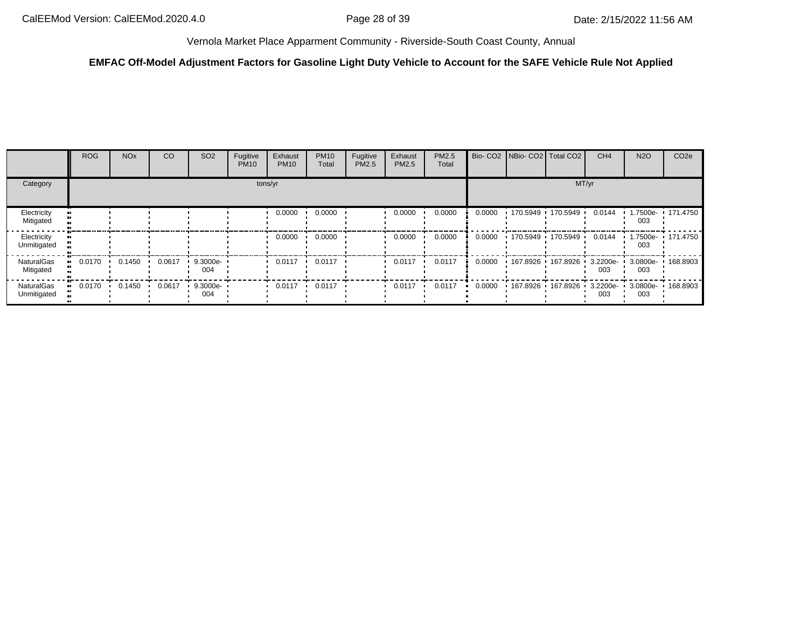## **EMFAC Off-Model Adjustment Factors for Gasoline Light Duty Vehicle to Account for the SAFE Vehicle Rule Not Applied**

|                                | <b>ROG</b> | <b>NO<sub>x</sub></b> | <b>CO</b> | SO <sub>2</sub>    | Fugitive<br><b>PM10</b> | Exhaust<br><b>PM10</b> | <b>PM10</b><br>Total       | Fugitive<br><b>PM2.5</b> | Exhaust<br>PM2.5 | <b>PM2.5</b><br>Total |        | Bio- CO2   NBio- CO2   Total CO2           | CH <sub>4</sub>    | <b>N2O</b>      | CO <sub>2e</sub>  |
|--------------------------------|------------|-----------------------|-----------|--------------------|-------------------------|------------------------|----------------------------|--------------------------|------------------|-----------------------|--------|--------------------------------------------|--------------------|-----------------|-------------------|
| Category                       |            |                       |           |                    |                         | tons/yr                |                            |                          |                  |                       |        | MT/yr                                      |                    |                 |                   |
| Electricity<br>Mitigated       |            |                       |           |                    |                         | 0.0000                 | 0.0000                     |                          | 0.0000           | 0.0000                | 0.0000 | $170.5949$ $170.5949$                      | 0.0144             | 003             | 1.7500e- 171.4750 |
| Electricity<br>Unmitigated     |            |                       |           |                    |                         | 0.0000                 | 0.0000                     |                          | 0.0000           | 0.0000                | 0.0000 | $170.5949$ $170.5949$ $\cdot$              | 0.0144             | 003             | 1.7500e- 171.4750 |
| <b>NaturalGas</b><br>Mitigated | 0.0170     | 0.1450                | 0.0617    | $9.3000e -$<br>004 |                         | 0.0117                 | 0.0117                     |                          | 0.0117           | 0.0117                | 0.0000 | 167.8926 + 167.8926 +                      | $3.2200e -$<br>003 | 3.0800e-<br>003 | 168.8903          |
| NaturalGas<br>Unmitigated      | 0.0170     | 0.1450                | 0.0617    | $9.3000e -$<br>004 |                         |                        | $0.0117$ $0.0117$ $0.0117$ |                          | 0.0117           | 0.0117                | 0.0000 | 167.8926 167.8926 3.2200e 3.0800e 168.8903 | 003                | 003             |                   |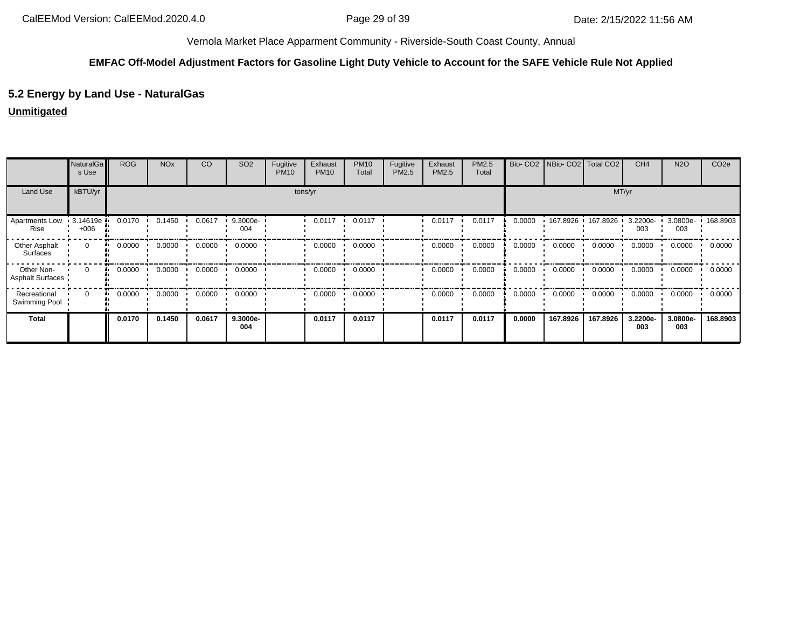### **EMFAC Off-Model Adjustment Factors for Gasoline Light Duty Vehicle to Account for the SAFE Vehicle Rule Not Applied**

# **5.2 Energy by Land Use - NaturalGas**

## **Unmitigated**

|                                | NaturalGa<br>s Use | <b>ROG</b>   | <b>NO<sub>x</sub></b> | CO     | SO <sub>2</sub> | Fugitive<br><b>PM10</b> | Exhaust<br><b>PM10</b> | <b>PM10</b><br>Total | Fugitive<br>PM2.5 | Exhaust<br>PM2.5 | PM2.5<br>Total |        | Bio- CO2 NBio- CO2 Total CO2 |                     | CH <sub>4</sub> | <b>N2O</b>      | CO <sub>2e</sub> |
|--------------------------------|--------------------|--------------|-----------------------|--------|-----------------|-------------------------|------------------------|----------------------|-------------------|------------------|----------------|--------|------------------------------|---------------------|-----------------|-----------------|------------------|
| Land Use                       | kBTU/yr            | tons/yr      |                       |        |                 |                         |                        |                      |                   |                  | MT/yr          |        |                              |                     |                 |                 |                  |
| Apartments Low<br>Rise         | 3.14619e<br>$+006$ | 0.0170       | 0.1450                | 0.0617 | 9.3000e-<br>004 |                         | 0.0117                 | 0.0117               |                   | 0.0117           | 0.0117         | 0.0000 |                              | 167.8926 167.8926 1 | 3.2200e-<br>003 | 3.0800e-<br>003 | 168.8903         |
| Other Asphalt<br>Surfaces      | $\mathbf{0}$       | 0.0000<br>ш. | 0.0000                | 0.0000 | 0.0000          |                         | 0.0000                 | 0.0000               |                   | 0.0000           | 0.0000         | 0.0000 | 0.0000                       | 0.0000              | 0.0000          | 0.0000          | 0.0000           |
| Other Non-<br>Asphalt Surfaces | $\Omega$           | 0.0000<br>ш. | 0.0000                | 0.0000 | 0.0000          |                         | 0.0000                 | 0.0000               |                   | 0.0000           | 0.0000         | 0.0000 | 0.0000                       | 0.0000              | 0.0000          | 0.0000          | 0.0000           |
| Recreational<br>Swimming Pool  | $\Omega$           | 0.0000<br>ш. | 0.0000                | 0.0000 | 0.0000          |                         | 0.0000                 | 0.0000               |                   | 0.0000           | 0.0000         | 0.0000 | 0.0000                       | 0.0000              | 0.0000          | 0.0000          | 0.0000           |
| <b>Total</b>                   |                    | 0.0170       | 0.1450                | 0.0617 | 9.3000e-<br>004 |                         | 0.0117                 | 0.0117               |                   | 0.0117           | 0.0117         | 0.0000 | 167.8926                     | 167.8926            | 3.2200e-<br>003 | 3.0800e-<br>003 | 168.8903         |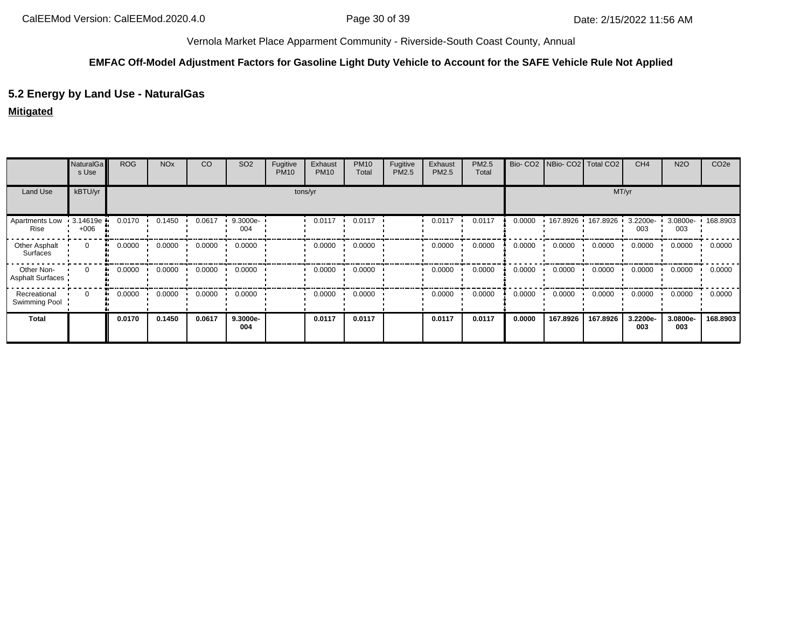### **EMFAC Off-Model Adjustment Factors for Gasoline Light Duty Vehicle to Account for the SAFE Vehicle Rule Not Applied**

# **5.2 Energy by Land Use - NaturalGas**

## **Mitigated**

|                                  | <b>NaturalGa</b><br>s Use | <b>ROG</b>   | <b>NO<sub>x</sub></b> | CO     | SO <sub>2</sub> | Fugitive<br><b>PM10</b> | Exhaust<br><b>PM10</b> | <b>PM10</b><br>Total | Fugitive<br>PM2.5 | Exhaust<br>PM2.5 | PM2.5<br>Total |        | Bio- CO2   NBio- CO2   Total CO2 |                       | CH <sub>4</sub> | <b>N2O</b>      | CO <sub>2e</sub> |
|----------------------------------|---------------------------|--------------|-----------------------|--------|-----------------|-------------------------|------------------------|----------------------|-------------------|------------------|----------------|--------|----------------------------------|-----------------------|-----------------|-----------------|------------------|
| Land Use                         | kBTU/yr                   | tons/yr      |                       |        |                 |                         |                        |                      |                   |                  | MT/yr          |        |                                  |                       |                 |                 |                  |
| Apartments Low<br>Rise           | 3.14619e<br>$+006$        | 0.0170       | 0.1450                | 0.0617 | 9.3000e-<br>004 |                         | 0.0117                 | 0.0117               |                   | 0.0117           | 0.0117         | 0.0000 |                                  | 167.8926 · 167.8926 · | 3.2200e-<br>003 | 3.0800e-<br>003 | 168.8903         |
| Other Asphalt<br><b>Surfaces</b> | $\mathbf{0}$              | 0.0000<br>ш. | 0.0000                | 0.0000 | 0.0000          |                         | 0.0000                 | 0.0000               |                   | 0.0000           | 0.0000         | 0.0000 | 0.0000                           | 0.0000                | 0.0000          | 0.0000          | 0.0000           |
| Other Non-<br>Asphalt Surfaces   | $\Omega$                  | 0.0000<br>ш. | 0.0000                | 0.0000 | 0.0000          |                         | 0.0000                 | 0.0000               |                   | 0.0000           | 0.0000         | 0.0000 | 0.0000                           | 0.0000                | 0.0000          | 0.0000          | 0.0000           |
| Recreational<br>Swimming Pool    | $\Omega$                  | 0.0000<br>ш. | 0.0000                | 0.0000 | 0.0000          |                         | 0.0000                 | 0.0000               |                   | 0.0000           | 0.0000         | 0.0000 | 0.0000                           | 0.0000                | 0.0000          | 0.0000          | 0.0000           |
| Total                            |                           | 0.0170       | 0.1450                | 0.0617 | 9.3000e-<br>004 |                         | 0.0117                 | 0.0117               |                   | 0.0117           | 0.0117         | 0.0000 | 167.8926                         | 167.8926              | 3.2200e-<br>003 | 3.0800e-<br>003 | 168.8903         |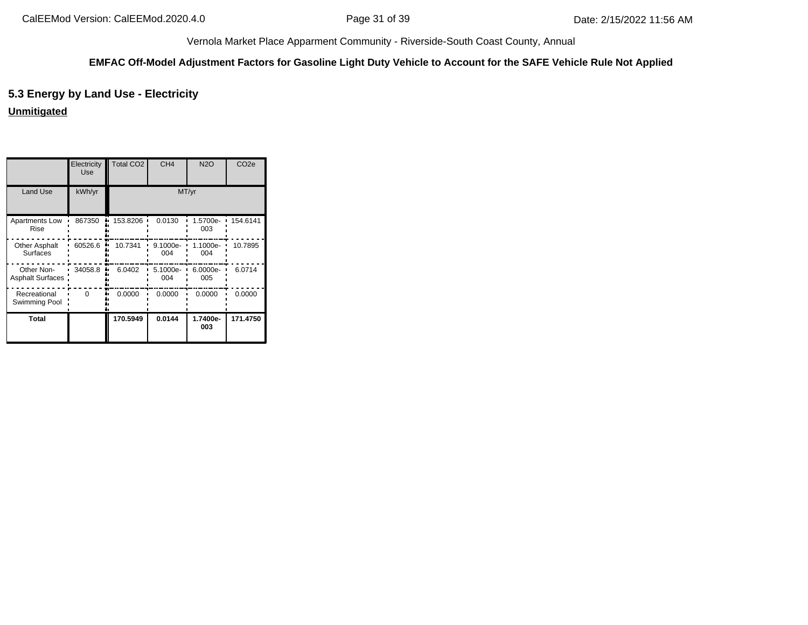#### **EMFAC Off-Model Adjustment Factors for Gasoline Light Duty Vehicle to Account for the SAFE Vehicle Rule Not Applied**

# **5.3 Energy by Land Use - Electricity**

**Unmitigated**

|                                       | Electricity<br>Use | <b>Total CO2</b> | CH <sub>4</sub> | <b>N2O</b>      | CO <sub>2e</sub> |  |  |  |  |  |  |
|---------------------------------------|--------------------|------------------|-----------------|-----------------|------------------|--|--|--|--|--|--|
| <b>Land Use</b>                       | kWh/yr             | MT/yr            |                 |                 |                  |  |  |  |  |  |  |
| Apartments Low<br>Rise                | 867350             | 153.8206         | 0.0130          | 1.5700e-<br>003 | 154.6141         |  |  |  |  |  |  |
| Other Asphalt<br><b>Surfaces</b>      | 60526.6            | 10.7341          | 9.1000e-<br>004 | 1.1000e-<br>004 | 10.7895          |  |  |  |  |  |  |
| Other Non-<br><b>Asphalt Surfaces</b> | 34058.8            | 6.0402           | 5.1000e-<br>004 | 6.0000e-<br>005 | 6.0714           |  |  |  |  |  |  |
| Recreational<br>Swimming Pool         | $\Omega$           | 0.0000           | 0.0000          | 0.0000          | 0.0000           |  |  |  |  |  |  |
| Total                                 |                    | 170.5949         | 0.0144          | 1.7400e-<br>003 | 171.4750         |  |  |  |  |  |  |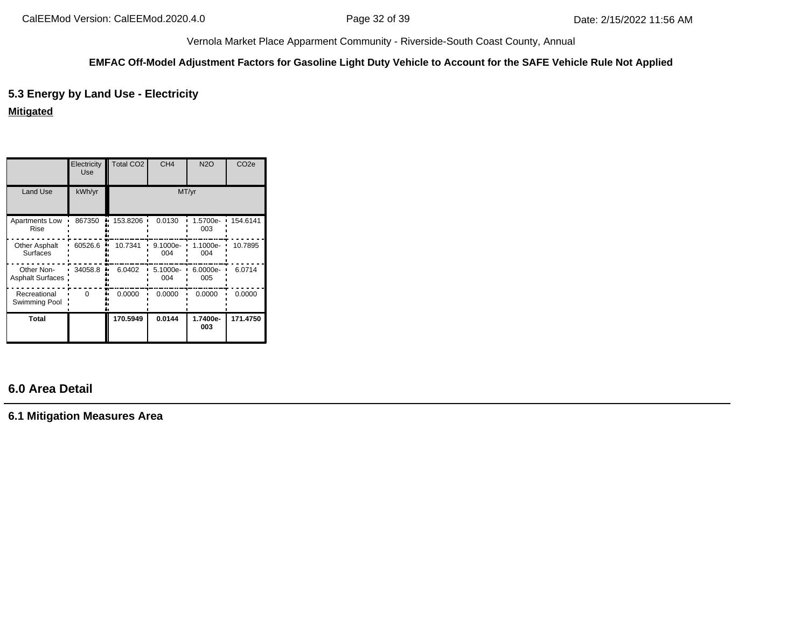#### **EMFAC Off-Model Adjustment Factors for Gasoline Light Duty Vehicle to Account for the SAFE Vehicle Rule Not Applied**

# **5.3 Energy by Land Use - Electricity**

# **Mitigated**

|                                       | Electricity<br>Use | <b>Total CO2</b> | CH <sub>4</sub> | <b>N2O</b>      | CO <sub>2e</sub> |  |  |  |  |  |  |  |
|---------------------------------------|--------------------|------------------|-----------------|-----------------|------------------|--|--|--|--|--|--|--|
| Land Use                              | kWh/yr             | MT/yr            |                 |                 |                  |  |  |  |  |  |  |  |
| Apartments Low<br>Rise                | 867350             | 153.8206         | 0.0130          | 1.5700e-<br>003 | 154.6141         |  |  |  |  |  |  |  |
| Other Asphalt<br><b>Surfaces</b>      | 60526.6            | 10.7341          | 9.1000e-<br>004 | 1.1000e-<br>004 | 10.7895          |  |  |  |  |  |  |  |
| Other Non-<br><b>Asphalt Surfaces</b> | 34058.8            | 6.0402           | 5.1000e-<br>004 | 6.0000e-<br>005 | 6.0714           |  |  |  |  |  |  |  |
| Recreational<br>Swimming Pool         | $\Omega$           | 0.0000           | 0.0000          | 0.0000          | 0.0000           |  |  |  |  |  |  |  |
| Total                                 |                    | 170.5949         | 0.0144          | 1.7400e-<br>003 | 171.4750         |  |  |  |  |  |  |  |

# **6.0 Area Detail**

**6.1 Mitigation Measures Area**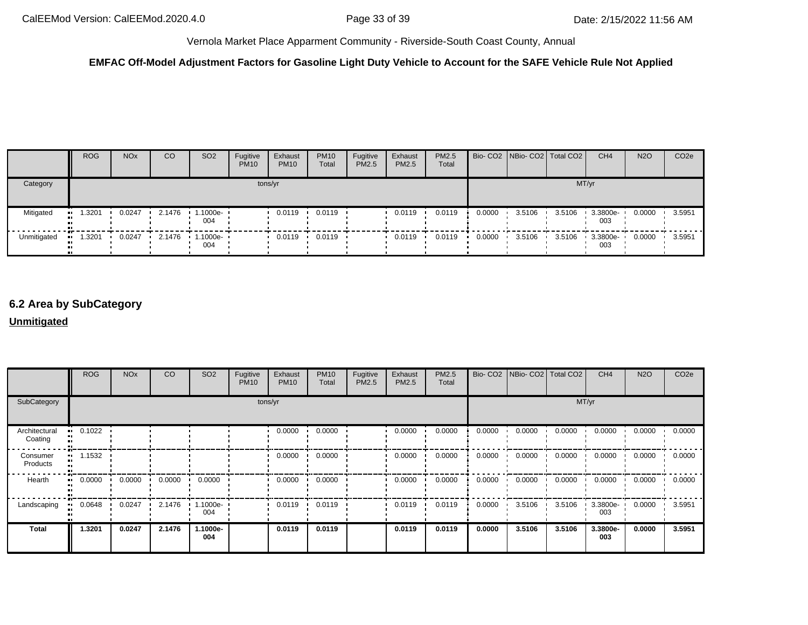## **EMFAC Off-Model Adjustment Factors for Gasoline Light Duty Vehicle to Account for the SAFE Vehicle Rule Not Applied**

|             | <b>ROG</b> | <b>NO<sub>x</sub></b> | CO        | SO <sub>2</sub>                 | Fugitive<br><b>PM10</b> | Exhaust<br><b>PM10</b> | <b>PM10</b><br>Total | Fugitive<br>PM2.5 | Exhaust<br><b>PM2.5</b> | <b>PM2.5</b><br>Total |        | Bio- CO2   NBio- CO2   Total CO2 |        | CH <sub>4</sub> | <b>N2O</b> | CO <sub>2e</sub> |
|-------------|------------|-----------------------|-----------|---------------------------------|-------------------------|------------------------|----------------------|-------------------|-------------------------|-----------------------|--------|----------------------------------|--------|-----------------|------------|------------------|
| Category    | tons/yr    |                       |           |                                 |                         |                        |                      |                   |                         | MT/yr                 |        |                                  |        |                 |            |                  |
| Mitigated   | .3201      | 0.0247                | 2.1476    | .1000e- ·<br>004                |                         | 0.0119                 | 0.0119               |                   | 0.0119                  | 0.0119                | 0.0000 | 3.5106                           | 3.5106 | 3.3800e-<br>003 | 0.0000     | 3.5951           |
| Unmitigated | .3201      | 0.0247                | $-2.1476$ | $\cdot$ 1.1000e- $\cdot$<br>004 |                         | 0.0119                 | 0.0119               |                   | 0.0119                  | 0.0119                | 0.0000 | 3.5106                           | 3.5106 | 3.3800e-<br>003 | 0.0000     | 3.5951           |

# **6.2 Area by SubCategory**

### **Unmitigated**

|                          | <b>ROG</b> | <b>NO<sub>x</sub></b> | CO     | SO <sub>2</sub>   | Fugitive<br><b>PM10</b> | Exhaust<br><b>PM10</b> | <b>PM10</b><br>Total | Fugitive<br>PM2.5 | Exhaust<br>PM2.5 | PM2.5<br>Total |        | Bio- CO2   NBio- CO2   Total CO2 |        | CH <sub>4</sub> | <b>N2O</b> | CO <sub>2e</sub> |  |
|--------------------------|------------|-----------------------|--------|-------------------|-------------------------|------------------------|----------------------|-------------------|------------------|----------------|--------|----------------------------------|--------|-----------------|------------|------------------|--|
| SubCategory              | tons/yr    |                       |        |                   |                         |                        |                      |                   |                  |                | MT/yr  |                                  |        |                 |            |                  |  |
| Architectural<br>Coating | 0.1022     |                       |        |                   |                         | 0.0000                 | 0.0000               |                   | 0.0000           | 0.0000         | 0.0000 | 0.0000                           | 0.0000 | 0.0000          | 0.0000     | 0.0000           |  |
| Consumer<br>Products     | 1.1532     |                       |        |                   |                         | 0.0000                 | 0.0000               |                   | 0.0000           | 0.0000         | 0.0000 | 0.0000                           | 0.0000 | 0.0000          | 0.0000     | 0.0000           |  |
| Hearth                   | 0.0000     | 0.0000                | 0.0000 | 0.0000            |                         | 0.0000                 | 0.0000               |                   | 0.0000           | 0.0000         | 0.0000 | 0.0000                           | 0.0000 | 0.0000          | 0.0000     | 0.0000           |  |
| Landscaping              | 0.0648     | 0.0247                | 2.1476 | $.1000e -$<br>004 |                         | 0.0119                 | 0.0119               |                   | 0.0119           | 0.0119         | 0.0000 | 3.5106                           | 3.5106 | 3.3800e-<br>003 | 0.0000     | 3.5951           |  |
| <b>Total</b>             | 1.3201     | 0.0247                | 2.1476 | 1.1000e-<br>004   |                         | 0.0119                 | 0.0119               |                   | 0.0119           | 0.0119         | 0.0000 | 3.5106                           | 3.5106 | 3.3800e-<br>003 | 0.0000     | 3.5951           |  |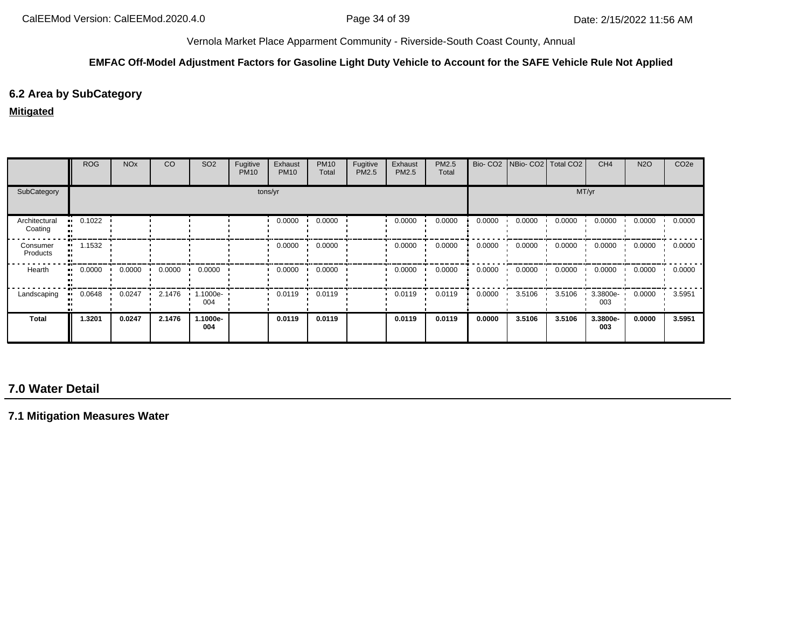#### **EMFAC Off-Model Adjustment Factors for Gasoline Light Duty Vehicle to Account for the SAFE Vehicle Rule Not Applied**

## **6.2 Area by SubCategory**

#### **Mitigated**

|                          | <b>ROG</b> | <b>NO<sub>x</sub></b> | CO     | SO <sub>2</sub>   | Fugitive<br><b>PM10</b> | Exhaust<br><b>PM10</b> | <b>PM10</b><br>Total | Fugitive<br>PM2.5 | Exhaust<br><b>PM2.5</b> | PM2.5<br>Total |        | Bio- CO2   NBio- CO2   Total CO2 |        | CH <sub>4</sub> | <b>N2O</b> | CO <sub>2</sub> e |
|--------------------------|------------|-----------------------|--------|-------------------|-------------------------|------------------------|----------------------|-------------------|-------------------------|----------------|--------|----------------------------------|--------|-----------------|------------|-------------------|
| SubCategory              |            |                       |        |                   |                         | tons/yr                |                      |                   |                         |                |        |                                  | MT/yr  |                 |            |                   |
| Architectural<br>Coating | 0.1022     |                       |        |                   |                         | 0.0000                 | 0.0000               |                   | 0.0000                  | 0.0000         | 0.0000 | 0.0000                           | 0.0000 | 0.0000          | 0.0000     | 0.0000            |
| Consumer<br>Products     | 1.1532     |                       |        |                   |                         | 0.0000                 | 0.0000               |                   | 0.0000                  | 0.0000         | 0.0000 | 0.0000                           | 0.0000 | 0.0000          | 0.0000     | 0.0000            |
| Hearth                   | 0.0000     | 0.0000                | 0.0000 | 0.0000            |                         | 0.0000                 | 0.0000               |                   | 0.0000                  | 0.0000         | 0.0000 | 0.0000                           | 0.0000 | 0.0000          | 0.0000     | 0.0000            |
| Landscaping              | 0.0648     | 0.0247                | 2.1476 | $.1000e -$<br>004 |                         | 0.0119                 | 0.0119               |                   | 0.0119                  | 0.0119         | 0.0000 | 3.5106                           | 3.5106 | 3.3800e-<br>003 | 0.0000     | 3.5951            |
| Total                    | 1.3201     | 0.0247                | 2.1476 | 1.1000e-<br>004   |                         | 0.0119                 | 0.0119               |                   | 0.0119                  | 0.0119         | 0.0000 | 3.5106                           | 3.5106 | 3.3800e-<br>003 | 0.0000     | 3.5951            |

# **7.0 Water Detail**

**7.1 Mitigation Measures Water**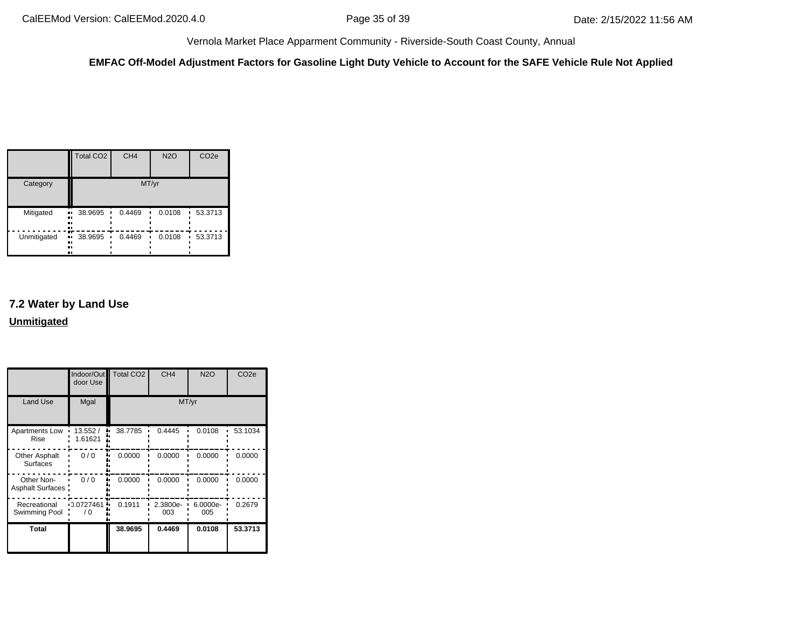**EMFAC Off-Model Adjustment Factors for Gasoline Light Duty Vehicle to Account for the SAFE Vehicle Rule Not Applied**

|             | <b>Total CO2</b>              | CH <sub>4</sub> | <b>N2O</b> | CO <sub>2e</sub> |
|-------------|-------------------------------|-----------------|------------|------------------|
| Category    |                               | MT/yr           |            |                  |
| Mitigated   | 38.9695<br>ш.<br><br>81<br>., | 0.4469          | 0.0108     | 53.3713<br>٠     |
| Unmitigated | 38.9695<br>ш<br><br><br>ш     | 0.4469          | 0.0108     | 53.3713          |

# **7.2 Water by Land Use Unmitigated**

|                                         | door Use           | Indoor/Out   Total CO2 | CH <sub>4</sub> | <b>N2O</b>      | CO <sub>2e</sub> |
|-----------------------------------------|--------------------|------------------------|-----------------|-----------------|------------------|
| Land Use                                | Mgal               |                        |                 | MT/yr           |                  |
| Apartments Low<br>Rise                  | 13.552/<br>1.61621 | 38.7785                | 0.4445          | 0.0108          | 53.1034          |
| <b>Other Asphalt</b><br><b>Surfaces</b> | 0/0                | 0.0000                 | 0.0000          | 0.0000          | 0.0000           |
| Other Non-<br><b>Asphalt Surfaces</b>   | 0/0                | 0.0000                 | 0.0000          | 0.0000          | 0.0000           |
| Recreational<br>Swimming Pool           | 0.0727461<br>70    | 0.1911                 | 2.3800e-<br>003 | 6.0000e-<br>005 | 0.2679           |
| Total                                   |                    | 38.9695                | 0.4469          | 0.0108          | 53.3713          |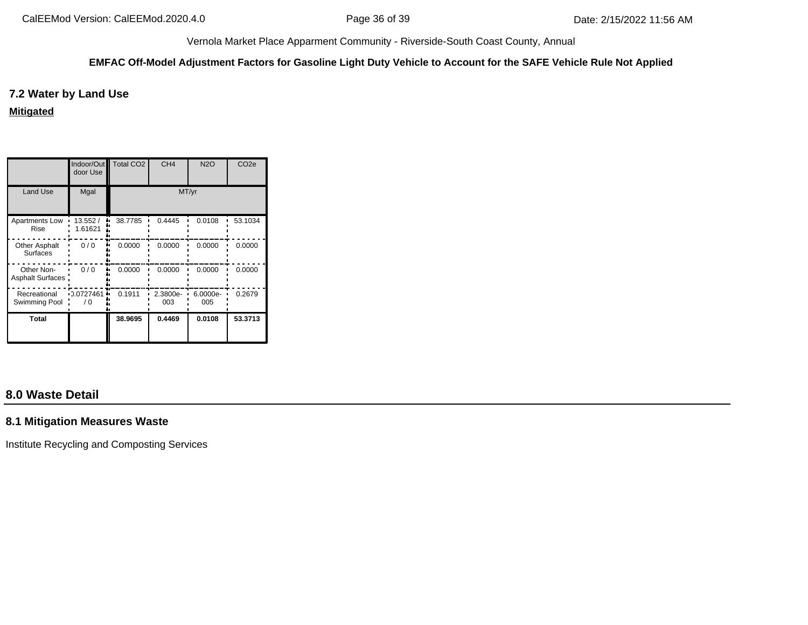#### **EMFAC Off-Model Adjustment Factors for Gasoline Light Duty Vehicle to Account for the SAFE Vehicle Rule Not Applied**

### **7.2 Water by Land Use**

**Mitigated**

|                                       | Indoor/Out<br>door Use | <b>Total CO2</b> | CH <sub>4</sub> | <b>N2O</b>      | CO <sub>2e</sub> |
|---------------------------------------|------------------------|------------------|-----------------|-----------------|------------------|
| Land Use                              | Mgal                   |                  | MT/yr           |                 |                  |
| Apartments Low<br>Rise                | 13.552/<br>1.61621     | 38.7785          | 0.4445          | 0.0108          | 53.1034          |
| <b>Other Asphalt</b><br>Surfaces      | 0/0                    | 0.0000           | 0.0000          | 0.0000          | 0.0000           |
| Other Non-<br><b>Asphalt Surfaces</b> | 0/0                    | 0.0000           | 0.0000          | 0.0000          | 0.0000           |
| Recreational<br>Swimming Pool         | $-0.0727461$<br>70     | 0.1911           | 2.3800e-<br>003 | 6.0000e-<br>005 | 0.2679           |
| Total                                 |                        | 38.9695          | 0.4469          | 0.0108          | 53.3713          |

# **8.0 Waste Detail**

### **8.1 Mitigation Measures Waste**

Institute Recycling and Composting Services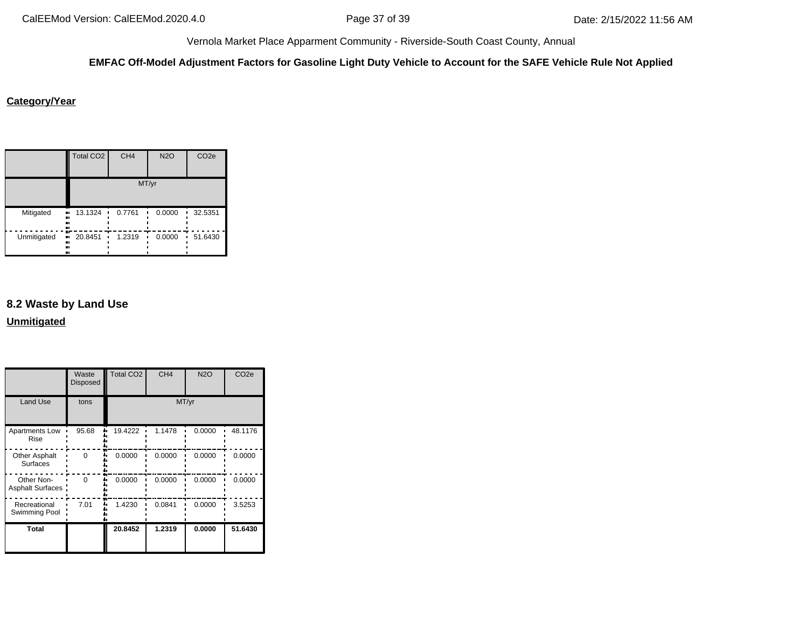#### **EMFAC Off-Model Adjustment Factors for Gasoline Light Duty Vehicle to Account for the SAFE Vehicle Rule Not Applied**

#### **Category/Year**

|             | <b>Total CO2</b>                   | CH <sub>4</sub> | <b>N2O</b> | CO <sub>2e</sub> |  |  |
|-------------|------------------------------------|-----------------|------------|------------------|--|--|
|             | MT/yr                              |                 |            |                  |  |  |
| Mitigated   | 13.1324<br>.,<br><br><br>          | 0.7761          | 0.0000     | 32.5351<br>п     |  |  |
| Unmitigated | $\blacksquare$ 20.8451<br><br><br> | 1.2319<br>٠     | 0.0000     | 51.6430<br>п     |  |  |

# **8.2 Waste by Land Use Unmitigated**

Total CO2 CH4 N2O CO2e Waste Disposed Land Use tons MT/yr Apartments Low 95.68 1 19.4222 1.1478 0.0000 48.1176 Rise 0 0.0000 0.0000 0.0000 0.0000 Other Asphalt **Surfaces** Other Non-0 0.0000 0.0000 0.0000 0.0000  $\blacksquare$ Asphalt Surfaces: . . . . . . . . . 7.01 1.4230 0.0841 0.0000 3.5253 Recreational Swimming Pool **Total 20.8452 1.2319 0.0000 51.6430**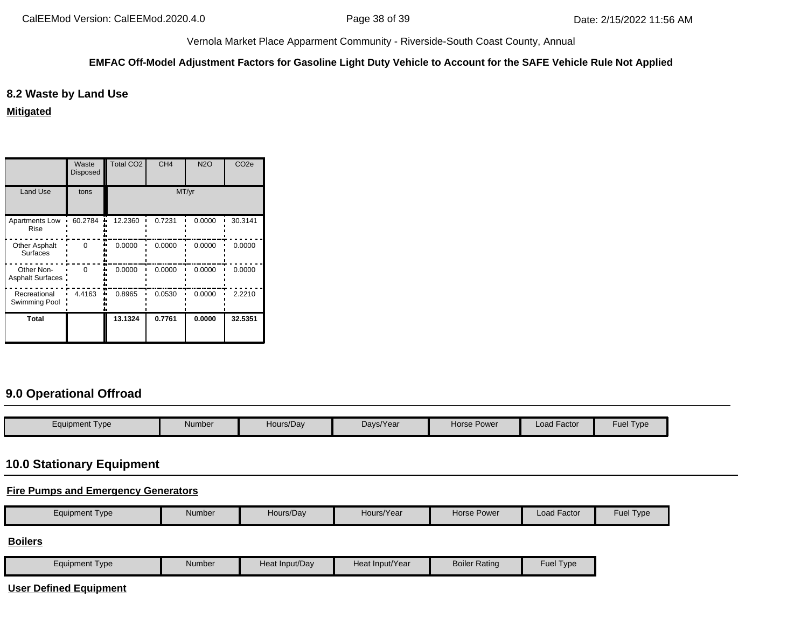#### **EMFAC Off-Model Adjustment Factors for Gasoline Light Duty Vehicle to Account for the SAFE Vehicle Rule Not Applied**

### **8.2 Waste by Land Use**

**Mitigated**

|                                         | Waste<br><b>Disposed</b> | <b>Total CO2</b> | CH <sub>4</sub> | <b>N2O</b> | CO <sub>2e</sub> |
|-----------------------------------------|--------------------------|------------------|-----------------|------------|------------------|
| <b>Land Use</b>                         | tons                     |                  | MT/yr           |            |                  |
| Apartments Low<br>Rise                  | 60.2784                  | 12.2360          | 0.7231          | 0.0000     | 30.3141          |
| <b>Other Asphalt</b><br><b>Surfaces</b> | $\Omega$                 | 0.0000           | 0.0000          | 0.0000     | 0.0000           |
| Other Non-<br>Asphalt Surfaces:         | $\Omega$                 | 0.0000           | 0.0000          | 0.0000     | 0.0000           |
| Recreational<br>Swimming Pool           | 4.4163                   | 0.8965           | 0.0530          | 0.0000     | 2.2210           |
| Total                                   |                          | 13.1324          | 0.7761          | 0.0000     | 32.5351          |

# **9.0 Operational Offroad**

| Equipment Type | Number | Hours/Day | Days/Year | Horse Power | <b>Load Factor</b> | -<br>$\overline{\phantom{0}}$<br>Fuel<br>I ype |
|----------------|--------|-----------|-----------|-------------|--------------------|------------------------------------------------|

## **10.0 Stationary Equipment**

## **Fire Pumps and Emergency Generators**

| Load Factor<br>Hours/Year<br><b>Horse Power</b><br>Equipment Type<br><b>Hue</b> |  |  | Number | Hours/Dav |  |  |  | <b>I</b> vpe |
|---------------------------------------------------------------------------------|--|--|--------|-----------|--|--|--|--------------|
|---------------------------------------------------------------------------------|--|--|--------|-----------|--|--|--|--------------|

**Boilers**

|  | <b>Equipment Type</b> | Number | Heat Input/Day | Heat Input/Year | <b>Boiler Rating</b> | Fuel<br>Type |
|--|-----------------------|--------|----------------|-----------------|----------------------|--------------|
|--|-----------------------|--------|----------------|-----------------|----------------------|--------------|

**User Defined Equipment**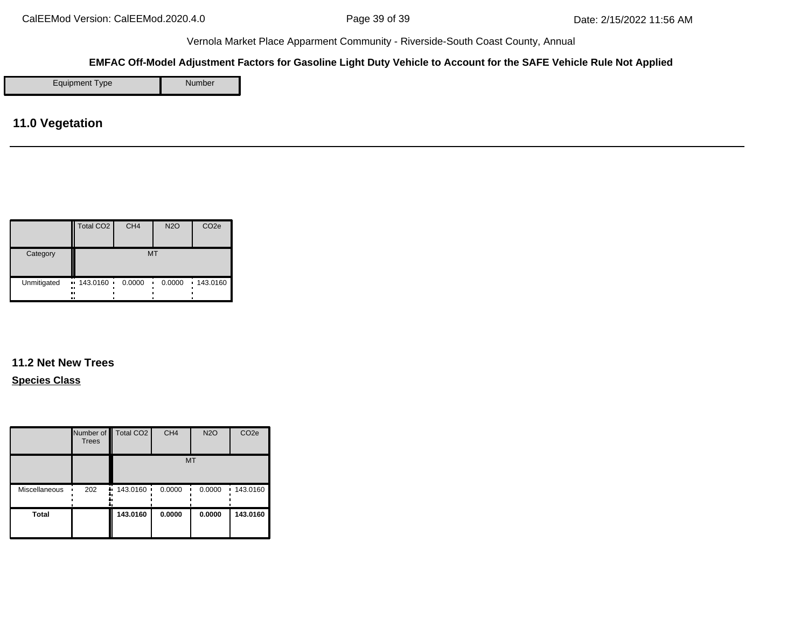### **EMFAC Off-Model Adjustment Factors for Gasoline Light Duty Vehicle to Account for the SAFE Vehicle Rule Not Applied**

Equipment Type Number

**11.0 Vegetation**

|             | Total CO <sub>2</sub>                              | CH <sub>4</sub> | <b>N2O</b> | CO <sub>2e</sub> |
|-------------|----------------------------------------------------|-----------------|------------|------------------|
| Category    |                                                    | MT              |            |                  |
| Unmitigated | $\blacksquare$ 143.0160 $\blacksquare$<br><br><br> | 0.0000          | 0.0000     | 143.0160         |

# **11.2 Net New Trees**

**Species Class**

|               | <b>Trees</b> | Number of Total CO <sub>2</sub> | CH <sub>4</sub> | <b>N2O</b>  | CO <sub>2e</sub> |
|---------------|--------------|---------------------------------|-----------------|-------------|------------------|
|               |              |                                 | <b>MT</b>       |             |                  |
| Miscellaneous | 202          | $\div$ 143.0160 $\div$          | 0.0000          | 0.0000<br>٠ | .143.0160        |
| <b>Total</b>  |              | 143.0160                        | 0.0000          | 0.0000      | 143.0160         |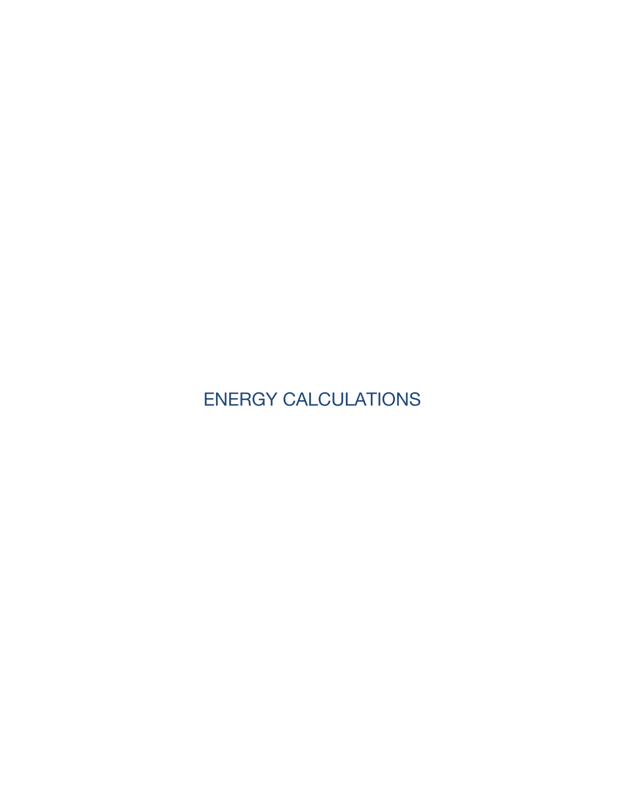ENERGY CALCULATIONS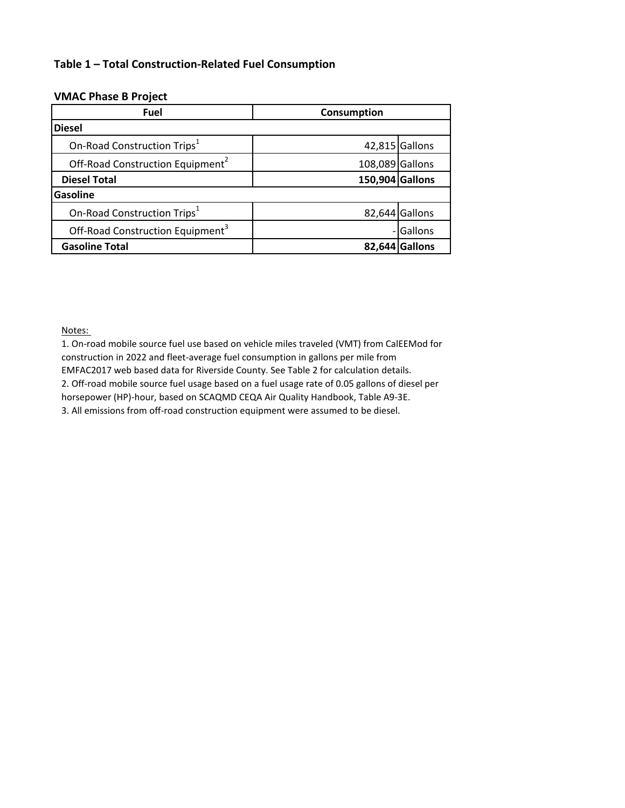## **Table 1 – Total Construction-Related Fuel Consumption**

### **VMAC Phase B Project**

| <b>Fuel</b>                                  | Consumption     |                |
|----------------------------------------------|-----------------|----------------|
| <b>Diesel</b>                                |                 |                |
| On-Road Construction Trips <sup>1</sup>      |                 | 42,815 Gallons |
| Off-Road Construction Equipment <sup>2</sup> | 108,089 Gallons |                |
| <b>Diesel Total</b>                          | 150,904 Gallons |                |
| <b>Gasoline</b>                              |                 |                |
| On-Road Construction Trips <sup>1</sup>      |                 | 82,644 Gallons |
| Off-Road Construction Equipment <sup>3</sup> |                 | - Gallons      |
| <b>Gasoline Total</b>                        |                 | 82,644 Gallons |

Notes:

1. On-road mobile source fuel use based on vehicle miles traveled (VMT) from CalEEMod for construction in 2022 and fleet-average fuel consumption in gallons per mile from EMFAC2017 web based data for Riverside County. See Table 2 for calculation details. 2. Off-road mobile source fuel usage based on a fuel usage rate of 0.05 gallons of diesel per horsepower (HP)-hour, based on SCAQMD CEQA Air Quality Handbook, Table A9-3E. 3. All emissions from off-road construction equipment were assumed to be diesel.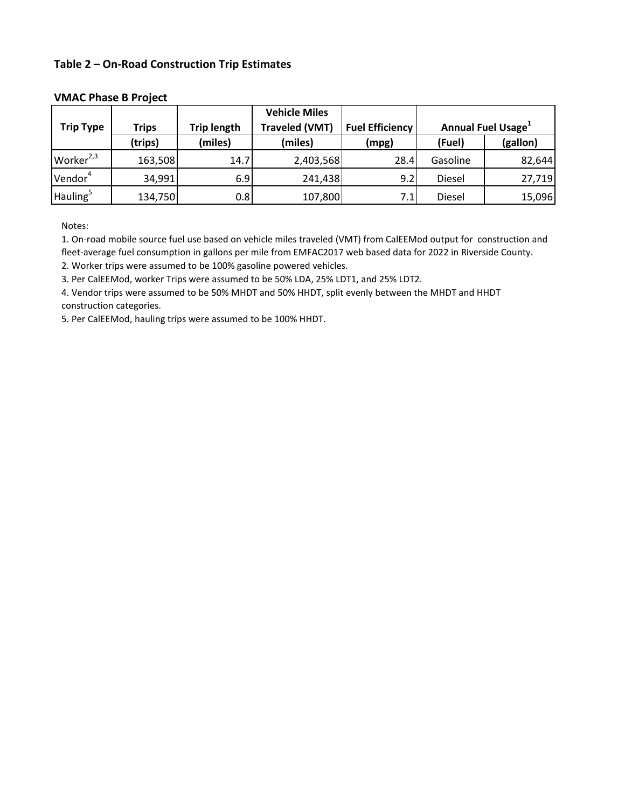### **Table 2 – On-Road Construction Trip Estimates**

|                       |              |                    | <b>Vehicle Miles</b>  |                        |                                       |          |
|-----------------------|--------------|--------------------|-----------------------|------------------------|---------------------------------------|----------|
| <b>Trip Type</b>      | <b>Trips</b> | <b>Trip length</b> | <b>Traveled (VMT)</b> | <b>Fuel Efficiency</b> | <b>Annual Fuel Usage</b> <sup>1</sup> |          |
|                       | (trips)      | (miles)            | (miles)               | (mpg)                  | (Fuel)                                | (gallon) |
| Worker <sup>2,3</sup> | 163,508      | 14.7               | 2,403,568             | 28.4                   | Gasoline                              | 82,644   |
| Vendor <sup>4</sup>   | 34,991       | 6.9                | 241,438               | 9.2                    | Diesel                                | 27,719   |
| Hauling <sup>5</sup>  | 134,750      | 0.8                | 107,800               | 7.1                    | Diesel                                | 15,096   |

#### **VMAC Phase B Project**

Notes:

1. On-road mobile source fuel use based on vehicle miles traveled (VMT) from CalEEMod output for construction and fleet-average fuel consumption in gallons per mile from EMFAC2017 web based data for 2022 in Riverside County. 2. Worker trips were assumed to be 100% gasoline powered vehicles.

3. Per CalEEMod, worker Trips were assumed to be 50% LDA, 25% LDT1, and 25% LDT2.

4. Vendor trips were assumed to be 50% MHDT and 50% HHDT, split evenly between the MHDT and HHDT construction categories.

5. Per CalEEMod, hauling trips were assumed to be 100% HHDT.